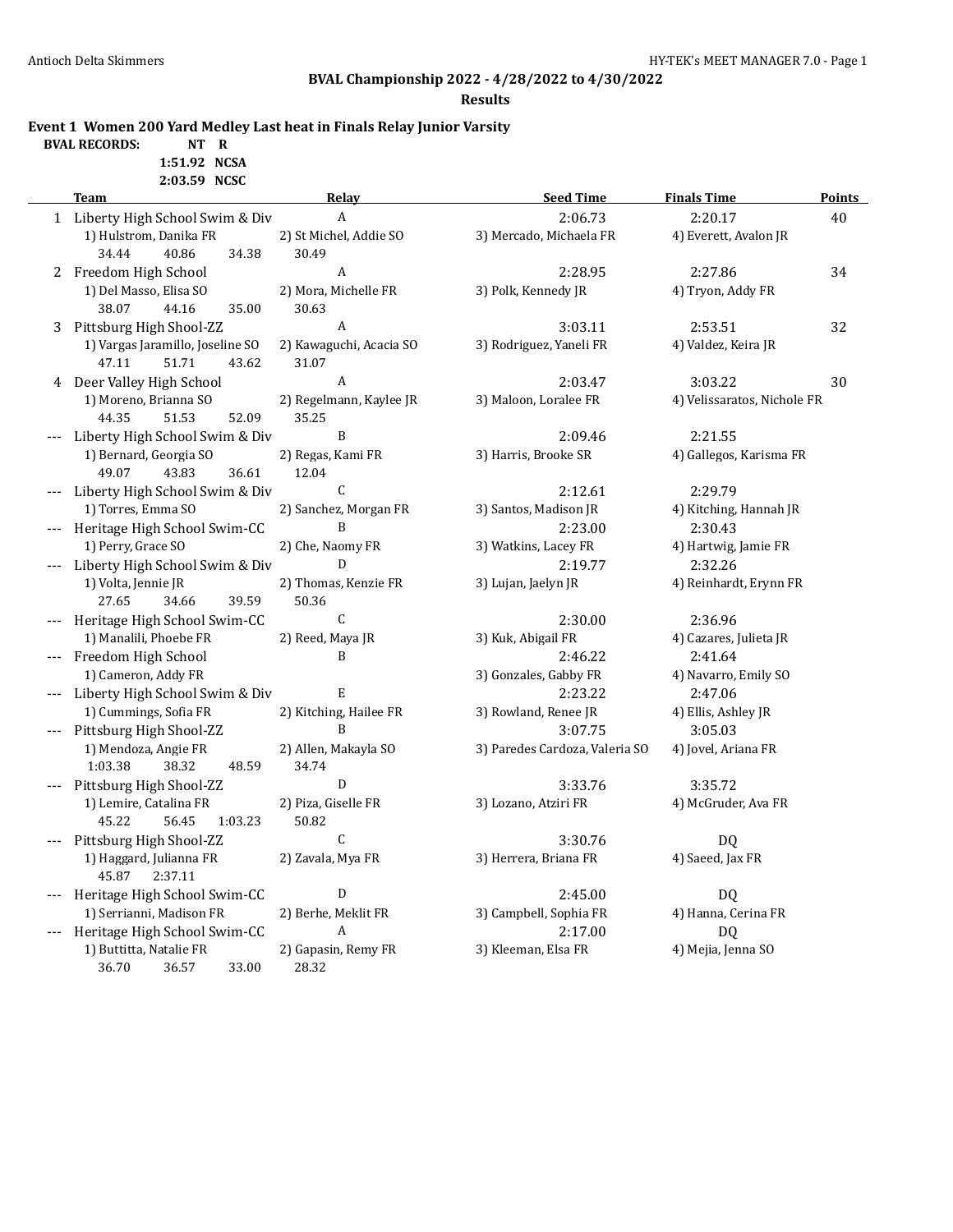**Results**

**Event 1 Women 200 Yard Medley Last heat in Finals Relay Junior Varsity**

**BVAL RECORDS: NT R 1:51.92 NCSA**

**2:03.59 NCSC**

|       | <b>Team</b>                        | Relay                   | <b>Seed Time</b>               | <b>Finals Time</b>          | <b>Points</b> |
|-------|------------------------------------|-------------------------|--------------------------------|-----------------------------|---------------|
|       | 1 Liberty High School Swim & Div   | A                       | 2:06.73                        | 2:20.17                     | 40            |
|       | 1) Hulstrom, Danika FR             | 2) St Michel, Addie SO  | 3) Mercado, Michaela FR        | 4) Everett, Avalon JR       |               |
|       | 34.44<br>40.86<br>34.38            | 30.49                   |                                |                             |               |
|       | 2 Freedom High School              | A                       | 2:28.95                        | 2:27.86                     | 34            |
|       | 1) Del Masso, Elisa SO             | 2) Mora, Michelle FR    | 3) Polk, Kennedy JR            | 4) Tryon, Addy FR           |               |
|       | 38.07<br>44.16<br>35.00            | 30.63                   |                                |                             |               |
| 3     | Pittsburg High Shool-ZZ            | A                       | 3:03.11                        | 2:53.51                     | 32            |
|       | 1) Vargas Jaramillo, Joseline SO   | 2) Kawaguchi, Acacia SO | 3) Rodriguez, Yaneli FR        | 4) Valdez, Keira JR         |               |
|       | 47.11<br>43.62<br>51.71            | 31.07                   |                                |                             |               |
| 4     | Deer Valley High School            | A                       | 2:03.47                        | 3:03.22                     | 30            |
|       | 1) Moreno, Brianna SO              | 2) Regelmann, Kaylee JR | 3) Maloon, Loralee FR          | 4) Velissaratos, Nichole FR |               |
|       | 51.53<br>52.09<br>44.35            | 35.25                   |                                |                             |               |
|       | Liberty High School Swim & Div     | B                       | 2:09.46                        | 2:21.55                     |               |
|       | 1) Bernard, Georgia SO             | 2) Regas, Kami FR       | 3) Harris, Brooke SR           | 4) Gallegos, Karisma FR     |               |
|       | 49.07<br>43.83<br>36.61            | 12.04                   |                                |                             |               |
|       | Liberty High School Swim & Div     | $\mathsf C$             | 2:12.61                        | 2:29.79                     |               |
|       | 1) Torres, Emma SO                 | 2) Sanchez, Morgan FR   | 3) Santos, Madison JR          | 4) Kitching, Hannah JR      |               |
|       | Heritage High School Swim-CC       | B                       | 2:23.00                        | 2:30.43                     |               |
|       | 1) Perry, Grace SO                 | 2) Che, Naomy FR        | 3) Watkins, Lacey FR           | 4) Hartwig, Jamie FR        |               |
|       | Liberty High School Swim & Div     | D                       | 2:19.77                        | 2:32.26                     |               |
|       | 1) Volta, Jennie JR                | 2) Thomas, Kenzie FR    | 3) Lujan, Jaelyn JR            | 4) Reinhardt, Erynn FR      |               |
|       | 27.65<br>34.66<br>39.59            | 50.36                   |                                |                             |               |
|       | Heritage High School Swim-CC       | $\mathsf C$             | 2:30.00                        | 2:36.96                     |               |
|       | 1) Manalili, Phoebe FR             | 2) Reed, Maya JR        | 3) Kuk, Abigail FR             | 4) Cazares, Julieta JR      |               |
|       | Freedom High School                | B                       | 2:46.22                        | 2:41.64                     |               |
|       | 1) Cameron, Addy FR                |                         | 3) Gonzales, Gabby FR          | 4) Navarro, Emily SO        |               |
|       | --- Liberty High School Swim & Div | E                       | 2:23.22                        | 2:47.06                     |               |
|       | 1) Cummings, Sofia FR              | 2) Kitching, Hailee FR  | 3) Rowland, Renee JR           | 4) Ellis, Ashley JR         |               |
|       | Pittsburg High Shool-ZZ            | B                       | 3:07.75                        | 3:05.03                     |               |
|       | 1) Mendoza, Angie FR               | 2) Allen, Makayla SO    | 3) Paredes Cardoza, Valeria SO | 4) Jovel, Ariana FR         |               |
|       | 1:03.38<br>38.32<br>48.59          | 34.74                   |                                |                             |               |
|       | Pittsburg High Shool-ZZ            | D                       | 3:33.76                        | 3:35.72                     |               |
|       | 1) Lemire, Catalina FR             | 2) Piza, Giselle FR     | 3) Lozano, Atziri FR           | 4) McGruder, Ava FR         |               |
|       | 45.22<br>56.45<br>1:03.23          | 50.82                   |                                |                             |               |
|       | Pittsburg High Shool-ZZ            | $\mathsf{C}$            | 3:30.76                        | DQ                          |               |
|       | 1) Haggard, Julianna FR            | 2) Zavala, Mya FR       | 3) Herrera, Briana FR          | 4) Saeed, Jax FR            |               |
|       | 45.87<br>2:37.11                   |                         |                                |                             |               |
|       | Heritage High School Swim-CC       | D                       | 2:45.00                        | DQ                          |               |
|       | 1) Serrianni, Madison FR           | 2) Berhe, Meklit FR     | 3) Campbell, Sophia FR         | 4) Hanna, Cerina FR         |               |
| $---$ | Heritage High School Swim-CC       | A                       | 2:17.00                        | DQ                          |               |
|       | 1) Buttitta, Natalie FR            | 2) Gapasin, Remy FR     | 3) Kleeman, Elsa FR            | 4) Mejia, Jenna SO          |               |
|       | 36.70<br>33.00<br>36.57            | 28.32                   |                                |                             |               |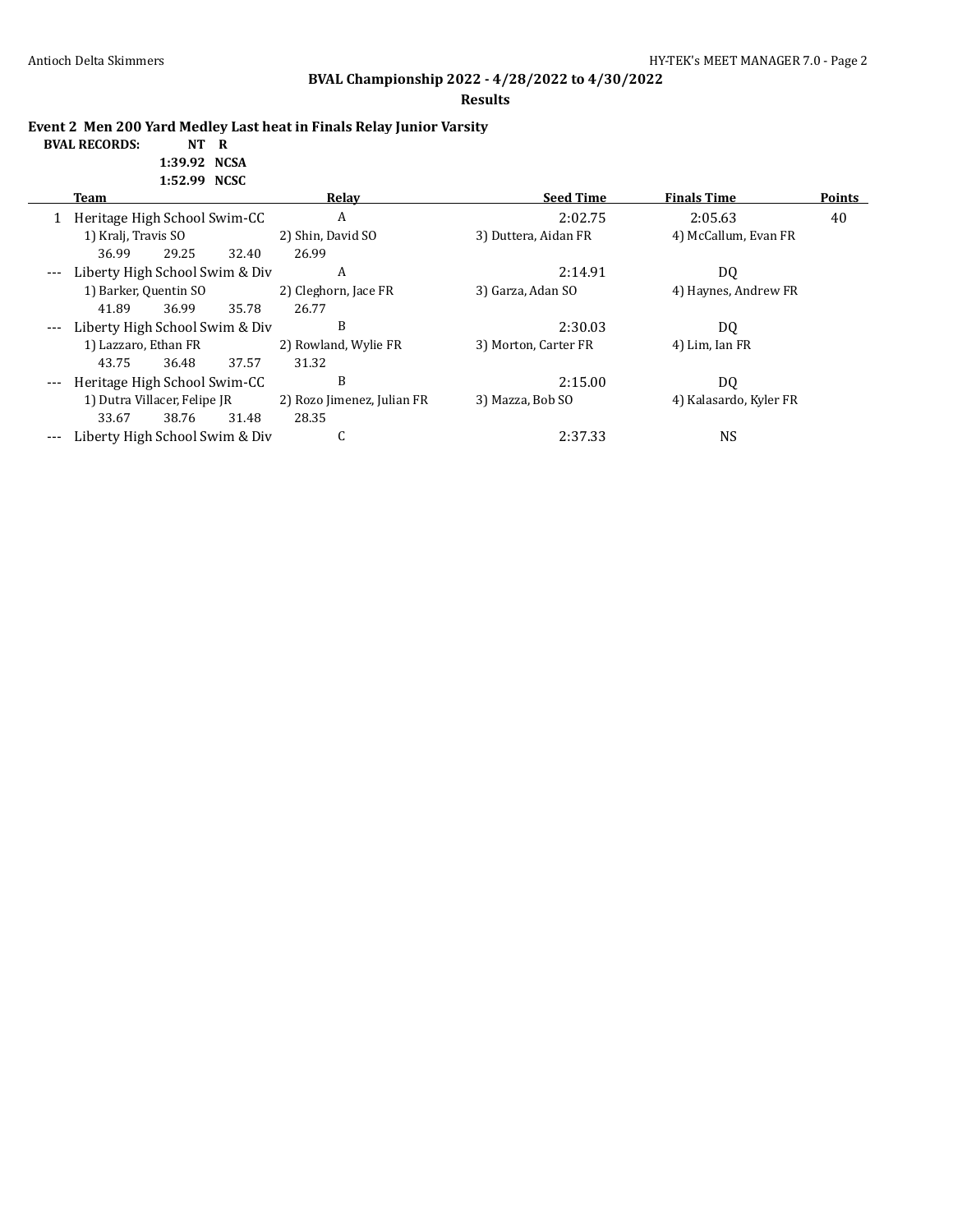#### **Results**

**Event 2 Men 200 Yard Medley Last heat in Finals Relay Junior Varsity**

#### **BVAL RECORDS: NT R 1:39.92 NCSA 1:52.99 NCSC**

|       | 1102122 11000                  |       |       |                            |                      |                        |               |  |  |
|-------|--------------------------------|-------|-------|----------------------------|----------------------|------------------------|---------------|--|--|
|       | Team                           |       |       | Relay                      | <b>Seed Time</b>     | <b>Finals Time</b>     | <b>Points</b> |  |  |
|       | Heritage High School Swim-CC   |       |       | A                          | 2:02.75              | 2:05.63                | 40            |  |  |
|       | 1) Kralj, Travis SO            |       |       | 2) Shin, David SO          | 3) Duttera, Aidan FR | 4) McCallum, Evan FR   |               |  |  |
|       | 36.99                          | 29.25 | 32.40 | 26.99                      |                      |                        |               |  |  |
| $---$ | Liberty High School Swim & Div |       |       | A                          | 2:14.91              | DQ                     |               |  |  |
|       | 1) Barker, Quentin SO          |       |       | 2) Cleghorn, Jace FR       | 3) Garza, Adan SO    | 4) Haynes, Andrew FR   |               |  |  |
|       | 41.89                          | 36.99 | 35.78 | 26.77                      |                      |                        |               |  |  |
|       | Liberty High School Swim & Div |       |       | B                          | 2:30.03              | D <sub>0</sub>         |               |  |  |
|       | 1) Lazzaro, Ethan FR           |       |       | 2) Rowland, Wylie FR       | 3) Morton, Carter FR | 4) Lim, Ian FR         |               |  |  |
|       | 43.75                          | 36.48 | 37.57 | 31.32                      |                      |                        |               |  |  |
| $---$ | Heritage High School Swim-CC   |       |       | B                          | 2:15.00              | D <sub>0</sub>         |               |  |  |
|       | 1) Dutra Villacer, Felipe JR   |       |       | 2) Rozo Jimenez, Julian FR | 3) Mazza, Bob SO     | 4) Kalasardo, Kyler FR |               |  |  |
|       | 33.67                          | 38.76 | 31.48 | 28.35                      |                      |                        |               |  |  |
|       | Liberty High School Swim & Div |       |       | C                          | 2:37.33              | NS                     |               |  |  |
|       |                                |       |       |                            |                      |                        |               |  |  |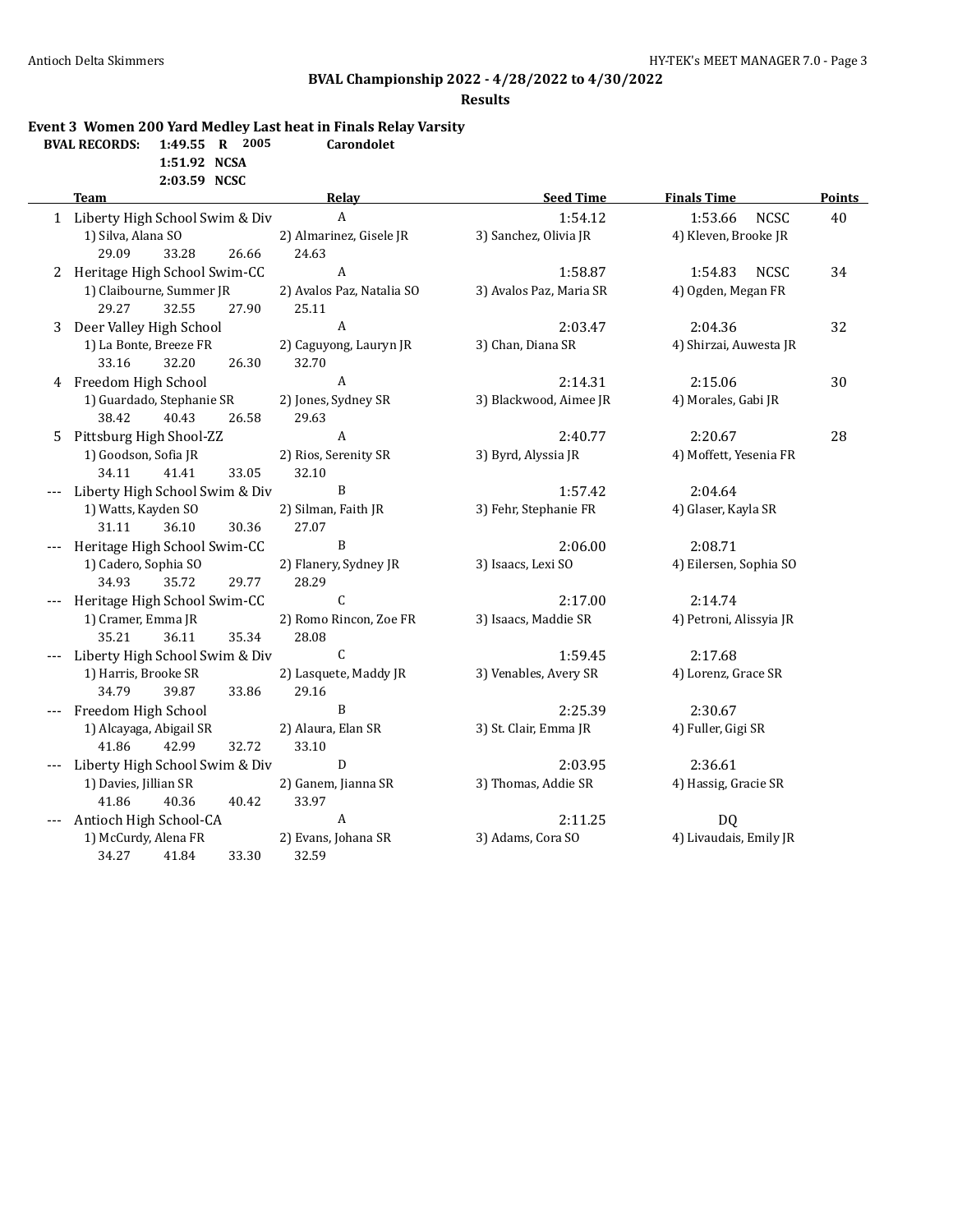#### **Results**

### **Event 3 Women 200 Yard Medley Last heat in Finals Relay Varsity**

| <b>BVAL RECORDS:</b> 1:49.55 R 2005 |              |  | <b>Carondolet</b> |
|-------------------------------------|--------------|--|-------------------|
|                                     | 1:51.92 NCSA |  |                   |

**2:03.59 NCSC**

|   | <b>Team</b>                      | Relay                     | <b>Seed Time</b>        | <b>Finals Time</b>      | <b>Points</b> |
|---|----------------------------------|---------------------------|-------------------------|-------------------------|---------------|
|   | 1 Liberty High School Swim & Div | $\boldsymbol{A}$          | 1:54.12                 | <b>NCSC</b><br>1:53.66  | 40            |
|   | 1) Silva, Alana SO               | 2) Almarinez, Gisele JR   | 3) Sanchez, Olivia JR   | 4) Kleven, Brooke JR    |               |
|   | 29.09<br>33.28<br>26.66          | 24.63                     |                         |                         |               |
| 2 | Heritage High School Swim-CC     | $\boldsymbol{A}$          | 1:58.87                 | <b>NCSC</b><br>1:54.83  | 34            |
|   | 1) Claibourne, Summer JR         | 2) Avalos Paz, Natalia SO | 3) Avalos Paz, Maria SR | 4) Ogden, Megan FR      |               |
|   | 29.27<br>32.55<br>27.90          | 25.11                     |                         |                         |               |
| 3 | Deer Valley High School          | A                         | 2:03.47                 | 2:04.36                 | 32            |
|   | 1) La Bonte, Breeze FR           | 2) Caguyong, Lauryn JR    | 3) Chan, Diana SR       | 4) Shirzai, Auwesta JR  |               |
|   | 32.20<br>33.16<br>26.30          | 32.70                     |                         |                         |               |
|   | 4 Freedom High School            | A                         | 2:14.31                 | 2:15.06                 | 30            |
|   | 1) Guardado, Stephanie SR        | 2) Jones, Sydney SR       | 3) Blackwood, Aimee JR  | 4) Morales, Gabi JR     |               |
|   | 40.43<br>38.42<br>26.58          | 29.63                     |                         |                         |               |
| 5 | Pittsburg High Shool-ZZ          | A                         | 2:40.77                 | 2:20.67                 | 28            |
|   | 1) Goodson, Sofia JR             | 2) Rios, Serenity SR      | 3) Byrd, Alyssia JR     | 4) Moffett, Yesenia FR  |               |
|   | 34.11<br>41.41<br>33.05          | 32.10                     |                         |                         |               |
|   | Liberty High School Swim & Div   | B                         | 1:57.42                 | 2:04.64                 |               |
|   | 1) Watts, Kayden SO              | 2) Silman, Faith JR       | 3) Fehr, Stephanie FR   | 4) Glaser, Kayla SR     |               |
|   | 36.10<br>31.11<br>30.36          | 27.07                     |                         |                         |               |
|   | Heritage High School Swim-CC     | B                         | 2:06.00                 | 2:08.71                 |               |
|   | 1) Cadero, Sophia SO             | 2) Flanery, Sydney JR     | 3) Isaacs, Lexi SO      | 4) Eilersen, Sophia SO  |               |
|   | 35.72<br>29.77<br>34.93          | 28.29                     |                         |                         |               |
|   | Heritage High School Swim-CC     | $\mathsf{C}$              | 2:17.00                 | 2:14.74                 |               |
|   | 1) Cramer, Emma JR               | 2) Romo Rincon, Zoe FR    | 3) Isaacs, Maddie SR    | 4) Petroni, Alissyia JR |               |
|   | 35.21<br>36.11<br>35.34          | 28.08                     |                         |                         |               |
|   | Liberty High School Swim & Div   | C                         | 1:59.45                 | 2:17.68                 |               |
|   | 1) Harris, Brooke SR             | 2) Lasquete, Maddy JR     | 3) Venables, Avery SR   | 4) Lorenz, Grace SR     |               |
|   | 34.79<br>39.87<br>33.86          | 29.16                     |                         |                         |               |
|   | Freedom High School              | B                         | 2:25.39                 | 2:30.67                 |               |
|   | 1) Alcayaga, Abigail SR          | 2) Alaura, Elan SR        | 3) St. Clair, Emma JR   | 4) Fuller, Gigi SR      |               |
|   | 42.99<br>32.72<br>41.86          | 33.10                     |                         |                         |               |
|   | Liberty High School Swim & Div   | ${\bf D}$                 | 2:03.95                 | 2:36.61                 |               |
|   | 1) Davies, Jillian SR            | 2) Ganem, Jianna SR       | 3) Thomas, Addie SR     | 4) Hassig, Gracie SR    |               |
|   | 41.86<br>40.36<br>40.42          | 33.97                     |                         |                         |               |
|   | Antioch High School-CA           | $\boldsymbol{A}$          | 2:11.25                 | DQ                      |               |
|   | 1) McCurdy, Alena FR             | 2) Evans, Johana SR       | 3) Adams, Cora SO       | 4) Livaudais, Emily JR  |               |
|   | 33.30<br>34.27<br>41.84          | 32.59                     |                         |                         |               |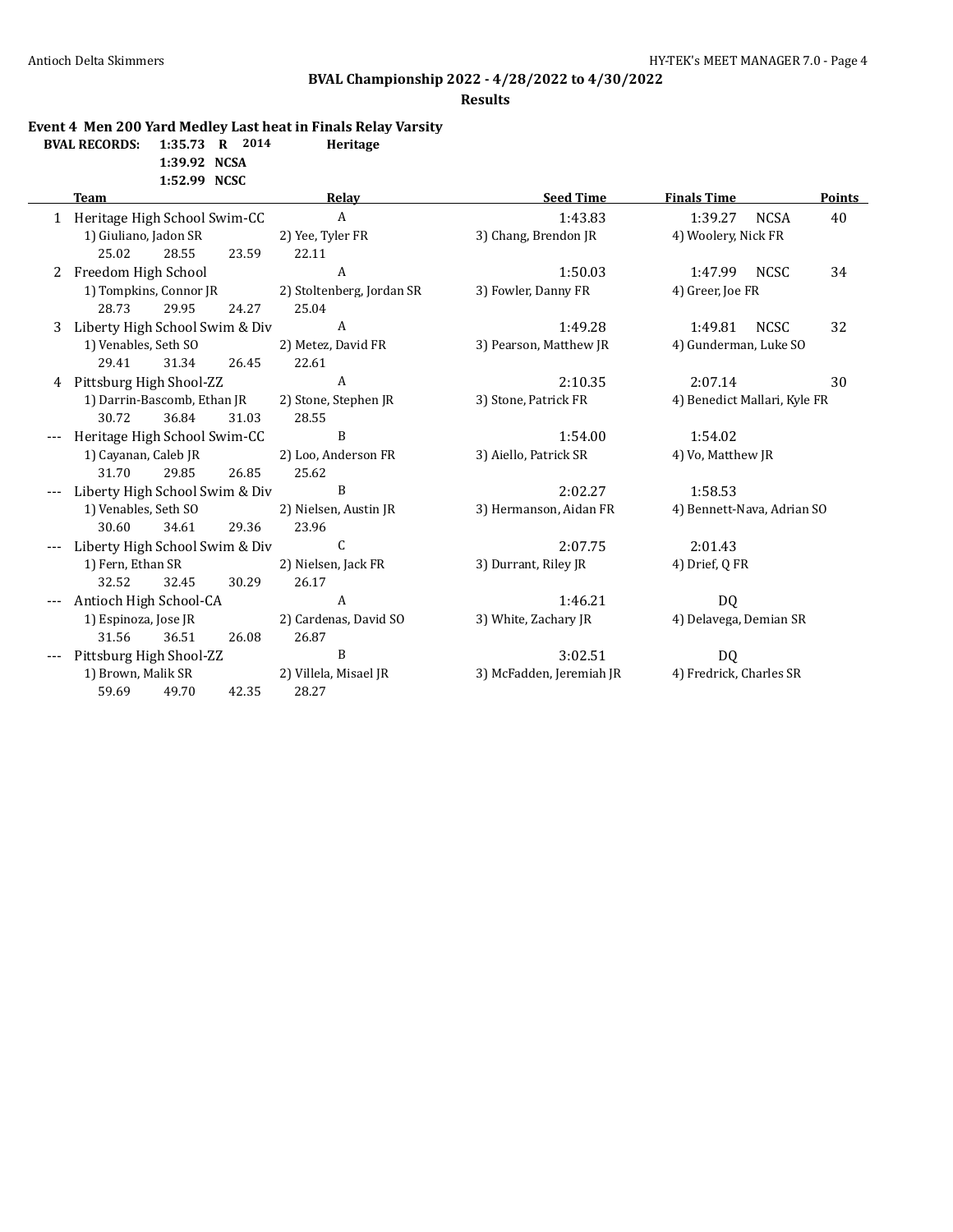#### **Results**

### **Event 4 Men 200 Yard Medley Last heat in Finals Relay Varsity**

| <b>BVAL RECORDS:</b> | $1:35.73$ R  | 2014 | Heritage |
|----------------------|--------------|------|----------|
|                      | 1:39.92 NCSA |      |          |

**1:52.99 NCSC**

|   | <b>Team</b>                    |       |       | Relay                     | <b>Seed Time</b>         | <b>Finals Time</b>           |             | <b>Points</b> |
|---|--------------------------------|-------|-------|---------------------------|--------------------------|------------------------------|-------------|---------------|
|   | Heritage High School Swim-CC   |       |       | $\mathbf{A}$              | 1:43.83                  | 1:39.27                      | <b>NCSA</b> | 40            |
|   | 1) Giuliano, Jadon SR          |       |       | 2) Yee, Tyler FR          | 3) Chang, Brendon JR     | 4) Woolery, Nick FR          |             |               |
|   | 25.02                          | 28.55 | 23.59 | 22.11                     |                          |                              |             |               |
| 2 | Freedom High School            |       |       | A                         | 1:50.03                  | 1:47.99 NCSC                 |             | 34            |
|   | 1) Tompkins, Connor JR         |       |       | 2) Stoltenberg, Jordan SR | 3) Fowler, Danny FR      | 4) Greer, Joe FR             |             |               |
|   | 28.73                          | 29.95 | 24.27 | 25.04                     |                          |                              |             |               |
| 3 | Liberty High School Swim & Div |       |       | A                         | 1:49.28                  | 1:49.81                      | <b>NCSC</b> | 32            |
|   | 1) Venables, Seth SO           |       |       | 2) Metez, David FR        | 3) Pearson, Matthew JR   | 4) Gunderman, Luke SO        |             |               |
|   | 29.41                          | 31.34 | 26.45 | 22.61                     |                          |                              |             |               |
| 4 | Pittsburg High Shool-ZZ        |       |       | A                         | 2:10.35                  | 2:07.14                      |             | 30            |
|   | 1) Darrin-Bascomb, Ethan JR    |       |       | 2) Stone, Stephen JR      | 3) Stone, Patrick FR     | 4) Benedict Mallari, Kyle FR |             |               |
|   | 30.72                          | 36.84 | 31.03 | 28.55                     |                          |                              |             |               |
|   | Heritage High School Swim-CC   |       |       | B                         | 1:54.00                  | 1:54.02                      |             |               |
|   | 1) Cayanan, Caleb JR           |       |       | 2) Loo, Anderson FR       | 3) Aiello, Patrick SR    | 4) Vo, Matthew JR            |             |               |
|   | 31.70                          | 29.85 | 26.85 | 25.62                     |                          |                              |             |               |
|   | Liberty High School Swim & Div |       |       | B                         | 2:02.27                  | 1:58.53                      |             |               |
|   | 1) Venables, Seth SO           |       |       | 2) Nielsen, Austin JR     | 3) Hermanson, Aidan FR   | 4) Bennett-Nava, Adrian SO   |             |               |
|   | 30.60                          | 34.61 | 29.36 | 23.96                     |                          |                              |             |               |
|   | Liberty High School Swim & Div |       |       | C                         | 2:07.75                  | 2:01.43                      |             |               |
|   | 1) Fern, Ethan SR              |       |       | 2) Nielsen, Jack FR       | 3) Durrant, Riley JR     | 4) Drief, Q FR               |             |               |
|   | 32.52                          | 32.45 | 30.29 | 26.17                     |                          |                              |             |               |
|   | Antioch High School-CA         |       |       | A                         | 1:46.21                  | DQ                           |             |               |
|   | 1) Espinoza, Jose JR           |       |       | 2) Cardenas, David SO     | 3) White, Zachary JR     | 4) Delavega, Demian SR       |             |               |
|   | 31.56                          | 36.51 | 26.08 | 26.87                     |                          |                              |             |               |
|   | Pittsburg High Shool-ZZ        |       |       | B                         | 3:02.51                  | DQ                           |             |               |
|   | 1) Brown, Malik SR             |       |       | 2) Villela, Misael JR     | 3) McFadden, Jeremiah JR | 4) Fredrick, Charles SR      |             |               |
|   | 59.69                          | 49.70 | 42.35 | 28.27                     |                          |                              |             |               |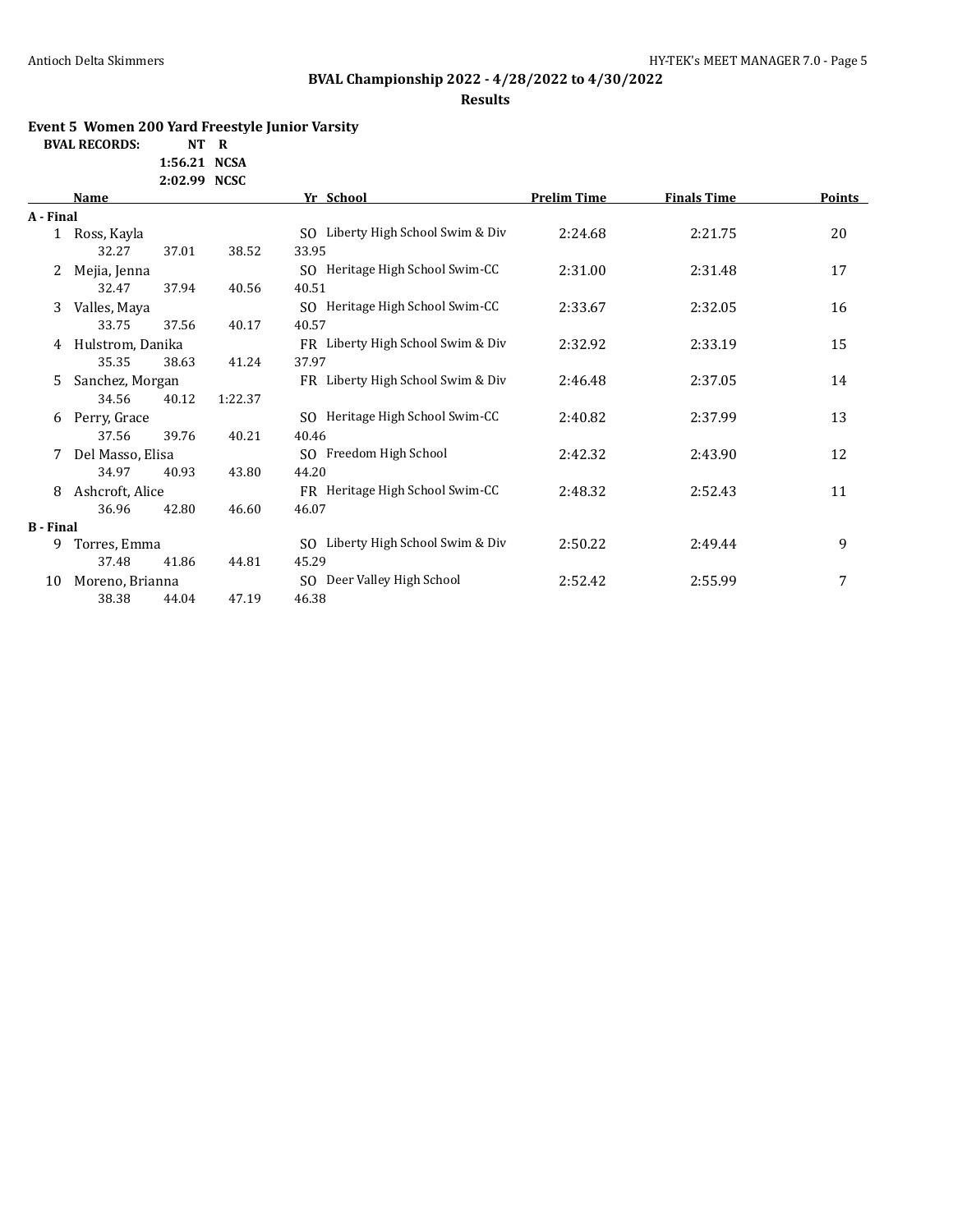# **BVAL Championship 2022 - 4/28/2022 to 4/30/2022**

**Results**

### **Event 5 Women 200 Yard Freestyle Junior Varsity**

**BVAL RECORDS: NT R**

**1:56.21 NCSA 2:02.99 NCSC**

|                  | Name             |         | Yr School                             | <b>Prelim Time</b> | <b>Finals Time</b> | Points |
|------------------|------------------|---------|---------------------------------------|--------------------|--------------------|--------|
| A - Final        |                  |         |                                       |                    |                    |        |
| $\mathbf{1}$     | Ross, Kayla      |         | SO Liberty High School Swim & Div     | 2:24.68            | 2:21.75            | 20     |
|                  | 32.27<br>37.01   | 38.52   | 33.95                                 |                    |                    |        |
| 2                | Mejia, Jenna     |         | SQ Heritage High School Swim-CC       | 2:31.00            | 2:31.48            | 17     |
|                  | 32.47<br>37.94   | 40.56   | 40.51                                 |                    |                    |        |
| 3                | Valles, Maya     |         | SQ Heritage High School Swim-CC       | 2:33.67            | 2:32.05            | 16     |
|                  | 33.75<br>37.56   | 40.17   | 40.57                                 |                    |                    |        |
| 4                | Hulstrom, Danika |         | FR Liberty High School Swim & Div     | 2:32.92            | 2:33.19            | 15     |
|                  | 35.35<br>38.63   | 41.24   | 37.97                                 |                    |                    |        |
| 5                | Sanchez, Morgan  |         | FR Liberty High School Swim & Div     | 2:46.48            | 2:37.05            | 14     |
|                  | 34.56<br>40.12   | 1:22.37 |                                       |                    |                    |        |
| 6                | Perry, Grace     |         | SO Heritage High School Swim-CC       | 2:40.82            | 2:37.99            | 13     |
|                  | 37.56<br>39.76   | 40.21   | 40.46                                 |                    |                    |        |
| 7                | Del Masso, Elisa |         | SO Freedom High School                | 2:42.32            | 2:43.90            | 12     |
|                  | 34.97<br>40.93   | 43.80   | 44.20                                 |                    |                    |        |
| 8                | Ashcroft, Alice  |         | FR Heritage High School Swim-CC       | 2:48.32            | 2:52.43            | 11     |
|                  | 36.96<br>42.80   | 46.60   | 46.07                                 |                    |                    |        |
| <b>B</b> - Final |                  |         |                                       |                    |                    |        |
| 9                | Torres, Emma     |         | Liberty High School Swim & Div<br>SO. | 2:50.22            | 2:49.44            | 9      |
|                  | 37.48<br>41.86   | 44.81   | 45.29                                 |                    |                    |        |
| 10               | Moreno, Brianna  |         | Deer Valley High School<br>SO.        | 2:52.42            | 2:55.99            | 7      |
|                  | 38.38<br>44.04   | 47.19   | 46.38                                 |                    |                    |        |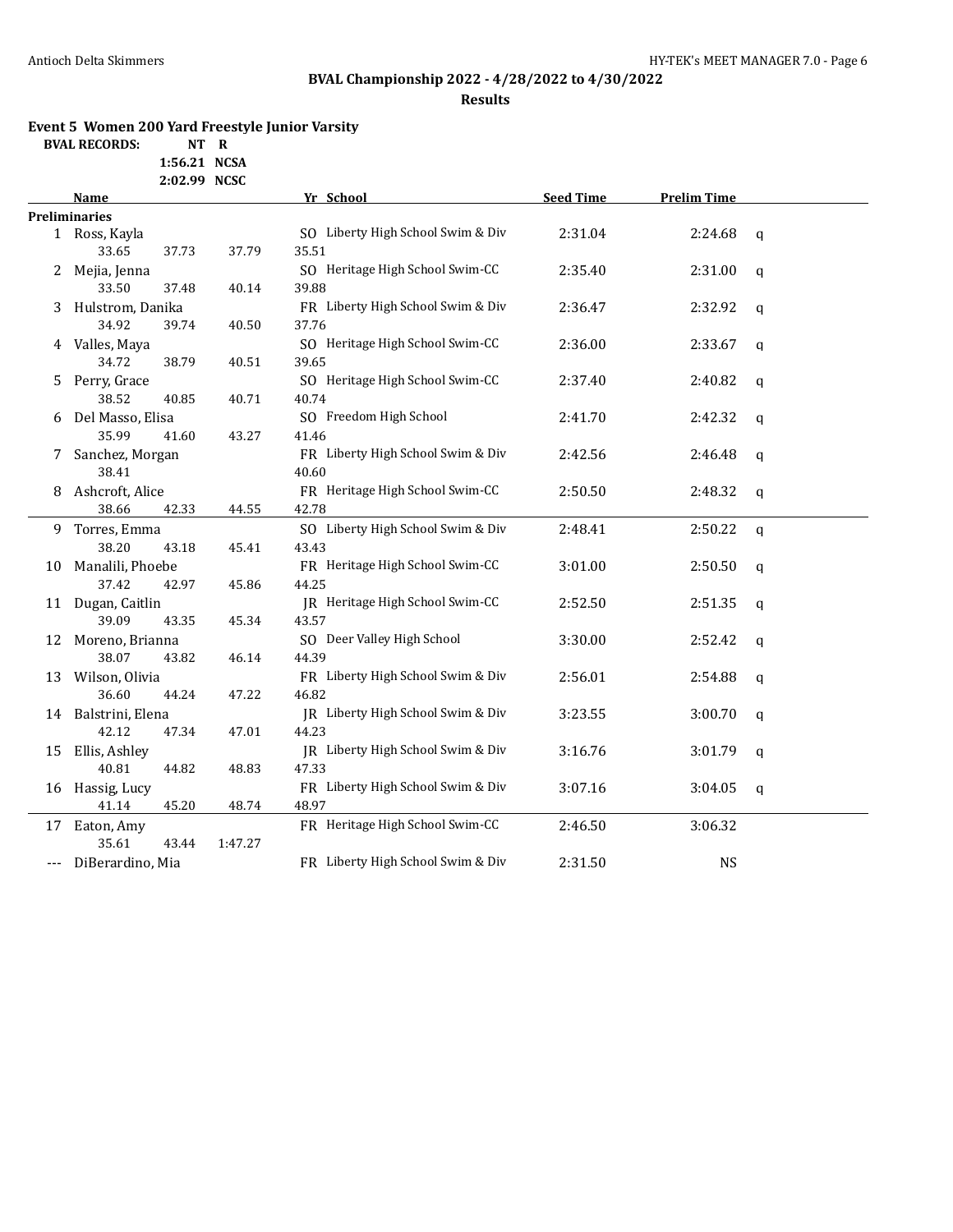# **BVAL Championship 2022 - 4/28/2022 to 4/30/2022**

**Results**

### **Event 5 Women 200 Yard Freestyle Junior Varsity**

**BVAL RECORDS: NT R**

**1:56.21 NCSA 2:02.99 NCSC**

|       | Name                 |         | Yr School                         | <b>Seed Time</b> | <b>Prelim Time</b> |              |
|-------|----------------------|---------|-----------------------------------|------------------|--------------------|--------------|
|       | <b>Preliminaries</b> |         |                                   |                  |                    |              |
|       | 1 Ross, Kayla        |         | SO Liberty High School Swim & Div | 2:31.04          | 2:24.68            | $\mathsf{q}$ |
|       | 33.65<br>37.73       | 37.79   | 35.51                             |                  |                    |              |
| 2     | Mejia, Jenna         |         | SO Heritage High School Swim-CC   | 2:35.40          | 2:31.00            | $\mathbf q$  |
|       | 33.50<br>37.48       | 40.14   | 39.88                             |                  |                    |              |
| 3     | Hulstrom, Danika     |         | FR Liberty High School Swim & Div | 2:36.47          | 2:32.92            | $\mathbf q$  |
|       | 34.92<br>39.74       | 40.50   | 37.76                             |                  |                    |              |
| 4     | Valles, Maya         |         | SO Heritage High School Swim-CC   | 2:36.00          | 2:33.67            | $\mathbf q$  |
|       | 34.72<br>38.79       | 40.51   | 39.65                             |                  |                    |              |
| 5.    | Perry, Grace         |         | SO Heritage High School Swim-CC   | 2:37.40          | 2:40.82            | $\mathbf q$  |
|       | 38.52<br>40.85       | 40.71   | 40.74                             |                  |                    |              |
| 6     | Del Masso, Elisa     |         | SO Freedom High School            | 2:41.70          | 2:42.32            | $\mathbf q$  |
|       | 35.99<br>41.60       | 43.27   | 41.46                             |                  |                    |              |
| 7.    | Sanchez, Morgan      |         | FR Liberty High School Swim & Div | 2:42.56          | 2:46.48            | $\mathbf q$  |
|       | 38.41                |         | 40.60                             |                  |                    |              |
| 8     | Ashcroft, Alice      |         | FR Heritage High School Swim-CC   | 2:50.50          | 2:48.32            | $\mathbf q$  |
|       | 38.66<br>42.33       | 44.55   | 42.78                             |                  |                    |              |
| 9.    | Torres, Emma         |         | SO Liberty High School Swim & Div | 2:48.41          | 2:50.22            | $\mathbf q$  |
|       | 38.20<br>43.18       | 45.41   | 43.43                             |                  |                    |              |
| 10    | Manalili, Phoebe     |         | FR Heritage High School Swim-CC   | 3:01.00          | 2:50.50            | q            |
|       | 37.42<br>42.97       | 45.86   | 44.25                             |                  |                    |              |
|       | 11 Dugan, Caitlin    |         | JR Heritage High School Swim-CC   | 2:52.50          | 2:51.35            | $\mathbf q$  |
|       | 39.09<br>43.35       | 45.34   | 43.57                             |                  |                    |              |
| 12    | Moreno, Brianna      |         | SO Deer Valley High School        | 3:30.00          | 2:52.42            | $\mathbf q$  |
|       | 38.07<br>43.82       | 46.14   | 44.39                             |                  |                    |              |
| 13    | Wilson, Olivia       |         | FR Liberty High School Swim & Div | 2:56.01          | 2:54.88            | $\mathbf q$  |
|       | 36.60<br>44.24       | 47.22   | 46.82                             |                  |                    |              |
| 14    | Balstrini, Elena     |         | JR Liberty High School Swim & Div | 3:23.55          | 3:00.70            | q            |
|       | 42.12<br>47.34       | 47.01   | 44.23                             |                  |                    |              |
| 15    | Ellis, Ashley        |         | JR Liberty High School Swim & Div | 3:16.76          | 3:01.79            | q            |
|       | 40.81<br>44.82       | 48.83   | 47.33                             |                  |                    |              |
| 16    | Hassig, Lucy         |         | FR Liberty High School Swim & Div | 3:07.16          | 3:04.05            | q            |
|       | 41.14<br>45.20       | 48.74   | 48.97                             |                  |                    |              |
| 17    | Eaton, Amy           |         | FR Heritage High School Swim-CC   | 2:46.50          | 3:06.32            |              |
|       | 35.61<br>43.44       | 1:47.27 |                                   |                  |                    |              |
| $---$ | DiBerardino, Mia     |         | FR Liberty High School Swim & Div | 2:31.50          | <b>NS</b>          |              |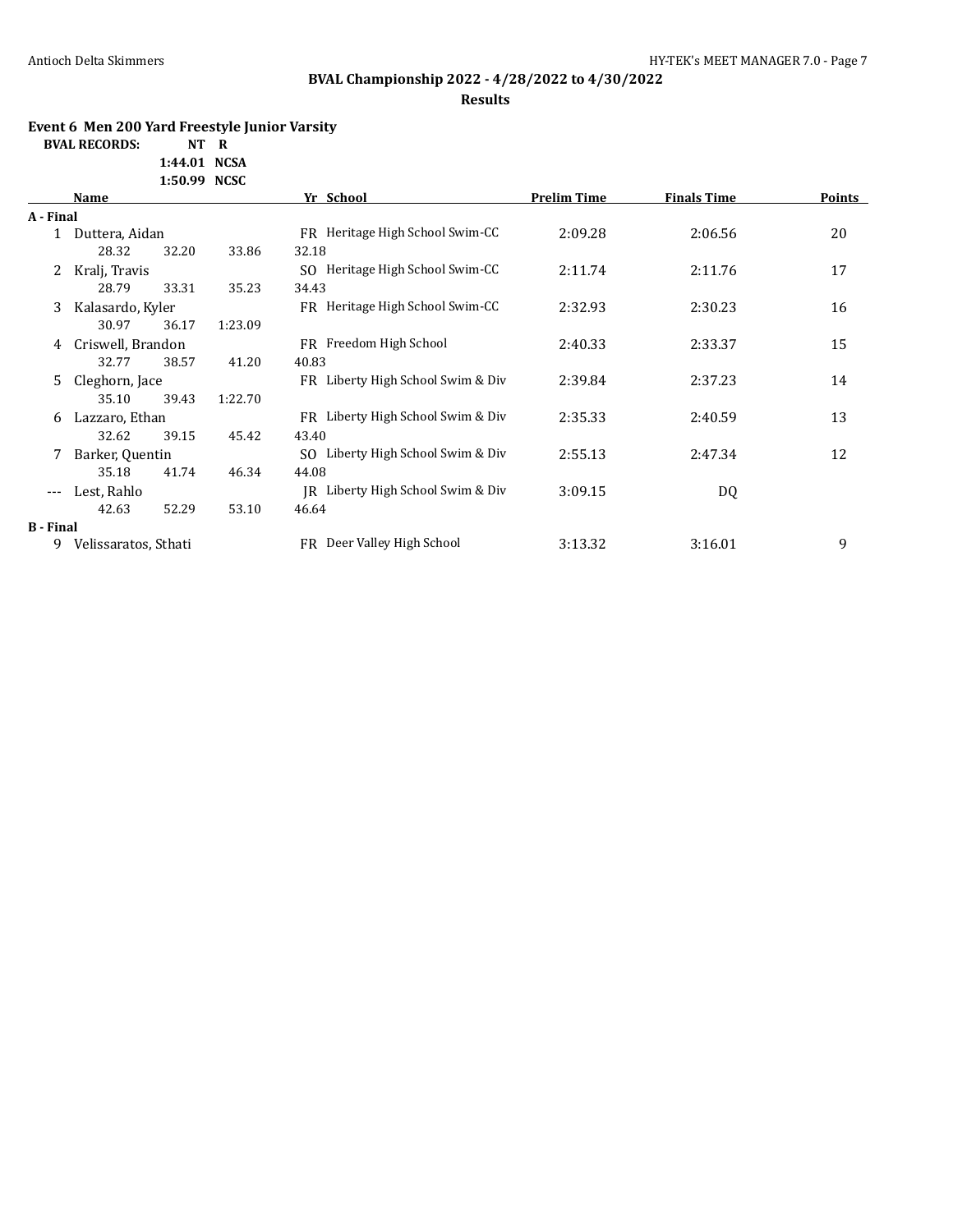# **BVAL Championship 2022 - 4/28/2022 to 4/30/2022**

**Results**

### **Event 6 Men 200 Yard Freestyle Junior Varsity**

**BVAL RECORDS: NT R**

**1:44.01 NCSA 1:50.99 NCSC**

|                  | Name                 |       |         | Yr School                             | <b>Prelim Time</b> | <b>Finals Time</b> | <b>Points</b> |
|------------------|----------------------|-------|---------|---------------------------------------|--------------------|--------------------|---------------|
| A - Final        |                      |       |         |                                       |                    |                    |               |
| $\mathbf{1}$     | Duttera, Aidan       |       |         | FR Heritage High School Swim-CC       | 2:09.28            | 2:06.56            | 20            |
|                  | 28.32                | 32.20 | 33.86   | 32.18                                 |                    |                    |               |
| 2                | Kralj, Travis        |       |         | Heritage High School Swim-CC<br>SO.   | 2:11.74            | 2:11.76            | 17            |
|                  | 28.79                | 33.31 | 35.23   | 34.43                                 |                    |                    |               |
| 3                | Kalasardo, Kyler     |       |         | FR Heritage High School Swim-CC       | 2:32.93            | 2:30.23            | 16            |
|                  | 30.97                | 36.17 | 1:23.09 |                                       |                    |                    |               |
| 4                | Criswell, Brandon    |       |         | FR Freedom High School                | 2:40.33            | 2:33.37            | 15            |
|                  | 32.77                | 38.57 | 41.20   | 40.83                                 |                    |                    |               |
| 5.               | Cleghorn, Jace       |       |         | FR Liberty High School Swim & Div     | 2:39.84            | 2:37.23            | 14            |
|                  | 35.10                | 39.43 | 1:22.70 |                                       |                    |                    |               |
| 6.               | Lazzaro, Ethan       |       |         | FR Liberty High School Swim & Div     | 2:35.33            | 2:40.59            | 13            |
|                  | 32.62                | 39.15 | 45.42   | 43.40                                 |                    |                    |               |
|                  | Barker, Quentin      |       |         | Liberty High School Swim & Div<br>SO. | 2:55.13            | 2:47.34            | 12            |
|                  | 35.18                | 41.74 | 46.34   | 44.08                                 |                    |                    |               |
| $---$            | Lest, Rahlo          |       |         | IR Liberty High School Swim & Div     | 3:09.15            | DQ                 |               |
|                  | 42.63                | 52.29 | 53.10   | 46.64                                 |                    |                    |               |
| <b>B</b> - Final |                      |       |         |                                       |                    |                    |               |
| 9                | Velissaratos, Sthati |       |         | FR Deer Valley High School            | 3:13.32            | 3:16.01            | 9             |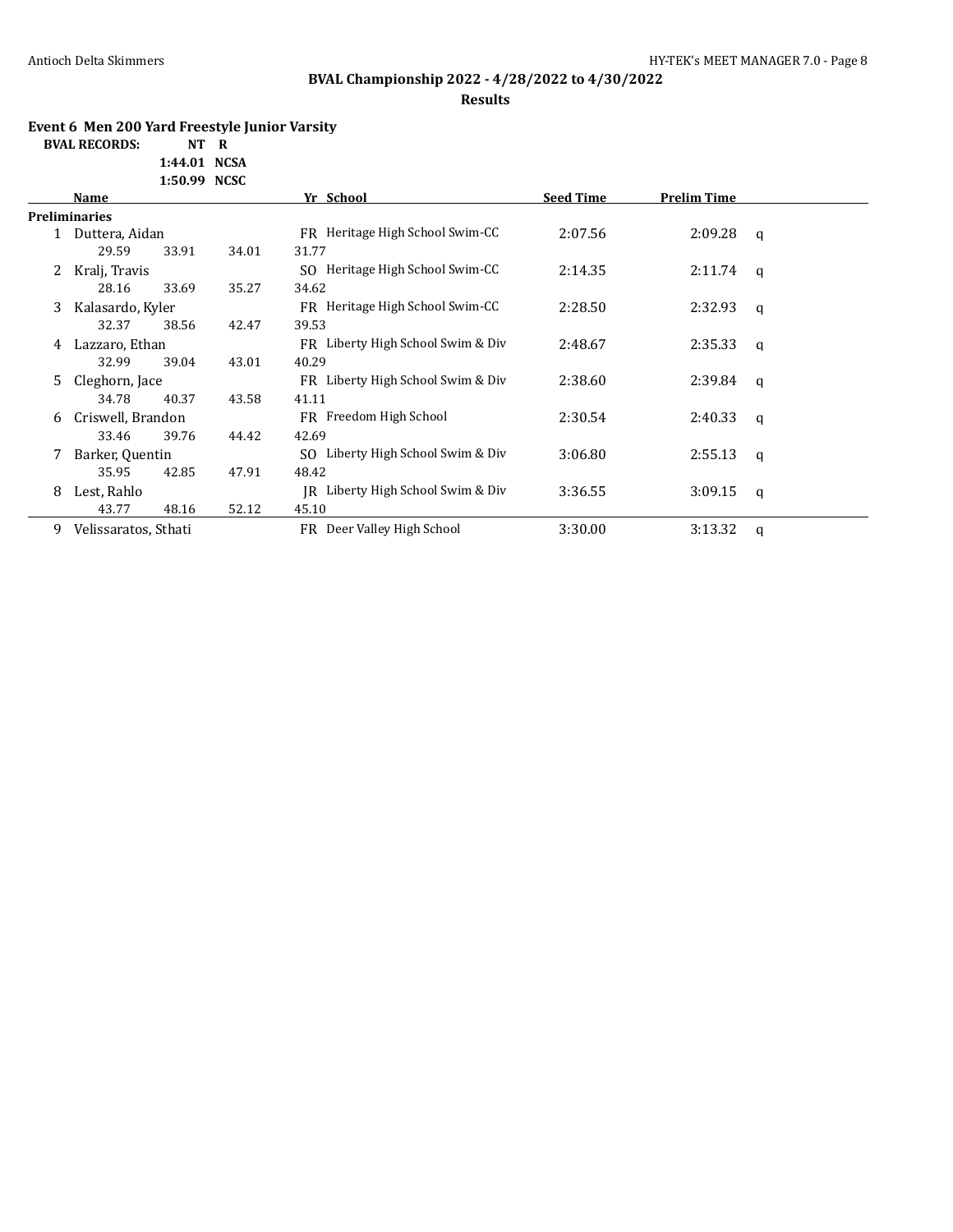**Results**

### **Event 6 Men 200 Yard Freestyle Junior Varsity**

**BVAL RECORDS: 1:44.01 NCSA** 

|  | 1:44.01 NGSA |
|--|--------------|
|  | 1:50.99 NCSC |

|   | Name                 |       |       | Yr School                         | <b>Seed Time</b> | <b>Prelim Time</b> |   |
|---|----------------------|-------|-------|-----------------------------------|------------------|--------------------|---|
|   | <b>Preliminaries</b> |       |       |                                   |                  |                    |   |
|   | Duttera, Aidan       |       |       | FR Heritage High School Swim-CC   | 2:07.56          | 2:09.28            | q |
|   | 29.59                | 33.91 | 34.01 | 31.77                             |                  |                    |   |
|   | Kralj, Travis        |       |       | SO Heritage High School Swim-CC   | 2:14.35          | 2:11.74            | q |
|   | 28.16                | 33.69 | 35.27 | 34.62                             |                  |                    |   |
| 3 | Kalasardo, Kyler     |       |       | FR Heritage High School Swim-CC   | 2:28.50          | 2:32.93            | q |
|   | 32.37                | 38.56 | 42.47 | 39.53                             |                  |                    |   |
| 4 | Lazzaro, Ethan       |       |       | FR Liberty High School Swim & Div | 2:48.67          | 2:35.33            | q |
|   | 32.99                | 39.04 | 43.01 | 40.29                             |                  |                    |   |
| 5 | Cleghorn, Jace       |       |       | FR Liberty High School Swim & Div | 2:38.60          | 2:39.84            | q |
|   | 34.78                | 40.37 | 43.58 | 41.11                             |                  |                    |   |
| 6 | Criswell, Brandon    |       |       | FR Freedom High School            | 2:30.54          | 2:40.33            | a |
|   | 33.46                | 39.76 | 44.42 | 42.69                             |                  |                    |   |
| 7 | Barker, Quentin      |       |       | SO Liberty High School Swim & Div | 3:06.80          | 2:55.13            | q |
|   | 35.95                | 42.85 | 47.91 | 48.42                             |                  |                    |   |
| 8 | Lest, Rahlo          |       |       | IR Liberty High School Swim & Div | 3:36.55          | 3:09.15            | q |
|   | 43.77                | 48.16 | 52.12 | 45.10                             |                  |                    |   |
| 9 | Velissaratos, Sthati |       |       | FR Deer Valley High School        | 3:30.00          | 3:13.32            | q |
|   |                      |       |       |                                   |                  |                    |   |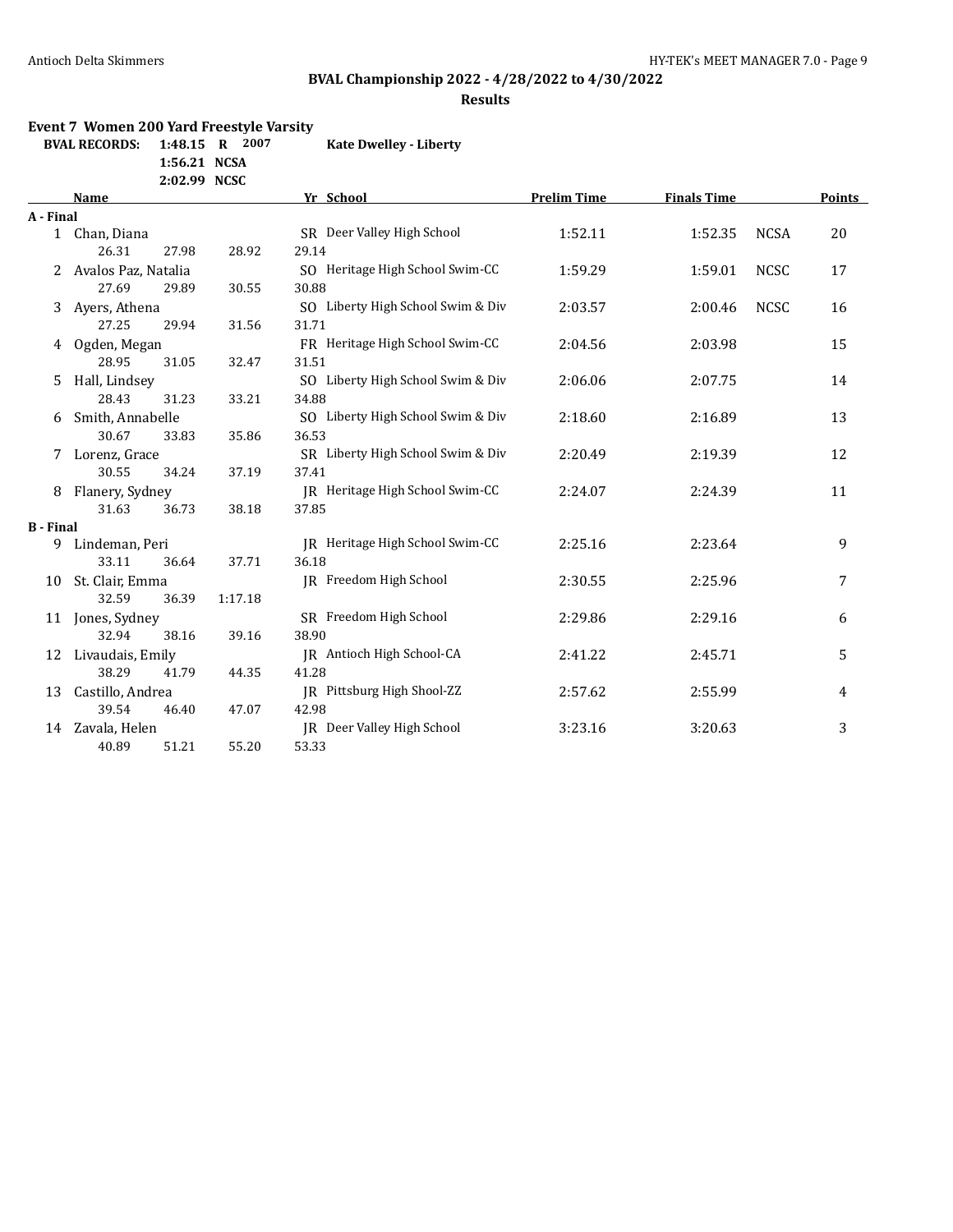### **BVAL Championship 2022 - 4/28/2022 to 4/30/2022**

#### **Results**

#### **Event 7 Women 200 Yard Freestyle Varsity**

**BVAL RECORDS: 1:48.15 R 2007 Kate Dwelley - Liberty**

**1:56.21 NCSA 2:02.99 NCSC**

|                  | <b>Name</b>           |         | Yr School                         | <b>Prelim Time</b> | <b>Finals Time</b> |             | <b>Points</b> |
|------------------|-----------------------|---------|-----------------------------------|--------------------|--------------------|-------------|---------------|
| A - Final        |                       |         |                                   |                    |                    |             |               |
|                  | 1 Chan, Diana         |         | SR Deer Valley High School        | 1:52.11            | 1:52.35            | <b>NCSA</b> | 20            |
|                  | 26.31<br>27.98        | 28.92   | 29.14                             |                    |                    |             |               |
|                  | 2 Avalos Paz, Natalia |         | SO Heritage High School Swim-CC   | 1:59.29            | 1:59.01            | <b>NCSC</b> | 17            |
|                  | 27.69<br>29.89        | 30.55   | 30.88                             |                    |                    |             |               |
| 3                | Ayers, Athena         |         | SO Liberty High School Swim & Div | 2:03.57            | 2:00.46            | <b>NCSC</b> | 16            |
|                  | 27.25<br>29.94        | 31.56   | 31.71                             |                    |                    |             |               |
| 4                | Ogden, Megan          |         | FR Heritage High School Swim-CC   | 2:04.56            | 2:03.98            |             | 15            |
|                  | 28.95<br>31.05        | 32.47   | 31.51                             |                    |                    |             |               |
| 5                | Hall, Lindsey         |         | SO Liberty High School Swim & Div | 2:06.06            | 2:07.75            |             | 14            |
|                  | 28.43<br>31.23        | 33.21   | 34.88                             |                    |                    |             |               |
| 6                | Smith, Annabelle      |         | SO Liberty High School Swim & Div | 2:18.60            | 2:16.89            |             | 13            |
|                  | 30.67<br>33.83        | 35.86   | 36.53                             |                    |                    |             |               |
|                  | Lorenz, Grace         |         | SR Liberty High School Swim & Div | 2:20.49            | 2:19.39            |             | 12            |
|                  | 30.55<br>34.24        | 37.19   | 37.41                             |                    |                    |             |               |
| 8                | Flanery, Sydney       |         | IR Heritage High School Swim-CC   | 2:24.07            | 2:24.39            |             | 11            |
|                  | 31.63<br>36.73        | 38.18   | 37.85                             |                    |                    |             |               |
| <b>B</b> - Final |                       |         |                                   |                    |                    |             |               |
| 9                | Lindeman, Peri        |         | IR Heritage High School Swim-CC   | 2:25.16            | 2:23.64            |             | 9             |
|                  | 33.11<br>36.64        | 37.71   | 36.18                             |                    |                    |             |               |
| 10               | St. Clair, Emma       |         | JR Freedom High School            | 2:30.55            | 2:25.96            |             | 7             |
|                  | 32.59<br>36.39        | 1:17.18 |                                   |                    |                    |             |               |
| 11               | Jones, Sydney         |         | SR Freedom High School            | 2:29.86            | 2:29.16            |             | 6             |
|                  | 32.94<br>38.16        | 39.16   | 38.90                             |                    |                    |             |               |
| 12               | Livaudais, Emily      |         | JR Antioch High School-CA         | 2:41.22            | 2:45.71            |             | 5             |
|                  | 38.29<br>41.79        | 44.35   | 41.28                             |                    |                    |             |               |
| 13               | Castillo, Andrea      |         | JR Pittsburg High Shool-ZZ        | 2:57.62            | 2:55.99            |             | 4             |
|                  | 39.54<br>46.40        | 47.07   | 42.98                             |                    |                    |             |               |
| 14               | Zavala, Helen         |         | JR Deer Valley High School        | 3:23.16            | 3:20.63            |             | 3             |
|                  | 40.89<br>51.21        | 55.20   | 53.33                             |                    |                    |             |               |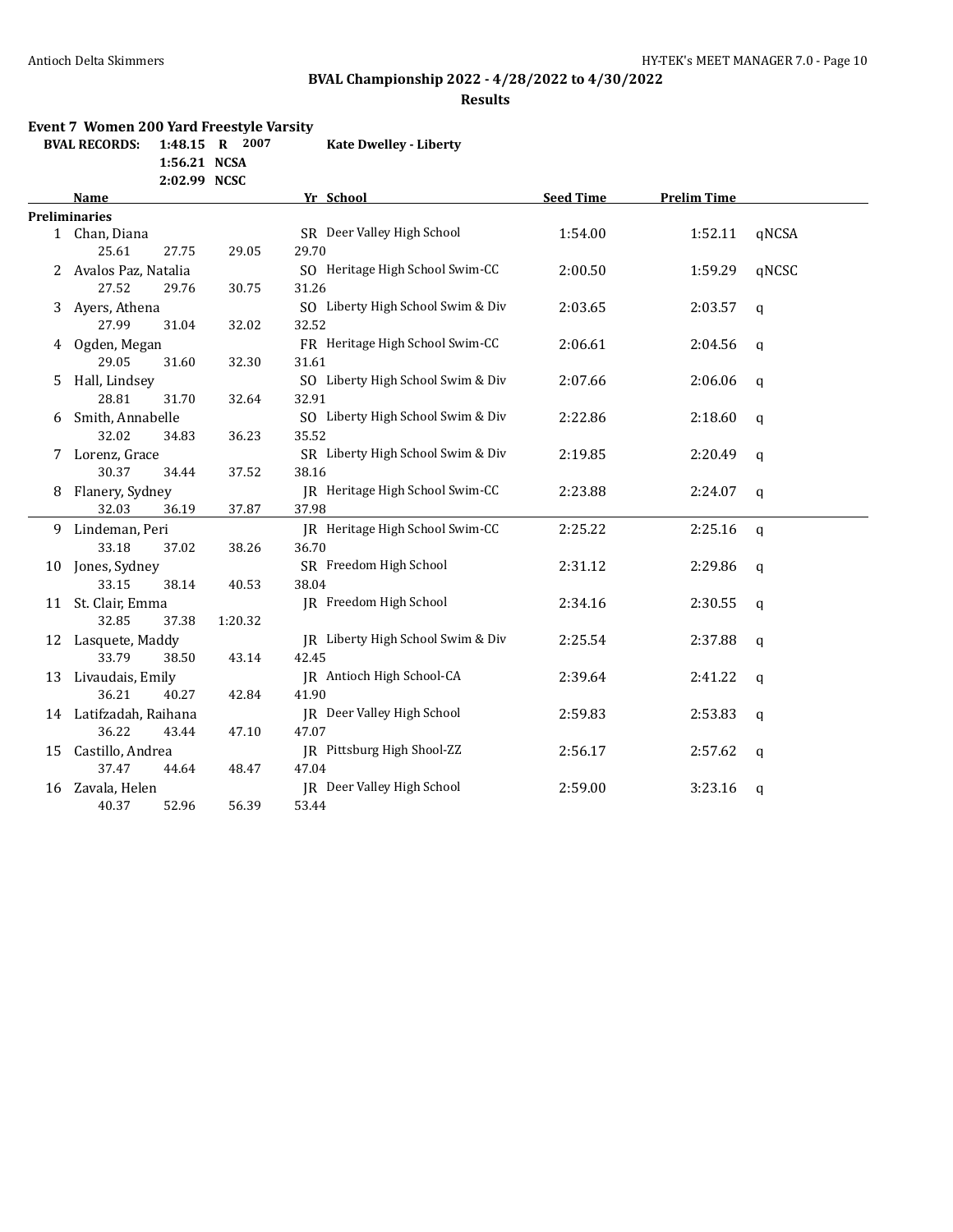### **BVAL Championship 2022 - 4/28/2022 to 4/30/2022**

#### **Results**

#### **Event 7 Women 200 Yard Freestyle Varsity**

**BVAL RECORDS: 1:48.15 R 2007 Kate Dwelley - Liberty**

**1:56.21 NCSA 2:02.99 NCSC**

|    | Name                  |         | Yr School                         | <b>Seed Time</b> |         |             |
|----|-----------------------|---------|-----------------------------------|------------------|---------|-------------|
|    | <b>Preliminaries</b>  |         |                                   |                  |         |             |
|    | 1 Chan, Diana         |         | SR Deer Valley High School        | 1:54.00          | 1:52.11 | qNCSA       |
|    | 25.61<br>27.75        | 29.05   | 29.70                             |                  |         |             |
|    | 2 Avalos Paz, Natalia |         | SO Heritage High School Swim-CC   | 2:00.50          | 1:59.29 | qNCSC       |
|    | 27.52<br>29.76        | 30.75   | 31.26                             |                  |         |             |
| 3  | Ayers, Athena         |         | SO Liberty High School Swim & Div | 2:03.65          | 2:03.57 | $\mathbf q$ |
|    | 27.99<br>31.04        | 32.02   | 32.52                             |                  |         |             |
|    | 4 Ogden, Megan        |         | FR Heritage High School Swim-CC   | 2:06.61          | 2:04.56 | q           |
|    | 29.05<br>31.60        | 32.30   | 31.61                             |                  |         |             |
| 5  | Hall, Lindsey         |         | SO Liberty High School Swim & Div | 2:07.66          | 2:06.06 | q           |
|    | 28.81<br>31.70        | 32.64   | 32.91                             |                  |         |             |
| 6  | Smith, Annabelle      |         | SO Liberty High School Swim & Div | 2:22.86          | 2:18.60 | q           |
|    | 32.02<br>34.83        | 36.23   | 35.52                             |                  |         |             |
|    | 7 Lorenz, Grace       |         | SR Liberty High School Swim & Div | 2:19.85          | 2:20.49 | q           |
|    | 30.37<br>34.44        | 37.52   | 38.16                             |                  |         |             |
| 8  | Flanery, Sydney       |         | IR Heritage High School Swim-CC   | 2:23.88          | 2:24.07 | $\mathbf q$ |
|    | 32.03<br>36.19        | 37.87   | 37.98                             |                  |         |             |
|    | 9 Lindeman, Peri      |         | IR Heritage High School Swim-CC   | 2:25.22          | 2:25.16 | q           |
|    | 33.18<br>37.02        | 38.26   | 36.70                             |                  |         |             |
| 10 | Jones, Sydney         |         | SR Freedom High School            | 2:31.12          | 2:29.86 | $\mathbf q$ |
|    | 33.15<br>38.14        | 40.53   | 38.04                             |                  |         |             |
|    | 11 St. Clair, Emma    |         | JR Freedom High School            | 2:34.16          | 2:30.55 | q           |
|    | 32.85<br>37.38        | 1:20.32 |                                   |                  |         |             |
|    | 12 Lasquete, Maddy    |         | IR Liberty High School Swim & Div | 2:25.54          | 2:37.88 | $\mathbf q$ |
|    | 33.79<br>38.50        | 43.14   | 42.45                             |                  |         |             |
| 13 | Livaudais, Emily      |         | JR Antioch High School-CA         | 2:39.64          | 2:41.22 | q           |
|    | 36.21<br>40.27        | 42.84   | 41.90                             |                  |         |             |
| 14 | Latifzadah, Raihana   |         | JR Deer Valley High School        | 2:59.83          | 2:53.83 | q           |
|    | 36.22<br>43.44        | 47.10   | 47.07                             |                  |         |             |
| 15 | Castillo, Andrea      |         | IR Pittsburg High Shool-ZZ        | 2:56.17          | 2:57.62 | q           |
|    | 37.47<br>44.64        | 48.47   | 47.04                             |                  |         |             |
| 16 | Zavala, Helen         |         | JR Deer Valley High School        | 2:59.00          | 3:23.16 | q           |
|    | 40.37<br>52.96        | 56.39   | 53.44                             |                  |         |             |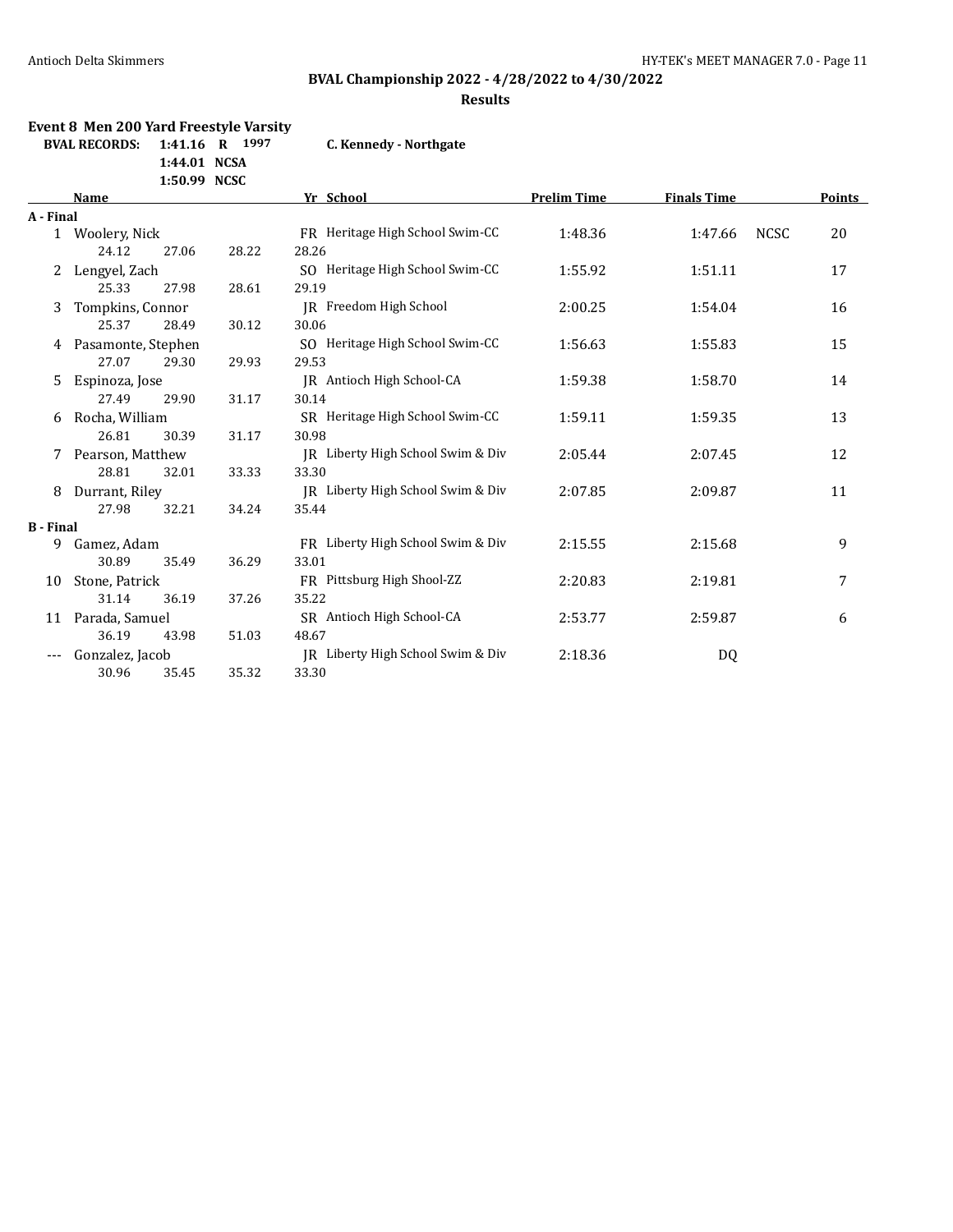# **BVAL Championship 2022 - 4/28/2022 to 4/30/2022**

### **Results**

### **Event 8 Men 200 Yard Freestyle Varsity BVAL RECORDS: 1:41.16 R 1997 C. Kennedy - Northgater**

**1:44.01 NCSA**

| Kennedy - Northgate . |  |  |
|-----------------------|--|--|
|                       |  |  |

|                  |                       | 1:50.99 NCSC              |                                   |                    |                    |      |        |
|------------------|-----------------------|---------------------------|-----------------------------------|--------------------|--------------------|------|--------|
|                  | Name                  |                           | Yr School                         | <b>Prelim Time</b> | <b>Finals Time</b> |      | Points |
| A - Final        |                       |                           |                                   |                    |                    |      |        |
|                  | 1 Woolery, Nick       |                           | FR Heritage High School Swim-CC   | 1:48.36            | 1:47.66            | NCSC | 20     |
|                  | 24.12                 | 27.06<br>28.22            | 28.26                             |                    |                    |      |        |
| 2                | Lengyel, Zach         |                           | SO Heritage High School Swim-CC   | 1:55.92            | 1:51.11            |      | 17     |
|                  | 25.33                 | 28.61<br>27.98            | 29.19                             |                    |                    |      |        |
| 3                | Tompkins, Connor      |                           | IR Freedom High School            | 2:00.25            | 1:54.04            |      | 16     |
|                  | 25.37                 | 28.49<br>30.12            | 30.06                             |                    |                    |      |        |
|                  | 4 Pasamonte, Stephen  |                           | SO Heritage High School Swim-CC   | 1:56.63            | 1:55.83            |      | 15     |
|                  | 27.07                 | 29.30<br>29.93            | 29.53                             |                    |                    |      |        |
| 5.               | Espinoza, Jose        |                           | JR Antioch High School-CA         | 1:59.38            | 1:58.70            |      | 14     |
|                  | 27.49                 | 29.90<br>31.17            | 30.14                             |                    |                    |      |        |
| 6                | Rocha, William        |                           | SR Heritage High School Swim-CC   | 1:59.11            | 1:59.35            |      | 13     |
|                  | 26.81                 | 30.39<br>31.17            | 30.98                             |                    |                    |      |        |
|                  | Pearson, Matthew<br>7 |                           | IR Liberty High School Swim & Div | 2:05.44            | 2:07.45            |      | 12     |
|                  | 28.81                 | 32.01<br>33.33            | 33.30                             |                    |                    |      |        |
| 8                | Durrant, Riley        |                           | IR Liberty High School Swim & Div | 2:07.85            | 2:09.87            |      | 11     |
|                  | 27.98                 | 32.21<br>34.24            | 35.44                             |                    |                    |      |        |
| <b>B</b> - Final |                       |                           |                                   |                    |                    |      |        |
| 9.               | Gamez, Adam           |                           | FR Liberty High School Swim & Div | 2:15.55            | 2:15.68            |      | 9      |
|                  | 30.89                 | 36.29<br>35.49            | 33.01                             |                    |                    |      |        |
| 10               | Stone, Patrick        |                           | FR Pittsburg High Shool-ZZ        | 2:20.83            | 2:19.81            |      | 7      |
|                  | 31.14                 | 36.19<br>37.26            | 35.22                             |                    |                    |      |        |
| 11               | Parada, Samuel        | SR Antioch High School-CA |                                   | 2:53.77            | 2:59.87            |      | 6      |
|                  | 36.19                 | 51.03<br>43.98            | 48.67                             |                    |                    |      |        |
| $---$            | Gonzalez, Jacob       |                           | JR Liberty High School Swim & Div | 2:18.36            | DQ                 |      |        |
|                  | 30.96                 | 35.32<br>35.45            | 33.30                             |                    |                    |      |        |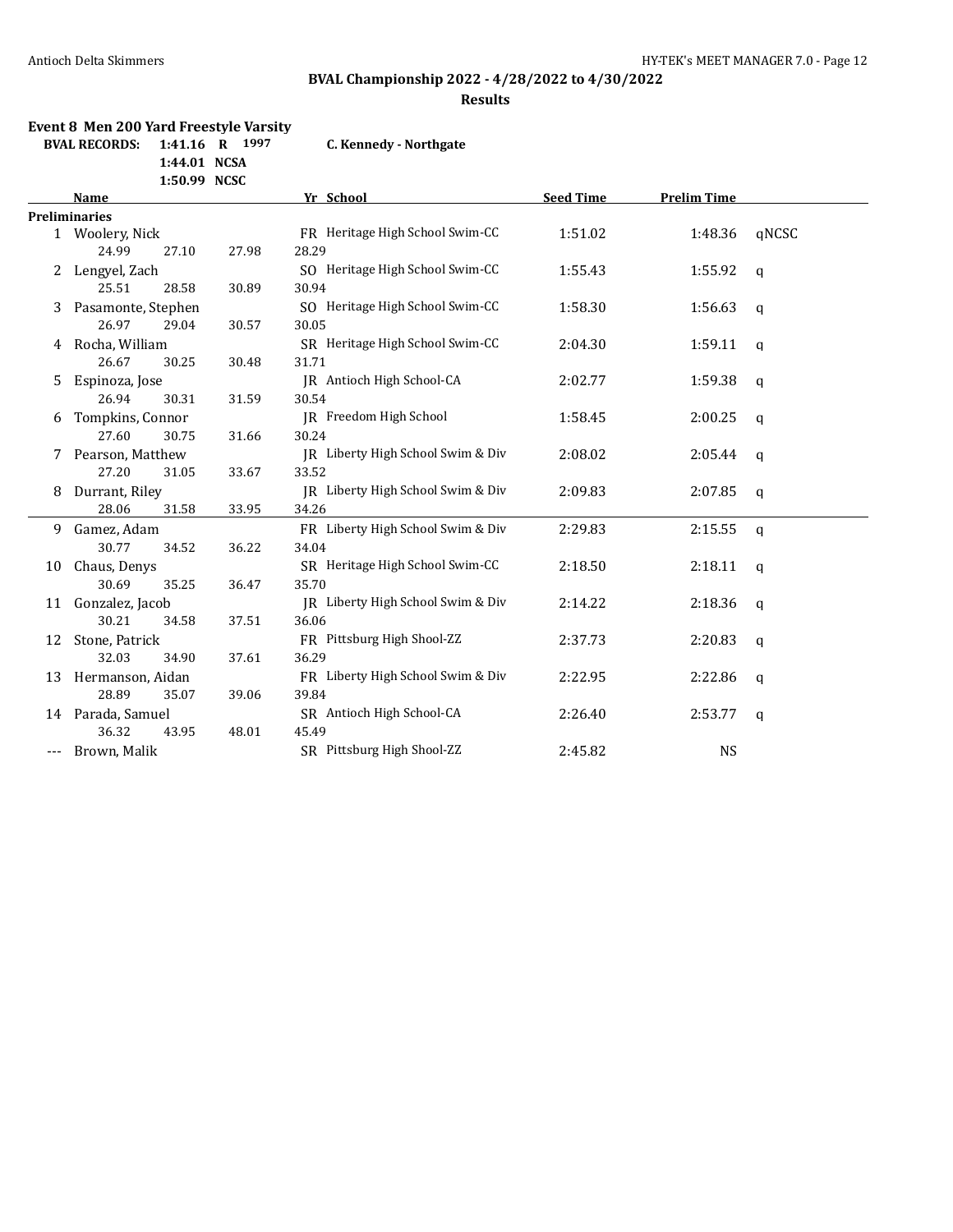### **BVAL Championship 2022 - 4/28/2022 to 4/30/2022**

#### **Results**

# **Event 8 Men 200 Yard Freestyle Varsity**

**1:44.01 NCSA**

**BVAL RECORDS: 1:41.16 R 1997 C. Kennedy - Northgate**

|    | 1:50.99 NCSC         |       |                                   |                  |                    |              |
|----|----------------------|-------|-----------------------------------|------------------|--------------------|--------------|
|    | Name                 |       | Yr School                         | <b>Seed Time</b> | <b>Prelim Time</b> |              |
|    | <b>Preliminaries</b> |       |                                   |                  |                    |              |
|    | 1 Woolery, Nick      |       | FR Heritage High School Swim-CC   | 1:51.02          | 1:48.36            | qNCSC        |
|    | 24.99<br>27.10       | 27.98 | 28.29                             |                  |                    |              |
| 2  | Lengyel, Zach        |       | SO Heritage High School Swim-CC   | 1:55.43          | 1:55.92            | $\mathsf{q}$ |
|    | 25.51<br>28.58       | 30.89 | 30.94                             |                  |                    |              |
| 3  | Pasamonte, Stephen   |       | SO Heritage High School Swim-CC   | 1:58.30          | 1:56.63            | q            |
|    | 26.97<br>29.04       | 30.57 | 30.05                             |                  |                    |              |
| 4  | Rocha, William       |       | SR Heritage High School Swim-CC   | 2:04.30          | 1:59.11            | q            |
|    | 26.67<br>30.25       | 30.48 | 31.71                             |                  |                    |              |
| 5. | Espinoza, Jose       |       | JR Antioch High School-CA         | 2:02.77          | 1:59.38            | $\mathsf{q}$ |
|    | 26.94<br>30.31       | 31.59 | 30.54                             |                  |                    |              |
| 6  | Tompkins, Connor     |       | JR Freedom High School            | 1:58.45          | 2:00.25            | $\mathsf{q}$ |
|    | 27.60<br>30.75       | 31.66 | 30.24                             |                  |                    |              |
|    | 7 Pearson, Matthew   |       | JR Liberty High School Swim & Div | 2:08.02          | 2:05.44            | q            |
|    | 27.20<br>31.05       | 33.67 | 33.52                             |                  |                    |              |
| 8  | Durrant, Riley       |       | JR Liberty High School Swim & Div | 2:09.83          | 2:07.85            | q            |
|    | 28.06<br>31.58       | 33.95 | 34.26                             |                  |                    |              |
| 9  | Gamez, Adam          |       | FR Liberty High School Swim & Div | 2:29.83          | 2:15.55            | q            |
|    | 30.77<br>34.52       | 36.22 | 34.04                             |                  |                    |              |
| 10 | Chaus, Denys         |       | SR Heritage High School Swim-CC   | 2:18.50          | 2:18.11            | $\mathbf{q}$ |
|    | 30.69<br>35.25       | 36.47 | 35.70                             |                  |                    |              |
| 11 | Gonzalez, Jacob      |       | JR Liberty High School Swim & Div | 2:14.22          | 2:18.36            | q            |
|    | 30.21<br>34.58       | 37.51 | 36.06                             |                  |                    |              |
| 12 | Stone, Patrick       |       | FR Pittsburg High Shool-ZZ        | 2:37.73          | 2:20.83            | $\mathsf{q}$ |
|    | 32.03<br>34.90       | 37.61 | 36.29                             |                  |                    |              |
| 13 | Hermanson, Aidan     |       | FR Liberty High School Swim & Div | 2:22.95          | 2:22.86            | $\mathsf{q}$ |
|    | 28.89<br>35.07       | 39.06 | 39.84                             |                  |                    |              |
|    | 14 Parada, Samuel    |       | SR Antioch High School-CA         | 2:26.40          | 2:53.77            | q            |
|    | 36.32<br>43.95       | 48.01 | 45.49                             |                  |                    |              |
|    | Brown, Malik         |       | SR Pittsburg High Shool-ZZ        | 2:45.82          | <b>NS</b>          |              |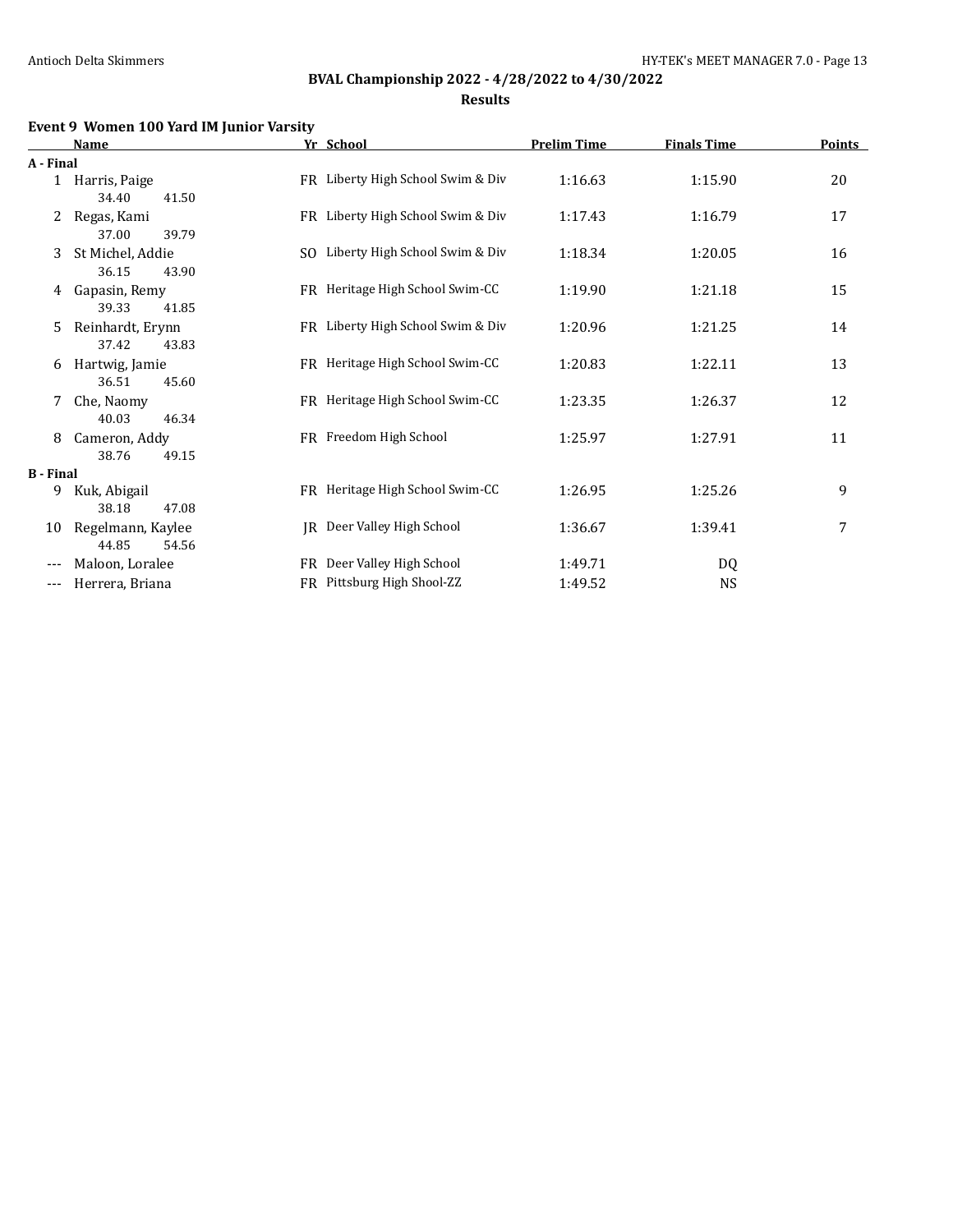**Results**

# **Event 9 Women 100 Yard IM Junior Varsity**

|                  | <b>Name</b>       | Yr School                         | <b>Prelim Time</b> | <b>Finals Time</b> | <b>Points</b> |
|------------------|-------------------|-----------------------------------|--------------------|--------------------|---------------|
| A - Final        |                   |                                   |                    |                    |               |
|                  | 1 Harris, Paige   | FR Liberty High School Swim & Div | 1:16.63            | 1:15.90            | 20            |
|                  | 34.40<br>41.50    |                                   |                    |                    |               |
| 2                | Regas, Kami       | FR Liberty High School Swim & Div | 1:17.43            | 1:16.79            | 17            |
|                  | 37.00<br>39.79    |                                   |                    |                    |               |
| 3                | St Michel, Addie  | SO Liberty High School Swim & Div | 1:18.34            | 1:20.05            | 16            |
|                  | 36.15<br>43.90    |                                   |                    |                    |               |
| 4                | Gapasin, Remy     | FR Heritage High School Swim-CC   | 1:19.90            | 1:21.18            | 15            |
|                  | 39.33<br>41.85    |                                   |                    |                    |               |
| 5.               | Reinhardt, Erynn  | FR Liberty High School Swim & Div | 1:20.96            | 1:21.25            | 14            |
|                  | 37.42<br>43.83    |                                   |                    |                    |               |
| 6                | Hartwig, Jamie    | FR Heritage High School Swim-CC   | 1:20.83            | 1:22.11            | 13            |
|                  | 36.51<br>45.60    |                                   |                    |                    |               |
| 7                | Che, Naomy        | FR Heritage High School Swim-CC   | 1:23.35            | 1:26.37            | 12            |
|                  | 40.03<br>46.34    |                                   |                    |                    |               |
| 8                | Cameron, Addy     | FR Freedom High School            | 1:25.97            | 1:27.91            | 11            |
|                  | 38.76<br>49.15    |                                   |                    |                    |               |
| <b>B</b> - Final |                   |                                   |                    |                    |               |
| 9                | Kuk, Abigail      | FR Heritage High School Swim-CC   | 1:26.95            | 1:25.26            | 9             |
|                  | 38.18<br>47.08    |                                   |                    |                    |               |
| 10               | Regelmann, Kaylee | JR Deer Valley High School        | 1:36.67            | 1:39.41            | 7             |
|                  | 44.85<br>54.56    |                                   |                    |                    |               |
| $---$            | Maloon, Loralee   | FR Deer Valley High School        | 1:49.71            | DQ                 |               |
| ---              | Herrera, Briana   | FR Pittsburg High Shool-ZZ        | 1:49.52            | NS                 |               |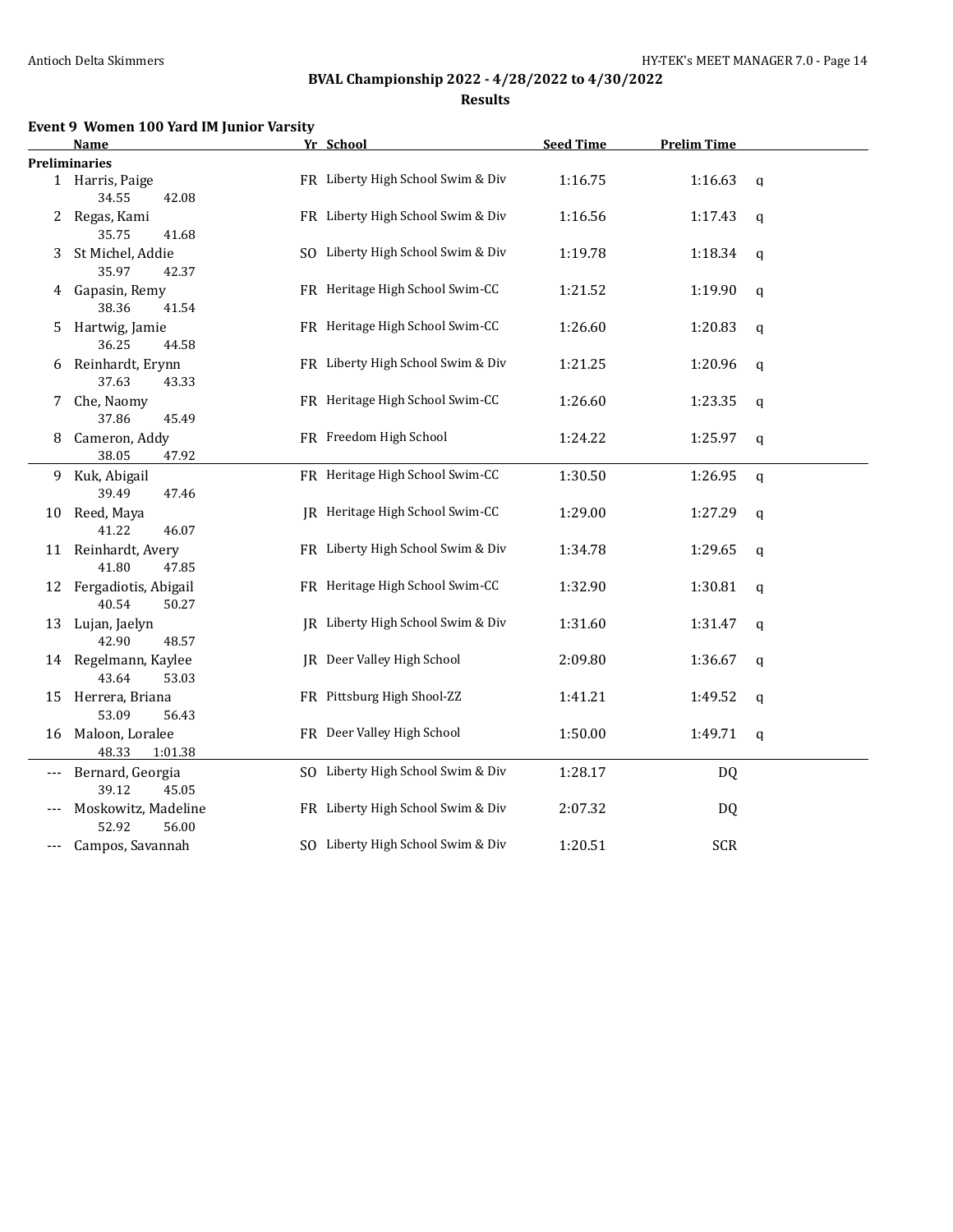**Results**

# **Event 9 Women 100 Yard IM Junior Varsity**

|       | Name                                      | Yr School                         | <b>Seed Time</b> | <b>Prelim Time</b> |              |
|-------|-------------------------------------------|-----------------------------------|------------------|--------------------|--------------|
|       | <b>Preliminaries</b>                      |                                   |                  |                    |              |
|       | 1 Harris, Paige<br>34.55<br>42.08         | FR Liberty High School Swim & Div | 1:16.75          | 1:16.63            | $\mathsf{q}$ |
| 2     | Regas, Kami<br>35.75<br>41.68             | FR Liberty High School Swim & Div | 1:16.56          | 1:17.43            | q            |
| 3     | St Michel, Addie<br>35.97<br>42.37        | SO Liberty High School Swim & Div | 1:19.78          | 1:18.34            | q            |
| 4     | Gapasin, Remy<br>38.36<br>41.54           | FR Heritage High School Swim-CC   | 1:21.52          | 1:19.90            | q            |
| 5     | Hartwig, Jamie<br>36.25<br>44.58          | FR Heritage High School Swim-CC   | 1:26.60          | 1:20.83            | q            |
| 6     | Reinhardt, Erynn<br>37.63<br>43.33        | FR Liberty High School Swim & Div | 1:21.25          | 1:20.96            | q            |
| 7     | Che, Naomy<br>37.86<br>45.49              | FR Heritage High School Swim-CC   | 1:26.60          | 1:23.35            | q            |
| 8     | Cameron, Addy<br>38.05<br>47.92           | FR Freedom High School            | 1:24.22          | 1:25.97            | q            |
| 9     | Kuk, Abigail<br>39.49<br>47.46            | FR Heritage High School Swim-CC   | 1:30.50          | 1:26.95            | q            |
| 10    | Reed, Maya<br>41.22<br>46.07              | JR Heritage High School Swim-CC   | 1:29.00          | 1:27.29            | q            |
|       | 11 Reinhardt, Avery<br>41.80<br>47.85     | FR Liberty High School Swim & Div | 1:34.78          | 1:29.65            | q            |
|       | 12 Fergadiotis, Abigail<br>40.54<br>50.27 | FR Heritage High School Swim-CC   | 1:32.90          | 1:30.81            | q            |
| 13    | Lujan, Jaelyn<br>42.90<br>48.57           | IR Liberty High School Swim & Div | 1:31.60          | 1:31.47            | q            |
|       | 14 Regelmann, Kaylee<br>43.64<br>53.03    | JR Deer Valley High School        | 2:09.80          | 1:36.67            | q            |
|       | 15 Herrera, Briana<br>53.09<br>56.43      | FR Pittsburg High Shool-ZZ        | 1:41.21          | 1:49.52            | q            |
|       | 16 Maloon, Loralee<br>48.33<br>1:01.38    | FR Deer Valley High School        | 1:50.00          | 1:49.71            | $\mathbf q$  |
| ---   | Bernard, Georgia<br>39.12<br>45.05        | SO Liberty High School Swim & Div | 1:28.17          | DQ                 |              |
|       | Moskowitz, Madeline<br>52.92<br>56.00     | FR Liberty High School Swim & Div | 2:07.32          | DQ                 |              |
| $---$ | Campos, Savannah                          | SO Liberty High School Swim & Div | 1:20.51          | <b>SCR</b>         |              |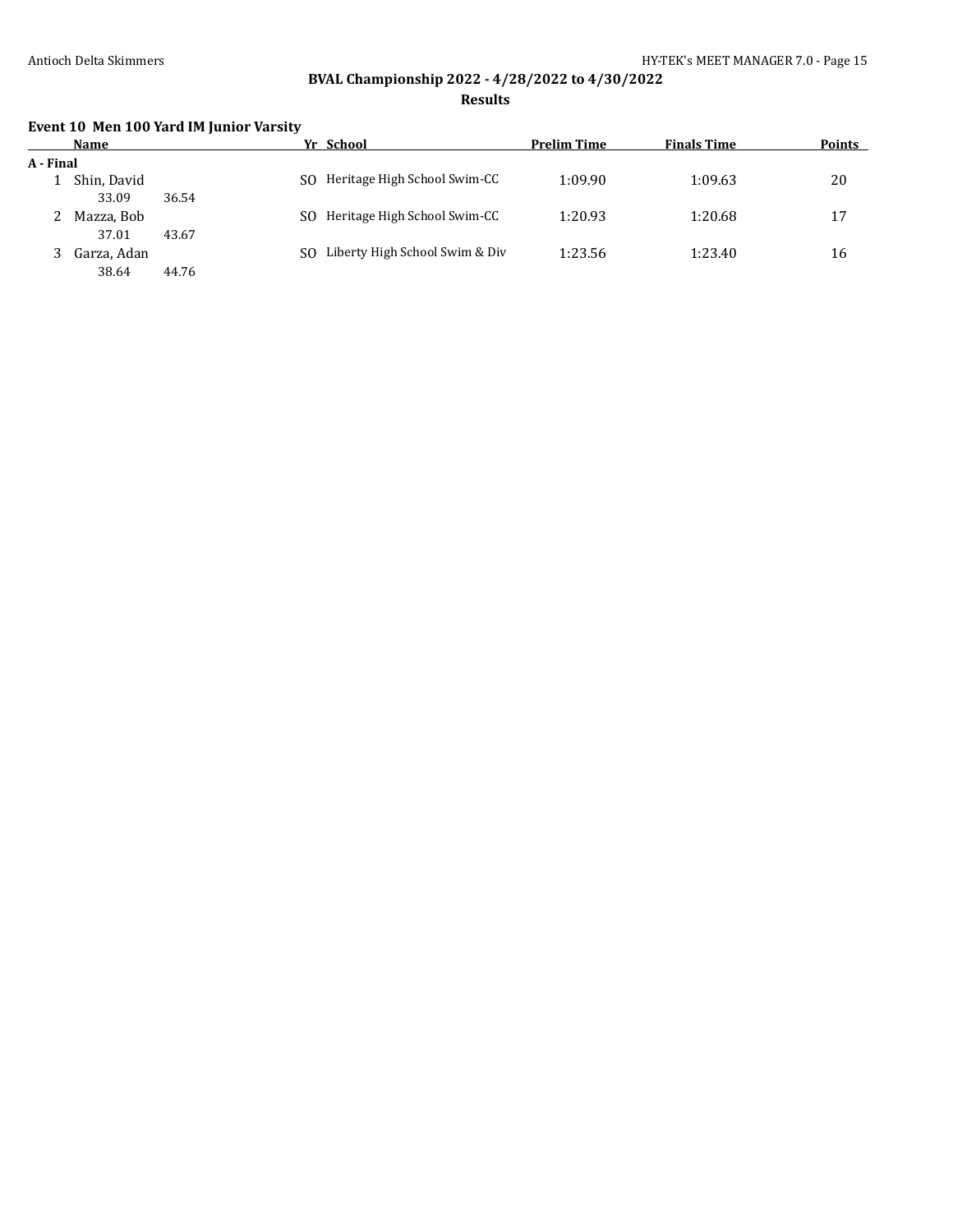**Results**

# **Event 10 Men 100 Yard IM Junior Varsity**

|           | Name                 |       |     | Yr School                      | <b>Prelim Time</b> | <b>Finals Time</b> | <b>Points</b> |
|-----------|----------------------|-------|-----|--------------------------------|--------------------|--------------------|---------------|
| A - Final |                      |       |     |                                |                    |                    |               |
|           | Shin, David<br>33.09 | 36.54 | SO. | Heritage High School Swim-CC   | 1:09.90            | 1:09.63            | 20            |
| ∠         | Mazza, Bob<br>37.01  | 43.67 | SO. | Heritage High School Swim-CC   | 1:20.93            | 1:20.68            | 17            |
|           | Garza, Adan<br>38.64 | 44.76 | SO. | Liberty High School Swim & Div | 1:23.56            | 1:23.40            | 16            |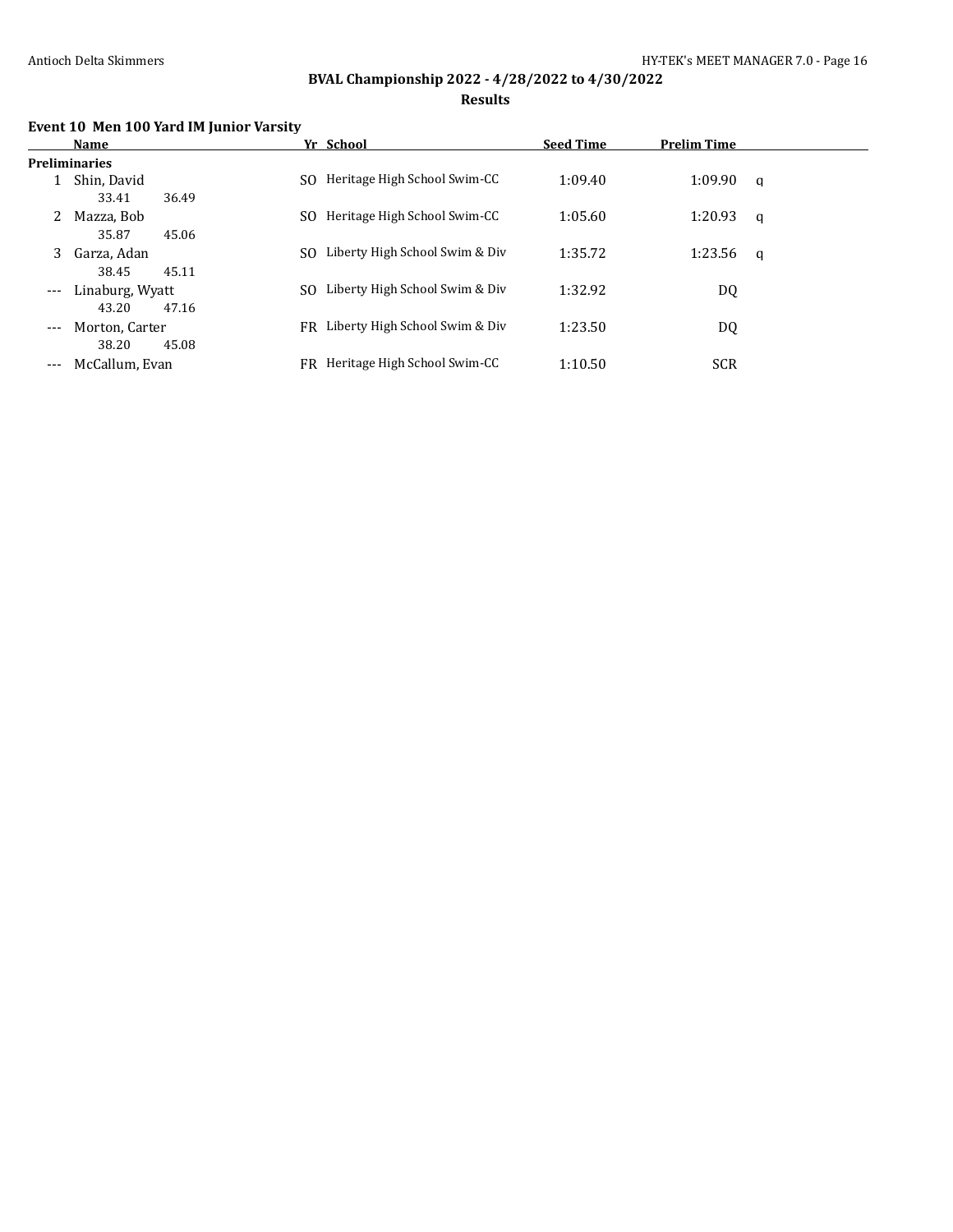### **Results**

# **Event 10 Men 100 Yard IM Junior Varsity**

|                     | Name                 |     | Yr School                      | <b>Seed Time</b> | <b>Prelim Time</b> |   |
|---------------------|----------------------|-----|--------------------------------|------------------|--------------------|---|
|                     | <b>Preliminaries</b> |     |                                |                  |                    |   |
|                     | Shin, David          | SO. | Heritage High School Swim-CC   | 1:09.40          | 1:09.90            | q |
|                     | 36.49<br>33.41       |     |                                |                  |                    |   |
| 2                   | Mazza, Bob           | SO. | Heritage High School Swim-CC   | 1:05.60          | 1:20.93            | q |
|                     | 35.87<br>45.06       |     |                                |                  |                    |   |
| 3                   | Garza, Adan          | SO. | Liberty High School Swim & Div | 1:35.72          | 1:23.56            | q |
|                     | 38.45<br>45.11       |     |                                |                  |                    |   |
| $---$               | Linaburg, Wyatt      | SO. | Liberty High School Swim & Div | 1:32.92          | DQ                 |   |
|                     | 47.16<br>43.20       |     |                                |                  |                    |   |
| $---$               | Morton, Carter       | FR  | Liberty High School Swim & Div | 1:23.50          | DQ                 |   |
|                     | 45.08<br>38.20       |     |                                |                  |                    |   |
| $\qquad \qquad - -$ | McCallum, Evan       | FR  | Heritage High School Swim-CC   | 1:10.50          | <b>SCR</b>         |   |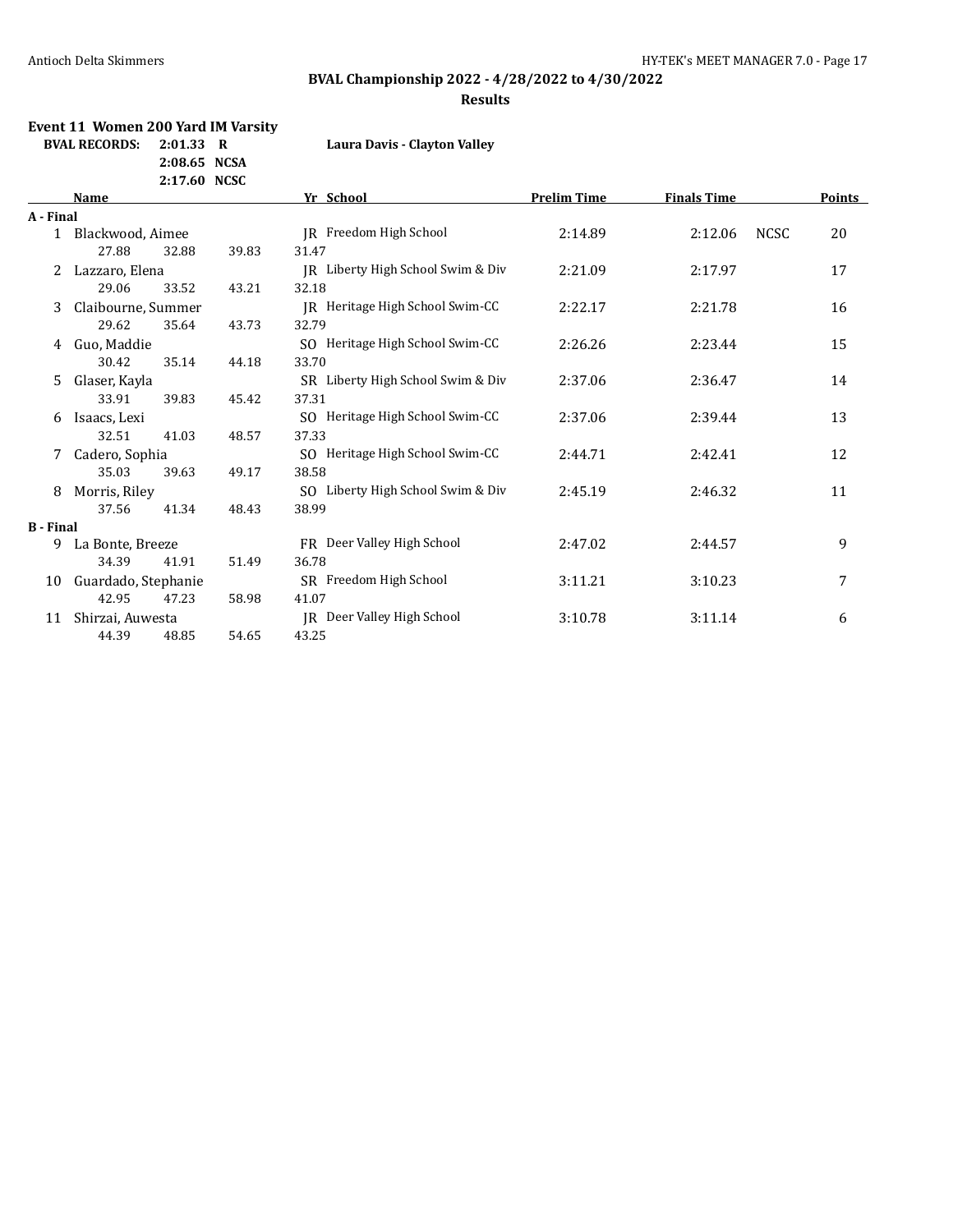# **BVAL Championship 2022 - 4/28/2022 to 4/30/2022**

#### **Results**

# **Event 11 Women 200 Yard IM Varsity**

**2:08.65 NCSA**

**BVAL RECORDS: 2:01.33 R Laura Davis - Clayton Valley**

|                  |                     | 2:17.60 NCSC |       |                                   |                    |                    |             |               |
|------------------|---------------------|--------------|-------|-----------------------------------|--------------------|--------------------|-------------|---------------|
|                  | Name                |              |       | Yr School                         | <b>Prelim Time</b> | <b>Finals Time</b> |             | <b>Points</b> |
| A - Final        |                     |              |       |                                   |                    |                    |             |               |
| $\mathbf{1}$     | Blackwood, Aimee    |              |       | IR Freedom High School            | 2:14.89            | 2:12.06            | <b>NCSC</b> | 20            |
|                  | 27.88               | 32.88        | 39.83 | 31.47                             |                    |                    |             |               |
|                  | Lazzaro, Elena      |              |       | IR Liberty High School Swim & Div | 2:21.09            | 2:17.97            |             | 17            |
|                  | 29.06               | 33.52        | 43.21 | 32.18                             |                    |                    |             |               |
| 3.               | Claibourne, Summer  |              |       | JR Heritage High School Swim-CC   | 2:22.17            | 2:21.78            |             | 16            |
|                  | 29.62               | 35.64        | 43.73 | 32.79                             |                    |                    |             |               |
| 4                | Guo, Maddie         |              |       | SO Heritage High School Swim-CC   | 2:26.26            | 2:23.44            |             | 15            |
|                  | 30.42               | 35.14        | 44.18 | 33.70                             |                    |                    |             |               |
| 5.               | Glaser, Kayla       |              |       | SR Liberty High School Swim & Div | 2:37.06            | 2:36.47            |             | 14            |
|                  | 33.91               | 39.83        | 45.42 | 37.31                             |                    |                    |             |               |
| 6                | Isaacs, Lexi        |              |       | SO Heritage High School Swim-CC   | 2:37.06            | 2:39.44            |             | 13            |
|                  | 32.51               | 41.03        | 48.57 | 37.33                             |                    |                    |             |               |
| 7                | Cadero, Sophia      |              |       | SO Heritage High School Swim-CC   | 2:44.71            | 2:42.41            |             | 12            |
|                  | 35.03               | 39.63        | 49.17 | 38.58                             |                    |                    |             |               |
| 8                | Morris, Riley       |              |       | SO Liberty High School Swim & Div | 2:45.19            | 2:46.32            |             | 11            |
|                  | 37.56               | 41.34        | 48.43 | 38.99                             |                    |                    |             |               |
| <b>B</b> - Final |                     |              |       |                                   |                    |                    |             |               |
| 9                | La Bonte, Breeze    |              |       | FR Deer Valley High School        | 2:47.02            | 2:44.57            |             | 9             |
|                  | 34.39               | 41.91        | 51.49 | 36.78                             |                    |                    |             |               |
| 10               | Guardado, Stephanie |              |       | SR Freedom High School            | 3:11.21            | 3:10.23            |             | 7             |
|                  | 42.95               | 47.23        | 58.98 | 41.07                             |                    |                    |             |               |
| 11               | Shirzai, Auwesta    |              |       | JR Deer Valley High School        | 3:10.78            | 3:11.14            |             | 6             |
|                  | 44.39               | 48.85        | 54.65 | 43.25                             |                    |                    |             |               |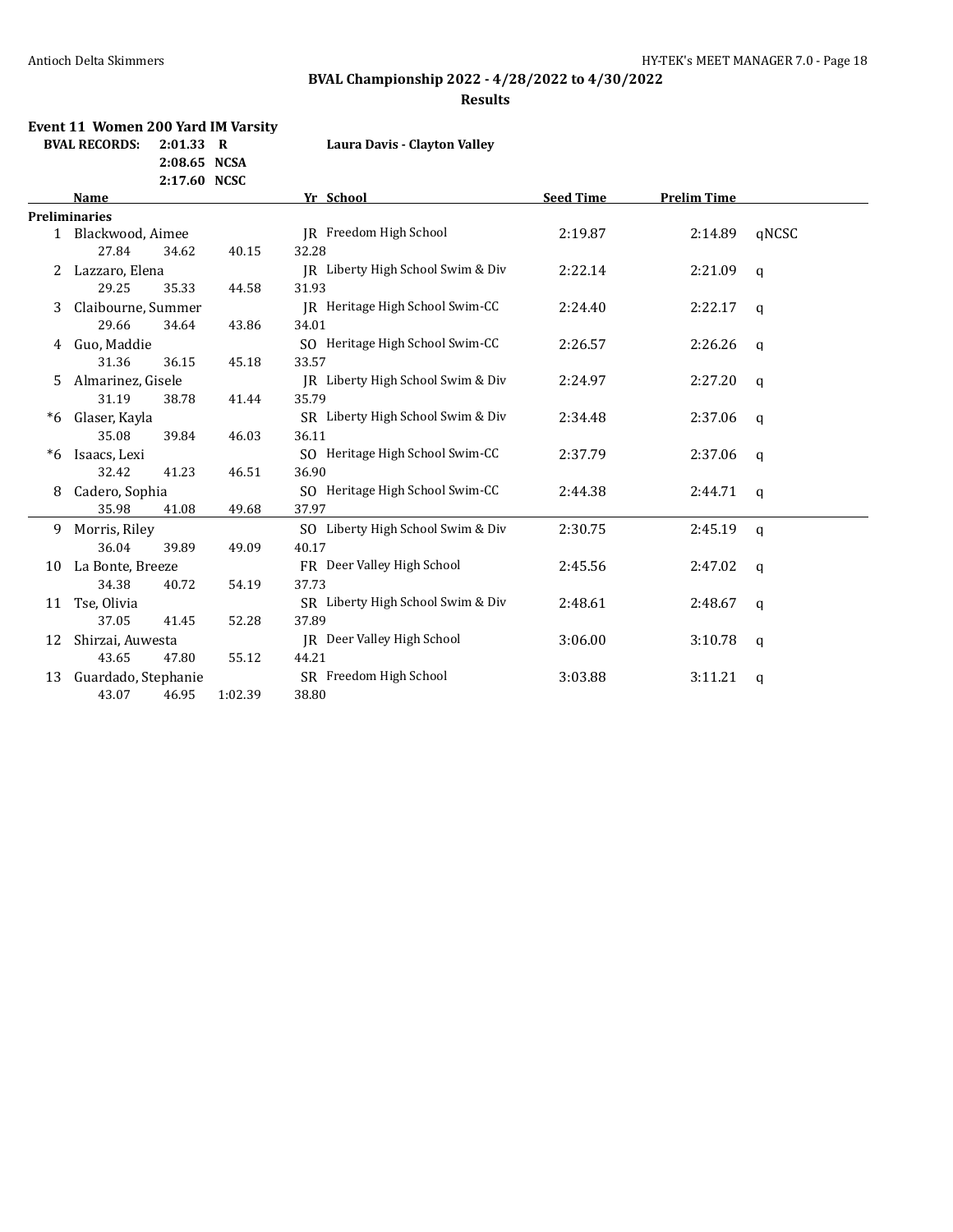# **BVAL Championship 2022 - 4/28/2022 to 4/30/2022**

#### **Results**

# **Event 11 Women 200 Yard IM Varsity**

**2:08.65 NCSA**

**BVAL RECORDS: 2:01.33 R Laura Davis - Clayton Valley**

|    |                      | 2:17.60 NCSC |                                   |                  |                    |                |
|----|----------------------|--------------|-----------------------------------|------------------|--------------------|----------------|
|    | <b>Name</b>          |              | Yr School                         | <b>Seed Time</b> | <b>Prelim Time</b> |                |
|    | <b>Preliminaries</b> |              |                                   |                  |                    |                |
|    | 1 Blackwood, Aimee   |              | IR Freedom High School            | 2:19.87          | 2:14.89            | qNCSC          |
|    | 27.84<br>34.62       | 40.15        | 32.28                             |                  |                    |                |
|    | Lazzaro, Elena       |              | JR Liberty High School Swim & Div | 2:22.14          | 2:21.09            | $\mathsf{q}$   |
|    | 29.25<br>35.33       | 44.58        | 31.93                             |                  |                    |                |
| 3  | Claibourne, Summer   |              | IR Heritage High School Swim-CC   | 2:24.40          | 2:22.17            | q              |
|    | 29.66<br>34.64       | 43.86        | 34.01                             |                  |                    |                |
| 4  | Guo, Maddie          |              | SO Heritage High School Swim-CC   | 2:26.57          | 2:26.26            | $\mathfrak{q}$ |
|    | 31.36<br>36.15       | 45.18        | 33.57                             |                  |                    |                |
| 5. | Almarinez, Gisele    |              | IR Liberty High School Swim & Div | 2:24.97          | 2:27.20            | q              |
|    | 31.19<br>38.78       | 41.44        | 35.79                             |                  |                    |                |
| *6 | Glaser, Kayla        |              | SR Liberty High School Swim & Div | 2:34.48          | 2:37.06            | $\mathsf{q}$   |
|    | 35.08<br>39.84       | 46.03        | 36.11                             |                  |                    |                |
| *6 | Isaacs, Lexi         |              | SO Heritage High School Swim-CC   | 2:37.79          | 2:37.06            | $\mathsf{q}$   |
|    | 32.42<br>41.23       | 46.51        | 36.90                             |                  |                    |                |
| 8  | Cadero, Sophia       |              | SO Heritage High School Swim-CC   | 2:44.38          | 2:44.71            | q              |
|    | 35.98<br>41.08       | 49.68        | 37.97                             |                  |                    |                |
| 9  | Morris, Riley        |              | SO Liberty High School Swim & Div | 2:30.75          | 2:45.19            | $\mathsf{q}$   |
|    | 36.04<br>39.89       | 49.09        | 40.17                             |                  |                    |                |
| 10 | La Bonte, Breeze     |              | FR Deer Valley High School        | 2:45.56          | 2:47.02            | $\mathsf{q}$   |
|    | 34.38<br>40.72       | 54.19        | 37.73                             |                  |                    |                |
| 11 | Tse, Olivia          |              | SR Liberty High School Swim & Div | 2:48.61          | 2:48.67            | a              |
|    | 37.05<br>41.45       | 52.28        | 37.89                             |                  |                    |                |
| 12 | Shirzai, Auwesta     |              | IR Deer Valley High School        | 3:06.00          | 3:10.78            | q              |
|    | 43.65<br>47.80       | 55.12        | 44.21                             |                  |                    |                |
| 13 | Guardado, Stephanie  |              | SR Freedom High School            | 3:03.88          | 3:11.21            | q              |
|    | 43.07<br>46.95       | 1:02.39      | 38.80                             |                  |                    |                |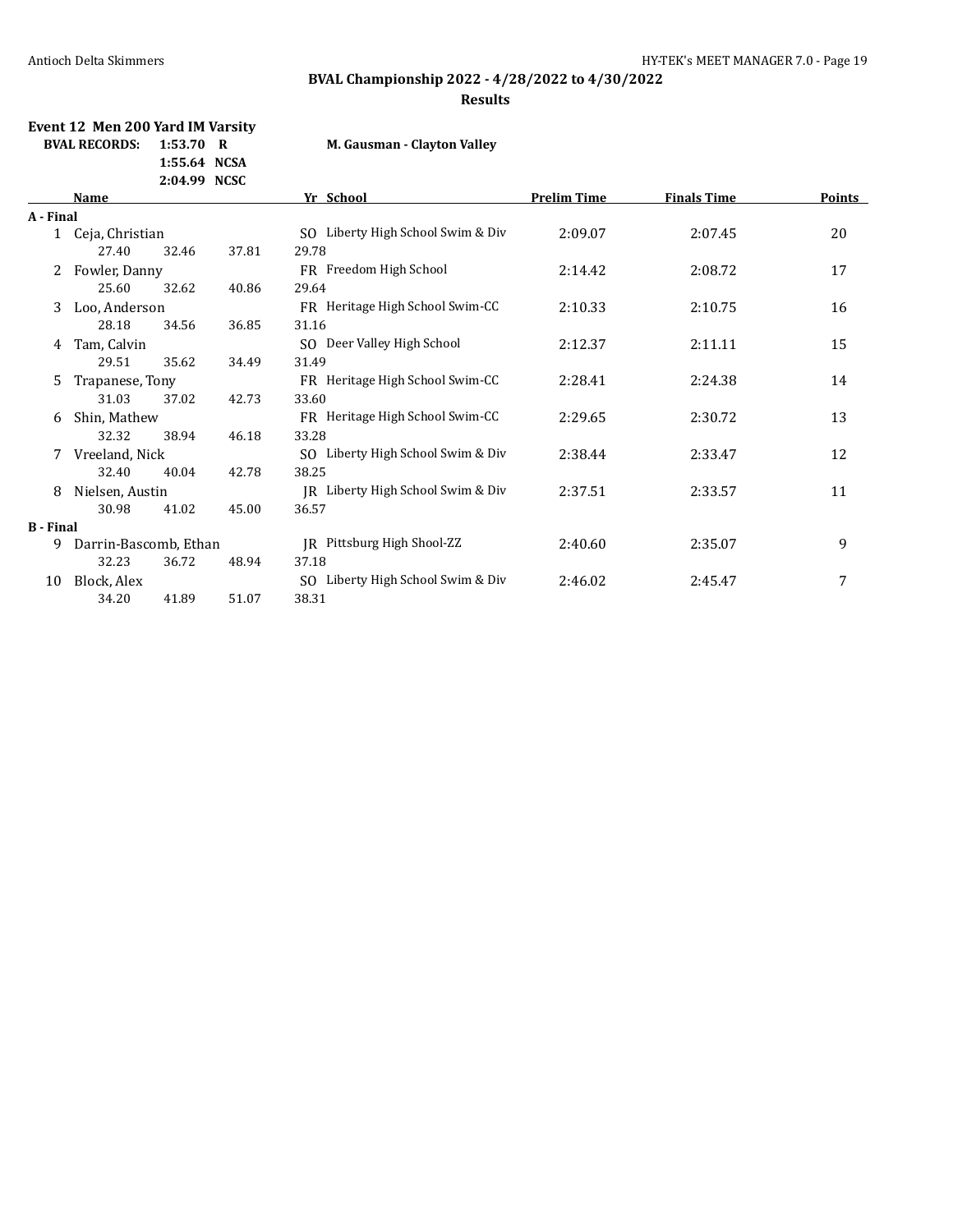# **BVAL Championship 2022 - 4/28/2022 to 4/30/2022**

### **Results**

### **Event 12 Men 200 Yard IM Varsity BVAL RECORDS: 1:53.70 R M.**

**1:55.64 NCSA**

| Gausman - Clayton Valley |  |  |  |
|--------------------------|--|--|--|
|--------------------------|--|--|--|

|                  |                       | 2:04.99 NCSC |       |                                       |                    |                    |        |
|------------------|-----------------------|--------------|-------|---------------------------------------|--------------------|--------------------|--------|
|                  | Name                  |              |       | Yr School                             | <b>Prelim Time</b> | <b>Finals Time</b> | Points |
| A - Final        |                       |              |       |                                       |                    |                    |        |
| $\mathbf{1}$     | Ceja, Christian       |              |       | SO Liberty High School Swim & Div     | 2:09.07            | 2:07.45            | 20     |
|                  | 27.40                 | 32.46        | 37.81 | 29.78                                 |                    |                    |        |
| 2                | Fowler, Danny         |              |       | FR Freedom High School                | 2:14.42            | 2:08.72            | 17     |
|                  | 25.60                 | 32.62        | 40.86 | 29.64                                 |                    |                    |        |
| 3                | Loo, Anderson         |              |       | FR Heritage High School Swim-CC       | 2:10.33            | 2:10.75            | 16     |
|                  | 28.18                 | 34.56        | 36.85 | 31.16                                 |                    |                    |        |
| 4                | Tam, Calvin           |              |       | SO Deer Valley High School            | 2:12.37            | 2:11.11            | 15     |
|                  | 29.51                 | 35.62        | 34.49 | 31.49                                 |                    |                    |        |
| 5.               | Trapanese, Tony       |              |       | FR Heritage High School Swim-CC       | 2:28.41            | 2:24.38            | 14     |
|                  | 31.03                 | 37.02        | 42.73 | 33.60                                 |                    |                    |        |
| 6                | Shin, Mathew          |              |       | FR Heritage High School Swim-CC       | 2:29.65            | 2:30.72            | 13     |
|                  | 32.32                 | 38.94        | 46.18 | 33.28                                 |                    |                    |        |
| 7                | Vreeland, Nick        |              |       | SO Liberty High School Swim & Div     | 2:38.44            | 2:33.47            | 12     |
|                  | 32.40                 | 40.04        | 42.78 | 38.25                                 |                    |                    |        |
| 8                | Nielsen, Austin       |              |       | JR Liberty High School Swim & Div     | 2:37.51            | 2:33.57            | 11     |
|                  | 30.98                 | 41.02        | 45.00 | 36.57                                 |                    |                    |        |
| <b>B</b> - Final |                       |              |       |                                       |                    |                    |        |
| 9                | Darrin-Bascomb, Ethan |              |       | JR Pittsburg High Shool-ZZ            | 2:40.60            | 2:35.07            | 9      |
|                  | 32.23                 | 36.72        | 48.94 | 37.18                                 |                    |                    |        |
| 10               | Block, Alex           |              |       | Liberty High School Swim & Div<br>SO. | 2:46.02            | 2:45.47            | 7      |
|                  | 34.20                 | 41.89        | 51.07 | 38.31                                 |                    |                    |        |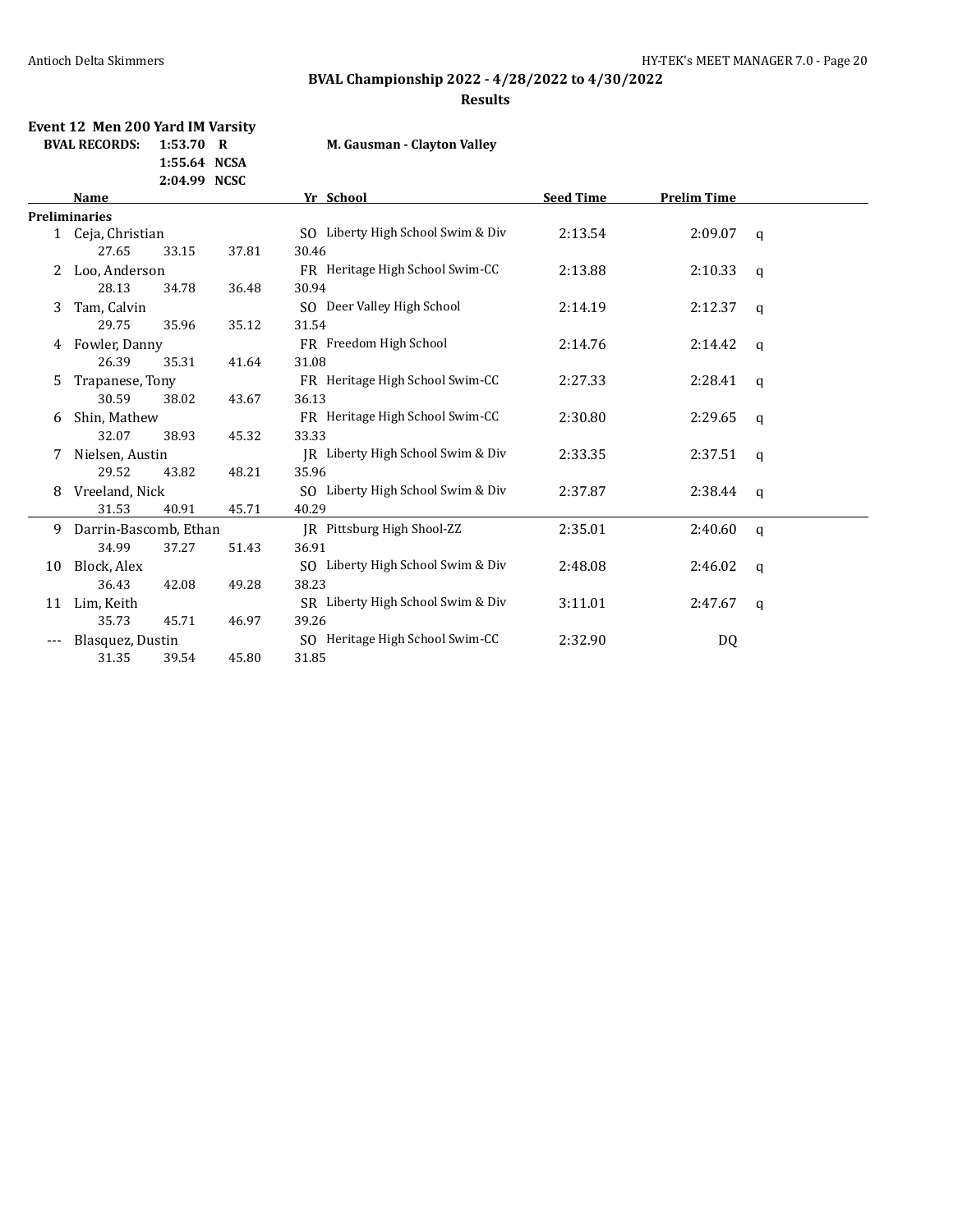# **BVAL Championship 2022 - 4/28/2022 to 4/30/2022**

#### **Results**

### **Event 12 Men 200 Yard IM Varsity BVAL RECORDS: 1:53.70 R M. Gausman - Clayton Valley**

**1:55.64 NCSA**

|    |                       | 2:04.99 NCSC |       |                                   |                  |                    |              |
|----|-----------------------|--------------|-------|-----------------------------------|------------------|--------------------|--------------|
|    | Name                  |              |       | Yr School                         | <b>Seed Time</b> | <b>Prelim Time</b> |              |
|    | <b>Preliminaries</b>  |              |       |                                   |                  |                    |              |
|    | 1 Ceja, Christian     |              |       | SO Liberty High School Swim & Div | 2:13.54          | 2:09.07            | q            |
|    | 27.65                 | 33.15        | 37.81 | 30.46                             |                  |                    |              |
| 2  | Loo, Anderson         |              |       | FR Heritage High School Swim-CC   | 2:13.88          | 2:10.33            | q            |
|    | 28.13                 | 34.78        | 36.48 | 30.94                             |                  |                    |              |
| 3  | Tam, Calvin           |              |       | SO Deer Valley High School        | 2:14.19          | 2:12.37            | q            |
|    | 29.75                 | 35.96        | 35.12 | 31.54                             |                  |                    |              |
| 4  | Fowler, Danny         |              |       | FR Freedom High School            | 2:14.76          | 2:14.42            | q            |
|    | 26.39                 | 35.31        | 41.64 | 31.08                             |                  |                    |              |
| 5. | Trapanese, Tony       |              |       | FR Heritage High School Swim-CC   | 2:27.33          | 2:28.41            | q            |
|    | 30.59                 | 38.02        | 43.67 | 36.13                             |                  |                    |              |
| 6  | Shin, Mathew          |              |       | FR Heritage High School Swim-CC   | 2:30.80          | 2:29.65            | q            |
|    | 32.07                 | 38.93        | 45.32 | 33.33                             |                  |                    |              |
| 7  | Nielsen, Austin       |              |       | IR Liberty High School Swim & Div | 2:33.35          | 2:37.51            | q            |
|    | 29.52                 | 43.82        | 48.21 | 35.96                             |                  |                    |              |
| 8  | Vreeland, Nick        |              |       | SO Liberty High School Swim & Div | 2:37.87          | 2:38.44            | $\mathbf{q}$ |
|    | 31.53                 | 40.91        | 45.71 | 40.29                             |                  |                    |              |
| 9  | Darrin-Bascomb, Ethan |              |       | IR Pittsburg High Shool-ZZ        | 2:35.01          | 2:40.60            | $\mathsf{q}$ |
|    | 34.99                 | 37.27        | 51.43 | 36.91                             |                  |                    |              |
| 10 | Block, Alex           |              |       | SO Liberty High School Swim & Div | 2:48.08          | 2:46.02            | q            |
|    | 36.43                 | 42.08        | 49.28 | 38.23                             |                  |                    |              |
| 11 | Lim, Keith            |              |       | SR Liberty High School Swim & Div | 3:11.01          | 2:47.67            | q            |
|    | 35.73                 | 45.71        | 46.97 | 39.26                             |                  |                    |              |
|    | Blasquez, Dustin      |              |       | SO Heritage High School Swim-CC   | 2:32.90          | DQ                 |              |
|    | 31.35                 | 39.54        | 45.80 | 31.85                             |                  |                    |              |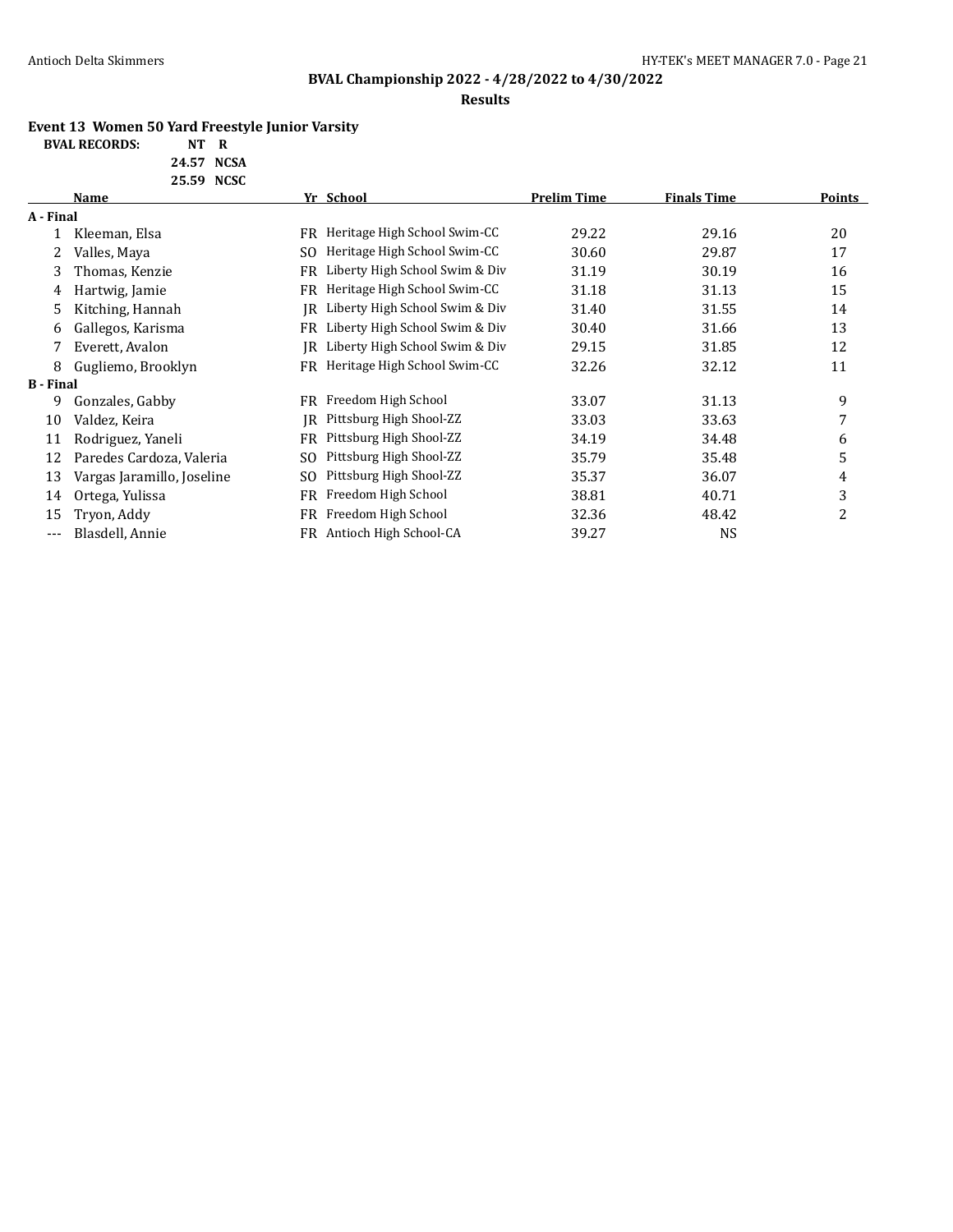### **Results**

### **Event 13 Women 50 Yard Freestyle Junior Varsity**

| <b>BVAL RECORDS:</b> | NT R |          |
|----------------------|------|----------|
|                      |      | $\cdots$ |

| 24.57 NCSA |  |
|------------|--|
| 25.59 NCSC |  |

|                  | 20.07 ITCOL                |     |                                |                    |                    |        |  |
|------------------|----------------------------|-----|--------------------------------|--------------------|--------------------|--------|--|
|                  | Name                       |     | Yr School                      | <b>Prelim Time</b> | <b>Finals Time</b> | Points |  |
| A - Final        |                            |     |                                |                    |                    |        |  |
|                  | Kleeman, Elsa              | FR  | Heritage High School Swim-CC   | 29.22              | 29.16              | 20     |  |
| 2                | Valles, Maya               | SO. | Heritage High School Swim-CC   | 30.60              | 29.87              | 17     |  |
| 3                | Thomas, Kenzie             | FR  | Liberty High School Swim & Div | 31.19              | 30.19              | 16     |  |
| 4                | Hartwig, Jamie             | FR  | Heritage High School Swim-CC   | 31.18              | 31.13              | 15     |  |
| 5.               | Kitching, Hannah           | IR  | Liberty High School Swim & Div | 31.40              | 31.55              | 14     |  |
| 6                | Gallegos, Karisma          | FR  | Liberty High School Swim & Div | 30.40              | 31.66              | 13     |  |
| 7                | Everett, Avalon            | IR  | Liberty High School Swim & Div | 29.15              | 31.85              | 12     |  |
| 8                | Gugliemo, Brooklyn         | FR  | Heritage High School Swim-CC   | 32.26              | 32.12              | 11     |  |
| <b>B</b> - Final |                            |     |                                |                    |                    |        |  |
| 9.               | Gonzales, Gabby            | FR  | Freedom High School            | 33.07              | 31.13              | 9      |  |
| 10               | Valdez, Keira              | IR  | Pittsburg High Shool-ZZ        | 33.03              | 33.63              | 7      |  |
| 11               | Rodriguez, Yaneli          | FR  | Pittsburg High Shool-ZZ        | 34.19              | 34.48              | 6      |  |
| 12               | Paredes Cardoza, Valeria   | SO. | Pittsburg High Shool-ZZ        | 35.79              | 35.48              | 5      |  |
| 13               | Vargas Jaramillo, Joseline | SO. | Pittsburg High Shool-ZZ        | 35.37              | 36.07              | 4      |  |
| 14               | Ortega, Yulissa            | FR  | Freedom High School            | 38.81              | 40.71              | 3      |  |
| 15               | Tryon, Addy                | FR  | Freedom High School            | 32.36              | 48.42              | 2      |  |
| ---              | Blasdell, Annie            | FR  | Antioch High School-CA         | 39.27              | NS                 |        |  |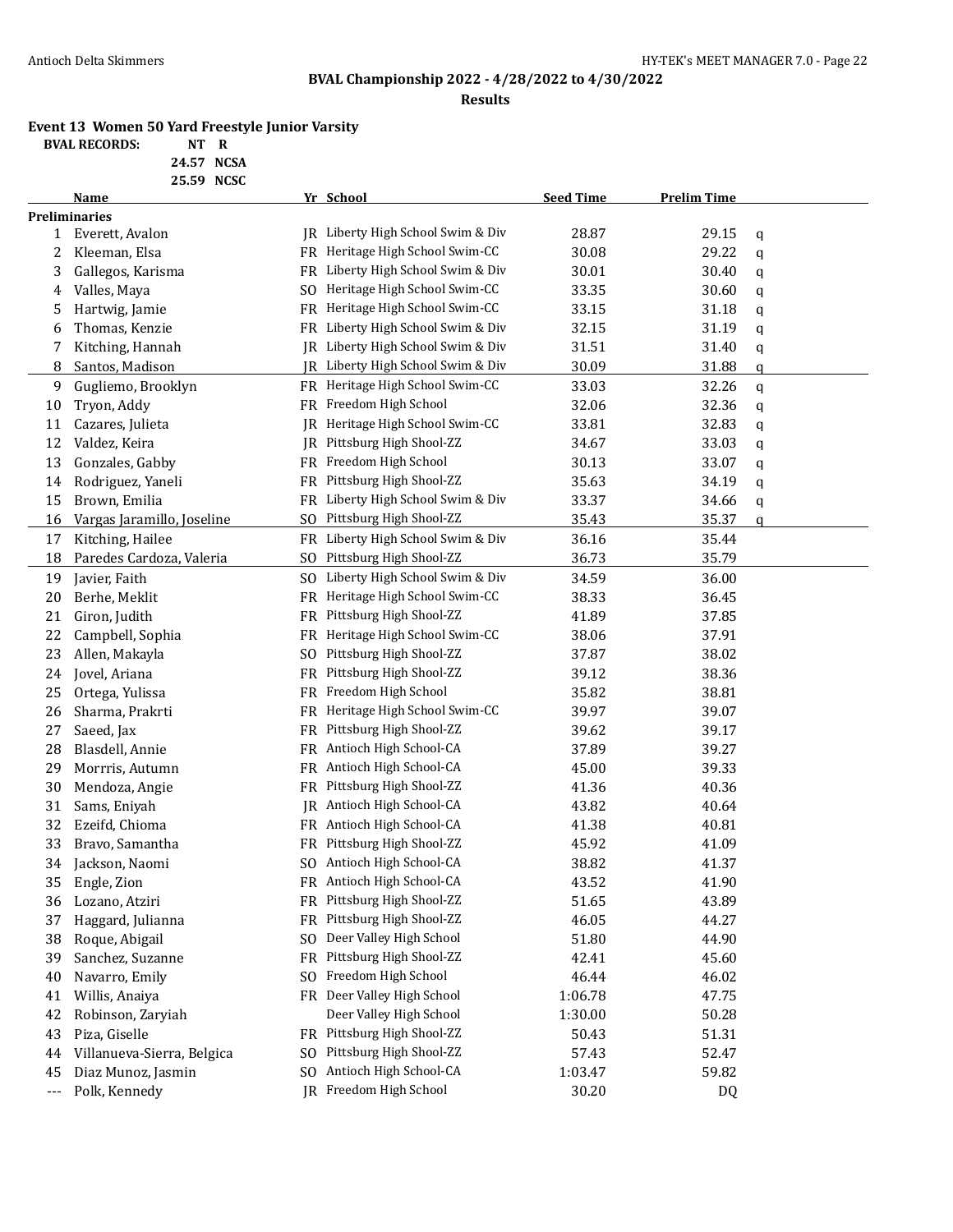### **Results**

### **Event 13 Women 50 Yard Freestyle Junior Varsity**

| NT R |
|------|

**24.57 NCSA 25.59 NCSC**

|              | Name                       |           | Yr School                         | <b>Seed Time</b> | <b>Prelim Time</b> |   |
|--------------|----------------------------|-----------|-----------------------------------|------------------|--------------------|---|
|              | <b>Preliminaries</b>       |           |                                   |                  |                    |   |
| $\mathbf{1}$ | Everett, Avalon            |           | IR Liberty High School Swim & Div | 28.87            | 29.15              | q |
| 2            | Kleeman, Elsa              |           | FR Heritage High School Swim-CC   | 30.08            | 29.22              | q |
| 3            | Gallegos, Karisma          |           | FR Liberty High School Swim & Div | 30.01            | 30.40              | q |
| 4            | Valles, Maya               | SO.       | Heritage High School Swim-CC      | 33.35            | 30.60              | q |
| 5            | Hartwig, Jamie             | FR        | Heritage High School Swim-CC      | 33.15            | 31.18              | q |
| 6            | Thomas, Kenzie             |           | FR Liberty High School Swim & Div | 32.15            | 31.19              | q |
| 7            | Kitching, Hannah           |           | JR Liberty High School Swim & Div | 31.51            | 31.40              | q |
| 8            | Santos, Madison            | IR        | Liberty High School Swim & Div    | 30.09            | 31.88              | q |
| 9            | Gugliemo, Brooklyn         |           | FR Heritage High School Swim-CC   | 33.03            | 32.26              | q |
| 10           | Tryon, Addy                | FR        | Freedom High School               | 32.06            | 32.36              | q |
| 11           | Cazares, Julieta           |           | JR Heritage High School Swim-CC   | 33.81            | 32.83              | q |
| 12           | Valdez, Keira              |           | JR Pittsburg High Shool-ZZ        | 34.67            | 33.03              | q |
| 13           | Gonzales, Gabby            |           | FR Freedom High School            | 30.13            | 33.07              | q |
| 14           | Rodriguez, Yaneli          |           | FR Pittsburg High Shool-ZZ        | 35.63            | 34.19              | q |
| 15           | Brown, Emilia              |           | FR Liberty High School Swim & Div | 33.37            | 34.66              | q |
| 16           | Vargas Jaramillo, Joseline |           | SO Pittsburg High Shool-ZZ        | 35.43            | 35.37              | q |
| 17           | Kitching, Hailee           |           | FR Liberty High School Swim & Div | 36.16            | 35.44              |   |
| 18           | Paredes Cardoza, Valeria   |           | SO Pittsburg High Shool-ZZ        | 36.73            | 35.79              |   |
| 19           | Javier, Faith              |           | SO Liberty High School Swim & Div | 34.59            | 36.00              |   |
| 20           | Berhe, Meklit              |           | FR Heritage High School Swim-CC   | 38.33            | 36.45              |   |
| 21           | Giron, Judith              |           | FR Pittsburg High Shool-ZZ        | 41.89            | 37.85              |   |
| 22           | Campbell, Sophia           | FR        | Heritage High School Swim-CC      | 38.06            | 37.91              |   |
| 23           | Allen, Makayla             | SO.       | Pittsburg High Shool-ZZ           | 37.87            | 38.02              |   |
| 24           | Jovel, Ariana              | FR        | Pittsburg High Shool-ZZ           | 39.12            | 38.36              |   |
| 25           | Ortega, Yulissa            | FR        | Freedom High School               | 35.82            | 38.81              |   |
| 26           | Sharma, Prakrti            |           | FR Heritage High School Swim-CC   | 39.97            | 39.07              |   |
| 27           | Saeed, Jax                 |           | FR Pittsburg High Shool-ZZ        | 39.62            | 39.17              |   |
| 28           | Blasdell, Annie            |           | FR Antioch High School-CA         | 37.89            | 39.27              |   |
| 29           | Morrris, Autumn            | FR        | Antioch High School-CA            | 45.00            | 39.33              |   |
| 30           | Mendoza, Angie             |           | FR Pittsburg High Shool-ZZ        | 41.36            | 40.36              |   |
| 31           | Sams, Eniyah               | IR        | Antioch High School-CA            | 43.82            | 40.64              |   |
| 32           | Ezeifd, Chioma             |           | FR Antioch High School-CA         | 41.38            | 40.81              |   |
| 33           | Bravo, Samantha            | FR        | Pittsburg High Shool-ZZ           | 45.92            | 41.09              |   |
| 34           | Jackson, Naomi             |           | SO Antioch High School-CA         | 38.82            | 41.37              |   |
|              | 35 Engle, Zion             |           | FR Antioch High School-CA         | 43.52            | 41.90              |   |
| 36           | Lozano, Atziri             |           | FR Pittsburg High Shool-ZZ        | 51.65            | 43.89              |   |
| 37           | Haggard, Julianna          |           | FR Pittsburg High Shool-ZZ        | 46.05            | 44.27              |   |
| 38           | Roque, Abigail             | SO.       | Deer Valley High School           | 51.80            | 44.90              |   |
| 39           | Sanchez, Suzanne           | <b>FR</b> | Pittsburg High Shool-ZZ           | 42.41            | 45.60              |   |
| 40           | Navarro, Emily             | SO.       | Freedom High School               | 46.44            | 46.02              |   |
| 41           | Willis, Anaiya             |           | FR Deer Valley High School        | 1:06.78          | 47.75              |   |
| 42           | Robinson, Zaryiah          |           | Deer Valley High School           | 1:30.00          | 50.28              |   |
| 43           | Piza, Giselle              |           | FR Pittsburg High Shool-ZZ        | 50.43            | 51.31              |   |
| 44           | Villanueva-Sierra, Belgica | SO.       | Pittsburg High Shool-ZZ           | 57.43            | 52.47              |   |
| 45           | Diaz Munoz, Jasmin         | SO.       | Antioch High School-CA            | 1:03.47          | 59.82              |   |
| ---          | Polk, Kennedy              |           | <b>IR</b> Freedom High School     | 30.20            | DQ                 |   |
|              |                            |           |                                   |                  |                    |   |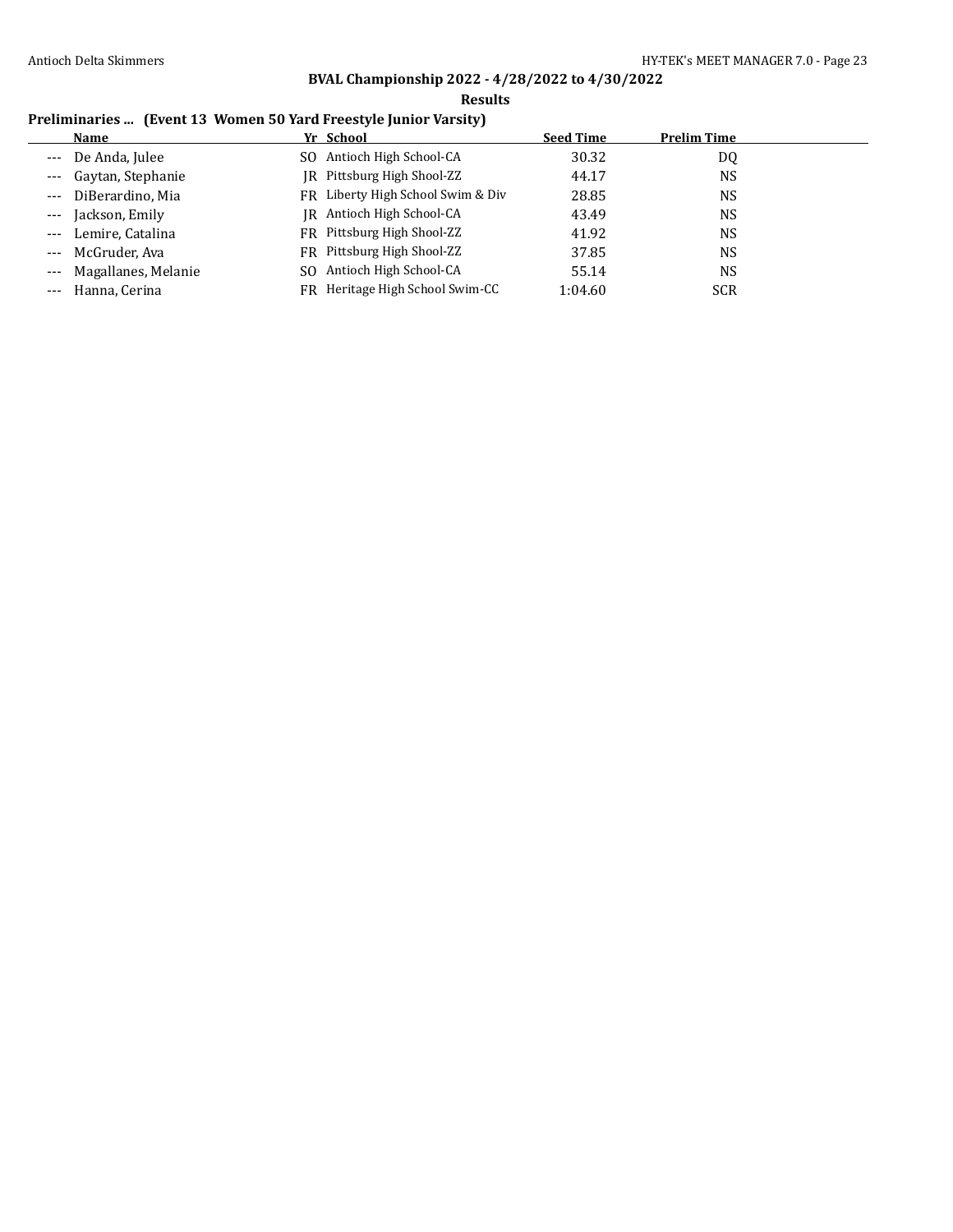### **Results**

### **Preliminaries ... (Event 13 Women 50 Yard Freestyle Junior Varsity)**

|       | Name                    | Yr School                         | <b>Seed Time</b> | <b>Prelim Time</b> |
|-------|-------------------------|-----------------------------------|------------------|--------------------|
|       | --- De Anda, Julee      | SO Antioch High School-CA         | 30.32            | DQ                 |
|       | --- Gaytan, Stephanie   | IR Pittsburg High Shool-ZZ        | 44.17            | NS                 |
|       | --- DiBerardino, Mia    | FR Liberty High School Swim & Div | 28.85            | NS                 |
| $---$ | Jackson, Emily          | IR Antioch High School-CA         | 43.49            | NS.                |
|       | --- Lemire, Catalina    | FR Pittsburg High Shool-ZZ        | 41.92            | NS                 |
|       | --- McGruder, Ava       | FR Pittsburg High Shool-ZZ        | 37.85            | NS                 |
|       | --- Magallanes, Melanie | SO Antioch High School-CA         | 55.14            | NS                 |
|       | --- Hanna, Cerina       | FR Heritage High School Swim-CC   | 1:04.60          | <b>SCR</b>         |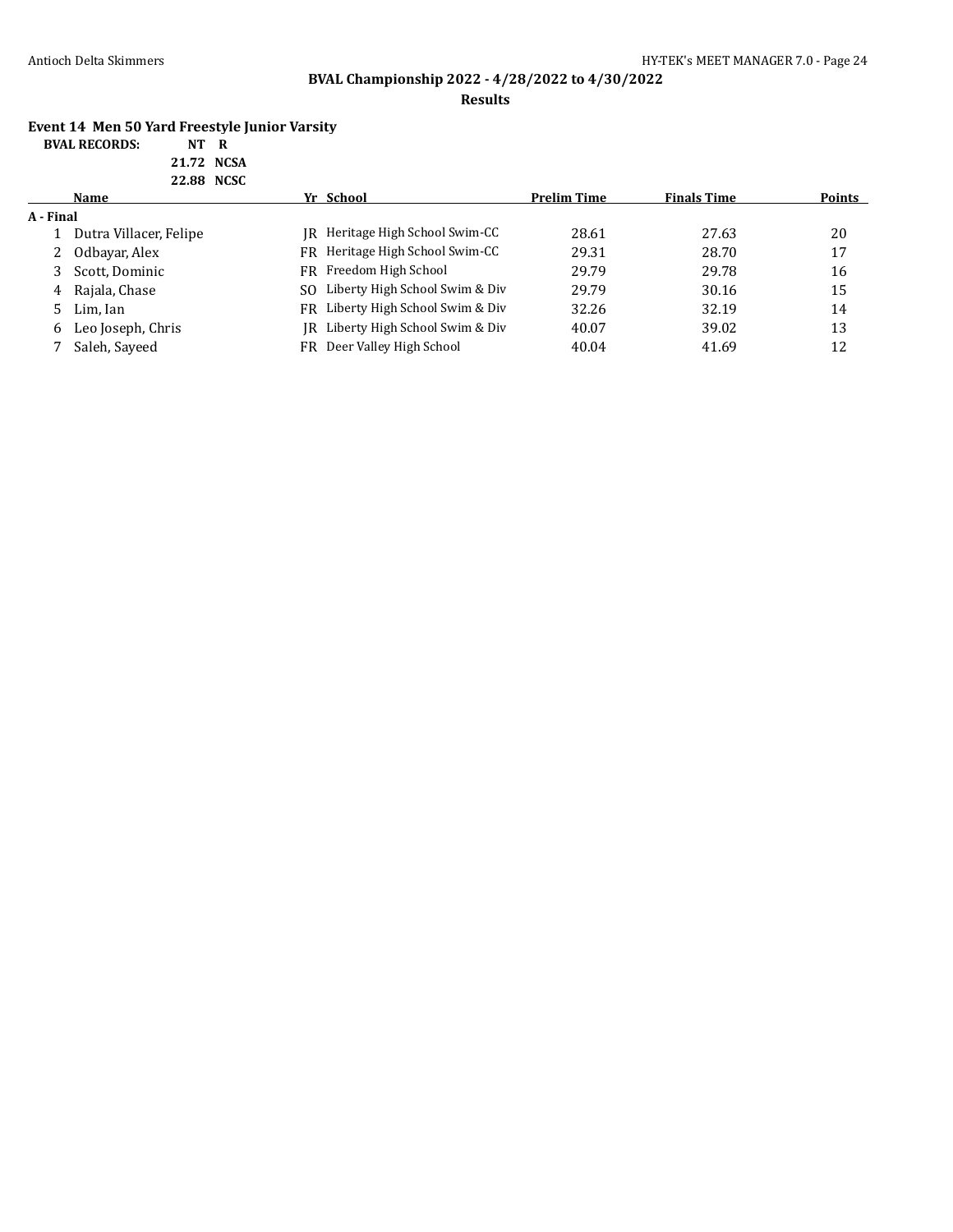### **Results**

# **Event 14 Men 50 Yard Freestyle Junior Varsity**

| <b>BVAL RECORDS:</b> | NT R       |  |
|----------------------|------------|--|
|                      | 21.72 NCSA |  |

| 22.88 NCSC |                        |    |                                   |                    |                    |        |
|------------|------------------------|----|-----------------------------------|--------------------|--------------------|--------|
|            | Name                   |    | Yr School                         | <b>Prelim Time</b> | <b>Finals Time</b> | Points |
| A - Final  |                        |    |                                   |                    |                    |        |
|            | Dutra Villacer, Felipe |    | IR Heritage High School Swim-CC   | 28.61              | 27.63              | 20     |
| 2          | Odbayar, Alex          |    | FR Heritage High School Swim-CC   | 29.31              | 28.70              | 17     |
|            | Scott, Dominic         |    | FR Freedom High School            | 29.79              | 29.78              | 16     |
| 4          | Rajala, Chase          |    | SO Liberty High School Swim & Div | 29.79              | 30.16              | 15     |
| 5.         | Lim, Ian               | FR | Liberty High School Swim & Div    | 32.26              | 32.19              | 14     |
| 6          | Leo Joseph, Chris      |    | IR Liberty High School Swim & Div | 40.07              | 39.02              | 13     |
|            | Saleh, Sayeed          | FR | Deer Valley High School           | 40.04              | 41.69              | 12     |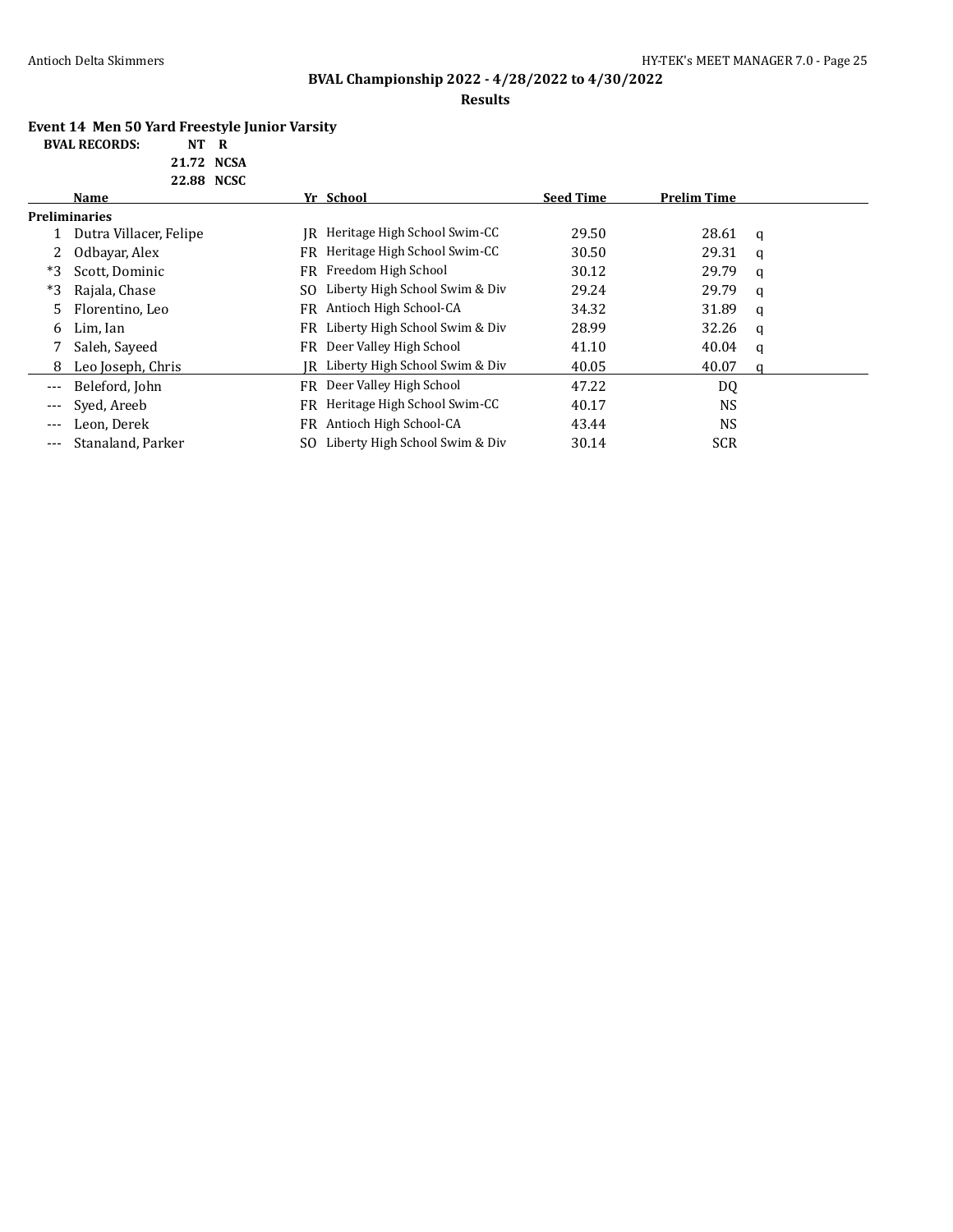**BVAL RECORDS:** 

# **BVAL Championship 2022 - 4/28/2022 to 4/30/2022**

### **Results**

# **Event 14 Men 50 Yard Freestyle Junior Varsity**

| NT         | R |
|------------|---|
| 21.72 NCSA |   |

| Name                   |                      |                                | <b>Seed Time</b>                                                                                                                                                          | <b>Prelim Time</b> |   |
|------------------------|----------------------|--------------------------------|---------------------------------------------------------------------------------------------------------------------------------------------------------------------------|--------------------|---|
|                        |                      |                                |                                                                                                                                                                           |                    |   |
| Dutra Villacer, Felipe |                      | Heritage High School Swim-CC   | 29.50                                                                                                                                                                     | 28.61              | q |
| Odbayar, Alex          |                      | Heritage High School Swim-CC   | 30.50                                                                                                                                                                     | 29.31              | q |
| Scott, Dominic         |                      |                                | 30.12                                                                                                                                                                     | 29.79              | a |
| Rajala, Chase          |                      | Liberty High School Swim & Div | 29.24                                                                                                                                                                     | 29.79              | q |
| Florentino, Leo        |                      | Antioch High School-CA         | 34.32                                                                                                                                                                     | 31.89              | a |
| Lim, Ian               |                      |                                | 28.99                                                                                                                                                                     | 32.26              | q |
| Saleh, Sayeed          |                      | Deer Valley High School        | 41.10                                                                                                                                                                     | 40.04              | a |
| Leo Joseph, Chris      |                      |                                | 40.05                                                                                                                                                                     | 40.07              | a |
| Beleford, John         |                      | Deer Valley High School        | 47.22                                                                                                                                                                     | DQ                 |   |
| Syed, Areeb            |                      | Heritage High School Swim-CC   | 40.17                                                                                                                                                                     | NS                 |   |
| Leon. Derek            |                      | Antioch High School-CA         | 43.44                                                                                                                                                                     | <b>NS</b>          |   |
| Stanaland, Parker      |                      | Liberty High School Swim & Div | 30.14                                                                                                                                                                     | <b>SCR</b>         |   |
|                        | <b>Preliminaries</b> | 22.88 NCSC                     | Yr School<br>IR<br>FR.<br>FR Freedom High School<br>SO.<br>FR<br>FR Liberty High School Swim & Div<br>FR<br>IR Liberty High School Swim & Div<br>FR.<br>FR.<br>FR.<br>SO. |                    |   |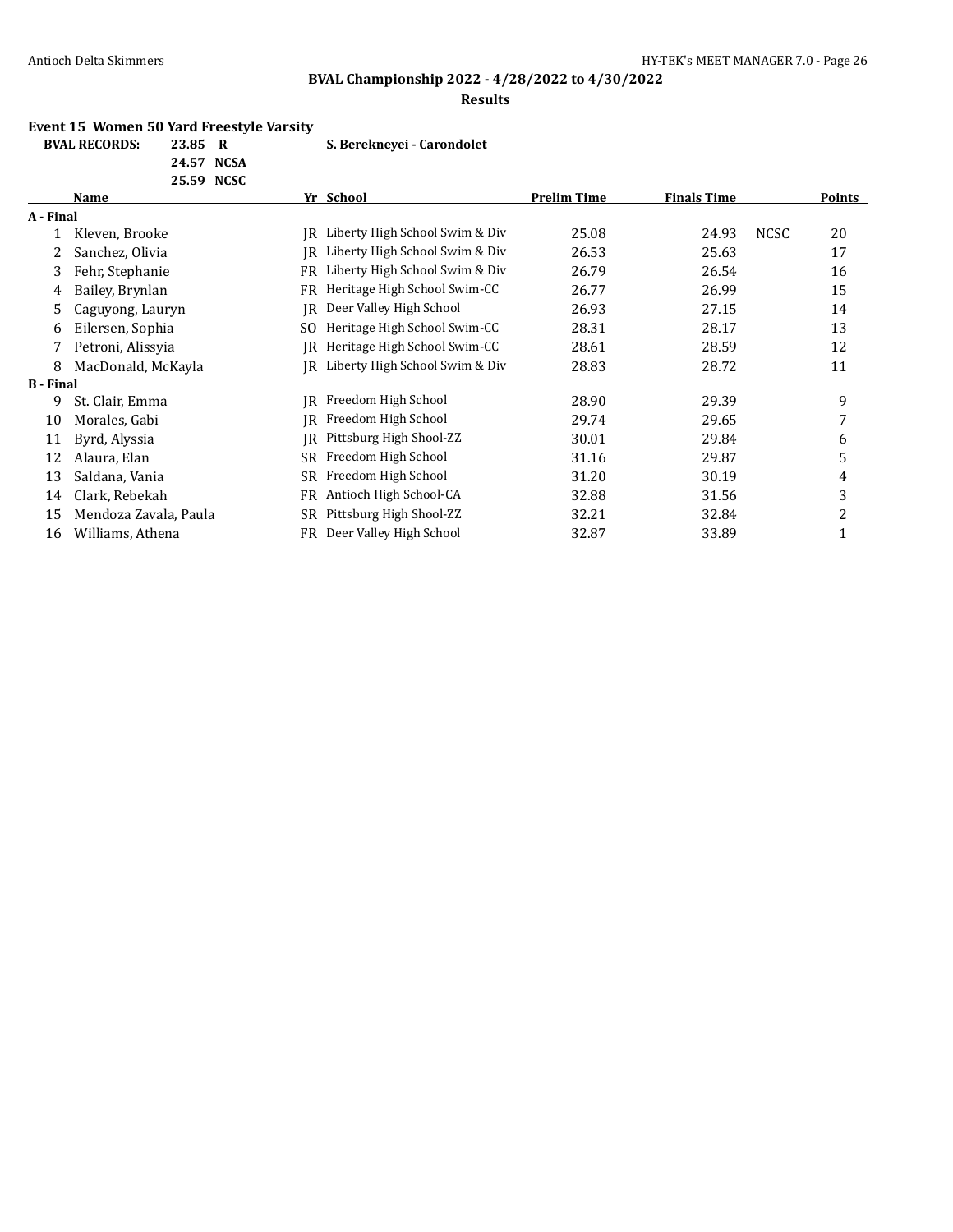# **BVAL Championship 2022 - 4/28/2022 to 4/30/2022**

#### **Results**

### **Event 15 Women 50 Yard Freestyle Varsity**

| 23.85      | R |
|------------|---|
| 24.57 NCSA |   |

**BVAL RECORDS: 23.85 R S. Berekneyei - Carondolet**

|                  | 25.59 NCSC            |     |                                |                    |                    |             |        |
|------------------|-----------------------|-----|--------------------------------|--------------------|--------------------|-------------|--------|
|                  | Name                  |     | Yr School                      | <b>Prelim Time</b> | <b>Finals Time</b> |             | Points |
| A - Final        |                       |     |                                |                    |                    |             |        |
|                  | Kleven, Brooke        | IR  | Liberty High School Swim & Div | 25.08              | 24.93              | <b>NCSC</b> | 20     |
|                  | Sanchez, Olivia       | IR  | Liberty High School Swim & Div | 26.53              | 25.63              |             | 17     |
| 3                | Fehr, Stephanie       | FR  | Liberty High School Swim & Div | 26.79              | 26.54              |             | 16     |
| 4                | Bailey, Brynlan       | FR  | Heritage High School Swim-CC   | 26.77              | 26.99              |             | 15     |
| 5.               | Caguyong, Lauryn      | IR  | Deer Valley High School        | 26.93              | 27.15              |             | 14     |
| 6                | Eilersen, Sophia      | SO. | Heritage High School Swim-CC   | 28.31              | 28.17              |             | 13     |
| 7                | Petroni, Alissyia     | IR  | Heritage High School Swim-CC   | 28.61              | 28.59              |             | 12     |
| 8                | MacDonald, McKayla    | IR  | Liberty High School Swim & Div | 28.83              | 28.72              |             | 11     |
| <b>B</b> - Final |                       |     |                                |                    |                    |             |        |
| 9                | St. Clair, Emma       | IR  | Freedom High School            | 28.90              | 29.39              |             | 9      |
| 10               | Morales, Gabi         | IR  | Freedom High School            | 29.74              | 29.65              |             | 7      |
| 11               | Byrd, Alyssia         | IR  | Pittsburg High Shool-ZZ        | 30.01              | 29.84              |             | 6      |
| 12               | Alaura, Elan          | SR  | Freedom High School            | 31.16              | 29.87              |             | 5      |
| 13               | Saldana, Vania        | SR  | Freedom High School            | 31.20              | 30.19              |             | 4      |
| 14               | Clark, Rebekah        | FR  | Antioch High School-CA         | 32.88              | 31.56              |             | 3      |
| 15               | Mendoza Zavala, Paula | SR  | Pittsburg High Shool-ZZ        | 32.21              | 32.84              |             | 2      |
| 16               | Williams, Athena      | FR  | Deer Valley High School        | 32.87              | 33.89              |             |        |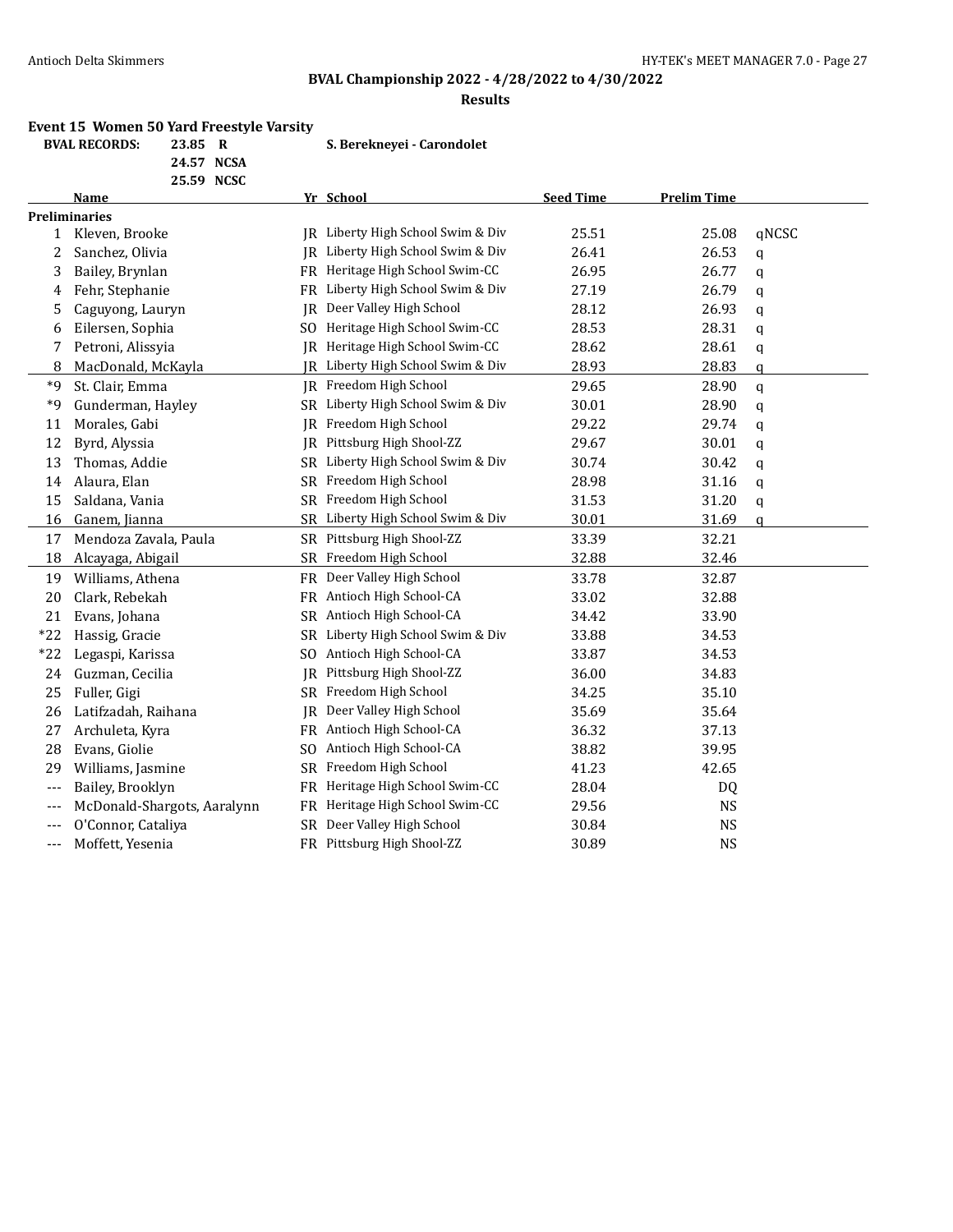# **BVAL Championship 2022 - 4/28/2022 to 4/30/2022**

#### **Results**

#### **Event 15 Women 50 Yard Freestyle Varsity**

**24.57 NCSA**

**BVAL RECORDS: 23.85 R S. Berekneyei - Carondolet**

|       | 25.59 NCSC                  |           |                                   |                  |                    |               |
|-------|-----------------------------|-----------|-----------------------------------|------------------|--------------------|---------------|
|       | Name                        |           | Yr School                         | <b>Seed Time</b> | <b>Prelim Time</b> |               |
|       | <b>Preliminaries</b>        |           |                                   |                  |                    |               |
| 1     | Kleven, Brooke              |           | IR Liberty High School Swim & Div | 25.51            | 25.08              | qNCSC         |
| 2     | Sanchez, Olivia             |           | JR Liberty High School Swim & Div | 26.41            | 26.53              | q             |
| 3     | Bailey, Brynlan             | FR        | Heritage High School Swim-CC      | 26.95            | 26.77              | q             |
| 4     | Fehr, Stephanie             | FR        | Liberty High School Swim & Div    | 27.19            | 26.79              | q             |
| 5     | Caguyong, Lauryn            | <b>IR</b> | Deer Valley High School           | 28.12            | 26.93              | q             |
| 6     | Eilersen, Sophia            | SO.       | Heritage High School Swim-CC      | 28.53            | 28.31              | q             |
| 7     | Petroni, Alissyia           | IR        | Heritage High School Swim-CC      | 28.62            | 28.61              | q             |
| 8     | MacDonald, McKayla          | IR        | Liberty High School Swim & Div    | 28.93            | 28.83              | q             |
| $*9$  | St. Clair, Emma             |           | JR Freedom High School            | 29.65            | 28.90              | $\mathfrak q$ |
| *9    | Gunderman, Hayley           |           | SR Liberty High School Swim & Div | 30.01            | 28.90              | q             |
| 11    | Morales, Gabi               |           | JR Freedom High School            | 29.22            | 29.74              | q             |
| 12    | Byrd, Alyssia               | IR        | Pittsburg High Shool-ZZ           | 29.67            | 30.01              | q             |
| 13    | Thomas, Addie               | SR.       | Liberty High School Swim & Div    | 30.74            | 30.42              | q             |
| 14    | Alaura, Elan                | <b>SR</b> | Freedom High School               | 28.98            | 31.16              | q             |
| 15    | Saldana, Vania              |           | SR Freedom High School            | 31.53            | 31.20              | q             |
| 16    | Ganem, Jianna               |           | SR Liberty High School Swim & Div | 30.01            | 31.69              | a             |
| 17    | Mendoza Zavala, Paula       |           | SR Pittsburg High Shool-ZZ        | 33.39            | 32.21              |               |
| 18    | Alcayaga, Abigail           | <b>SR</b> | Freedom High School               | 32.88            | 32.46              |               |
| 19    | Williams, Athena            | <b>FR</b> | Deer Valley High School           | 33.78            | 32.87              |               |
| 20    | Clark, Rebekah              |           | FR Antioch High School-CA         | 33.02            | 32.88              |               |
| 21    | Evans, Johana               |           | SR Antioch High School-CA         | 34.42            | 33.90              |               |
| $*22$ | Hassig, Gracie              | SR        | Liberty High School Swim & Div    | 33.88            | 34.53              |               |
| $*22$ | Legaspi, Karissa            |           | SO Antioch High School-CA         | 33.87            | 34.53              |               |
| 24    | Guzman, Cecilia             | IR        | Pittsburg High Shool-ZZ           | 36.00            | 34.83              |               |
| 25    | Fuller, Gigi                | SR.       | Freedom High School               | 34.25            | 35.10              |               |
| 26    | Latifzadah, Raihana         | IR        | Deer Valley High School           | 35.69            | 35.64              |               |
| 27    | Archuleta, Kyra             | FR        | Antioch High School-CA            | 36.32            | 37.13              |               |
| 28    | Evans, Giolie               | SO.       | Antioch High School-CA            | 38.82            | 39.95              |               |
| 29    | Williams, Jasmine           | <b>SR</b> | Freedom High School               | 41.23            | 42.65              |               |
| $---$ | Bailey, Brooklyn            | FR        | Heritage High School Swim-CC      | 28.04            | <b>DQ</b>          |               |
| $---$ | McDonald-Shargots, Aaralynn | FR        | Heritage High School Swim-CC      | 29.56            | <b>NS</b>          |               |
| $---$ | O'Connor, Cataliya          | SR        | Deer Valley High School           | 30.84            | <b>NS</b>          |               |
| $---$ | Moffett, Yesenia            |           | FR Pittsburg High Shool-ZZ        | 30.89            | <b>NS</b>          |               |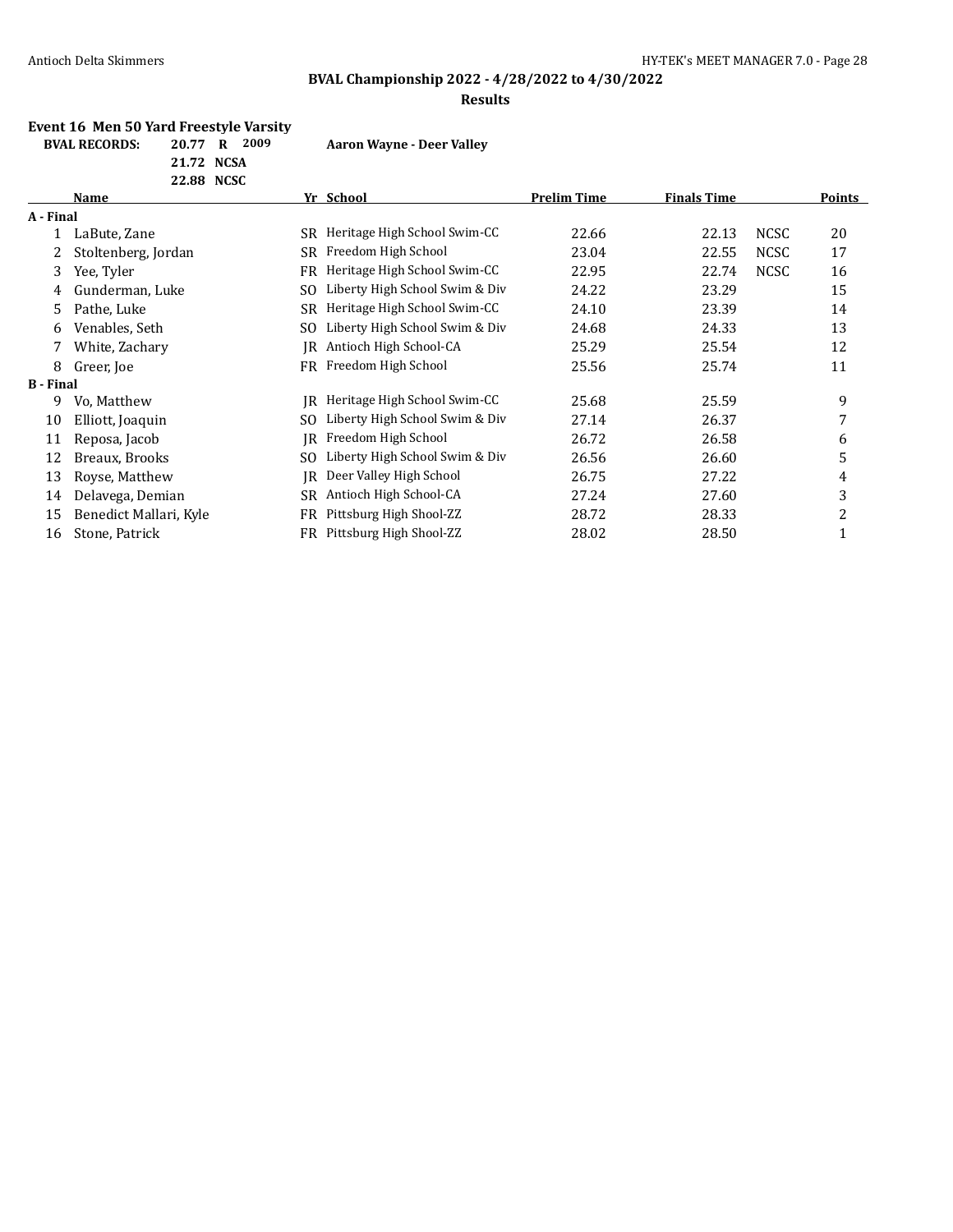# **BVAL Championship 2022 - 4/28/2022 to 4/30/2022**

#### **Results**

#### **Event 16 Men 50 Yard Freestyle Varsity**

**21.72 NCSA**

**BVAL RECORDS: 20.77 R 2009 Aaron Wayne - Deer Valley**

|                  | 22.88 NCSC             |           |                                |                    |                    |             |        |
|------------------|------------------------|-----------|--------------------------------|--------------------|--------------------|-------------|--------|
|                  | Name                   |           | Yr School                      | <b>Prelim Time</b> | <b>Finals Time</b> |             | Points |
| A - Final        |                        |           |                                |                    |                    |             |        |
|                  | LaBute, Zane           | SR        | Heritage High School Swim-CC   | 22.66              | 22.13              | <b>NCSC</b> | 20     |
| 2                | Stoltenberg, Jordan    | SR        | Freedom High School            | 23.04              | 22.55              | <b>NCSC</b> | 17     |
| 3                | Yee, Tyler             | <b>FR</b> | Heritage High School Swim-CC   | 22.95              | 22.74              | <b>NCSC</b> | 16     |
| 4                | Gunderman, Luke        | SO.       | Liberty High School Swim & Div | 24.22              | 23.29              |             | 15     |
| 5.               | Pathe, Luke            | SR        | Heritage High School Swim-CC   | 24.10              | 23.39              |             | 14     |
| 6                | Venables, Seth         | SO.       | Liberty High School Swim & Div | 24.68              | 24.33              |             | 13     |
| 7                | White, Zachary         | IR        | Antioch High School-CA         | 25.29              | 25.54              |             | 12     |
| 8                | Greer, Joe             | FR        | Freedom High School            | 25.56              | 25.74              |             | 11     |
| <b>B</b> - Final |                        |           |                                |                    |                    |             |        |
| 9.               | Vo, Matthew            | IR        | Heritage High School Swim-CC   | 25.68              | 25.59              |             | 9      |
| 10               | Elliott, Joaquin       | SO.       | Liberty High School Swim & Div | 27.14              | 26.37              |             | 7      |
| 11               | Reposa, Jacob          | IR        | Freedom High School            | 26.72              | 26.58              |             | 6      |
| 12               | Breaux, Brooks         | SO.       | Liberty High School Swim & Div | 26.56              | 26.60              |             | 5      |
| 13               | Royse, Matthew         | IR        | Deer Valley High School        | 26.75              | 27.22              |             | 4      |
| 14               | Delavega, Demian       | SR        | Antioch High School-CA         | 27.24              | 27.60              |             | 3      |
| 15               | Benedict Mallari, Kyle | FR        | Pittsburg High Shool-ZZ        | 28.72              | 28.33              |             | 2      |
| 16               | Stone, Patrick         | FR        | Pittsburg High Shool-ZZ        | 28.02              | 28.50              |             | 1      |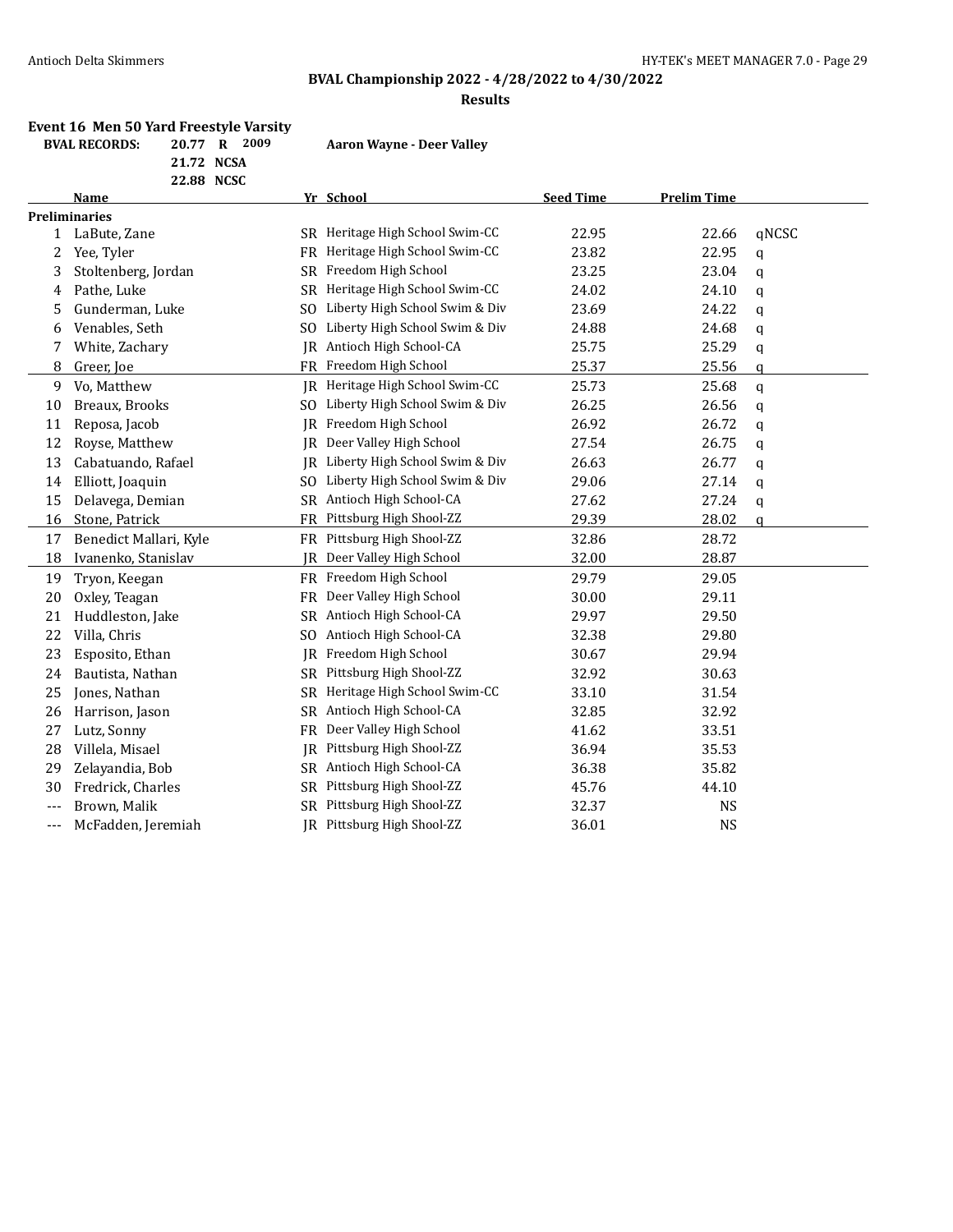# **BVAL Championship 2022 - 4/28/2022 to 4/30/2022**

#### **Results**

#### **Event 16 Men 50 Yard Freestyle Varsity**

**21.72 NCSA**

**BVAL RECORDS: 20.77 R 2009 Aaron Wayne - Deer Valley**

|              | 22.88 NCSC             |           |                                   |                  |                    |              |
|--------------|------------------------|-----------|-----------------------------------|------------------|--------------------|--------------|
|              | Name                   |           | Yr School                         | <b>Seed Time</b> | <b>Prelim Time</b> |              |
|              | <b>Preliminaries</b>   |           |                                   |                  |                    |              |
| $\mathbf{1}$ | LaBute, Zane           |           | SR Heritage High School Swim-CC   | 22.95            | 22.66              | qNCSC        |
| 2            | Yee, Tyler             |           | FR Heritage High School Swim-CC   | 23.82            | 22.95              | q            |
| 3            | Stoltenberg, Jordan    | <b>SR</b> | Freedom High School               | 23.25            | 23.04              | q            |
| 4            | Pathe, Luke            |           | SR Heritage High School Swim-CC   | 24.02            | 24.10              | q            |
| 5            | Gunderman, Luke        |           | SO Liberty High School Swim & Div | 23.69            | 24.22              | q            |
| 6            | Venables, Seth         |           | SO Liberty High School Swim & Div | 24.88            | 24.68              | q            |
| 7            | White, Zachary         |           | IR Antioch High School-CA         | 25.75            | 25.29              | q            |
| 8            | Greer, Joe             |           | FR Freedom High School            | 25.37            | 25.56              | a            |
| 9            | Vo, Matthew            |           | IR Heritage High School Swim-CC   | 25.73            | 25.68              | q            |
| 10           | Breaux, Brooks         | SO.       | Liberty High School Swim & Div    | 26.25            | 26.56              | q            |
| 11           | Reposa, Jacob          | IR        | Freedom High School               | 26.92            | 26.72              | q            |
| 12           | Royse, Matthew         | IR        | Deer Valley High School           | 27.54            | 26.75              | q            |
| 13           | Cabatuando, Rafael     | IR        | Liberty High School Swim & Div    | 26.63            | 26.77              | q            |
| 14           | Elliott, Joaquin       | SO.       | Liberty High School Swim & Div    | 29.06            | 27.14              | q            |
| 15           | Delavega, Demian       |           | SR Antioch High School-CA         | 27.62            | 27.24              | q            |
| 16           | Stone, Patrick         | <b>FR</b> | Pittsburg High Shool-ZZ           | 29.39            | 28.02              | $\mathbf{q}$ |
| 17           | Benedict Mallari, Kyle |           | FR Pittsburg High Shool-ZZ        | 32.86            | 28.72              |              |
| 18           | Ivanenko, Stanislav    |           | JR Deer Valley High School        | 32.00            | 28.87              |              |
| 19           | Tryon, Keegan          |           | FR Freedom High School            | 29.79            | 29.05              |              |
| 20           | Oxley, Teagan          | <b>FR</b> | Deer Valley High School           | 30.00            | 29.11              |              |
| 21           | Huddleston, Jake       |           | SR Antioch High School-CA         | 29.97            | 29.50              |              |
| 22           | Villa, Chris           | SO.       | Antioch High School-CA            | 32.38            | 29.80              |              |
| 23           | Esposito, Ethan        |           | JR Freedom High School            | 30.67            | 29.94              |              |
| 24           | Bautista, Nathan       |           | SR Pittsburg High Shool-ZZ        | 32.92            | 30.63              |              |
| 25           | Jones, Nathan          | SR.       | Heritage High School Swim-CC      | 33.10            | 31.54              |              |
| 26           | Harrison, Jason        |           | SR Antioch High School-CA         | 32.85            | 32.92              |              |
| 27           | Lutz, Sonny            | FR        | Deer Valley High School           | 41.62            | 33.51              |              |
| 28           | Villela, Misael        | IR        | Pittsburg High Shool-ZZ           | 36.94            | 35.53              |              |
| 29           | Zelayandia, Bob        |           | SR Antioch High School-CA         | 36.38            | 35.82              |              |
| 30           | Fredrick, Charles      |           | SR Pittsburg High Shool-ZZ        | 45.76            | 44.10              |              |
| ---          | Brown, Malik           |           | SR Pittsburg High Shool-ZZ        | 32.37            | <b>NS</b>          |              |
| ---          | McFadden, Jeremiah     |           | IR Pittsburg High Shool-ZZ        | 36.01            | <b>NS</b>          |              |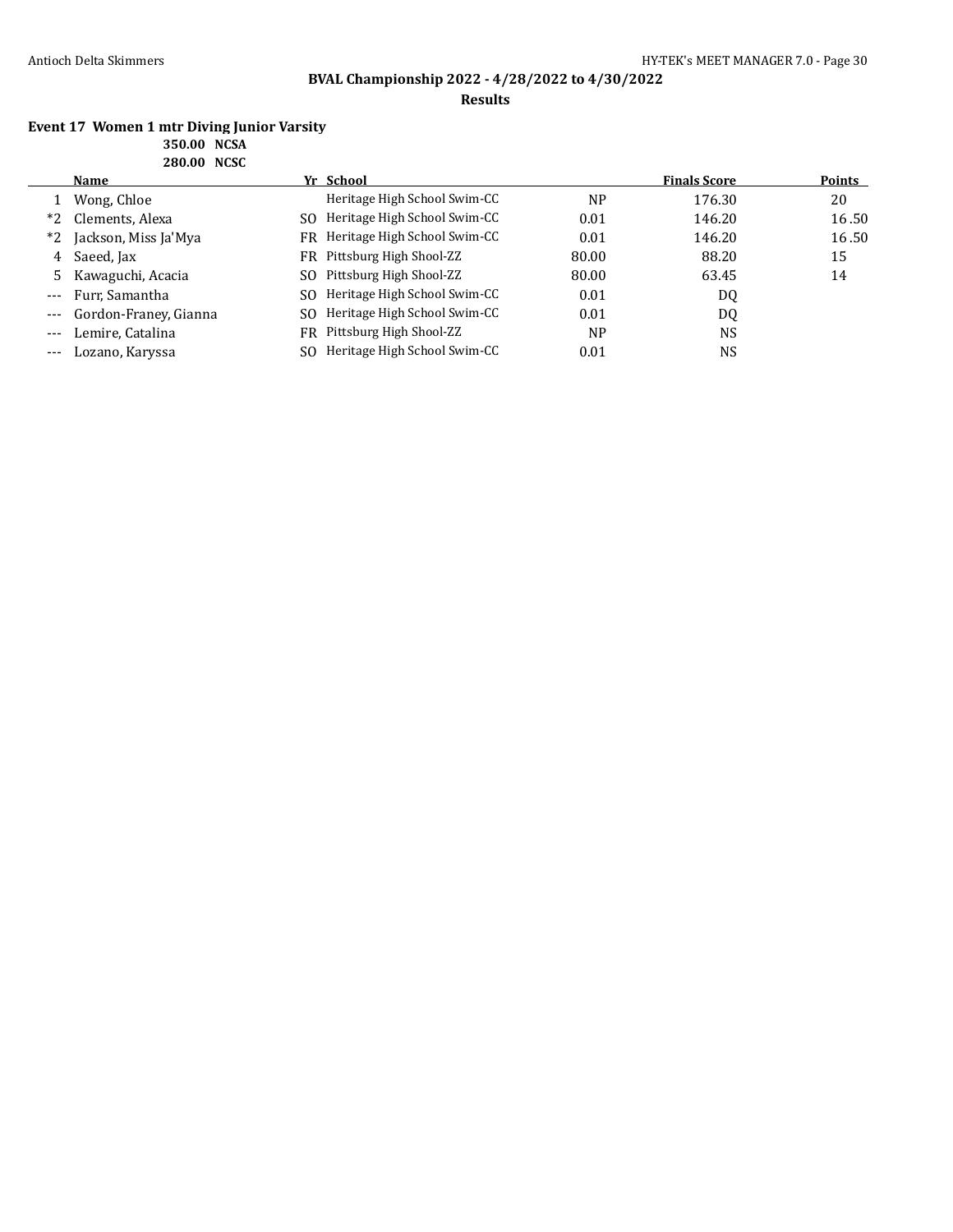### **Results**

#### **Event 17 Women 1 mtr Diving Junior Varsity 350.00 NCSA 280.00 NCSC**

|       | <b>Name</b>           |     | Yr School                       |           | <b>Finals Score</b> | <b>Points</b> |
|-------|-----------------------|-----|---------------------------------|-----------|---------------------|---------------|
|       | Wong, Chloe           |     | Heritage High School Swim-CC    | <b>NP</b> | 176.30              | 20            |
| $*2$  | Clements, Alexa       | SO. | Heritage High School Swim-CC    | 0.01      | 146.20              | 16.50         |
| $*2$  | Jackson, Miss Ja'Mya  |     | FR Heritage High School Swim-CC | 0.01      | 146.20              | 16.50         |
| 4     | Saeed, Jax            |     | FR Pittsburg High Shool-ZZ      | 80.00     | 88.20               | 15            |
|       | 5 Kawaguchi, Acacia   |     | SO Pittsburg High Shool-ZZ      | 80.00     | 63.45               | 14            |
|       | Furr, Samantha        | SO. | Heritage High School Swim-CC    | 0.01      | DQ                  |               |
| $---$ | Gordon-Franey, Gianna | SO. | Heritage High School Swim-CC    | 0.01      | DQ                  |               |
| $---$ | Lemire, Catalina      |     | FR Pittsburg High Shool-ZZ      | <b>NP</b> | <b>NS</b>           |               |
| $---$ | Lozano, Karyssa       | SO. | Heritage High School Swim-CC    | 0.01      | NS.                 |               |
|       |                       |     |                                 |           |                     |               |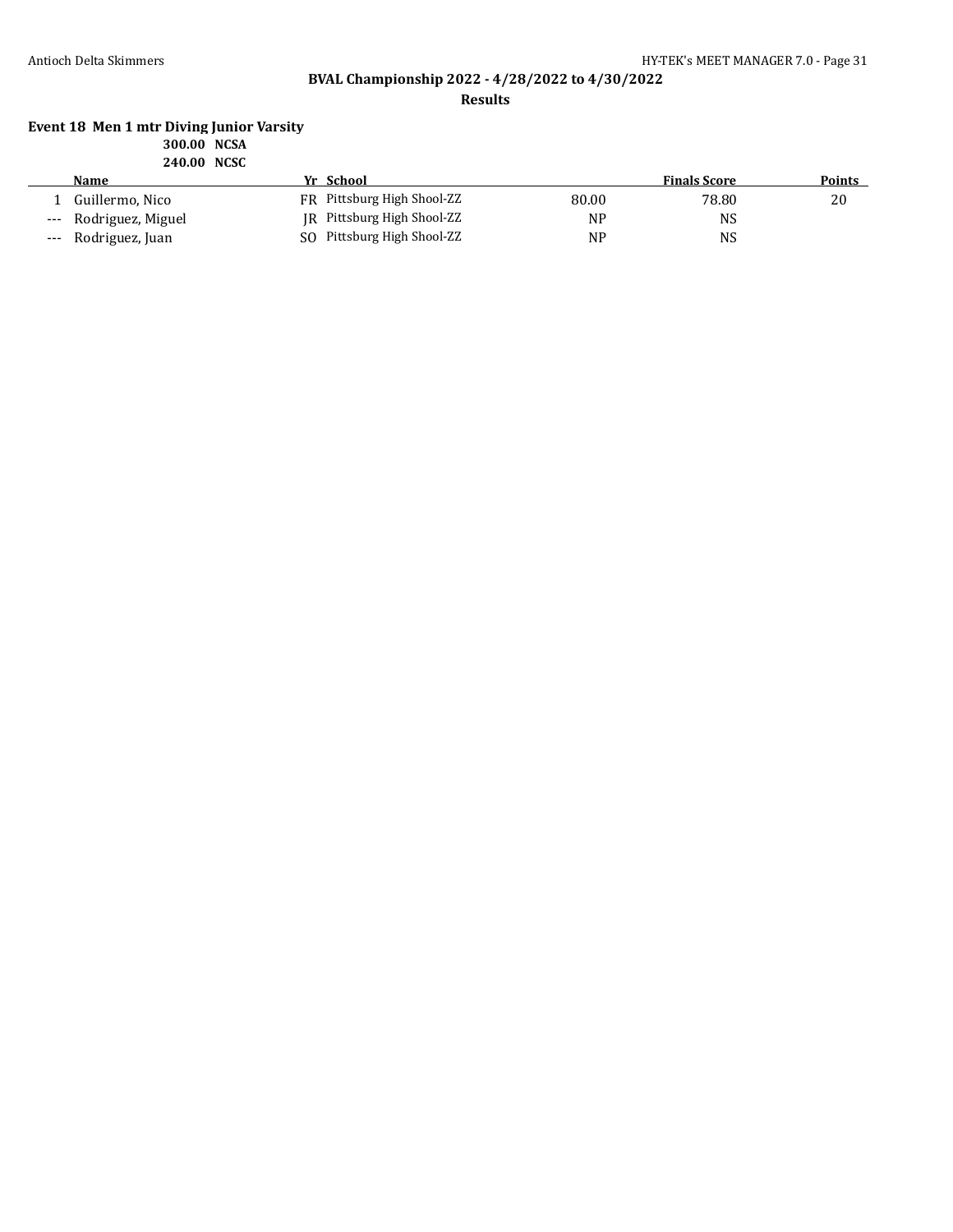**Results**

#### **Event 18 Men 1 mtr Diving Junior Varsity 300.00 NCSA 240.00 NCSC**

|       | Name                  | Yr School                  |           | <b>Finals Score</b> | Points |
|-------|-----------------------|----------------------------|-----------|---------------------|--------|
|       | Guillermo, Nico       | FR Pittsburg High Shool-ZZ | 80.00     | 78.80               | 20     |
|       | --- Rodriguez, Miguel | JR Pittsburg High Shool-ZZ | <b>NP</b> | NS                  |        |
| $---$ | Rodriguez, Juan       | SO Pittsburg High Shool-ZZ | <b>NP</b> | <b>NS</b>           |        |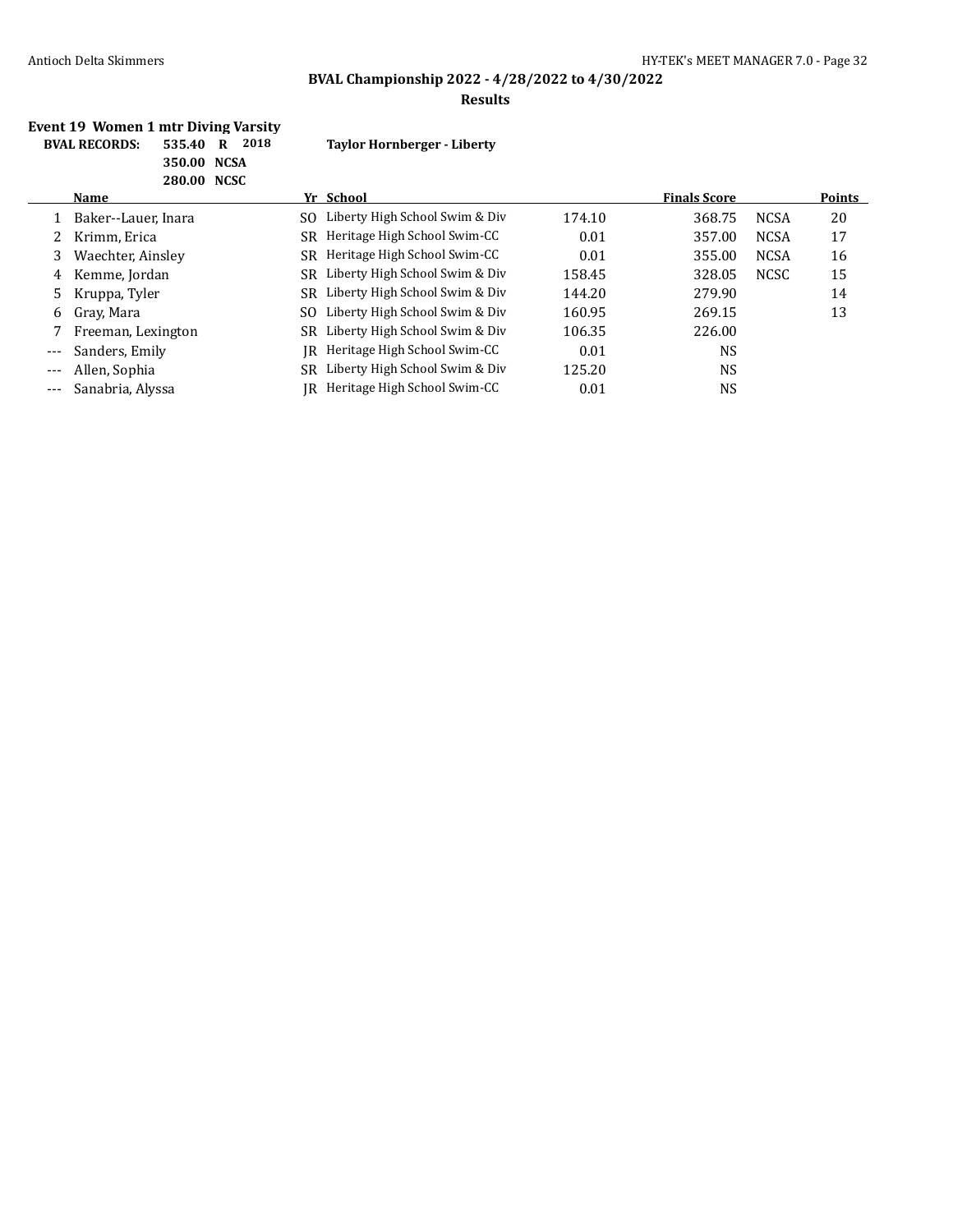# **BVAL Championship 2022 - 4/28/2022 to 4/30/2022**

#### **Results**

#### **Event 19 Women 1 mtr Diving Varsity BVAL RECORDS: 535.40 R 2018 Taylor Hornberger - Liberty 350.00 NCSA 280.00 NCSC**

| LOV.VV NGJU |                     |     |                                   |        |                     |             |               |
|-------------|---------------------|-----|-----------------------------------|--------|---------------------|-------------|---------------|
|             | Name                |     | Yr School                         |        | <b>Finals Score</b> |             | <b>Points</b> |
|             | Baker--Lauer, Inara | SO. | Liberty High School Swim & Div    | 174.10 | 368.75              | <b>NCSA</b> | 20            |
|             | Krimm, Erica        | SR  | Heritage High School Swim-CC      | 0.01   | 357.00              | <b>NCSA</b> | 17            |
| 3           | Waechter, Ainsley   |     | SR Heritage High School Swim-CC   | 0.01   | 355.00              | <b>NCSA</b> | 16            |
| 4           | Kemme, Jordan       | SR  | Liberty High School Swim & Div    | 158.45 | 328.05              | <b>NCSC</b> | 15            |
| 5.          | Kruppa, Tyler       |     | SR Liberty High School Swim & Div | 144.20 | 279.90              |             | 14            |
| 6           | Gray, Mara          | SO. | Liberty High School Swim & Div    | 160.95 | 269.15              |             | 13            |
|             | Freeman, Lexington  |     | SR Liberty High School Swim & Div | 106.35 | 226.00              |             |               |
| $---$       | Sanders, Emily      | IR  | Heritage High School Swim-CC      | 0.01   | NS                  |             |               |
|             | Allen, Sophia       | SR  | Liberty High School Swim & Div    | 125.20 | NS                  |             |               |
|             | Sanabria, Alyssa    | IR  | Heritage High School Swim-CC      | 0.01   | NS                  |             |               |
|             |                     |     |                                   |        |                     |             |               |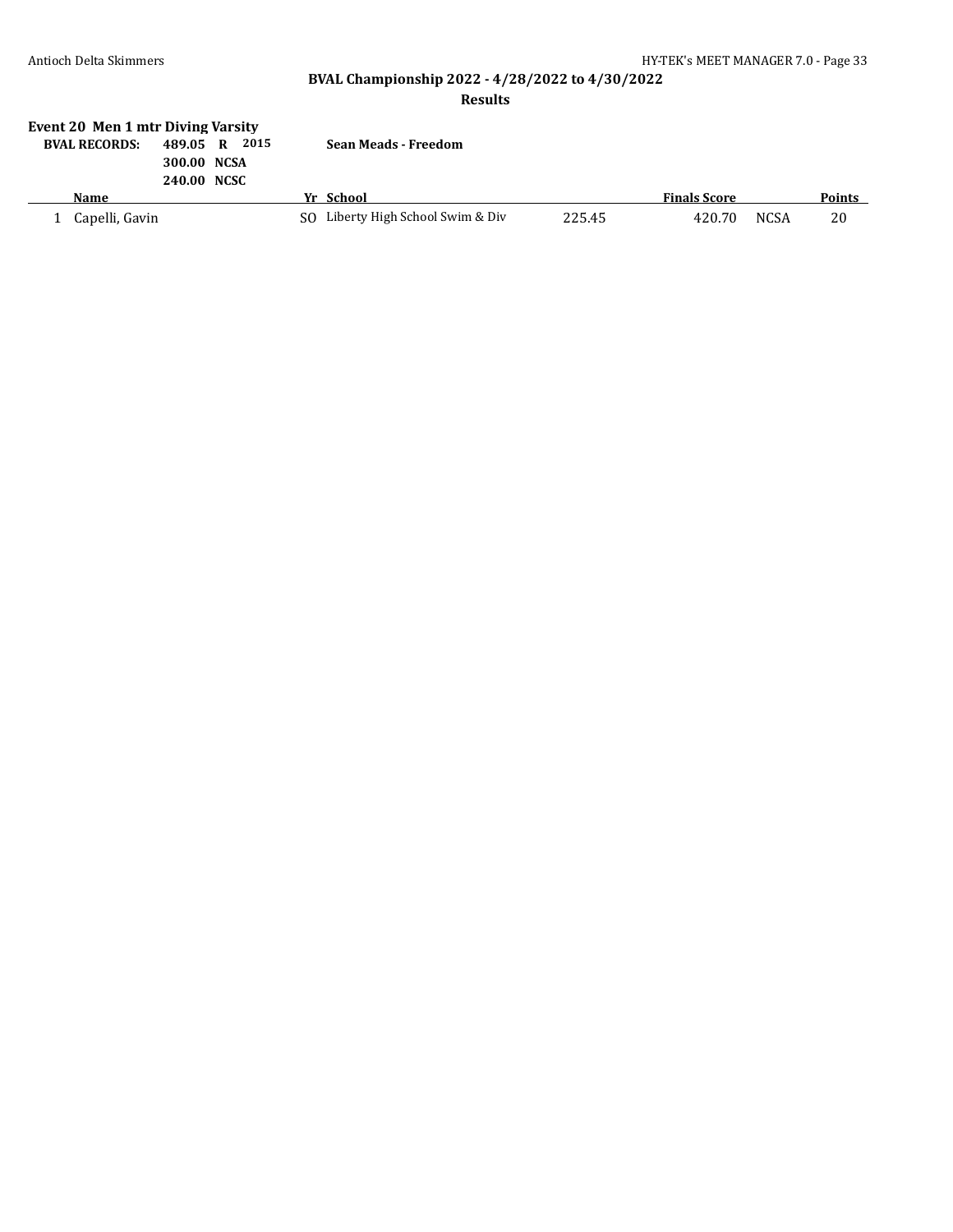# **BVAL Championship 2022 - 4/28/2022 to 4/30/2022**

### **Results**

| Event 20 Men 1 mtr Diving Varsity |                            |   |      |  |                                   |        |                     |             |        |
|-----------------------------------|----------------------------|---|------|--|-----------------------------------|--------|---------------------|-------------|--------|
| <b>BVAL RECORDS:</b>              | 489.05                     | R | 2015 |  | <b>Sean Meads - Freedom</b>       |        |                     |             |        |
|                                   | 300.00 NCSA<br>240.00 NCSC |   |      |  |                                   |        |                     |             |        |
| Name                              |                            |   |      |  | Yr School                         |        | <b>Finals Score</b> |             | Points |
|                                   |                            |   |      |  |                                   |        |                     |             |        |
| Capelli, Gavin                    |                            |   |      |  | SO Liberty High School Swim & Div | 225.45 | 420.70              | <b>NCSA</b> | 20     |
|                                   |                            |   |      |  |                                   |        |                     |             |        |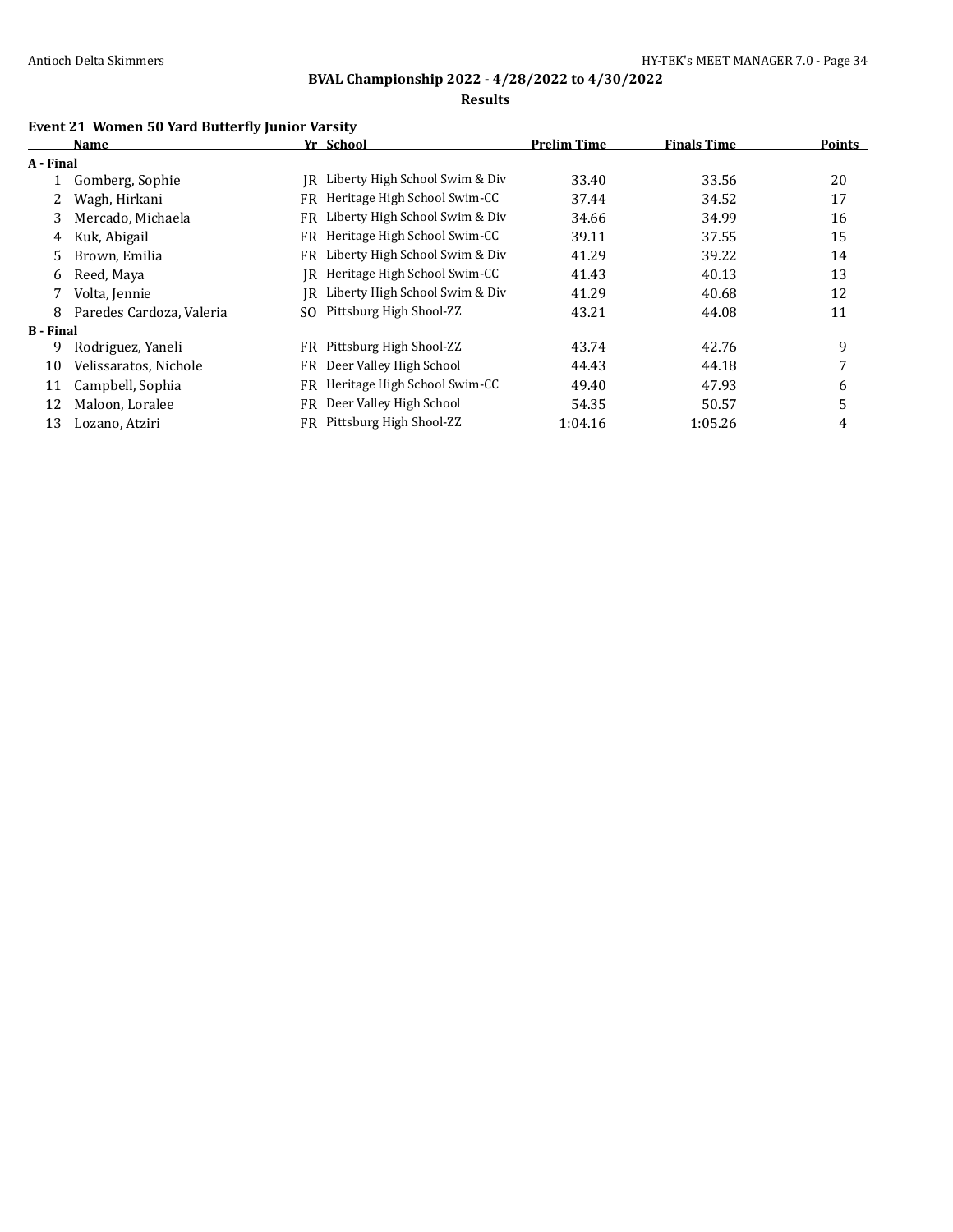### **Results**

# **Event 21 Women 50 Yard Butterfly Junior Varsity**

|                  | Name                     |     | Yr School                      | <b>Prelim Time</b> | <b>Finals Time</b> | <b>Points</b> |
|------------------|--------------------------|-----|--------------------------------|--------------------|--------------------|---------------|
| A - Final        |                          |     |                                |                    |                    |               |
|                  | Gomberg, Sophie          | IR  | Liberty High School Swim & Div | 33.40              | 33.56              | 20            |
|                  | Wagh, Hirkani            | FR  | Heritage High School Swim-CC   | 37.44              | 34.52              | 17            |
| 3                | Mercado, Michaela        | FR. | Liberty High School Swim & Div | 34.66              | 34.99              | 16            |
| 4                | Kuk, Abigail             | FR. | Heritage High School Swim-CC   | 39.11              | 37.55              | 15            |
| 5.               | Brown, Emilia            | FR  | Liberty High School Swim & Div | 41.29              | 39.22              | 14            |
| 6                | Reed, Maya               | IR  | Heritage High School Swim-CC   | 41.43              | 40.13              | 13            |
| 7                | Volta, Jennie            | IR  | Liberty High School Swim & Div | 41.29              | 40.68              | 12            |
| 8                | Paredes Cardoza, Valeria | SO. | Pittsburg High Shool-ZZ        | 43.21              | 44.08              | 11            |
| <b>B</b> - Final |                          |     |                                |                    |                    |               |
| 9                | Rodriguez, Yaneli        | FR. | Pittsburg High Shool-ZZ        | 43.74              | 42.76              | 9             |
| 10               | Velissaratos, Nichole    | FR  | Deer Valley High School        | 44.43              | 44.18              | 7             |
| 11               | Campbell, Sophia         | FR. | Heritage High School Swim-CC   | 49.40              | 47.93              | 6             |
| 12               | Maloon, Loralee          | FR  | Deer Valley High School        | 54.35              | 50.57              | 5             |
| 13               | Lozano, Atziri           |     | FR Pittsburg High Shool-ZZ     | 1:04.16            | 1:05.26            | 4             |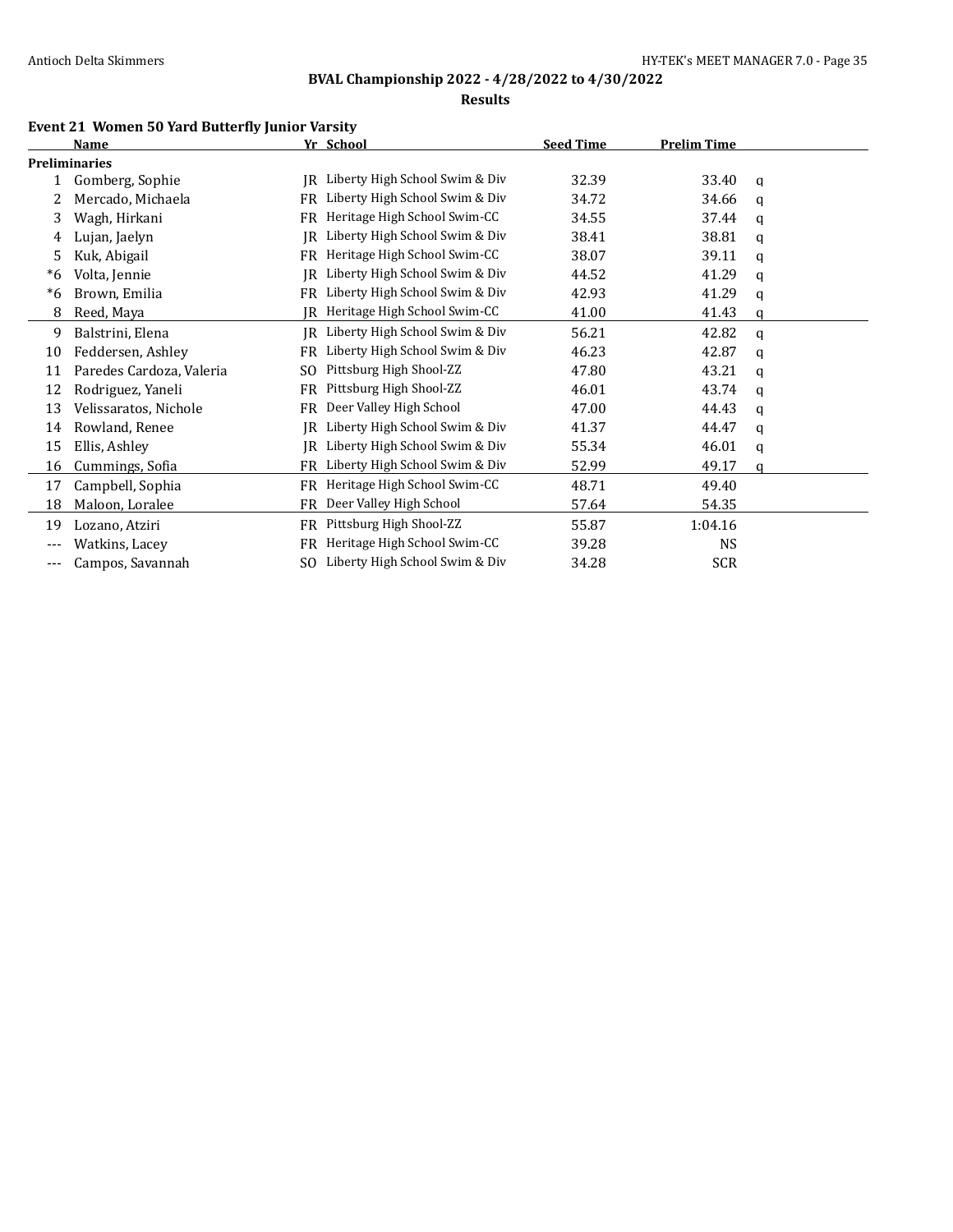#### **Results**

# **Event 21 Women 50 Yard Butterfly Junior Varsity**

|       | <b>Name</b>              |     | Yr School                      | <b>Seed Time</b> | <b>Prelim Time</b> |   |  |
|-------|--------------------------|-----|--------------------------------|------------------|--------------------|---|--|
|       | <b>Preliminaries</b>     |     |                                |                  |                    |   |  |
|       | Gomberg, Sophie          | IR  | Liberty High School Swim & Div | 32.39            | 33.40              | a |  |
| 2     | Mercado, Michaela        | FR  | Liberty High School Swim & Div | 34.72            | 34.66              | q |  |
| 3     | Wagh, Hirkani            | FR  | Heritage High School Swim-CC   | 34.55            | 37.44              | a |  |
| 4     | Lujan, Jaelyn            | IR  | Liberty High School Swim & Div | 38.41            | 38.81              | q |  |
| 5.    | Kuk, Abigail             | FR  | Heritage High School Swim-CC   | 38.07            | 39.11              | a |  |
| *6    | Volta, Jennie            | IR  | Liberty High School Swim & Div | 44.52            | 41.29              | q |  |
| $*6$  | Brown, Emilia            | FR  | Liberty High School Swim & Div | 42.93            | 41.29              | q |  |
| 8     | Reed, Maya               | IR  | Heritage High School Swim-CC   | 41.00            | 41.43              | a |  |
| 9     | Balstrini, Elena         | IR  | Liberty High School Swim & Div | 56.21            | 42.82              | a |  |
| 10    | Feddersen, Ashley        | FR  | Liberty High School Swim & Div | 46.23            | 42.87              | a |  |
| 11    | Paredes Cardoza, Valeria | SO. | Pittsburg High Shool-ZZ        | 47.80            | 43.21              | a |  |
| 12    | Rodriguez, Yaneli        | FR  | Pittsburg High Shool-ZZ        | 46.01            | 43.74              | a |  |
| 13    | Velissaratos, Nichole    | FR  | Deer Valley High School        | 47.00            | 44.43              | a |  |
| 14    | Rowland, Renee           | IR  | Liberty High School Swim & Div | 41.37            | 44.47              | a |  |
| 15    | Ellis, Ashley            | IR  | Liberty High School Swim & Div | 55.34            | 46.01              | q |  |
| 16    | Cummings, Sofia          | FR  | Liberty High School Swim & Div | 52.99            | 49.17              | a |  |
| 17    | Campbell, Sophia         | FR  | Heritage High School Swim-CC   | 48.71            | 49.40              |   |  |
| 18    | Maloon, Loralee          | FR  | Deer Valley High School        | 57.64            | 54.35              |   |  |
| 19    | Lozano, Atziri           | FR  | Pittsburg High Shool-ZZ        | 55.87            | 1:04.16            |   |  |
| $---$ | Watkins, Lacey           | FR  | Heritage High School Swim-CC   | 39.28            | <b>NS</b>          |   |  |
| ---   | Campos, Savannah         | SO. | Liberty High School Swim & Div | 34.28            | <b>SCR</b>         |   |  |
|       |                          |     |                                |                  |                    |   |  |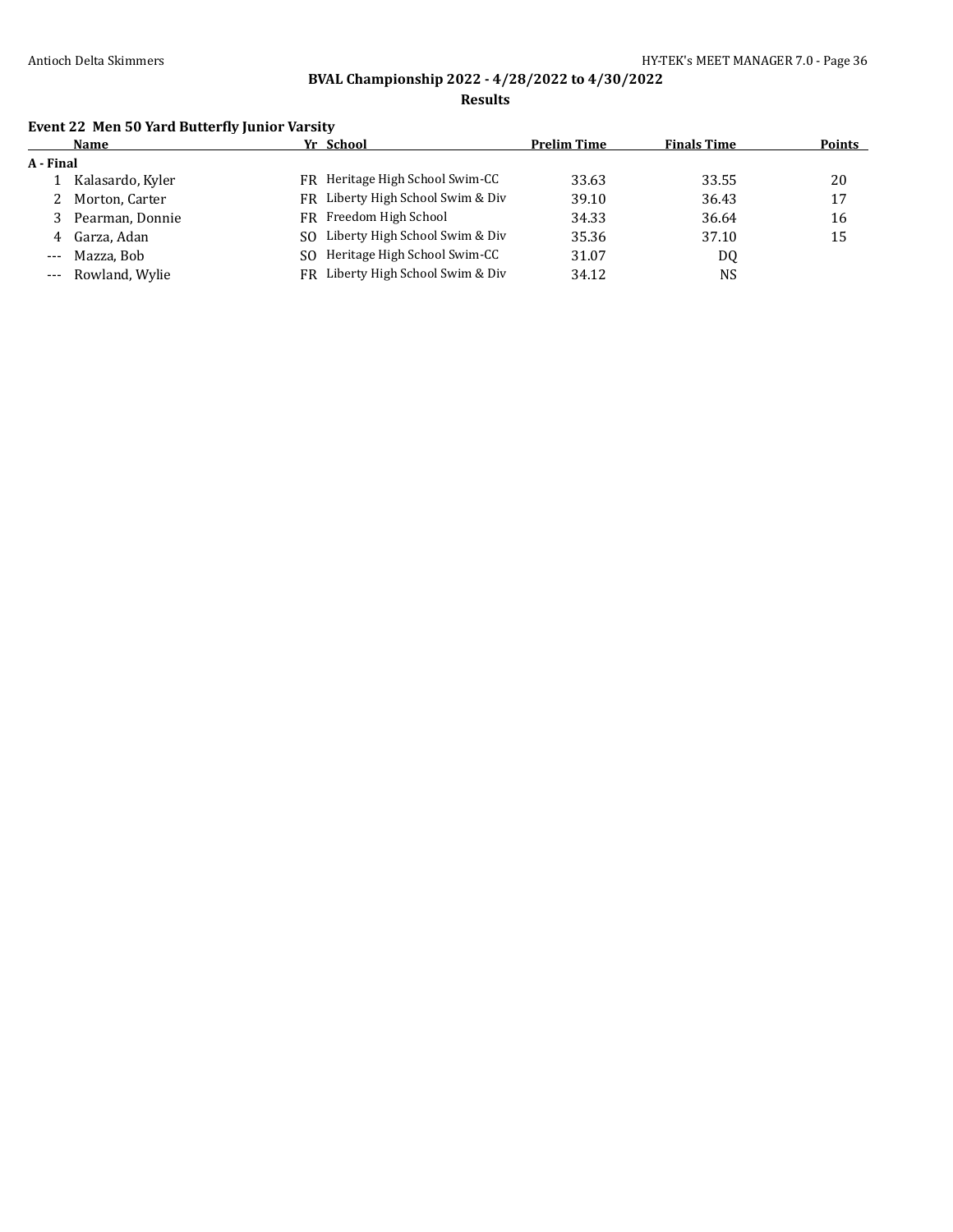**Results**

# **Event 22 Men 50 Yard Butterfly Junior Varsity**

|           | Name               |     | Yr School                         | <b>Prelim Time</b> | <b>Finals Time</b> | <b>Points</b> |
|-----------|--------------------|-----|-----------------------------------|--------------------|--------------------|---------------|
| A - Final |                    |     |                                   |                    |                    |               |
|           | Kalasardo, Kyler   |     | FR Heritage High School Swim-CC   | 33.63              | 33.55              | 20            |
|           | Morton, Carter     |     | FR Liberty High School Swim & Div | 39.10              | 36.43              | 17            |
|           | Pearman, Donnie    |     | FR Freedom High School            | 34.33              | 36.64              | 16            |
| 4         | Garza, Adan        | SO. | Liberty High School Swim & Div    | 35.36              | 37.10              | 15            |
| $---$     | Mazza. Bob         | SO. | Heritage High School Swim-CC      | 31.07              | DQ                 |               |
|           | --- Rowland, Wylie | FR  | Liberty High School Swim & Div    | 34.12              | NS                 |               |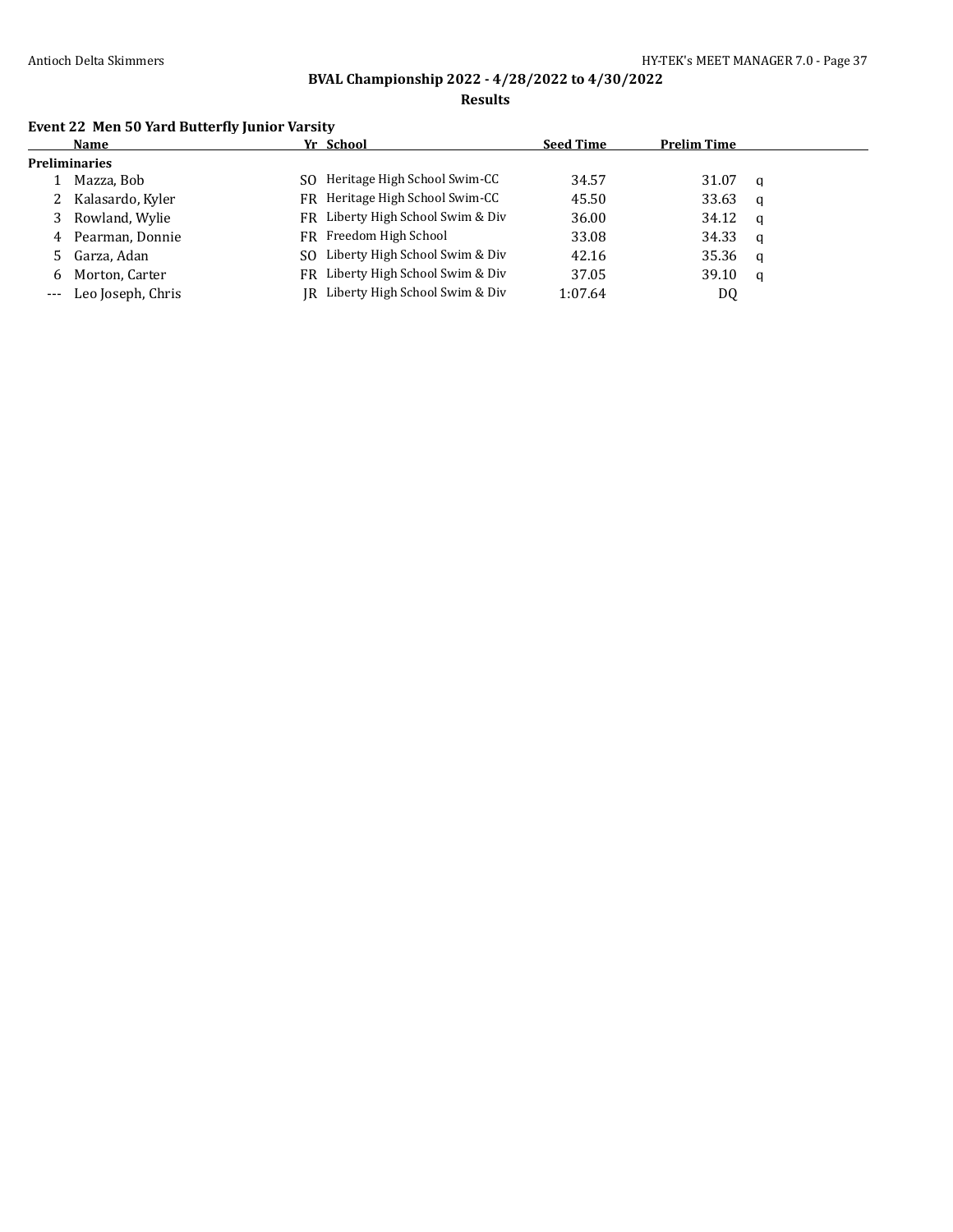**Results**

# **Event 22 Men 50 Yard Butterfly Junior Varsity**

| <b>Name</b>           | Yr School                         | <b>Seed Time</b> | <b>Prelim Time</b> |          |
|-----------------------|-----------------------------------|------------------|--------------------|----------|
| <b>Preliminaries</b>  |                                   |                  |                    |          |
| Mazza, Bob            | SO Heritage High School Swim-CC   | 34.57            | 31.07              | a        |
| 2 Kalasardo, Kyler    | FR Heritage High School Swim-CC   | 45.50            | 33.63              | q        |
| 3 Rowland, Wylie      | FR Liberty High School Swim & Div | 36.00            | 34.12              | $\alpha$ |
| 4 Pearman, Donnie     | FR Freedom High School            | 33.08            | 34.33              | - a      |
| 5 Garza, Adan         | SO Liberty High School Swim & Div | 42.16            | 35.36              | <b>a</b> |
| 6 Morton, Carter      | FR Liberty High School Swim & Div | 37.05            | 39.10              | a        |
| --- Leo Joseph, Chris | JR Liberty High School Swim & Div | 1:07.64          | DQ                 |          |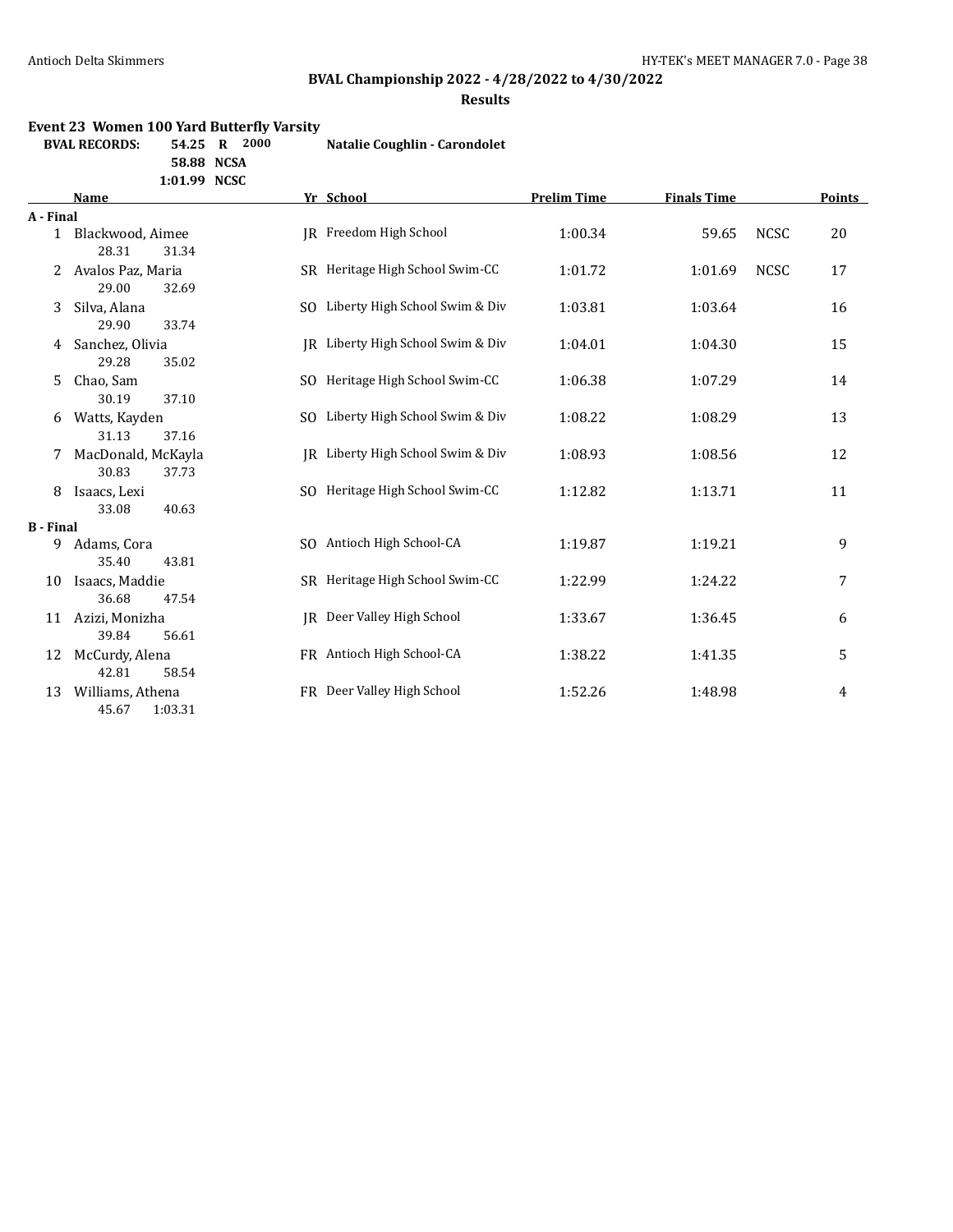# **BVAL Championship 2022 - 4/28/2022 to 4/30/2022**

**Results**

### **Event 23 Women 100 Yard Butterfly Varsity**

**BVAL RECORDS: 54.25 R 2000 Natalie Coughlin - Carondolet**

**58.88 NCSA**

| 1:01.99 | <b>NCSC</b> |
|---------|-------------|
|---------|-------------|

|                  | <b>Name</b>                          |     | Yr School                         | <b>Prelim Time</b> | <b>Finals Time</b> |             | <b>Points</b> |
|------------------|--------------------------------------|-----|-----------------------------------|--------------------|--------------------|-------------|---------------|
| A - Final        |                                      |     |                                   |                    |                    |             |               |
|                  | 1 Blackwood, Aimee<br>28.31<br>31.34 |     | IR Freedom High School            | 1:00.34            | 59.65              | <b>NCSC</b> | 20            |
| 2                | Avalos Paz, Maria<br>29.00<br>32.69  |     | SR Heritage High School Swim-CC   | 1:01.72            | 1:01.69            | <b>NCSC</b> | 17            |
| 3                | Silva, Alana<br>29.90<br>33.74       |     | SO Liberty High School Swim & Div | 1:03.81            | 1:03.64            |             | 16            |
| 4                | Sanchez, Olivia<br>29.28<br>35.02    |     | IR Liberty High School Swim & Div | 1:04.01            | 1:04.30            |             | 15            |
| 5.               | Chao, Sam<br>30.19<br>37.10          | SO. | Heritage High School Swim-CC      | 1:06.38            | 1:07.29            |             | 14            |
| 6                | Watts, Kayden<br>31.13<br>37.16      |     | SO Liberty High School Swim & Div | 1:08.22            | 1:08.29            |             | 13            |
| 7                | MacDonald, McKayla<br>30.83<br>37.73 |     | JR Liberty High School Swim & Div | 1:08.93            | 1:08.56            |             | 12            |
| 8                | Isaacs, Lexi<br>33.08<br>40.63       |     | SO Heritage High School Swim-CC   | 1:12.82            | 1:13.71            |             | 11            |
| <b>B</b> - Final |                                      |     |                                   |                    |                    |             |               |
| 9                | Adams, Cora<br>35.40<br>43.81        |     | SO Antioch High School-CA         | 1:19.87            | 1:19.21            |             | 9             |
| 10               | Isaacs, Maddie<br>36.68<br>47.54     |     | SR Heritage High School Swim-CC   | 1:22.99            | 1:24.22            |             | 7             |
| 11               | Azizi, Monizha<br>39.84<br>56.61     |     | JR Deer Valley High School        | 1:33.67            | 1:36.45            |             | 6             |
| 12               | McCurdy, Alena<br>42.81<br>58.54     |     | FR Antioch High School-CA         | 1:38.22            | 1:41.35            |             | 5             |
| 13               | Williams, Athena<br>45.67<br>1:03.31 |     | FR Deer Valley High School        | 1:52.26            | 1:48.98            |             | 4             |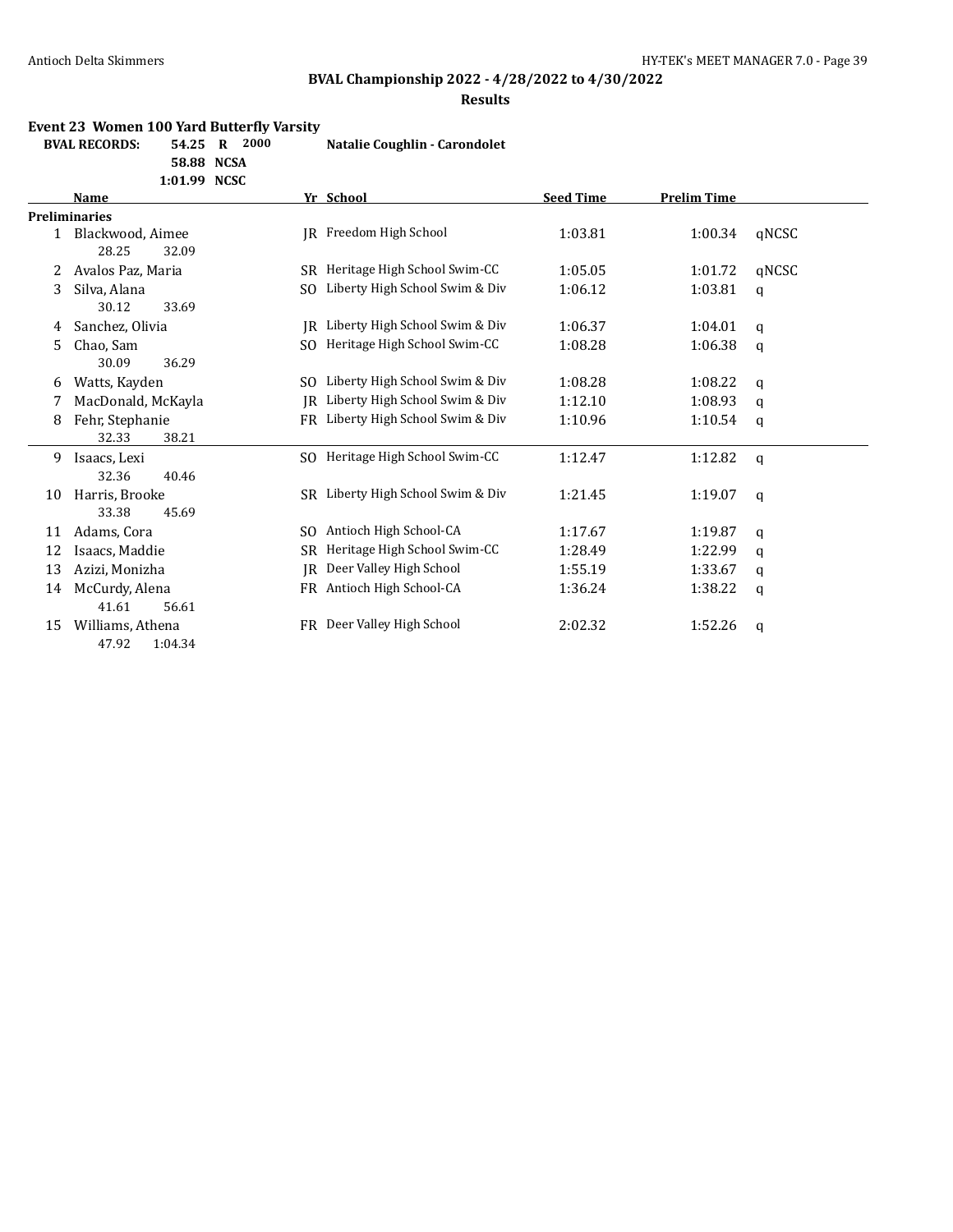# **BVAL Championship 2022 - 4/28/2022 to 4/30/2022**

### **Results**

### **Event 23 Women 100 Yard Butterfly Varsity**

| <b>BVAL RECORDS:</b> | 54.25 R 2000 |  |  | Natalie Coughlin - Carondolet |
|----------------------|--------------|--|--|-------------------------------|
|----------------------|--------------|--|--|-------------------------------|

**58.88 NCSA**

**1:01.99 NCSC**

|    | <b>Name</b>          |     | Yr School                         | <b>Seed Time</b> | <b>Prelim Time</b> |             |
|----|----------------------|-----|-----------------------------------|------------------|--------------------|-------------|
|    | <b>Preliminaries</b> |     |                                   |                  |                    |             |
|    | Blackwood, Aimee     | IR  | Freedom High School               | 1:03.81          | 1:00.34            | qNCSC       |
|    | 28.25<br>32.09       |     |                                   |                  |                    |             |
| 2  | Avalos Paz, Maria    | SR. | Heritage High School Swim-CC      | 1:05.05          | 1:01.72            | qNCSC       |
| 3  | Silva, Alana         | SO. | Liberty High School Swim & Div    | 1:06.12          | 1:03.81            | q           |
|    | 30.12<br>33.69       |     |                                   |                  |                    |             |
| 4  | Sanchez, Olivia      | IR  | Liberty High School Swim & Div    | 1:06.37          | 1:04.01            | q           |
| 5. | Chao, Sam            | SO. | Heritage High School Swim-CC      | 1:08.28          | 1:06.38            | q           |
|    | 30.09<br>36.29       |     |                                   |                  |                    |             |
| 6  | Watts, Kayden        |     | SO Liberty High School Swim & Div | 1:08.28          | 1:08.22            | q           |
| 7  | MacDonald, McKayla   | IR  | Liberty High School Swim & Div    | 1:12.10          | 1:08.93            | a           |
| 8  | Fehr, Stephanie      |     | FR Liberty High School Swim & Div | 1:10.96          | 1:10.54            | q           |
|    | 32.33<br>38.21       |     |                                   |                  |                    |             |
| 9  | Isaacs, Lexi         |     | SO Heritage High School Swim-CC   | 1:12.47          | 1:12.82            | q           |
|    | 32.36<br>40.46       |     |                                   |                  |                    |             |
| 10 | Harris, Brooke       |     | SR Liberty High School Swim & Div | 1:21.45          | 1:19.07            | $\mathbf q$ |
|    | 33.38<br>45.69       |     |                                   |                  |                    |             |
| 11 | Adams, Cora          | SO. | Antioch High School-CA            | 1:17.67          | 1:19.87            | q           |
| 12 | Isaacs, Maddie       | SR  | Heritage High School Swim-CC      | 1:28.49          | 1:22.99            | q           |
| 13 | Azizi, Monizha       | IR  | Deer Valley High School           | 1:55.19          | 1:33.67            | q           |
| 14 | McCurdy, Alena       |     | FR Antioch High School-CA         | 1:36.24          | 1:38.22            | q           |
|    | 41.61<br>56.61       |     |                                   |                  |                    |             |
| 15 | Williams, Athena     | FR  | Deer Valley High School           | 2:02.32          | 1:52.26            | q           |
|    | 47.92<br>1:04.34     |     |                                   |                  |                    |             |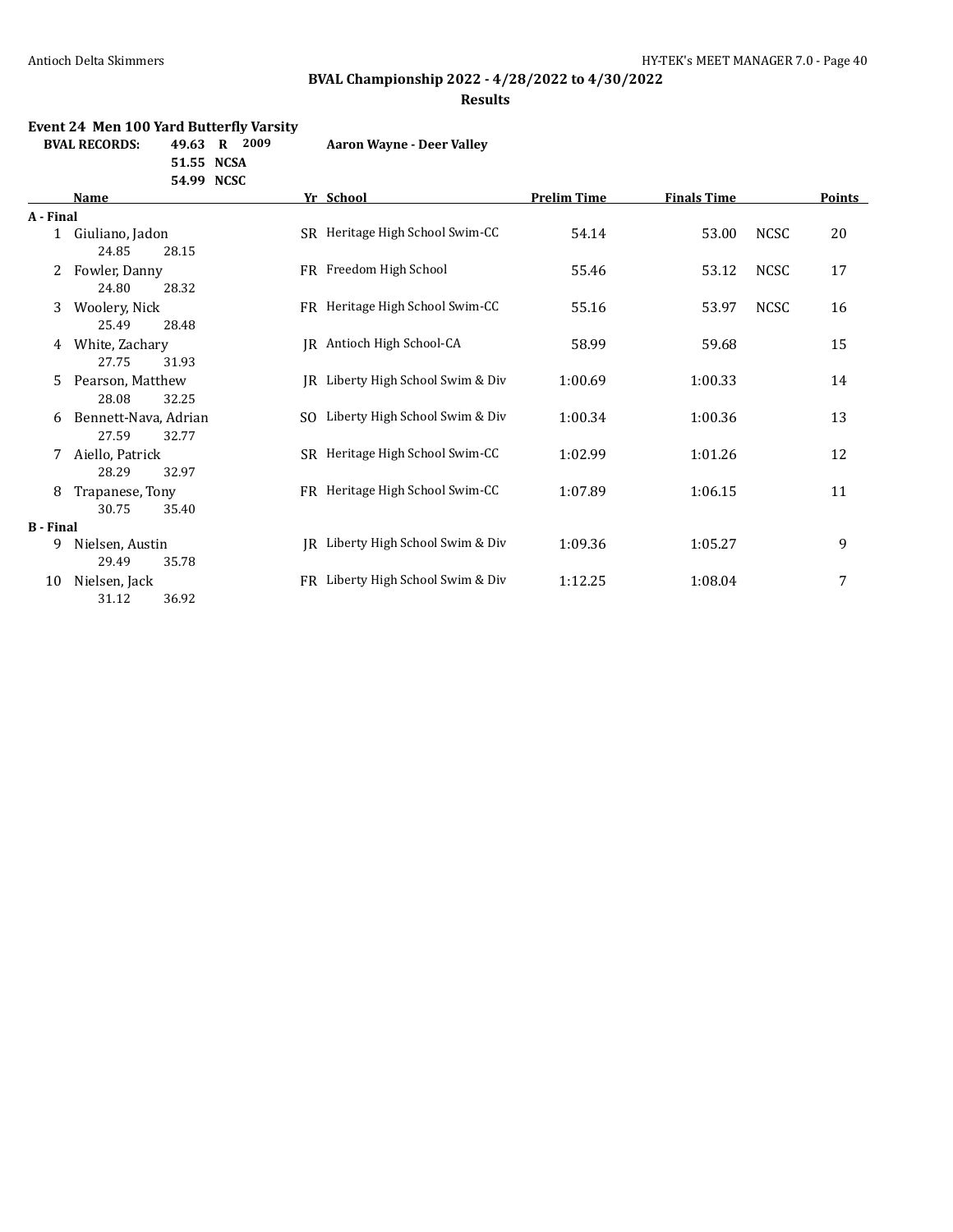### **BVAL Championship 2022 - 4/28/2022 to 4/30/2022**

**Results**

### **Event 24 Men 100 Yard Butterfly Varsity**

**BVAL RECORDS: 49.63 R 2009 Aaron Wayne - Deer Valley**

| 51.55 NCSA |  |
|------------|--|
| 54.99 NCSC |  |

|                  | Name                 |     | Yr School                         | <b>Prelim Time</b> | <b>Finals Time</b> |             | <b>Points</b> |
|------------------|----------------------|-----|-----------------------------------|--------------------|--------------------|-------------|---------------|
| A - Final        |                      |     |                                   |                    |                    |             |               |
| $\mathbf{1}$     | Giuliano, Jadon      |     | SR Heritage High School Swim-CC   | 54.14              | 53.00              | <b>NCSC</b> | 20            |
|                  | 24.85<br>28.15       |     |                                   |                    |                    |             |               |
|                  | Fowler, Danny        |     | FR Freedom High School            | 55.46              | 53.12              | <b>NCSC</b> | 17            |
|                  | 24.80<br>28.32       |     |                                   |                    |                    |             |               |
| 3                | Woolery, Nick        |     | FR Heritage High School Swim-CC   | 55.16              | 53.97              | <b>NCSC</b> | 16            |
|                  | 25.49<br>28.48       |     |                                   |                    |                    |             |               |
| 4                | White, Zachary       | IR  | Antioch High School-CA            | 58.99              | 59.68              |             | 15            |
|                  | 27.75<br>31.93       |     |                                   |                    |                    |             |               |
| 5                | Pearson, Matthew     | IR  | Liberty High School Swim & Div    | 1:00.69            | 1:00.33            |             | 14            |
|                  | 28.08<br>32.25       |     |                                   |                    |                    |             |               |
| 6                | Bennett-Nava, Adrian | SO. | Liberty High School Swim & Div    | 1:00.34            | 1:00.36            |             | 13            |
|                  | 27.59<br>32.77       |     |                                   |                    |                    |             |               |
| 7                | Aiello, Patrick      |     | SR Heritage High School Swim-CC   | 1:02.99            | 1:01.26            |             | 12            |
|                  | 28.29<br>32.97       |     |                                   |                    |                    |             |               |
| 8                | Trapanese, Tony      |     | FR Heritage High School Swim-CC   | 1:07.89            | 1:06.15            |             | 11            |
|                  | 30.75<br>35.40       |     |                                   |                    |                    |             |               |
| <b>B</b> - Final |                      |     |                                   |                    |                    |             |               |
| 9                | Nielsen, Austin      | IR  | Liberty High School Swim & Div    | 1:09.36            | 1:05.27            |             | 9             |
|                  | 29.49<br>35.78       |     |                                   |                    |                    |             |               |
| 10               | Nielsen, Jack        |     | FR Liberty High School Swim & Div | 1:12.25            | 1:08.04            |             | 7             |
|                  | 31.12<br>36.92       |     |                                   |                    |                    |             |               |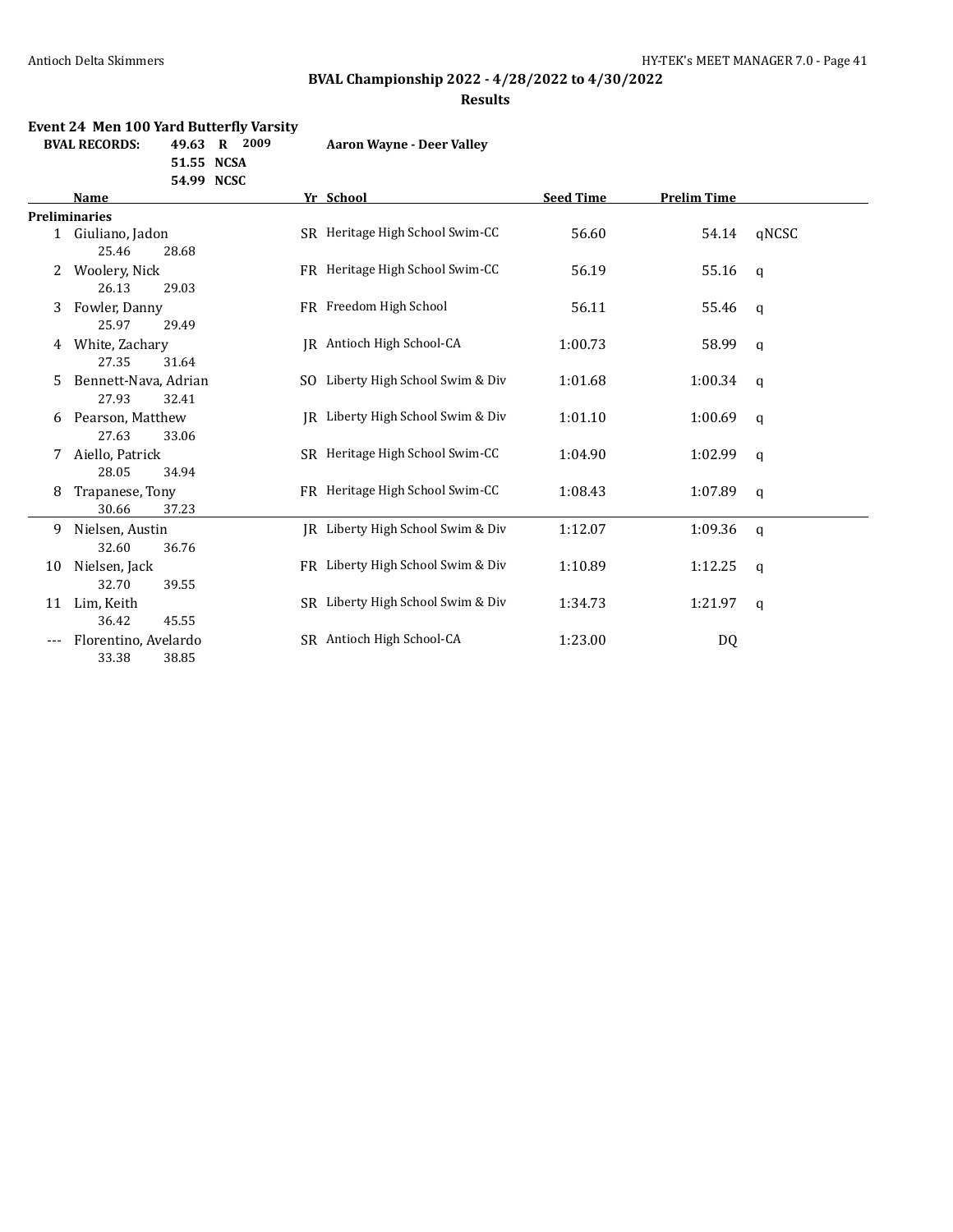### **BVAL Championship 2022 - 4/28/2022 to 4/30/2022**

**Results**

#### **Event 24 Men 100 Yard Butterfly Varsity**

**BVAL RECORDS: 49.63 R 2009 Aaron Wayne - Deer Valley**

**51.55 NCSA 54.99 NCSC**

|    | Name                 | Yr School                         | <b>Seed Time</b> | <b>Prelim Time</b>    |  |
|----|----------------------|-----------------------------------|------------------|-----------------------|--|
|    | <b>Preliminaries</b> |                                   |                  |                       |  |
|    | 1 Giuliano, Jadon    | SR Heritage High School Swim-CC   | 56.60            | qNCSC<br>54.14        |  |
|    | 25.46<br>28.68       |                                   |                  |                       |  |
| 2  | Woolery, Nick        | FR Heritage High School Swim-CC   | 56.19            | 55.16<br>$\mathbf{q}$ |  |
|    | 26.13<br>29.03       |                                   |                  |                       |  |
| 3  | Fowler, Danny        | FR Freedom High School            | 56.11            | 55.46<br>q            |  |
|    | 25.97<br>29.49       |                                   |                  |                       |  |
| 4  | White, Zachary       | IR Antioch High School-CA         | 1:00.73          | 58.99<br>q            |  |
|    | 27.35<br>31.64       |                                   |                  |                       |  |
| 5  | Bennett-Nava, Adrian | SO Liberty High School Swim & Div | 1:01.68          | 1:00.34<br>q          |  |
|    | 27.93<br>32.41       |                                   |                  |                       |  |
| 6  | Pearson, Matthew     | IR Liberty High School Swim & Div | 1:01.10          | 1:00.69<br>q          |  |
|    | 27.63<br>33.06       |                                   |                  |                       |  |
| 7  | Aiello, Patrick      | SR Heritage High School Swim-CC   | 1:04.90          | 1:02.99<br>q          |  |
|    | 28.05<br>34.94       |                                   |                  |                       |  |
| 8  | Trapanese, Tony      | FR Heritage High School Swim-CC   | 1:08.43          | 1:07.89<br>q          |  |
|    | 30.66<br>37.23       |                                   |                  |                       |  |
| 9  | Nielsen, Austin      | JR Liberty High School Swim & Div | 1:12.07          | 1:09.36<br>q          |  |
|    | 32.60<br>36.76       |                                   |                  |                       |  |
| 10 | Nielsen, Jack        | FR Liberty High School Swim & Div | 1:10.89          | 1:12.25<br>q          |  |
|    | 32.70<br>39.55       |                                   |                  |                       |  |
| 11 | Lim, Keith           | SR Liberty High School Swim & Div | 1:34.73          | 1:21.97<br>a          |  |
|    | 36.42<br>45.55       |                                   |                  |                       |  |
|    | Florentino, Avelardo | SR Antioch High School-CA         | 1:23.00          | DQ                    |  |
|    | 33.38<br>38.85       |                                   |                  |                       |  |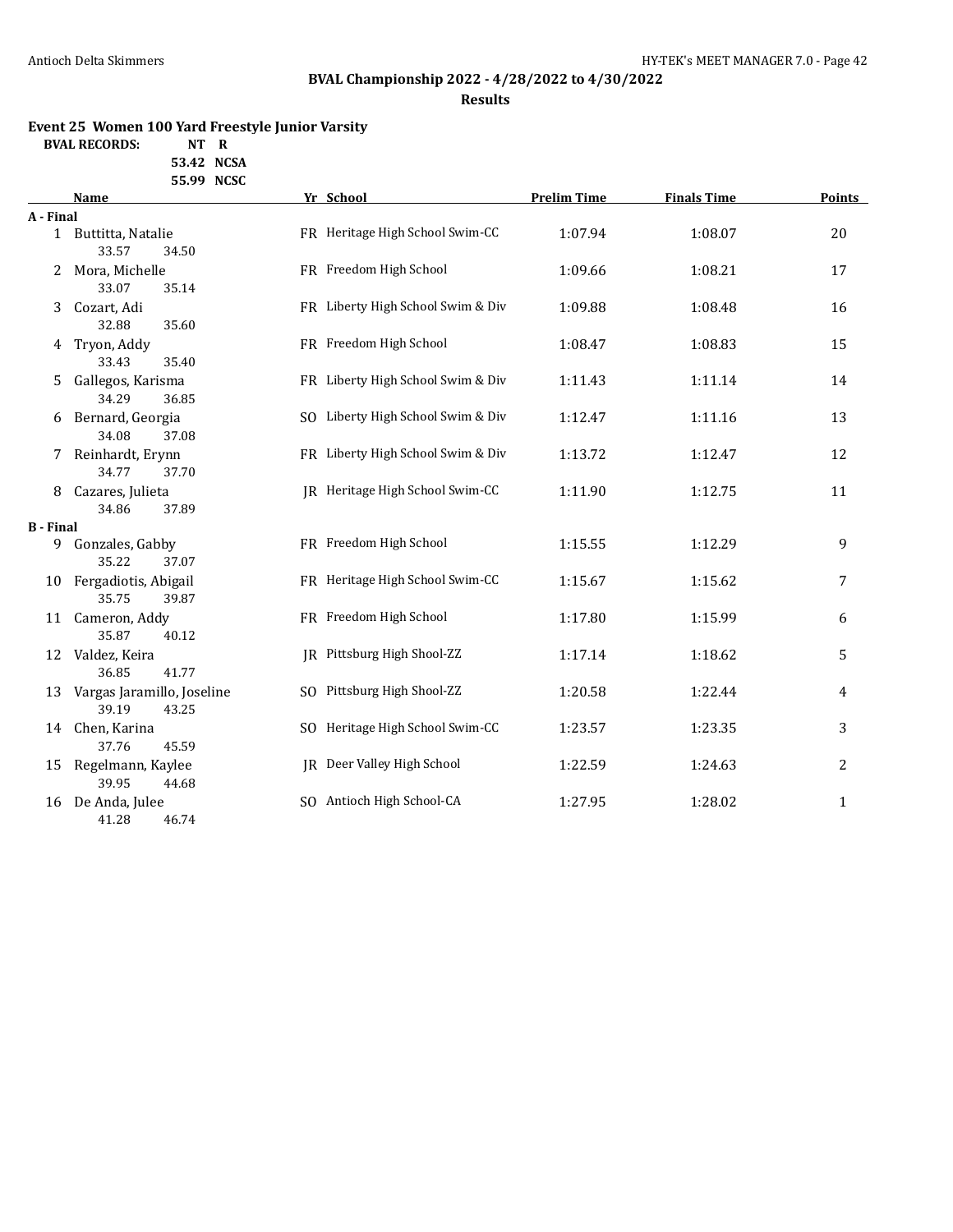# **BVAL Championship 2022 - 4/28/2022 to 4/30/2022**

#### **Results**

### **Event 25 Women 100 Yard Freestyle Junior Varsity**

**BVAL RECORDS: NT R**

**53.42 NCSA 55.99 NCSC**

|                  | <b>Name</b>                                  | Yr School                         | <b>Prelim Time</b> | <b>Finals Time</b> | <b>Points</b>  |
|------------------|----------------------------------------------|-----------------------------------|--------------------|--------------------|----------------|
| A - Final        |                                              |                                   |                    |                    |                |
|                  | 1 Buttitta, Natalie<br>33.57<br>34.50        | FR Heritage High School Swim-CC   | 1:07.94            | 1:08.07            | 20             |
| 2                | Mora, Michelle<br>33.07<br>35.14             | FR Freedom High School            | 1:09.66            | 1:08.21            | 17             |
| 3                | Cozart, Adi<br>32.88<br>35.60                | FR Liberty High School Swim & Div | 1:09.88            | 1:08.48            | 16             |
| 4                | Tryon, Addy<br>33.43<br>35.40                | FR Freedom High School            | 1:08.47            | 1:08.83            | 15             |
| 5.               | Gallegos, Karisma<br>34.29<br>36.85          | FR Liberty High School Swim & Div | 1:11.43            | 1:11.14            | 14             |
| 6                | Bernard, Georgia<br>34.08<br>37.08           | SO Liberty High School Swim & Div | 1:12.47            | 1:11.16            | 13             |
|                  | Reinhardt, Erynn<br>34.77<br>37.70           | FR Liberty High School Swim & Div | 1:13.72            | 1:12.47            | 12             |
| 8                | Cazares, Julieta<br>34.86<br>37.89           | JR Heritage High School Swim-CC   | 1:11.90            | 1:12.75            | 11             |
| <b>B</b> - Final |                                              |                                   |                    |                    |                |
|                  | 9 Gonzales, Gabby<br>35.22<br>37.07          | FR Freedom High School            | 1:15.55            | 1:12.29            | 9              |
|                  | 10 Fergadiotis, Abigail<br>35.75<br>39.87    | FR Heritage High School Swim-CC   | 1:15.67            | 1:15.62            | 7              |
|                  | 11 Cameron, Addy<br>35.87<br>40.12           | FR Freedom High School            | 1:17.80            | 1:15.99            | 6              |
|                  | 12 Valdez, Keira<br>36.85<br>41.77           | IR Pittsburg High Shool-ZZ        | 1:17.14            | 1:18.62            | 5              |
| 13               | Vargas Jaramillo, Joseline<br>39.19<br>43.25 | SO Pittsburg High Shool-ZZ        | 1:20.58            | 1:22.44            | 4              |
| 14               | Chen, Karina<br>37.76<br>45.59               | SO Heritage High School Swim-CC   | 1:23.57            | 1:23.35            | 3              |
| 15               | Regelmann, Kaylee<br>39.95<br>44.68          | JR Deer Valley High School        | 1:22.59            | 1:24.63            | $\overline{c}$ |
| 16               | De Anda, Julee<br>41.28<br>46.74             | SO Antioch High School-CA         | 1:27.95            | 1:28.02            | $\mathbf{1}$   |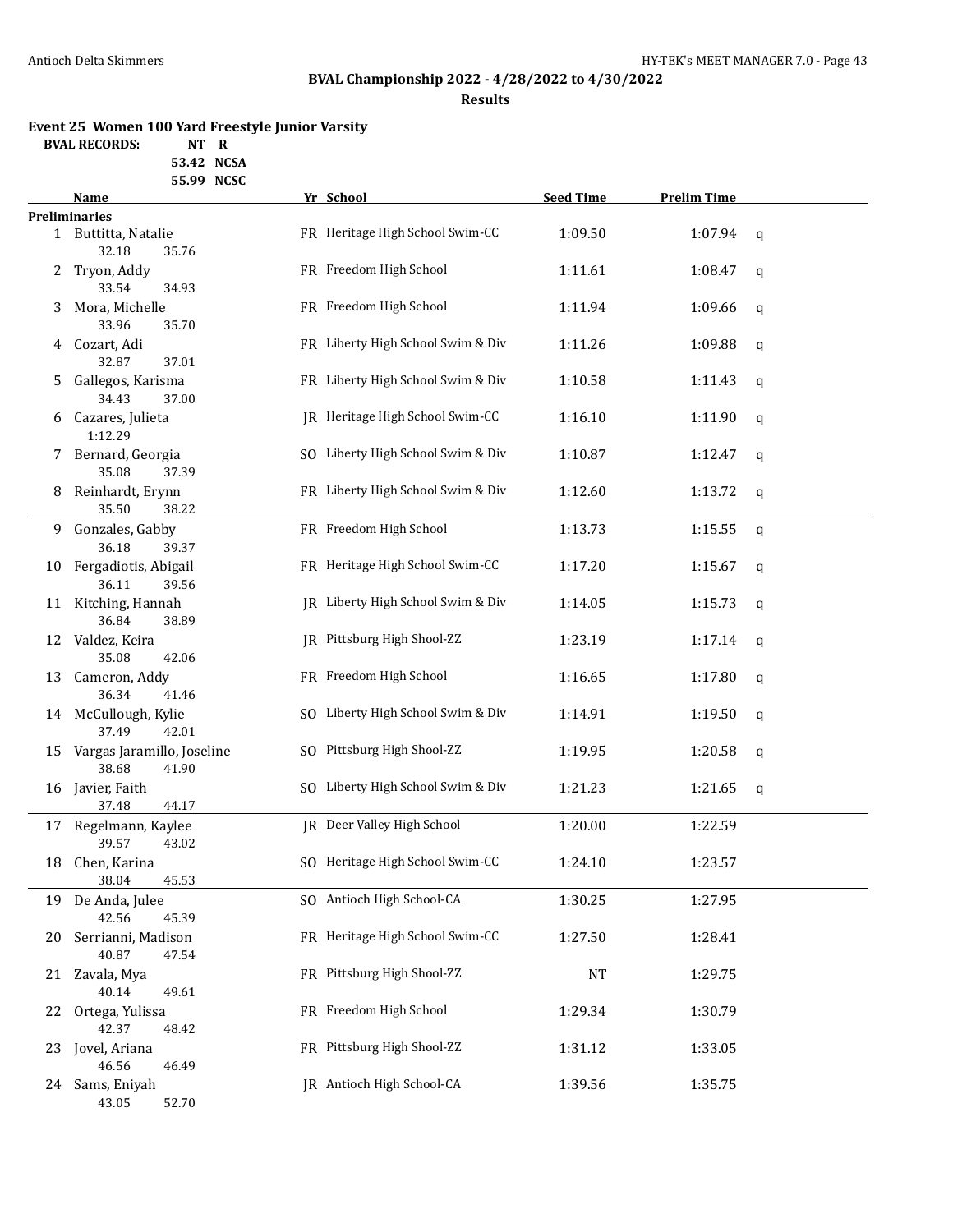# **BVAL Championship 2022 - 4/28/2022 to 4/30/2022**

**Results**

### **Event 25 Women 100 Yard Freestyle Junior Varsity**

**BVAL RECORDS: NT R**

**53.42 NCSA 55.99 NCSC**

|    | Name                                                 | Yr School                         | <b>Seed Time</b> | <b>Prelim Time</b> |             |
|----|------------------------------------------------------|-----------------------------------|------------------|--------------------|-------------|
|    | <b>Preliminaries</b>                                 |                                   |                  |                    |             |
|    | 1 Buttitta, Natalie<br>32.18<br>35.76                | FR Heritage High School Swim-CC   | 1:09.50          | 1:07.94            | $\mathbf q$ |
| 2  | Tryon, Addy                                          | FR Freedom High School            | 1:11.61          | 1:08.47            | q           |
| 3  | 33.54<br>34.93<br>Mora, Michelle                     | FR Freedom High School            | 1:11.94          | 1:09.66            | $\mathbf q$ |
| 4  | 33.96<br>35.70<br>Cozart, Adi                        | FR Liberty High School Swim & Div | 1:11.26          | 1:09.88            | q           |
| 5  | 32.87<br>37.01<br>Gallegos, Karisma                  | FR Liberty High School Swim & Div | 1:10.58          | 1:11.43            | q           |
| 6  | 34.43<br>37.00<br>Cazares, Julieta                   | JR Heritage High School Swim-CC   | 1:16.10          | 1:11.90            | q           |
| 7  | 1:12.29<br>Bernard, Georgia                          | SO Liberty High School Swim & Div | 1:10.87          | 1:12.47            | q           |
| 8  | 35.08<br>37.39<br>Reinhardt, Erynn<br>35.50<br>38.22 | FR Liberty High School Swim & Div | 1:12.60          | 1:13.72            | q           |
| 9. | Gonzales, Gabby<br>36.18<br>39.37                    | FR Freedom High School            | 1:13.73          | 1:15.55            | q           |
| 10 | Fergadiotis, Abigail<br>36.11<br>39.56               | FR Heritage High School Swim-CC   | 1:17.20          | 1:15.67            | q           |
| 11 | Kitching, Hannah<br>36.84<br>38.89                   | JR Liberty High School Swim & Div | 1:14.05          | 1:15.73            | q           |
| 12 | Valdez, Keira<br>35.08<br>42.06                      | JR Pittsburg High Shool-ZZ        | 1:23.19          | 1:17.14            | q           |
| 13 | Cameron, Addy<br>36.34<br>41.46                      | FR Freedom High School            | 1:16.65          | 1:17.80            | q           |
| 14 | McCullough, Kylie<br>37.49<br>42.01                  | SO Liberty High School Swim & Div | 1:14.91          | 1:19.50            | q           |
| 15 | Vargas Jaramillo, Joseline<br>38.68<br>41.90         | SO Pittsburg High Shool-ZZ        | 1:19.95          | 1:20.58            | $\mathbf q$ |
| 16 | Javier, Faith<br>37.48<br>44.17                      | SO Liberty High School Swim & Div | 1:21.23          | 1:21.65            | $\mathbf q$ |
|    | 17 Regelmann, Kaylee<br>39.57<br>43.02               | JR Deer Valley High School        | 1:20.00          | 1:22.59            |             |
| 18 | Chen, Karina<br>38.04<br>45.53                       | SO Heritage High School Swim-CC   | 1:24.10          | 1:23.57            |             |
| 19 | De Anda, Julee<br>42.56<br>45.39                     | SO Antioch High School-CA         | 1:30.25          | 1:27.95            |             |
| 20 | Serrianni, Madison<br>40.87<br>47.54                 | FR Heritage High School Swim-CC   | 1:27.50          | 1:28.41            |             |
| 21 | Zavala, Mya<br>40.14<br>49.61                        | FR Pittsburg High Shool-ZZ        | <b>NT</b>        | 1:29.75            |             |
| 22 | Ortega, Yulissa<br>42.37<br>48.42                    | FR Freedom High School            | 1:29.34          | 1:30.79            |             |
| 23 | Jovel, Ariana<br>46.56<br>46.49                      | FR Pittsburg High Shool-ZZ        | 1:31.12          | 1:33.05            |             |
| 24 | Sams, Eniyah<br>43.05<br>52.70                       | JR Antioch High School-CA         | 1:39.56          | 1:35.75            |             |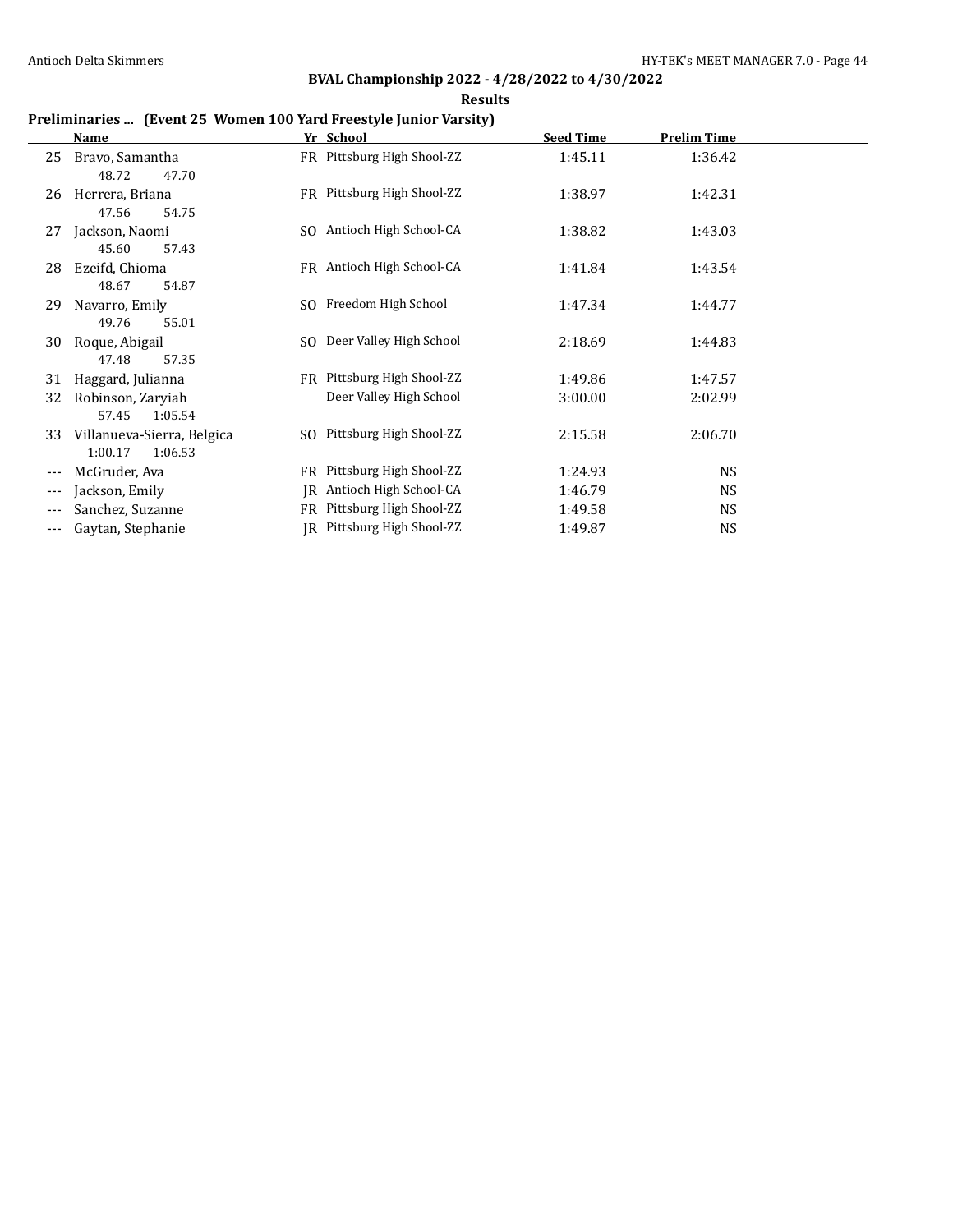**Results**

### **Preliminaries ... (Event 25 Women 100 Yard Freestyle Junior Varsity)**

|                     | Name                                             |     | Yr School                  | <b>Seed Time</b> | <b>Prelim Time</b> |  |
|---------------------|--------------------------------------------------|-----|----------------------------|------------------|--------------------|--|
| 25                  | Bravo, Samantha<br>48.72<br>47.70                |     | FR Pittsburg High Shool-ZZ | 1:45.11          | 1:36.42            |  |
| 26                  | Herrera, Briana<br>47.56<br>54.75                |     | FR Pittsburg High Shool-ZZ | 1:38.97          | 1:42.31            |  |
| 27                  | Jackson, Naomi<br>45.60<br>57.43                 | SO. | Antioch High School-CA     | 1:38.82          | 1:43.03            |  |
| 28                  | Ezeifd, Chioma<br>54.87<br>48.67                 |     | FR Antioch High School-CA  | 1:41.84          | 1:43.54            |  |
| 29                  | Navarro, Emily<br>49.76<br>55.01                 |     | SO Freedom High School     | 1:47.34          | 1:44.77            |  |
| 30                  | Roque, Abigail<br>47.48<br>57.35                 | SO. | Deer Valley High School    | 2:18.69          | 1:44.83            |  |
| 31                  | Haggard, Julianna                                |     | FR Pittsburg High Shool-ZZ | 1:49.86          | 1:47.57            |  |
| 32                  | Robinson, Zaryiah<br>57.45<br>1:05.54            |     | Deer Valley High School    | 3:00.00          | 2:02.99            |  |
| 33                  | Villanueva-Sierra, Belgica<br>1:00.17<br>1:06.53 | SO. | Pittsburg High Shool-ZZ    | 2:15.58          | 2:06.70            |  |
| $---$               | McGruder, Ava                                    | FR  | Pittsburg High Shool-ZZ    | 1:24.93          | <b>NS</b>          |  |
|                     | Jackson, Emily                                   | IR  | Antioch High School-CA     | 1:46.79          | <b>NS</b>          |  |
|                     | Sanchez, Suzanne                                 | FR  | Pittsburg High Shool-ZZ    | 1:49.58          | <b>NS</b>          |  |
| $\qquad \qquad - -$ | Gaytan, Stephanie                                |     | IR Pittsburg High Shool-ZZ | 1:49.87          | <b>NS</b>          |  |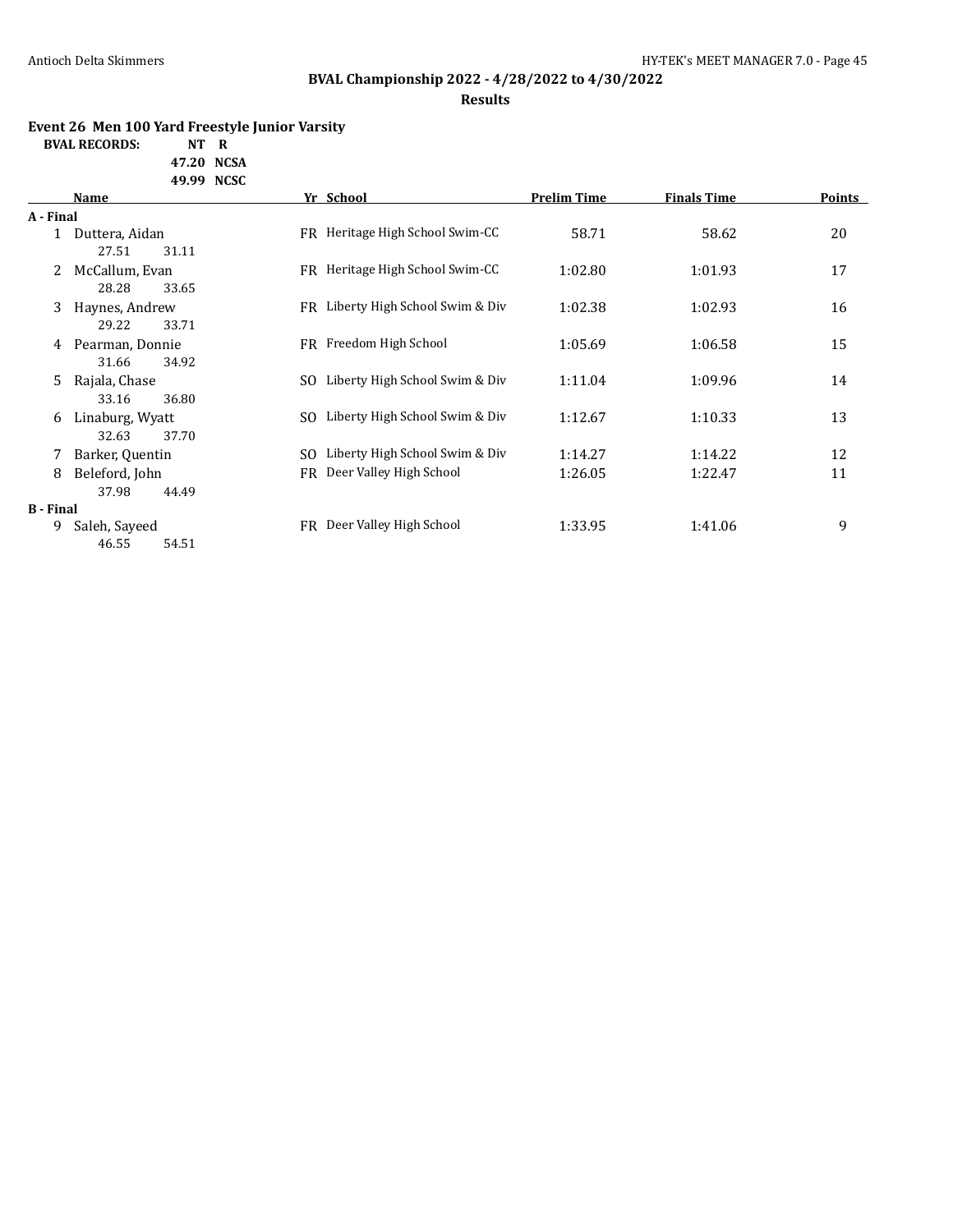# **BVAL Championship 2022 - 4/28/2022 to 4/30/2022**

#### **Results**

### **Event 26 Men 100 Yard Freestyle Junior Varsity**

**BVAL RECORDS: NT R**

**47.20 NCSA 49.99 NCSC**

|                  | Name            |     | Yr School                         | <b>Prelim Time</b> | <b>Finals Time</b> | Points |
|------------------|-----------------|-----|-----------------------------------|--------------------|--------------------|--------|
| A - Final        |                 |     |                                   |                    |                    |        |
|                  | Duttera, Aidan  |     | FR Heritage High School Swim-CC   | 58.71              | 58.62              | 20     |
|                  | 27.51<br>31.11  |     |                                   |                    |                    |        |
| 2                | McCallum, Evan  |     | FR Heritage High School Swim-CC   | 1:02.80            | 1:01.93            | 17     |
|                  | 28.28<br>33.65  |     |                                   |                    |                    |        |
| 3                | Haynes, Andrew  |     | FR Liberty High School Swim & Div | 1:02.38            | 1:02.93            | 16     |
|                  | 29.22<br>33.71  |     |                                   |                    |                    |        |
| 4                | Pearman, Donnie |     | FR Freedom High School            | 1:05.69            | 1:06.58            | 15     |
|                  | 31.66<br>34.92  |     |                                   |                    |                    |        |
| 5.               | Rajala, Chase   | SO. | Liberty High School Swim & Div    | 1:11.04            | 1:09.96            | 14     |
|                  | 33.16<br>36.80  |     |                                   |                    |                    |        |
| 6                | Linaburg, Wyatt | SO. | Liberty High School Swim & Div    | 1:12.67            | 1:10.33            | 13     |
|                  | 32.63<br>37.70  |     |                                   |                    |                    |        |
| 7.               | Barker, Quentin | SO. | Liberty High School Swim & Div    | 1:14.27            | 1:14.22            | 12     |
| 8                | Beleford, John  | FR  | Deer Valley High School           | 1:26.05            | 1:22.47            | 11     |
|                  | 37.98<br>44.49  |     |                                   |                    |                    |        |
| <b>B</b> - Final |                 |     |                                   |                    |                    |        |
| 9                | Saleh, Sayeed   | FR. | Deer Valley High School           | 1:33.95            | 1:41.06            | 9      |
|                  | 46.55<br>54.51  |     |                                   |                    |                    |        |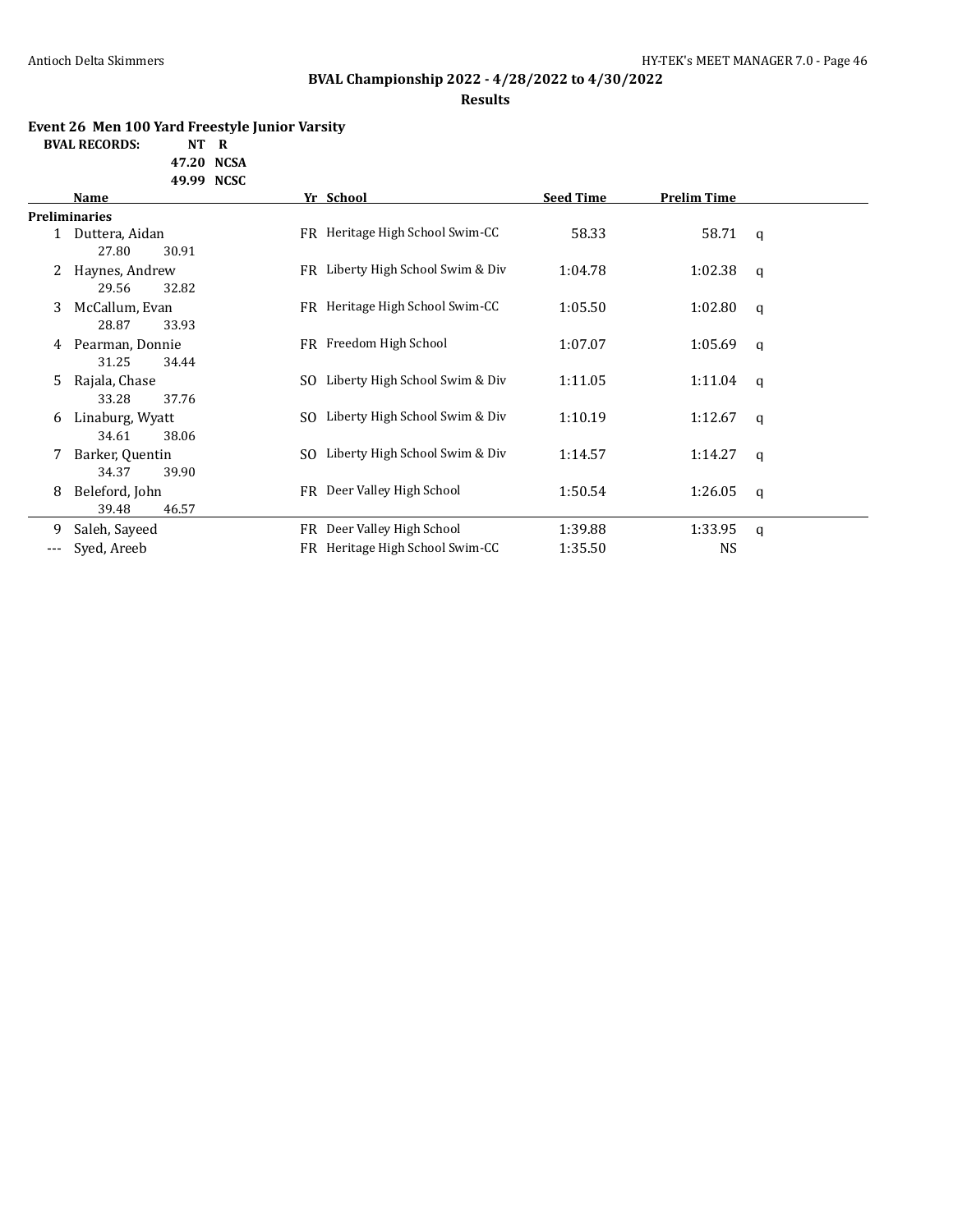# **BVAL Championship 2022 - 4/28/2022 to 4/30/2022**

**Results**

### **Event 26 Men 100 Yard Freestyle Junior Varsity**

**BVAL RECORDS: NT R 47.20 NCSA**

**49.99 NCSC**

|              | <b>Name</b>          |     | Yr School                         | <b>Seed Time</b> | <b>Prelim Time</b> |              |
|--------------|----------------------|-----|-----------------------------------|------------------|--------------------|--------------|
|              | <b>Preliminaries</b> |     |                                   |                  |                    |              |
| $\mathbf{1}$ | Duttera, Aidan       |     | FR Heritage High School Swim-CC   | 58.33            | 58.71 q            |              |
|              | 27.80<br>30.91       |     |                                   |                  |                    |              |
| 2            | Haynes, Andrew       | FR  | Liberty High School Swim & Div    | 1:04.78          | 1:02.38            | $\mathsf{q}$ |
|              | 29.56<br>32.82       |     |                                   |                  |                    |              |
| 3            | McCallum, Evan       |     | FR Heritage High School Swim-CC   | 1:05.50          | 1:02.80            | $\mathsf{q}$ |
|              | 28.87<br>33.93       |     |                                   |                  |                    |              |
| 4            | Pearman, Donnie      |     | FR Freedom High School            | 1:07.07          | 1:05.69            | $\mathsf{q}$ |
|              | 31.25<br>34.44       |     |                                   |                  |                    |              |
| 5.           | Rajala, Chase        | SO. | Liberty High School Swim & Div    | 1:11.05          | 1:11.04            | q            |
|              | 33.28<br>37.76       |     |                                   |                  |                    |              |
| 6            | Linaburg, Wyatt      | SO. | Liberty High School Swim & Div    | 1:10.19          | 1:12.67            | $\mathsf{q}$ |
|              | 34.61<br>38.06       |     |                                   |                  |                    |              |
|              | Barker, Quentin      |     | SO Liberty High School Swim & Div | 1:14.57          | 1:14.27            | $\mathsf{q}$ |
|              | 34.37<br>39.90       |     |                                   |                  |                    |              |
| 8            | Beleford, John       |     | FR Deer Valley High School        | 1:50.54          | 1:26.05            | $\mathsf{q}$ |
|              | 39.48<br>46.57       |     |                                   |                  |                    |              |
| 9            | Saleh, Sayeed        | FR  | Deer Valley High School           | 1:39.88          | 1:33.95            | $\mathsf{q}$ |
| ---          | Syed, Areeb          | FR  | Heritage High School Swim-CC      | 1:35.50          | <b>NS</b>          |              |
|              |                      |     |                                   |                  |                    |              |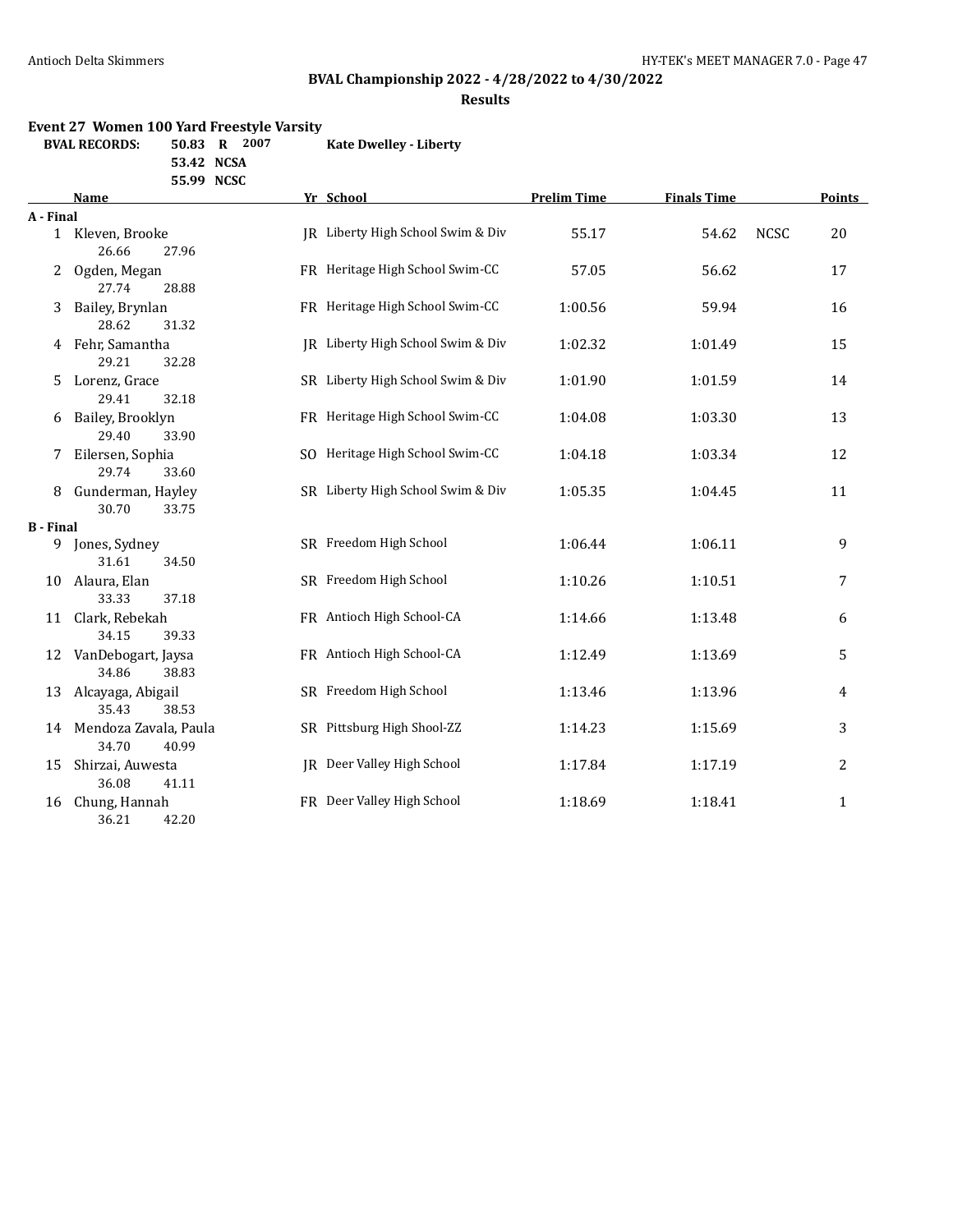# **BVAL Championship 2022 - 4/28/2022 to 4/30/2022**

**Results**

#### **Event 27 Women 100 Yard Freestyle Varsity**

| <b>BVAL RECORDS:</b> | 50.83 R    | -2007 | <b>Kate Dwelley - Liberty</b> |
|----------------------|------------|-------|-------------------------------|
|                      | 53.42 NCSA |       |                               |

**55.99 NCSC**

|                  | Name                                    | Yr School                         | <b>Prelim Time</b> | <b>Finals Time</b> | <b>Points</b>     |              |
|------------------|-----------------------------------------|-----------------------------------|--------------------|--------------------|-------------------|--------------|
| A - Final        |                                         |                                   |                    |                    |                   |              |
|                  | 1 Kleven, Brooke<br>26.66<br>27.96      | IR Liberty High School Swim & Div | 55.17              | 54.62              | <b>NCSC</b><br>20 |              |
| 2                | Ogden, Megan<br>27.74<br>28.88          | FR Heritage High School Swim-CC   | 57.05              | 56.62              | 17                |              |
| 3                | Bailey, Brynlan<br>28.62<br>31.32       | FR Heritage High School Swim-CC   | 1:00.56            | 59.94              | 16                |              |
| 4                | Fehr, Samantha<br>29.21<br>32.28        | JR Liberty High School Swim & Div | 1:02.32            | 1:01.49            | 15                |              |
| 5.               | Lorenz, Grace<br>29.41<br>32.18         | SR Liberty High School Swim & Div | 1:01.90            | 1:01.59            | 14                |              |
| 6                | Bailey, Brooklyn<br>29.40<br>33.90      | FR Heritage High School Swim-CC   | 1:04.08            | 1:03.30            | 13                |              |
|                  | Eilersen, Sophia<br>29.74<br>33.60      | SO Heritage High School Swim-CC   | 1:04.18            | 1:03.34            | 12                |              |
| 8                | Gunderman, Hayley<br>30.70<br>33.75     | SR Liberty High School Swim & Div | 1:05.35            | 1:04.45            | 11                |              |
| <b>B</b> - Final |                                         |                                   |                    |                    |                   |              |
|                  | 9 Jones, Sydney<br>31.61<br>34.50       | SR Freedom High School            | 1:06.44            | 1:06.11            |                   | 9            |
| 10               | Alaura, Elan<br>33.33<br>37.18          | SR Freedom High School            | 1:10.26            | 1:10.51            |                   | 7            |
| 11               | Clark, Rebekah<br>34.15<br>39.33        | FR Antioch High School-CA         | 1:14.66            | 1:13.48            |                   | 6            |
| 12               | VanDebogart, Jaysa<br>34.86<br>38.83    | FR Antioch High School-CA         | 1:12.49            | 1:13.69            |                   | 5            |
| 13               | Alcayaga, Abigail<br>35.43<br>38.53     | SR Freedom High School            | 1:13.46            | 1:13.96            |                   | 4            |
| 14               | Mendoza Zavala, Paula<br>34.70<br>40.99 | SR Pittsburg High Shool-ZZ        | 1:14.23            | 1:15.69            |                   | 3            |
| 15               | Shirzai, Auwesta<br>36.08<br>41.11      | JR Deer Valley High School        | 1:17.84            | 1:17.19            |                   | 2            |
| 16               | Chung, Hannah<br>36.21<br>42.20         | FR Deer Valley High School        | 1:18.69            | 1:18.41            |                   | $\mathbf{1}$ |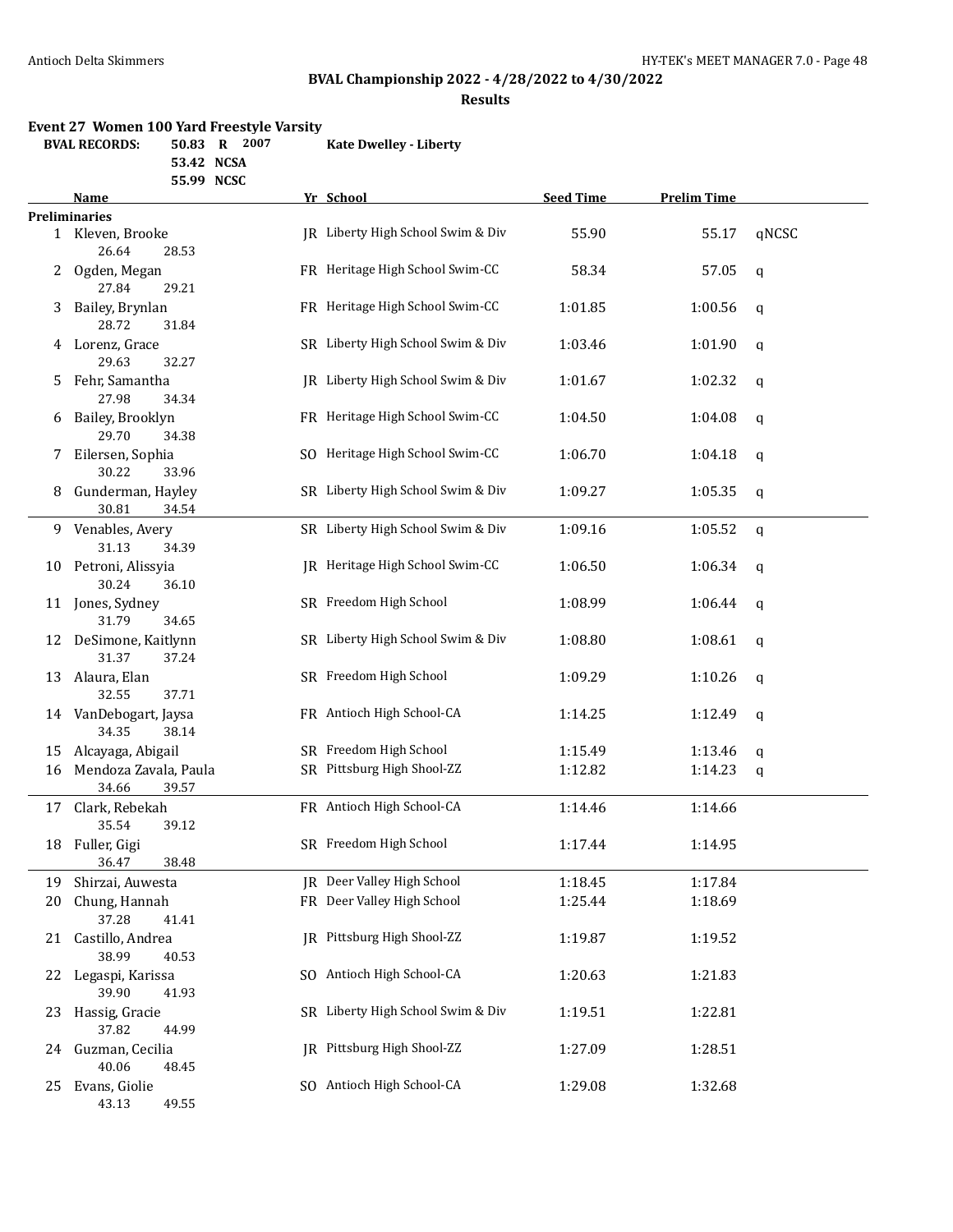# **BVAL Championship 2022 - 4/28/2022 to 4/30/2022**

**Results**

#### **Event 27 Women 100 Yard Freestyle Varsity**

| <b>BVAL RECORDS:</b> | 50.83 R    | 2007 | <b>Kate Dwelley - Liberty</b> |
|----------------------|------------|------|-------------------------------|
|                      | 53.42 NCSA |      |                               |

**55.99 NCSC**

|    | Name                                    | Yr School                         | <b>Seed Time</b> | <b>Prelim Time</b> |             |
|----|-----------------------------------------|-----------------------------------|------------------|--------------------|-------------|
|    | <b>Preliminaries</b>                    |                                   |                  |                    |             |
|    | 1 Kleven, Brooke<br>26.64<br>28.53      | JR Liberty High School Swim & Div | 55.90            | 55.17              | qNCSC       |
| 2  | Ogden, Megan<br>27.84<br>29.21          | FR Heritage High School Swim-CC   | 58.34            | 57.05              | q           |
| 3  | Bailey, Brynlan<br>28.72<br>31.84       | FR Heritage High School Swim-CC   | 1:01.85          | 1:00.56            | q           |
|    | 4 Lorenz, Grace<br>29.63<br>32.27       | SR Liberty High School Swim & Div | 1:03.46          | 1:01.90            | q           |
| 5. | Fehr, Samantha<br>27.98<br>34.34        | JR Liberty High School Swim & Div | 1:01.67          | 1:02.32            | q           |
| 6  | Bailey, Brooklyn<br>29.70<br>34.38      | FR Heritage High School Swim-CC   | 1:04.50          | 1:04.08            | q           |
| 7  | Eilersen, Sophia<br>30.22<br>33.96      | SO Heritage High School Swim-CC   | 1:06.70          | 1:04.18            | $\mathsf q$ |
| 8  | Gunderman, Hayley<br>30.81<br>34.54     | SR Liberty High School Swim & Div | 1:09.27          | 1:05.35            | q           |
| 9. | Venables, Avery<br>31.13<br>34.39       | SR Liberty High School Swim & Div | 1:09.16          | 1:05.52            | q           |
|    | 10 Petroni, Alissyia<br>30.24<br>36.10  | IR Heritage High School Swim-CC   | 1:06.50          | 1:06.34            | q           |
|    | 11 Jones, Sydney<br>31.79<br>34.65      | SR Freedom High School            | 1:08.99          | 1:06.44            | q           |
|    | 12 DeSimone, Kaitlynn<br>31.37<br>37.24 | SR Liberty High School Swim & Div | 1:08.80          | 1:08.61            | $\mathbf q$ |
|    | 13 Alaura, Elan<br>32.55<br>37.71       | SR Freedom High School            | 1:09.29          | 1:10.26            | q           |
|    | 14 VanDebogart, Jaysa<br>34.35<br>38.14 | FR Antioch High School-CA         | 1:14.25          | 1:12.49            | q           |
| 15 | Alcayaga, Abigail                       | SR Freedom High School            | 1:15.49          | 1:13.46            | q           |
| 16 | Mendoza Zavala, Paula<br>34.66<br>39.57 | SR Pittsburg High Shool-ZZ        | 1:12.82          | 1:14.23            | q           |
| 17 | Clark, Rebekah<br>35.54<br>39.12        | FR Antioch High School-CA         | 1:14.46          | 1:14.66            |             |
| 18 | Fuller, Gigi<br>36.47<br>38.48          | SR Freedom High School            | 1:17.44          | 1:14.95            |             |
| 19 | Shirzai, Auwesta                        | JR Deer Valley High School        | 1:18.45          | 1:17.84            |             |
| 20 | Chung, Hannah<br>37.28<br>41.41         | FR Deer Valley High School        | 1:25.44          | 1:18.69            |             |
| 21 | Castillo, Andrea<br>38.99<br>40.53      | JR Pittsburg High Shool-ZZ        | 1:19.87          | 1:19.52            |             |
| 22 | Legaspi, Karissa<br>39.90<br>41.93      | SO Antioch High School-CA         | 1:20.63          | 1:21.83            |             |
| 23 | Hassig, Gracie<br>37.82<br>44.99        | SR Liberty High School Swim & Div | 1:19.51          | 1:22.81            |             |
| 24 | Guzman, Cecilia<br>40.06<br>48.45       | JR Pittsburg High Shool-ZZ        | 1:27.09          | 1:28.51            |             |
| 25 | Evans, Giolie<br>43.13<br>49.55         | SO Antioch High School-CA         | 1:29.08          | 1:32.68            |             |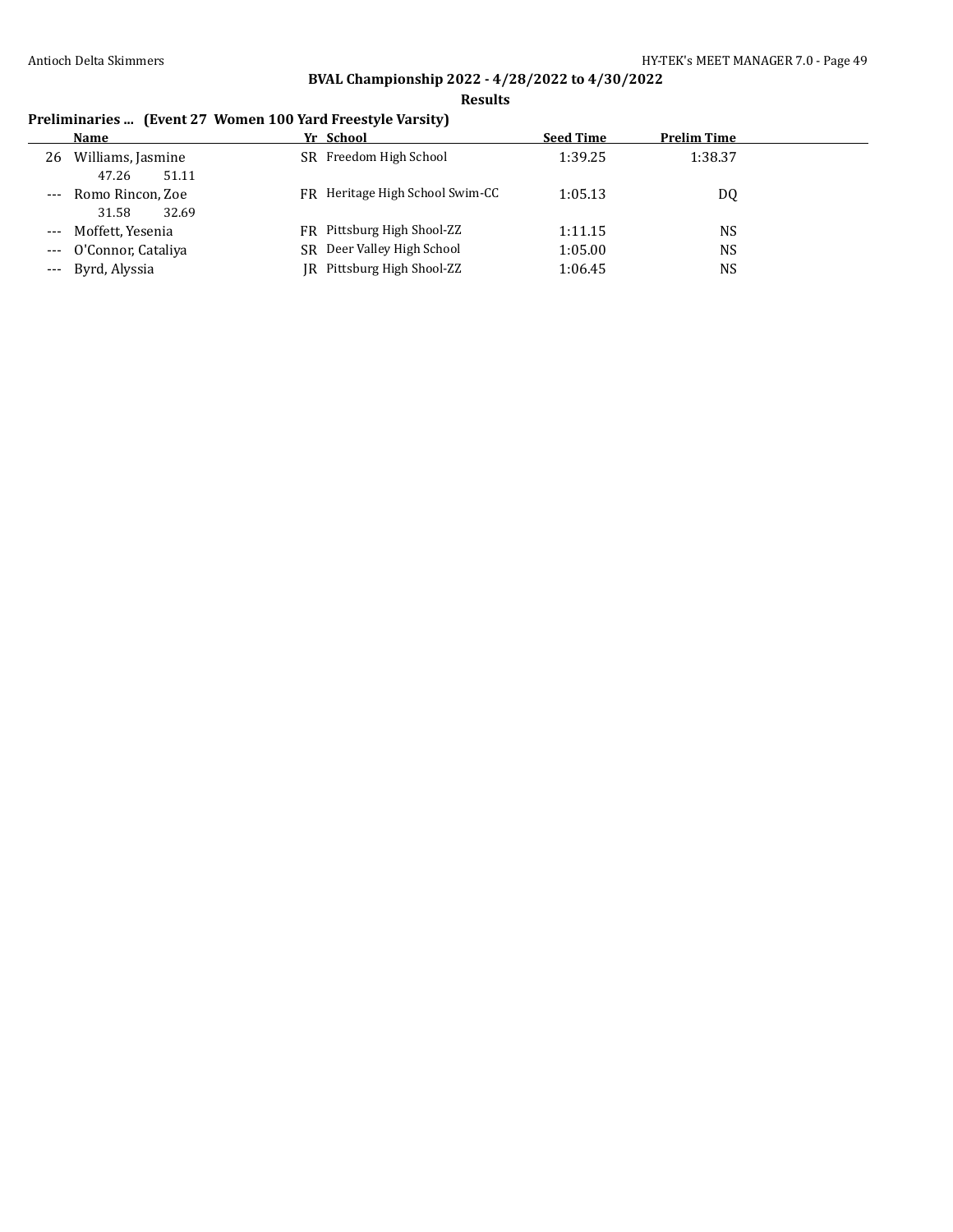**Results**

# **Preliminaries ... (Event 27 Women 100 Yard Freestyle Varsity)**

|       | <b>Name</b>                         | Yr School                       | <b>Seed Time</b> | <b>Prelim Time</b> |
|-------|-------------------------------------|---------------------------------|------------------|--------------------|
| 26    | Williams, Jasmine<br>51.11<br>47.26 | SR Freedom High School          | 1:39.25          | 1:38.37            |
| $---$ | Romo Rincon, Zoe<br>32.69<br>31.58  | FR Heritage High School Swim-CC | 1:05.13          | DQ                 |
|       | --- Moffett, Yesenia                | FR Pittsburg High Shool-ZZ      | 1:11.15          | NS                 |
|       | --- O'Connor, Cataliya              | SR Deer Valley High School      | 1:05.00          | NS                 |
|       | --- Byrd, Alyssia                   | JR Pittsburg High Shool-ZZ      | 1:06.45          | NS                 |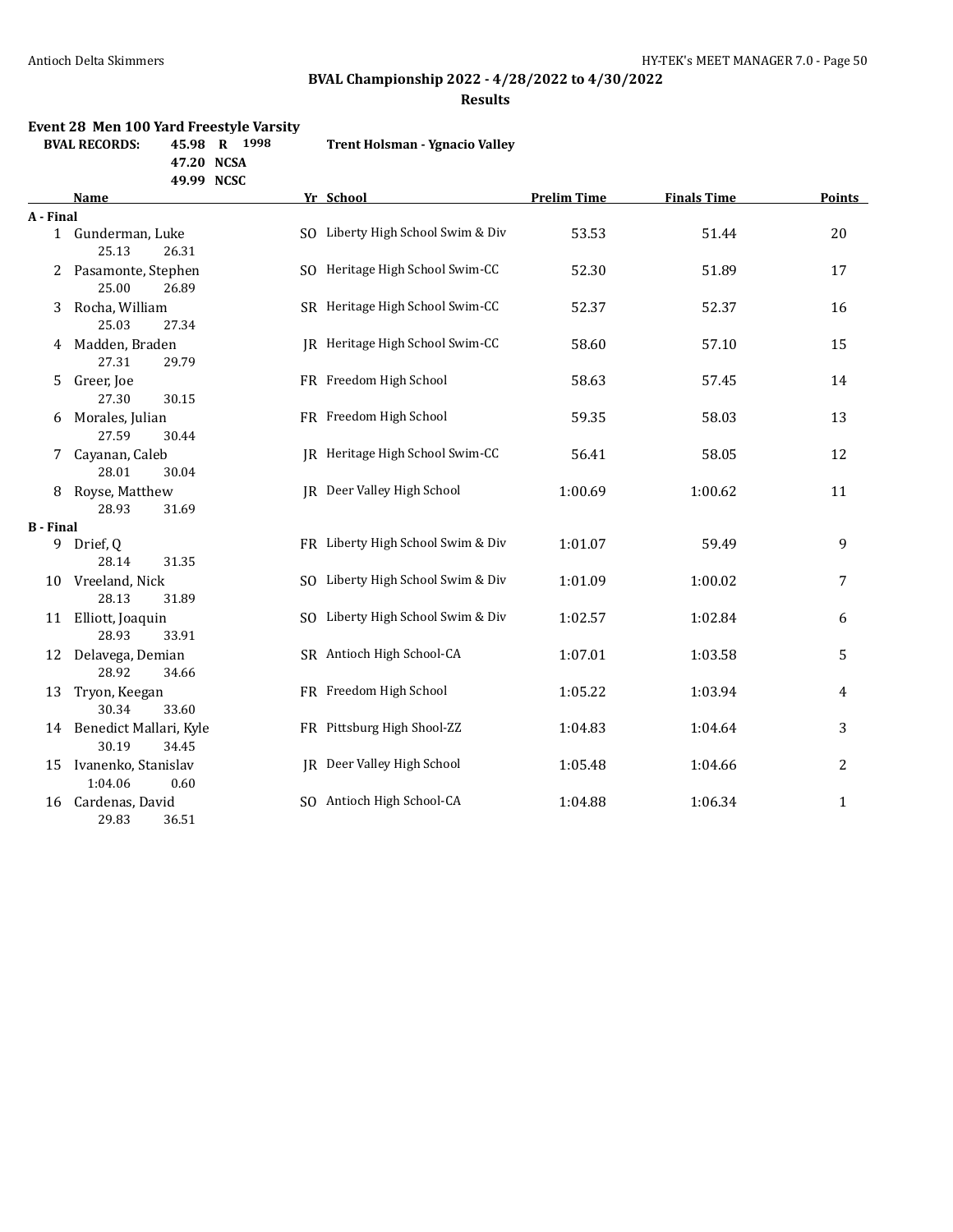# **BVAL Championship 2022 - 4/28/2022 to 4/30/2022**

**Results**

# **Event 28 Men 100 Yard Freestyle Varsity**

**47.20 NCSA**

| <b>BVAL RECORDS:</b> | 45.98 R 1998 |  | <b>Trent Holsman - Ygnacio Valley</b> |
|----------------------|--------------|--|---------------------------------------|
|                      |              |  |                                       |

|                  | 47.ZU NGJA                                  |                                   |                    |                    |               |
|------------------|---------------------------------------------|-----------------------------------|--------------------|--------------------|---------------|
|                  | 49.99 NCSC                                  |                                   |                    |                    |               |
|                  | Name                                        | Yr School                         | <b>Prelim Time</b> | <b>Finals Time</b> | <b>Points</b> |
| A - Final        |                                             |                                   |                    |                    |               |
|                  | 1 Gunderman, Luke<br>25.13<br>26.31         | SO Liberty High School Swim & Div | 53.53              | 51.44              | 20            |
| 2                | Pasamonte, Stephen<br>25.00<br>26.89        | SO Heritage High School Swim-CC   | 52.30              | 51.89              | 17            |
| 3                | Rocha, William<br>25.03<br>27.34            | SR Heritage High School Swim-CC   | 52.37              | 52.37              | 16            |
|                  | 4 Madden, Braden<br>27.31<br>29.79          | JR Heritage High School Swim-CC   | 58.60              | 57.10              | 15            |
| 5                | Greer, Joe<br>27.30<br>30.15                | FR Freedom High School            | 58.63              | 57.45              | 14            |
| 6                | Morales, Julian<br>27.59<br>30.44           | FR Freedom High School            | 59.35              | 58.03              | 13            |
| 7                | Cayanan, Caleb<br>28.01<br>30.04            | JR Heritage High School Swim-CC   | 56.41              | 58.05              | 12            |
| 8                | Royse, Matthew<br>28.93<br>31.69            | JR Deer Valley High School        | 1:00.69            | 1:00.62            | 11            |
| <b>B</b> - Final |                                             |                                   |                    |                    |               |
|                  | 9 Drief, Q<br>28.14<br>31.35                | FR Liberty High School Swim & Div | 1:01.07            | 59.49              | 9             |
|                  | 10 Vreeland, Nick<br>28.13<br>31.89         | SO Liberty High School Swim & Div | 1:01.09            | 1:00.02            | 7             |
|                  | 11 Elliott, Joaquin<br>28.93<br>33.91       | SO Liberty High School Swim & Div | 1:02.57            | 1:02.84            | 6             |
|                  | 12 Delavega, Demian<br>28.92<br>34.66       | SR Antioch High School-CA         | 1:07.01            | 1:03.58            | 5             |
| 13               | Tryon, Keegan<br>30.34<br>33.60             | FR Freedom High School            | 1:05.22            | 1:03.94            | 4             |
|                  | 14 Benedict Mallari, Kyle<br>30.19<br>34.45 | FR Pittsburg High Shool-ZZ        | 1:04.83            | 1:04.64            | 3             |
| 15               | Ivanenko, Stanislav<br>1:04.06<br>0.60      | JR Deer Valley High School        | 1:05.48            | 1:04.66            | 2             |
|                  | 16 Cardenas, David<br>29.83<br>36.51        | SO Antioch High School-CA         | 1:04.88            | 1:06.34            | $\mathbf{1}$  |
|                  |                                             |                                   |                    |                    |               |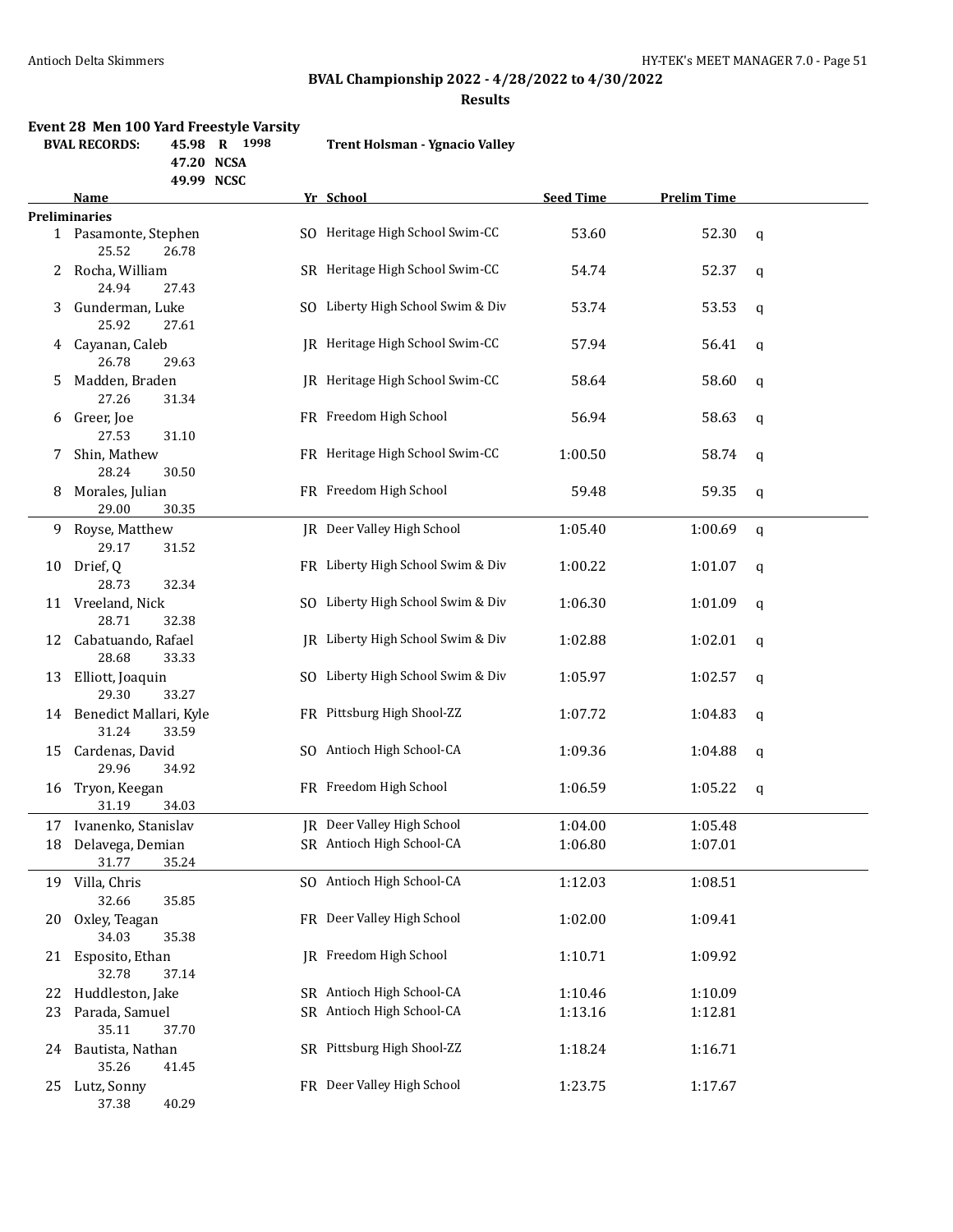### **BVAL Championship 2022 - 4/28/2022 to 4/30/2022**

**Results**

# **Event 28 Men 100 Yard Freestyle Varsity**

**BVAL RECORDS: 45.98 R 1998 Trent Holsman - Ygnacio Valley**

**47.20 NCSA 49.99 NCSC**

|      | Name                                        | Yr School                         | <b>Seed Time</b> | <b>Prelim Time</b> |   |
|------|---------------------------------------------|-----------------------------------|------------------|--------------------|---|
|      | <b>Preliminaries</b>                        |                                   |                  |                    |   |
|      | 1 Pasamonte, Stephen<br>25.52<br>26.78      | SO Heritage High School Swim-CC   | 53.60            | 52.30              | q |
| 2    | Rocha, William<br>24.94<br>27.43            | SR Heritage High School Swim-CC   | 54.74            | 52.37              | q |
| 3    | Gunderman, Luke<br>25.92<br>27.61           | SO Liberty High School Swim & Div | 53.74            | 53.53              | q |
| 4    | Cayanan, Caleb<br>26.78<br>29.63            | JR Heritage High School Swim-CC   | 57.94            | 56.41              | q |
| 5    | Madden, Braden<br>27.26<br>31.34            | IR Heritage High School Swim-CC   | 58.64            | 58.60              | q |
| 6    | Greer, Joe<br>27.53<br>31.10                | FR Freedom High School            | 56.94            | 58.63              | q |
| 7    | Shin, Mathew<br>28.24<br>30.50              | FR Heritage High School Swim-CC   | 1:00.50          | 58.74              | q |
| 8    | Morales, Julian<br>29.00<br>30.35           | FR Freedom High School            | 59.48            | 59.35              | q |
| 9    | Royse, Matthew<br>29.17<br>31.52            | JR Deer Valley High School        | 1:05.40          | 1:00.69            | q |
|      | 10 Drief, Q<br>28.73<br>32.34               | FR Liberty High School Swim & Div | 1:00.22          | 1:01.07            | q |
|      | 11 Vreeland, Nick<br>28.71<br>32.38         | SO Liberty High School Swim & Div | 1:06.30          | 1:01.09            | q |
| 12   | Cabatuando, Rafael<br>28.68<br>33.33        | IR Liberty High School Swim & Div | 1:02.88          | 1:02.01            | q |
| 13   | Elliott, Joaquin<br>29.30<br>33.27          | SO Liberty High School Swim & Div | 1:05.97          | 1:02.57            | q |
|      | 14 Benedict Mallari, Kyle<br>31.24<br>33.59 | FR Pittsburg High Shool-ZZ        | 1:07.72          | 1:04.83            | q |
| 15   | Cardenas, David<br>29.96<br>34.92           | SO Antioch High School-CA         | 1:09.36          | 1:04.88            | q |
| 16   | Tryon, Keegan<br>31.19<br>34.03             | FR Freedom High School            | 1:06.59          | 1:05.22            | q |
| 17   | Ivanenko, Stanislav                         | JR Deer Valley High School        | 1:04.00          | 1:05.48            |   |
| 18   | Delavega, Demian                            | SR Antioch High School-CA         | 1:06.80          | 1:07.01            |   |
|      | 31.77<br>35.24                              |                                   |                  |                    |   |
|      | 19 Villa, Chris<br>32.66<br>35.85           | SO Antioch High School-CA         | 1:12.03          | 1:08.51            |   |
| 20   | Oxley, Teagan<br>34.03<br>35.38             | FR Deer Valley High School        | 1:02.00          | 1:09.41            |   |
| 21   | Esposito, Ethan<br>32.78<br>37.14           | JR Freedom High School            | 1:10.71          | 1:09.92            |   |
| 22   | Huddleston, Jake                            | SR Antioch High School-CA         | 1:10.46          | 1:10.09            |   |
| 23   | Parada, Samuel                              | SR Antioch High School-CA         | 1:13.16          | 1:12.81            |   |
|      | 35.11<br>37.70                              |                                   |                  |                    |   |
| 24 - | Bautista, Nathan<br>35.26<br>41.45          | SR Pittsburg High Shool-ZZ        | 1:18.24          | 1:16.71            |   |
| 25   | Lutz, Sonny<br>37.38<br>40.29               | FR Deer Valley High School        | 1:23.75          | 1:17.67            |   |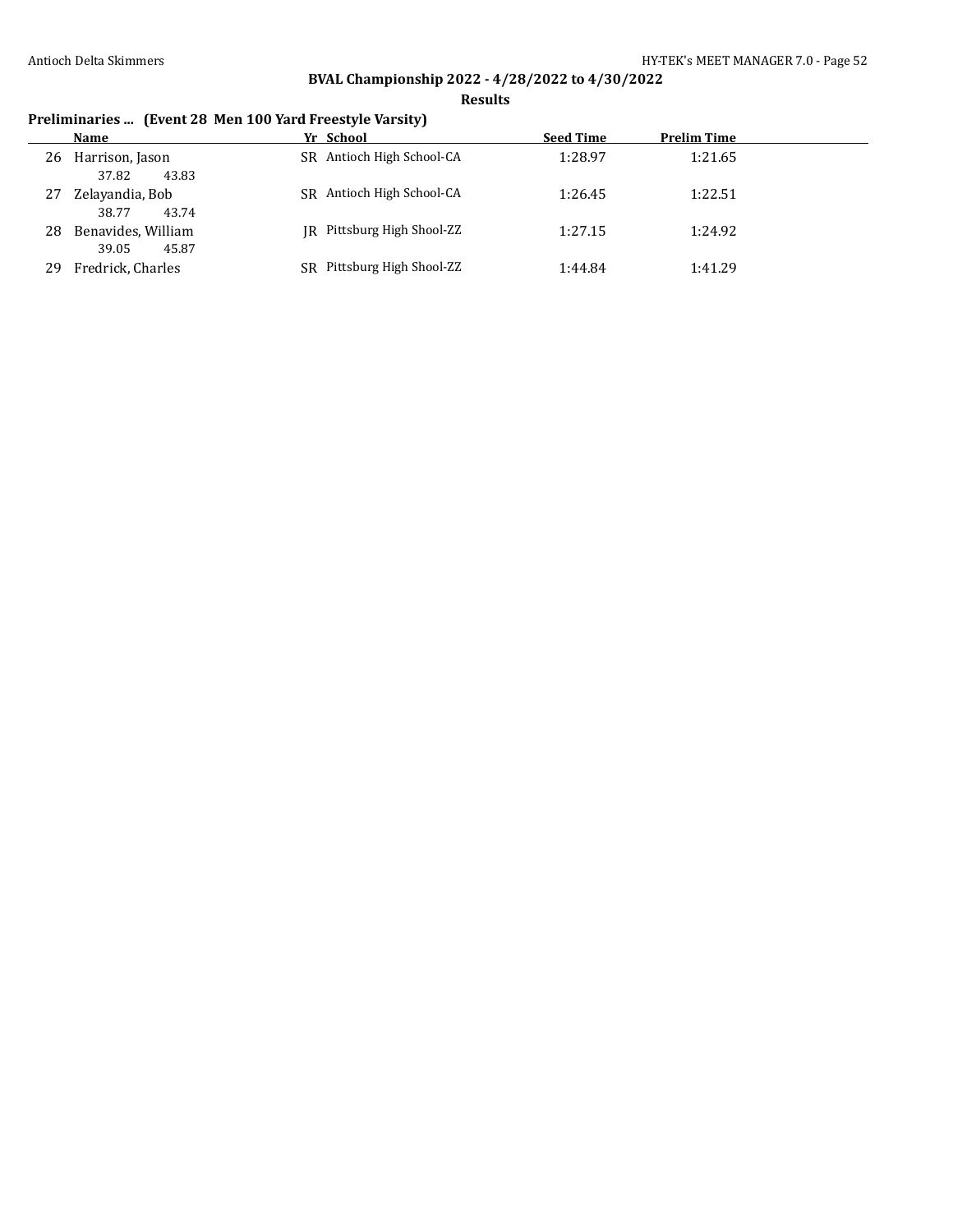**Results**

# **Preliminaries ... (Event 28 Men 100 Yard Freestyle Varsity)**

|    | Name                                 |    | Yr School                 | <b>Seed Time</b> | <b>Prelim Time</b> |
|----|--------------------------------------|----|---------------------------|------------------|--------------------|
| 26 | Harrison, Jason<br>37.82<br>43.83    |    | SR Antioch High School-CA | 1:28.97          | 1:21.65            |
| 27 | Zelayandia, Bob<br>38.77<br>43.74    |    | SR Antioch High School-CA | 1:26.45          | 1:22.51            |
| 28 | Benavides, William<br>39.05<br>45.87 | IR | Pittsburg High Shool-ZZ   | 1:27.15          | 1:24.92            |
| 29 | Fredrick, Charles                    | SR | Pittsburg High Shool-ZZ   | 1:44.84          | 1:41.29            |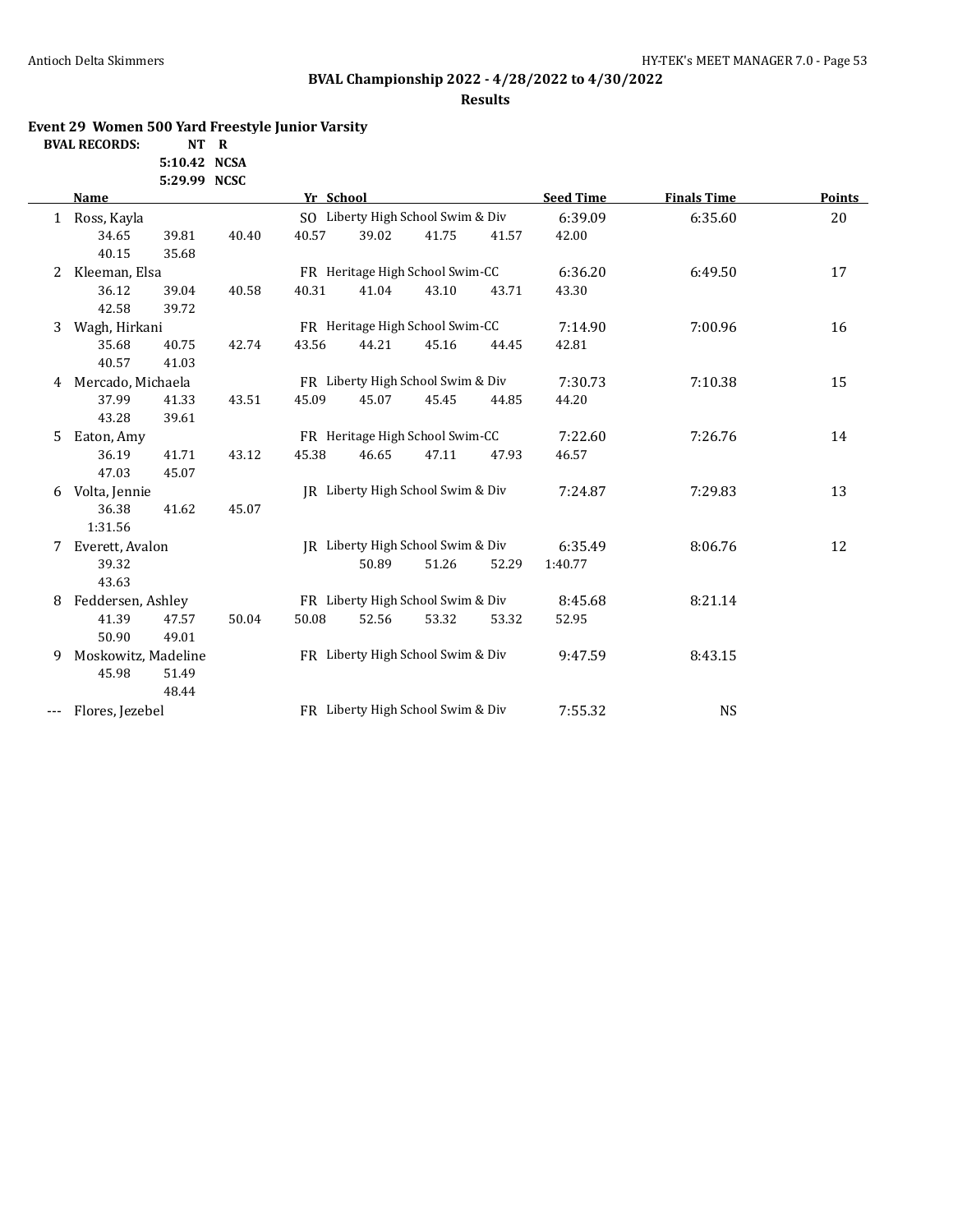# **BVAL Championship 2022 - 4/28/2022 to 4/30/2022**

### **Results**

### **Event 29 Women 500 Yard Freestyle Junior Varsity**

| <b>BVAL RECORDS:</b> | NT R         |  |
|----------------------|--------------|--|
|                      | 5:10.42 NCSA |  |

|     |                     | 5:29.99 NCSC |       |           |       |                                   |       |                  |                    |        |
|-----|---------------------|--------------|-------|-----------|-------|-----------------------------------|-------|------------------|--------------------|--------|
|     | Name                |              |       | Yr School |       |                                   |       | <b>Seed Time</b> | <b>Finals Time</b> | Points |
|     | 1 Ross, Kayla       |              |       |           |       | SO Liberty High School Swim & Div |       | 6:39.09          | 6:35.60            | 20     |
|     | 34.65               | 39.81        | 40.40 | 40.57     | 39.02 | 41.75                             | 41.57 | 42.00            |                    |        |
|     | 40.15               | 35.68        |       |           |       |                                   |       |                  |                    |        |
| 2   | Kleeman, Elsa       |              |       |           |       | FR Heritage High School Swim-CC   |       | 6:36.20          | 6:49.50            | 17     |
|     | 36.12               | 39.04        | 40.58 | 40.31     | 41.04 | 43.10                             | 43.71 | 43.30            |                    |        |
|     | 42.58               | 39.72        |       |           |       |                                   |       |                  |                    |        |
| 3   | Wagh, Hirkani       |              |       |           |       | FR Heritage High School Swim-CC   |       | 7:14.90          | 7:00.96            | 16     |
|     | 35.68               | 40.75        | 42.74 | 43.56     | 44.21 | 45.16                             | 44.45 | 42.81            |                    |        |
|     | 40.57               | 41.03        |       |           |       |                                   |       |                  |                    |        |
| 4   | Mercado, Michaela   |              |       |           |       | FR Liberty High School Swim & Div |       | 7:30.73          | 7:10.38            | 15     |
|     | 37.99               | 41.33        | 43.51 | 45.09     | 45.07 | 45.45                             | 44.85 | 44.20            |                    |        |
|     | 43.28               | 39.61        |       |           |       |                                   |       |                  |                    |        |
| 5.  | Eaton, Amy          |              |       |           |       | FR Heritage High School Swim-CC   |       | 7:22.60          | 7:26.76            | 14     |
|     | 36.19               | 41.71        | 43.12 | 45.38     | 46.65 | 47.11                             | 47.93 | 46.57            |                    |        |
|     | 47.03               | 45.07        |       |           |       |                                   |       |                  |                    |        |
| 6   | Volta, Jennie       |              |       |           |       | IR Liberty High School Swim & Div |       | 7:24.87          | 7:29.83            | 13     |
|     | 36.38               | 41.62        | 45.07 |           |       |                                   |       |                  |                    |        |
|     | 1:31.56             |              |       |           |       |                                   |       |                  |                    |        |
|     | Everett, Avalon     |              |       |           |       | JR Liberty High School Swim & Div |       | 6:35.49          | 8:06.76            | 12     |
|     | 39.32               |              |       |           | 50.89 | 51.26                             | 52.29 | 1:40.77          |                    |        |
|     | 43.63               |              |       |           |       |                                   |       |                  |                    |        |
| 8   | Feddersen, Ashley   |              |       |           |       | FR Liberty High School Swim & Div |       | 8:45.68          | 8:21.14            |        |
|     | 41.39               | 47.57        | 50.04 | 50.08     | 52.56 | 53.32                             | 53.32 | 52.95            |                    |        |
|     | 50.90               | 49.01        |       |           |       |                                   |       |                  |                    |        |
| 9   | Moskowitz, Madeline |              |       |           |       | FR Liberty High School Swim & Div |       | 9:47.59          | 8:43.15            |        |
|     | 45.98               | 51.49        |       |           |       |                                   |       |                  |                    |        |
|     |                     | 48.44        |       |           |       |                                   |       |                  |                    |        |
| --- | Flores, Jezebel     |              |       |           |       | FR Liberty High School Swim & Div |       | 7:55.32          | <b>NS</b>          |        |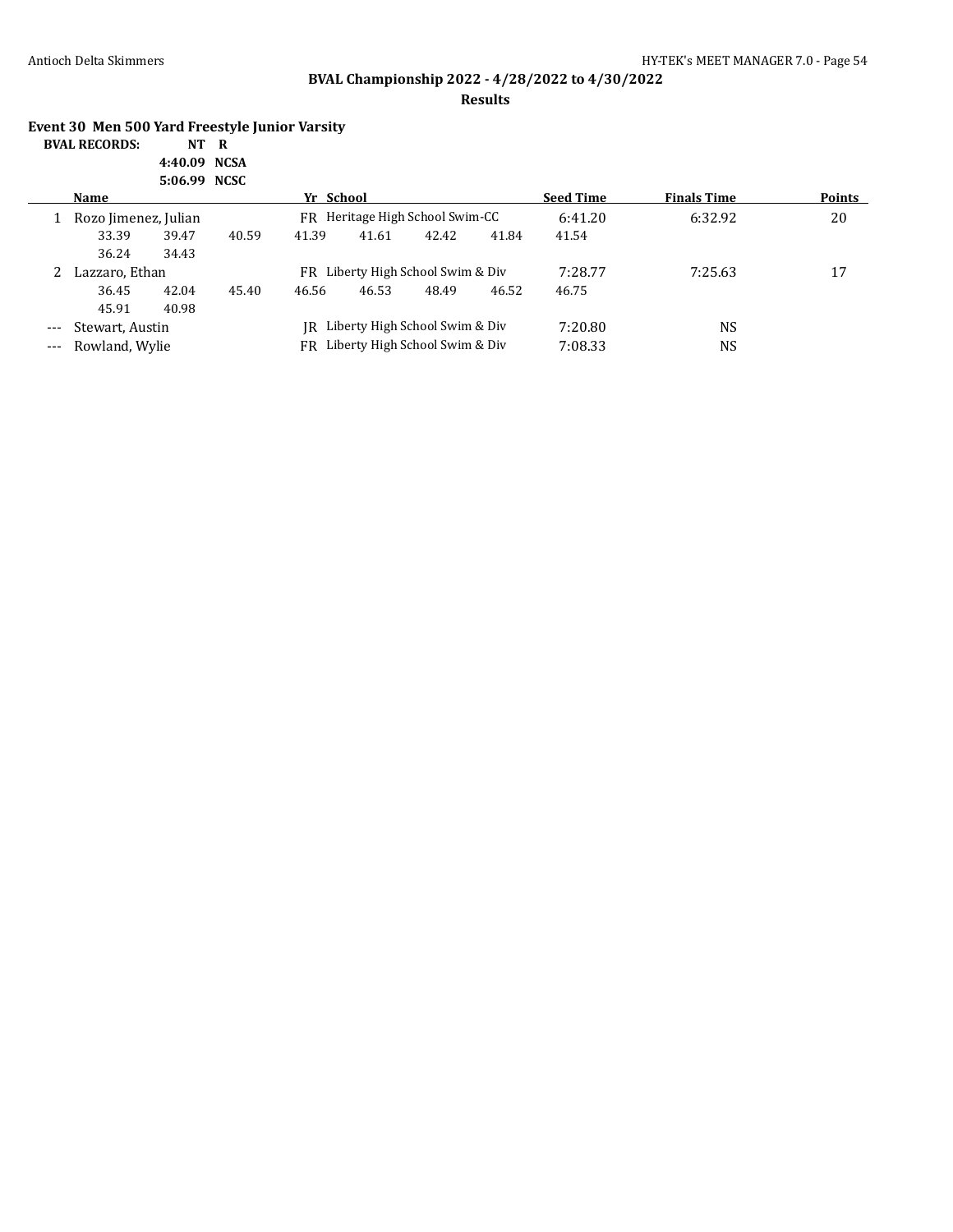**Results**

### **Event 30 Men 500 Yard Freestyle Junior Varsity**

| <b>BVAL RECORDS:</b> | NT R         |  |
|----------------------|--------------|--|
|                      | 4:40.09 NCSA |  |
|                      | 5:06.99 NCSC |  |

|       |                      | J.VV.JJ INGJU |       |                                      |       |       |         |                  |                    |               |
|-------|----------------------|---------------|-------|--------------------------------------|-------|-------|---------|------------------|--------------------|---------------|
|       | Name                 |               |       | Yr School                            |       |       |         | <b>Seed Time</b> | <b>Finals Time</b> | <b>Points</b> |
|       | Rozo Jimenez, Julian |               |       | FR Heritage High School Swim-CC      |       |       |         | 6:41.20          | 6:32.92            | 20            |
|       | 33.39                | 39.47         | 40.59 | 41.39                                | 41.61 | 42.42 | 41.84   | 41.54            |                    |               |
|       | 36.24                | 34.43         |       |                                      |       |       |         |                  |                    |               |
|       | Lazzaro, Ethan       |               |       | Liberty High School Swim & Div<br>FR |       |       | 7:28.77 | 7:25.63          | 17                 |               |
|       | 36.45                | 42.04         | 45.40 | 46.56                                | 46.53 | 48.49 | 46.52   | 46.75            |                    |               |
|       | 45.91                | 40.98         |       |                                      |       |       |         |                  |                    |               |
| $---$ | Stewart, Austin      |               |       | Liberty High School Swim & Div<br>IR |       |       |         | 7:20.80          | NS                 |               |
| $---$ | Rowland, Wylie       |               |       | Liberty High School Swim & Div<br>FR |       |       |         | 7:08.33          | NS                 |               |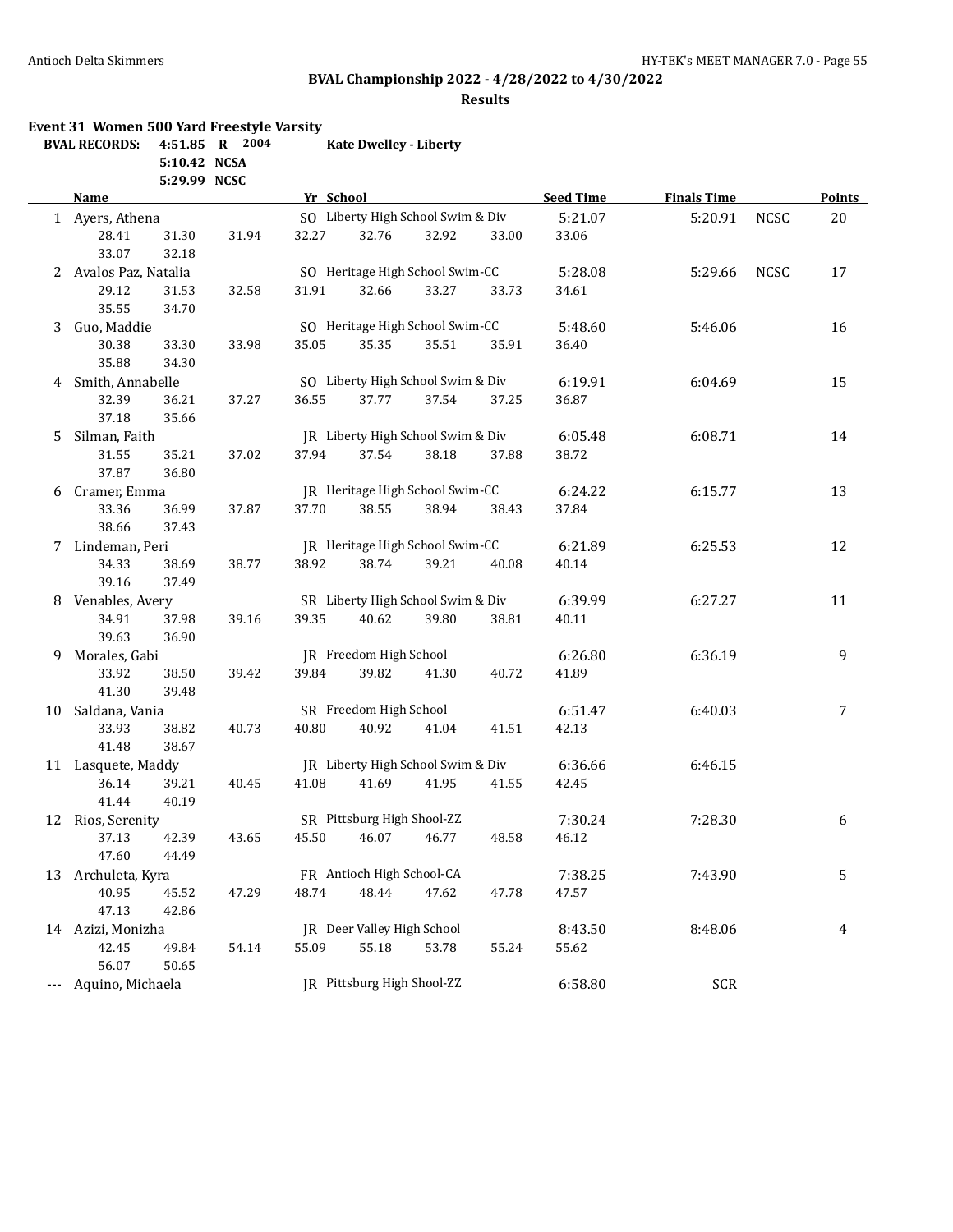**Event 31 Women 500 Yard Freestyle Varsity**

### Antioch Delta Skimmers **HY-TEK's MEET MANAGER 7.0** - Page 55

# **BVAL Championship 2022 - 4/28/2022 to 4/30/2022**

### **Results**

|     | <b>BVAL RECORDS:</b>  | 5:10.42 NCSA<br>5:29.99 NCSC | 4:51.85 R 2004 |           | <b>Kate Dwelley - Liberty</b> |                                   |       |                  |                    |             |                |
|-----|-----------------------|------------------------------|----------------|-----------|-------------------------------|-----------------------------------|-------|------------------|--------------------|-------------|----------------|
|     | <b>Name</b>           |                              |                | Yr School |                               |                                   |       | <b>Seed Time</b> | <b>Finals Time</b> |             | <b>Points</b>  |
|     | 1 Ayers, Athena       |                              |                |           |                               | SO Liberty High School Swim & Div |       | 5:21.07          | 5:20.91            | <b>NCSC</b> | 20             |
|     | 28.41<br>33.07        | 31.30<br>32.18               | 31.94          | 32.27     | 32.76                         | 32.92                             | 33.00 | 33.06            |                    |             |                |
|     | 2 Avalos Paz, Natalia |                              |                |           |                               | SO Heritage High School Swim-CC   |       | 5:28.08          | 5:29.66            | <b>NCSC</b> | 17             |
|     | 29.12<br>35.55        | 31.53<br>34.70               | 32.58          | 31.91     | 32.66                         | 33.27                             | 33.73 | 34.61            |                    |             |                |
| 3   | Guo, Maddie           |                              |                |           |                               | SO Heritage High School Swim-CC   |       | 5:48.60          | 5:46.06            |             | 16             |
|     | 30.38<br>35.88        | 33.30<br>34.30               | 33.98          | 35.05     | 35.35                         | 35.51                             | 35.91 | 36.40            |                    |             |                |
| 4   | Smith, Annabelle      |                              |                |           |                               | SO Liberty High School Swim & Div |       | 6:19.91          | 6:04.69            |             | 15             |
|     | 32.39<br>37.18        | 36.21<br>35.66               | 37.27          | 36.55     | 37.77                         | 37.54                             | 37.25 | 36.87            |                    |             |                |
| 5   | Silman, Faith         |                              |                |           |                               | JR Liberty High School Swim & Div |       | 6:05.48          | 6:08.71            |             | 14             |
|     | 31.55<br>37.87        | 35.21<br>36.80               | 37.02          | 37.94     | 37.54                         | 38.18                             | 37.88 | 38.72            |                    |             |                |
| 6   | Cramer, Emma          |                              |                |           |                               | JR Heritage High School Swim-CC   |       | 6:24.22          | 6:15.77            |             | 13             |
|     | 33.36<br>38.66        | 36.99<br>37.43               | 37.87          | 37.70     | 38.55                         | 38.94                             | 38.43 | 37.84            |                    |             |                |
|     | 7 Lindeman, Peri      |                              |                |           |                               | JR Heritage High School Swim-CC   |       | 6:21.89          | 6:25.53            |             | 12             |
|     | 34.33<br>39.16        | 38.69<br>37.49               | 38.77          | 38.92     | 38.74                         | 39.21                             | 40.08 | 40.14            |                    |             |                |
| 8   | Venables, Avery       |                              |                |           |                               | SR Liberty High School Swim & Div |       | 6:39.99          | 6:27.27            |             | 11             |
|     | 34.91<br>39.63        | 37.98<br>36.90               | 39.16          | 39.35     | 40.62                         | 39.80                             | 38.81 | 40.11            |                    |             |                |
| 9   | Morales, Gabi         |                              |                |           | JR Freedom High School        |                                   |       | 6:26.80          | 6:36.19            |             | 9              |
|     | 33.92<br>41.30        | 38.50<br>39.48               | 39.42          | 39.84     | 39.82                         | 41.30                             | 40.72 | 41.89            |                    |             |                |
| 10  | Saldana, Vania        |                              |                |           | SR Freedom High School        |                                   |       | 6:51.47          | 6:40.03            |             | $\overline{7}$ |
|     | 33.93<br>41.48        | 38.82<br>38.67               | 40.73          | 40.80     | 40.92                         | 41.04                             | 41.51 | 42.13            |                    |             |                |
|     | 11 Lasquete, Maddy    |                              |                |           |                               | JR Liberty High School Swim & Div |       | 6:36.66          | 6:46.15            |             |                |
|     | 36.14<br>41.44        | 39.21<br>40.19               | 40.45          | 41.08     | 41.69                         | 41.95                             | 41.55 | 42.45            |                    |             |                |
|     | 12 Rios, Serenity     |                              |                |           | SR Pittsburg High Shool-ZZ    |                                   |       | 7:30.24          | 7:28.30            |             | 6              |
|     | 37.13<br>47.60        | 42.39<br>44.49               | 43.65          | 45.50     | 46.07                         | 46.77                             | 48.58 | 46.12            |                    |             |                |
| 13  | Archuleta, Kyra       |                              |                |           | FR Antioch High School-CA     |                                   |       | 7:38.25          | 7:43.90            |             | 5              |
|     | 40.95<br>47.13        | 45.52<br>42.86               | 47.29          | 48.74     | 48.44                         | 47.62                             | 47.78 | 47.57            |                    |             |                |
|     | 14 Azizi, Monizha     |                              |                |           | JR Deer Valley High School    |                                   |       | 8:43.50          | 8:48.06            |             | 4              |
|     | 42.45<br>56.07        | 49.84<br>50.65               | 54.14          | 55.09     | 55.18                         | 53.78                             | 55.24 | 55.62            |                    |             |                |
| --- | Aquino, Michaela      |                              |                |           | JR Pittsburg High Shool-ZZ    |                                   |       | 6:58.80          | <b>SCR</b>         |             |                |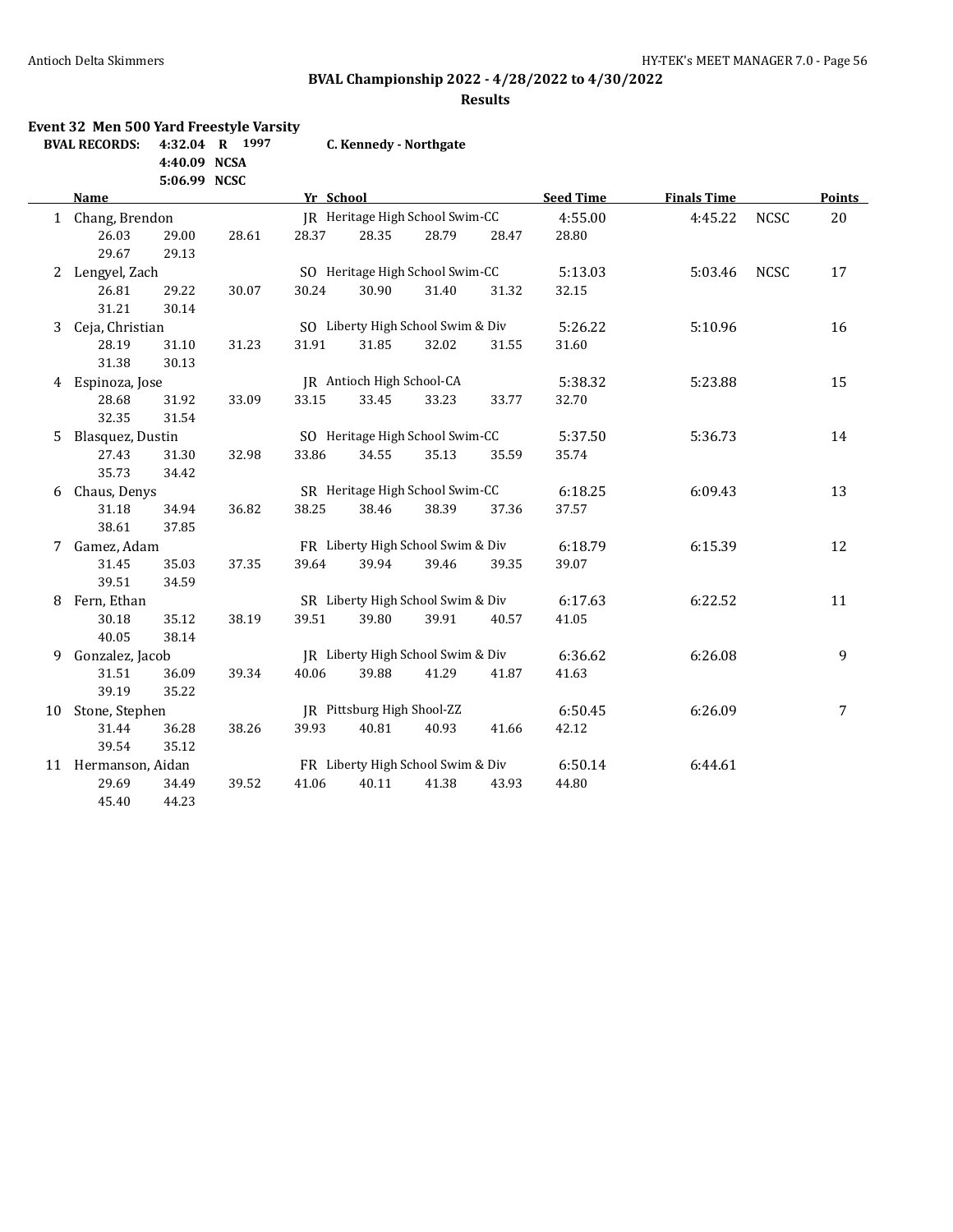**Event 32 Men 500 Yard Freestyle Varsity**

### Antioch Delta Skimmers **HY-TEK's MEET MANAGER 7.0** - Page 56

# **BVAL Championship 2022 - 4/28/2022 to 4/30/2022**

### **Results**

|    | <b>BVAL RECORDS:</b> | 4:40.09 NCSA | 4:32.04 R 1997 |           | C. Kennedy - Northgate            |       |       |                  |                    |             |                |
|----|----------------------|--------------|----------------|-----------|-----------------------------------|-------|-------|------------------|--------------------|-------------|----------------|
|    |                      | 5:06.99 NCSC |                |           |                                   |       |       |                  |                    |             |                |
|    | Name                 |              |                | Yr School |                                   |       |       | <b>Seed Time</b> | <b>Finals Time</b> |             | Points         |
|    | 1 Chang, Brendon     |              |                |           | JR Heritage High School Swim-CC   |       |       | 4:55.00          | 4:45.22            | <b>NCSC</b> | 20             |
|    | 26.03                | 29.00        | 28.61          | 28.37     | 28.35                             | 28.79 | 28.47 | 28.80            |                    |             |                |
|    | 29.67                | 29.13        |                |           |                                   |       |       |                  |                    |             |                |
|    | 2 Lengyel, Zach      |              |                |           | SO Heritage High School Swim-CC   |       |       | 5:13.03          | 5:03.46            | <b>NCSC</b> | 17             |
|    | 26.81                | 29.22        | 30.07          | 30.24     | 30.90                             | 31.40 | 31.32 | 32.15            |                    |             |                |
|    | 31.21                | 30.14        |                |           |                                   |       |       |                  |                    |             |                |
| 3  | Ceja, Christian      |              |                |           | SO Liberty High School Swim & Div |       |       | 5:26.22          | 5:10.96            |             | 16             |
|    | 28.19                | 31.10        | 31.23          | 31.91     | 31.85                             | 32.02 | 31.55 | 31.60            |                    |             |                |
|    | 31.38                | 30.13        |                |           |                                   |       |       |                  |                    |             |                |
| 4  | Espinoza, Jose       |              |                |           | IR Antioch High School-CA         |       |       | 5:38.32          | 5:23.88            |             | 15             |
|    | 28.68                | 31.92        | 33.09          | 33.15     | 33.45                             | 33.23 | 33.77 | 32.70            |                    |             |                |
|    | 32.35                | 31.54        |                |           |                                   |       |       |                  |                    |             |                |
| 5  | Blasquez, Dustin     |              |                |           | SO Heritage High School Swim-CC   |       |       | 5:37.50          | 5:36.73            |             | 14             |
|    | 27.43                | 31.30        | 32.98          | 33.86     | 34.55                             | 35.13 | 35.59 | 35.74            |                    |             |                |
|    | 35.73                | 34.42        |                |           |                                   |       |       |                  |                    |             |                |
| 6  | Chaus, Denys         |              |                |           | SR Heritage High School Swim-CC   |       |       | 6:18.25          | 6:09.43            |             | 13             |
|    | 31.18                | 34.94        | 36.82          | 38.25     | 38.46                             | 38.39 | 37.36 | 37.57            |                    |             |                |
|    | 38.61                | 37.85        |                |           |                                   |       |       |                  |                    |             |                |
|    | 7 Gamez, Adam        |              |                |           | FR Liberty High School Swim & Div |       |       | 6:18.79          | 6:15.39            |             | 12             |
|    | 31.45                | 35.03        | 37.35          | 39.64     | 39.94                             | 39.46 | 39.35 | 39.07            |                    |             |                |
|    | 39.51                | 34.59        |                |           |                                   |       |       |                  |                    |             |                |
| 8  | Fern, Ethan          |              |                |           | SR Liberty High School Swim & Div |       |       | 6:17.63          | 6:22.52            |             | 11             |
|    | 30.18                | 35.12        | 38.19          | 39.51     | 39.80                             | 39.91 | 40.57 | 41.05            |                    |             |                |
|    | 40.05                | 38.14        |                |           |                                   |       |       |                  |                    |             |                |
| 9  | Gonzalez, Jacob      |              |                |           | JR Liberty High School Swim & Div |       |       | 6:36.62          | 6:26.08            |             | 9              |
|    | 31.51                | 36.09        | 39.34          | 40.06     | 39.88                             | 41.29 | 41.87 | 41.63            |                    |             |                |
|    | 39.19                | 35.22        |                |           |                                   |       |       |                  |                    |             |                |
| 10 | Stone, Stephen       |              |                |           | JR Pittsburg High Shool-ZZ        |       |       | 6:50.45          | 6:26.09            |             | $\overline{7}$ |
|    | 31.44                | 36.28        | 38.26          | 39.93     | 40.81                             | 40.93 | 41.66 | 42.12            |                    |             |                |
|    | 39.54                | 35.12        |                |           |                                   |       |       |                  |                    |             |                |
|    | 11 Hermanson, Aidan  |              |                |           | FR Liberty High School Swim & Div |       |       | 6:50.14          | 6:44.61            |             |                |
|    | 29.69                | 34.49        | 39.52          | 41.06     | 40.11                             | 41.38 | 43.93 | 44.80            |                    |             |                |
|    | 45.40                | 44.23        |                |           |                                   |       |       |                  |                    |             |                |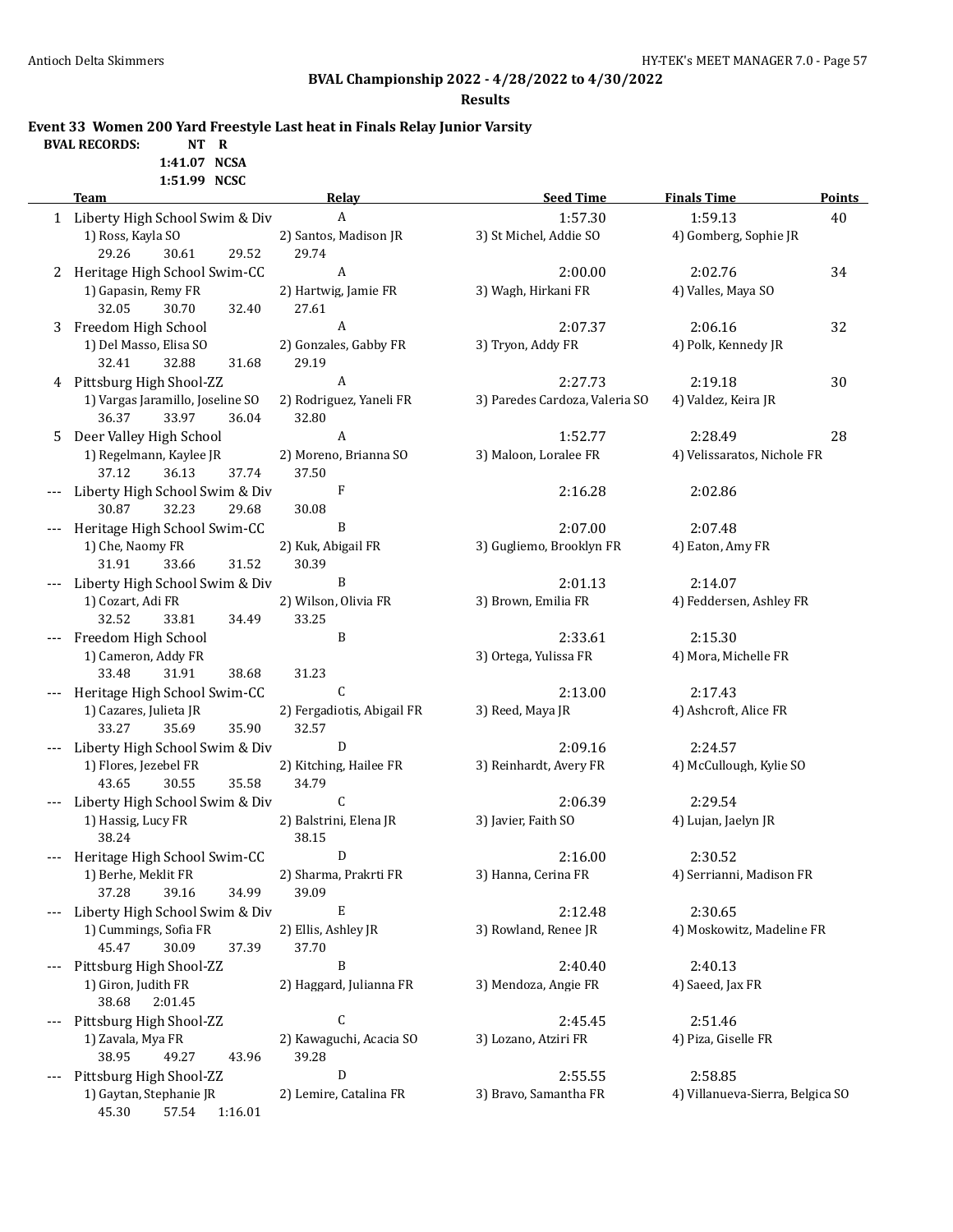**Results**

**Event 33 Women 200 Yard Freestyle Last heat in Finals Relay Junior Varsity**

# **BVAL RECORDS: NT R**

**1:41.07 NCSA 1:51.99 NCSC**

|   | <b>T'OT'</b> 22 MCOC<br><b>Team</b>            | <b>Relay</b>                     | <b>Seed Time</b>                 | <b>Finals Time</b>               | <b>Points</b> |
|---|------------------------------------------------|----------------------------------|----------------------------------|----------------------------------|---------------|
|   | 1 Liberty High School Swim & Div               | $\boldsymbol{A}$                 | 1:57.30                          | 1:59.13                          | 40            |
|   | 1) Ross, Kayla SO                              | 2) Santos, Madison JR            | 3) St Michel, Addie SO           | 4) Gomberg, Sophie JR            |               |
|   | 29.26<br>30.61<br>29.52                        | 29.74                            |                                  |                                  |               |
|   | 2 Heritage High School Swim-CC                 | A                                | 2:00.00                          | 2:02.76                          | 34            |
|   | 1) Gapasin, Remy FR                            | 2) Hartwig, Jamie FR             | 3) Wagh, Hirkani FR              | 4) Valles, Maya SO               |               |
|   | 32.05<br>30.70<br>32.40                        | 27.61                            |                                  |                                  |               |
|   | 3 Freedom High School                          | A                                | 2:07.37                          | 2:06.16                          | 32            |
|   | 1) Del Masso, Elisa SO                         | 2) Gonzales, Gabby FR            | 3) Tryon, Addy FR                | 4) Polk, Kennedy JR              |               |
|   | 32.41<br>32.88<br>31.68                        | 29.19                            |                                  |                                  |               |
| 4 | Pittsburg High Shool-ZZ                        | A                                | 2:27.73                          | 2:19.18                          | 30            |
|   | 1) Vargas Jaramillo, Joseline SO               | 2) Rodriguez, Yaneli FR          | 3) Paredes Cardoza, Valeria SO   | 4) Valdez, Keira JR              |               |
|   | 36.37<br>33.97<br>36.04                        | 32.80                            |                                  |                                  |               |
| 5 | Deer Valley High School                        | A                                | 1:52.77                          | 2:28.49                          | 28            |
|   | 1) Regelmann, Kaylee JR                        | 2) Moreno, Brianna SO            | 3) Maloon, Loralee FR            | 4) Velissaratos, Nichole FR      |               |
|   | 37.12<br>36.13<br>37.74                        | 37.50                            |                                  |                                  |               |
|   | Liberty High School Swim & Div                 | F                                | 2:16.28                          | 2:02.86                          |               |
|   | 30.87<br>32.23<br>29.68                        | 30.08                            |                                  |                                  |               |
|   | Heritage High School Swim-CC                   | B                                | 2:07.00                          | 2:07.48                          |               |
|   | 1) Che, Naomy FR                               | 2) Kuk, Abigail FR               | 3) Gugliemo, Brooklyn FR         | 4) Eaton, Amy FR                 |               |
|   | 31.91<br>33.66<br>31.52                        | 30.39                            |                                  |                                  |               |
|   | Liberty High School Swim & Div                 | B                                | 2:01.13                          | 2:14.07                          |               |
|   | 1) Cozart, Adi FR                              | 2) Wilson, Olivia FR             | 3) Brown, Emilia FR              | 4) Feddersen, Ashley FR          |               |
|   | 32.52<br>33.81<br>34.49                        | 33.25                            |                                  |                                  |               |
|   | Freedom High School                            | B                                | 2:33.61<br>3) Ortega, Yulissa FR | 2:15.30<br>4) Mora, Michelle FR  |               |
|   | 1) Cameron, Addy FR<br>33.48<br>31.91<br>38.68 | 31.23                            |                                  |                                  |               |
|   | Heritage High School Swim-CC                   | C                                | 2:13.00                          | 2:17.43                          |               |
|   | 1) Cazares, Julieta JR                         | 2) Fergadiotis, Abigail FR       | 3) Reed, Maya JR                 | 4) Ashcroft, Alice FR            |               |
|   | 33.27<br>35.90<br>35.69                        | 32.57                            |                                  |                                  |               |
|   | Liberty High School Swim & Div                 | D                                | 2:09.16                          | 2:24.57                          |               |
|   | 1) Flores, Jezebel FR                          | 2) Kitching, Hailee FR           | 3) Reinhardt, Avery FR           | 4) McCullough, Kylie SO          |               |
|   | 35.58<br>43.65<br>30.55                        | 34.79                            |                                  |                                  |               |
|   | Liberty High School Swim & Div                 | C                                | 2:06.39                          | 2:29.54                          |               |
|   | 1) Hassig, Lucy FR                             | 2) Balstrini, Elena JR           | 3) Javier, Faith SO              | 4) Lujan, Jaelyn JR              |               |
|   | 38.24                                          | 38.15                            |                                  |                                  |               |
|   | Heritage High School Swim-CC                   | D                                | 2:16.00                          | 2:30.52                          |               |
|   | 1) Berhe, Meklit FR                            | 2) Sharma, Prakrti FR            | 3) Hanna, Cerina FR              | 4) Serrianni, Madison FR         |               |
|   | 37.28<br>39.16<br>34.99                        | 39.09                            |                                  |                                  |               |
|   | Liberty High School Swim & Div                 | Е                                | 2:12.48                          | 2:30.65                          |               |
|   | 1) Cummings, Sofia FR                          | 2) Ellis, Ashley JR              | 3) Rowland, Renee JR             | 4) Moskowitz, Madeline FR        |               |
|   | 45.47<br>30.09<br>37.39                        | 37.70                            |                                  |                                  |               |
|   | Pittsburg High Shool-ZZ                        | B                                | 2:40.40                          | 2:40.13                          |               |
|   | 1) Giron, Judith FR                            | 2) Haggard, Julianna FR          | 3) Mendoza, Angie FR             | 4) Saeed, Jax FR                 |               |
|   | 38.68<br>2:01.45                               |                                  |                                  |                                  |               |
|   | Pittsburg High Shool-ZZ                        | C                                | 2:45.45                          | 2:51.46                          |               |
|   | 1) Zavala, Mya FR<br>38.95<br>49.27<br>43.96   | 2) Kawaguchi, Acacia SO<br>39.28 | 3) Lozano, Atziri FR             | 4) Piza, Giselle FR              |               |
|   | Pittsburg High Shool-ZZ                        | D                                | 2:55.55                          | 2:58.85                          |               |
|   | 1) Gaytan, Stephanie JR                        | 2) Lemire, Catalina FR           | 3) Bravo, Samantha FR            | 4) Villanueva-Sierra, Belgica SO |               |
|   |                                                |                                  |                                  |                                  |               |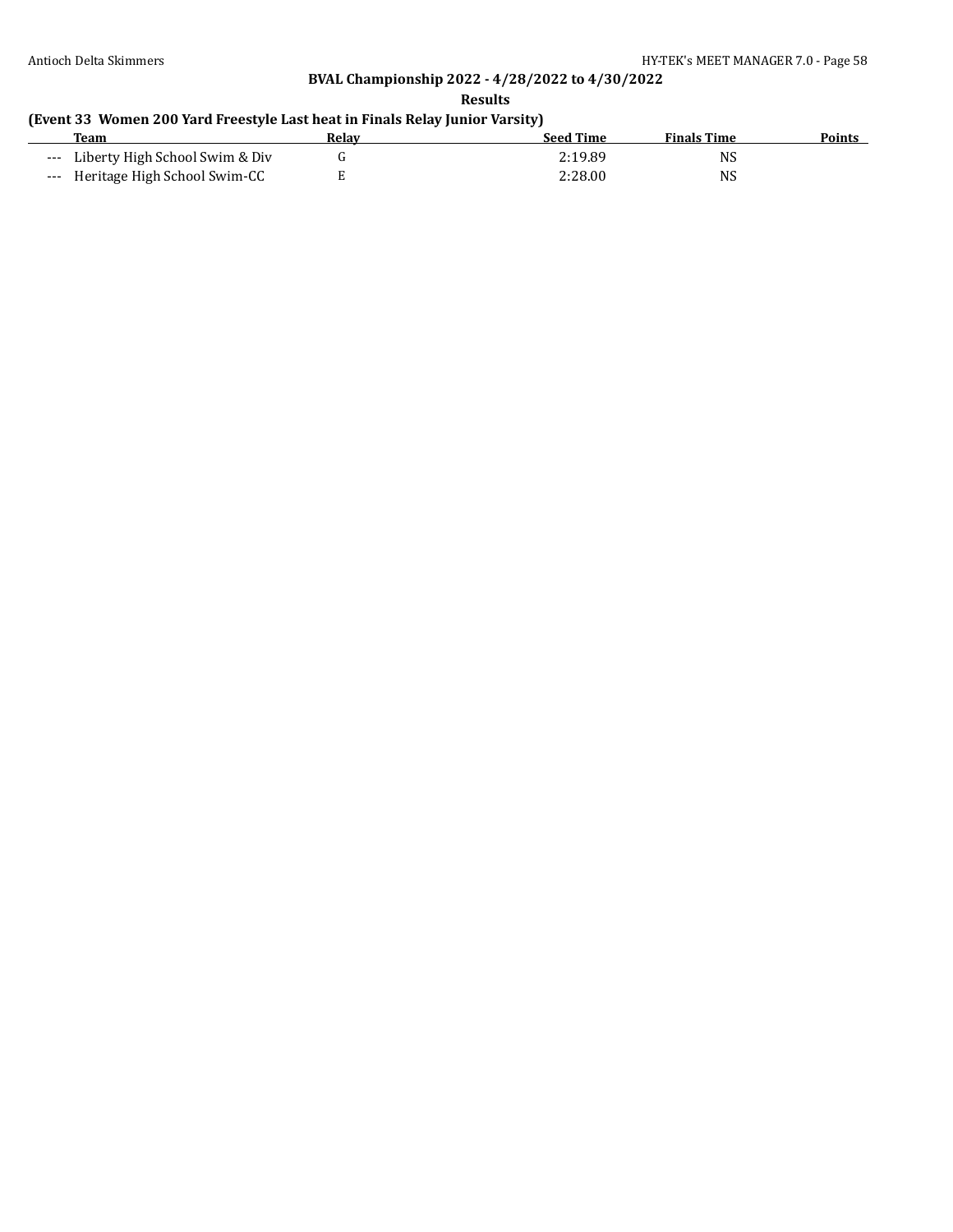**Results**

### **(Event 33 Women 200 Yard Freestyle Last heat in Finals Relay Junior Varsity)**

| <b>Team</b>                        | Relav | <b>Seed Time</b> | <b>Finals Time</b> | <b>Points</b> |
|------------------------------------|-------|------------------|--------------------|---------------|
| --- Liberty High School Swim & Div |       | 2:19.89          | NS                 |               |
| --- Heritage High School Swim-CC   |       | 2:28.00          | <b>NS</b>          |               |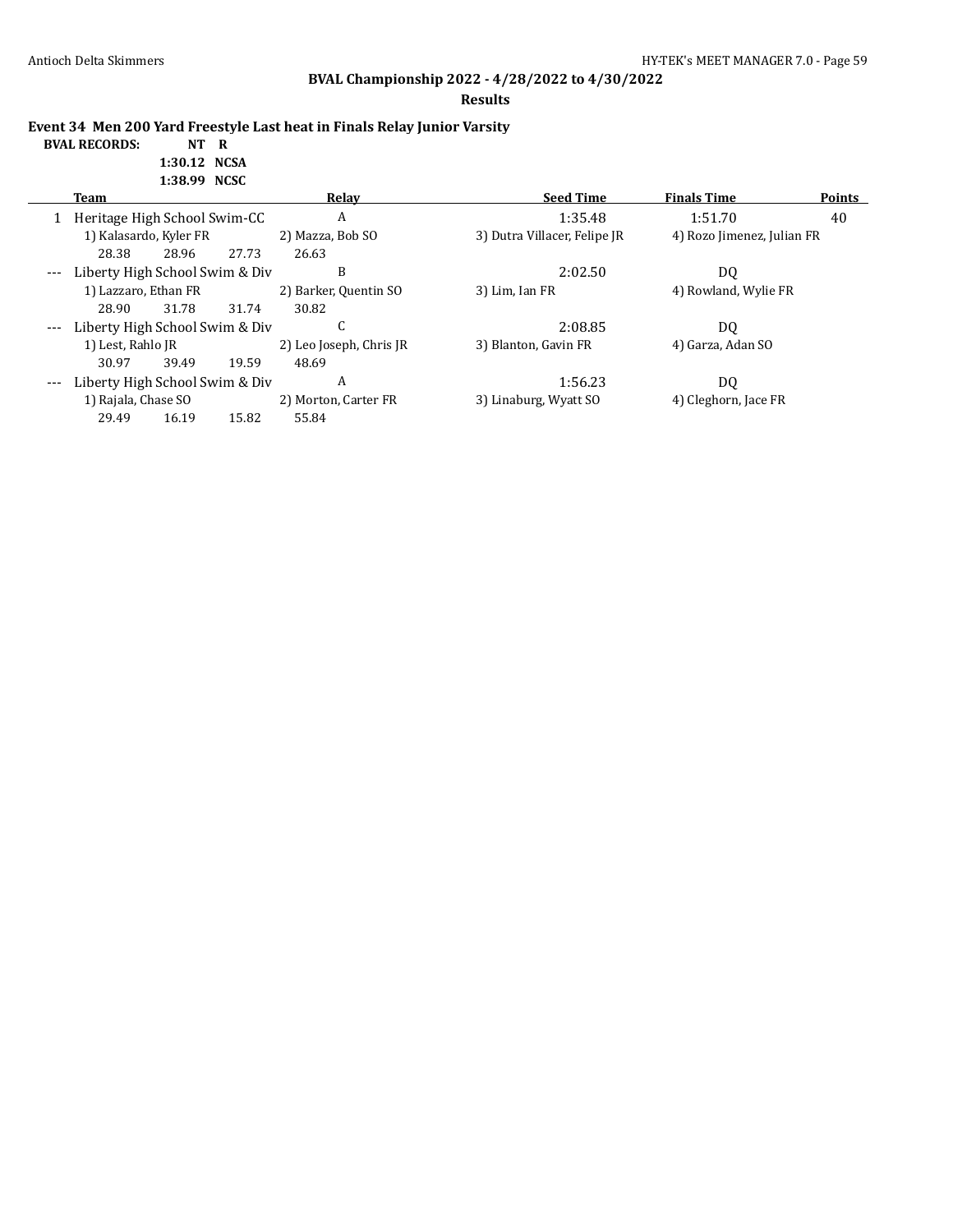**BVAL RECORDS:** 

# **BVAL Championship 2022 - 4/28/2022 to 4/30/2022**

**Results**

**Event 34 Men 200 Yard Freestyle Last heat in Finals Relay Junior Varsity**

| NT R         |  |
|--------------|--|
| 1:30.12 NCSA |  |
| 1:38.99 NCSC |  |

|       | Team                           |       |       | Relay                   | <b>Seed Time</b>             | <b>Finals Time</b>         | <b>Points</b> |
|-------|--------------------------------|-------|-------|-------------------------|------------------------------|----------------------------|---------------|
|       | Heritage High School Swim-CC   |       |       | A                       | 1:35.48                      | 1:51.70                    | 40            |
|       | 1) Kalasardo, Kyler FR         |       |       | 2) Mazza, Bob SO        | 3) Dutra Villacer, Felipe JR | 4) Rozo Jimenez, Julian FR |               |
|       | 28.38                          | 28.96 | 27.73 | 26.63                   |                              |                            |               |
| $---$ | Liberty High School Swim & Div |       |       | B                       | 2:02.50                      | DQ                         |               |
|       | 1) Lazzaro, Ethan FR           |       |       | 2) Barker, Quentin SO   | 3) Lim, Ian FR               | 4) Rowland, Wylie FR       |               |
|       | 28.90                          | 31.78 | 31.74 | 30.82                   |                              |                            |               |
| $---$ | Liberty High School Swim & Div |       |       | C                       | 2:08.85                      | D <sub>0</sub>             |               |
|       | 1) Lest, Rahlo JR              |       |       | 2) Leo Joseph, Chris JR | 3) Blanton, Gavin FR         | 4) Garza, Adan SO          |               |
|       | 30.97                          | 39.49 | 19.59 | 48.69                   |                              |                            |               |
| $---$ | Liberty High School Swim & Div |       |       | A                       | 1:56.23                      | DQ                         |               |
|       | 1) Rajala, Chase SO            |       |       | 2) Morton, Carter FR    | 3) Linaburg, Wyatt SO        | 4) Cleghorn, Jace FR       |               |
|       | 29.49                          | 16.19 | 15.82 | 55.84                   |                              |                            |               |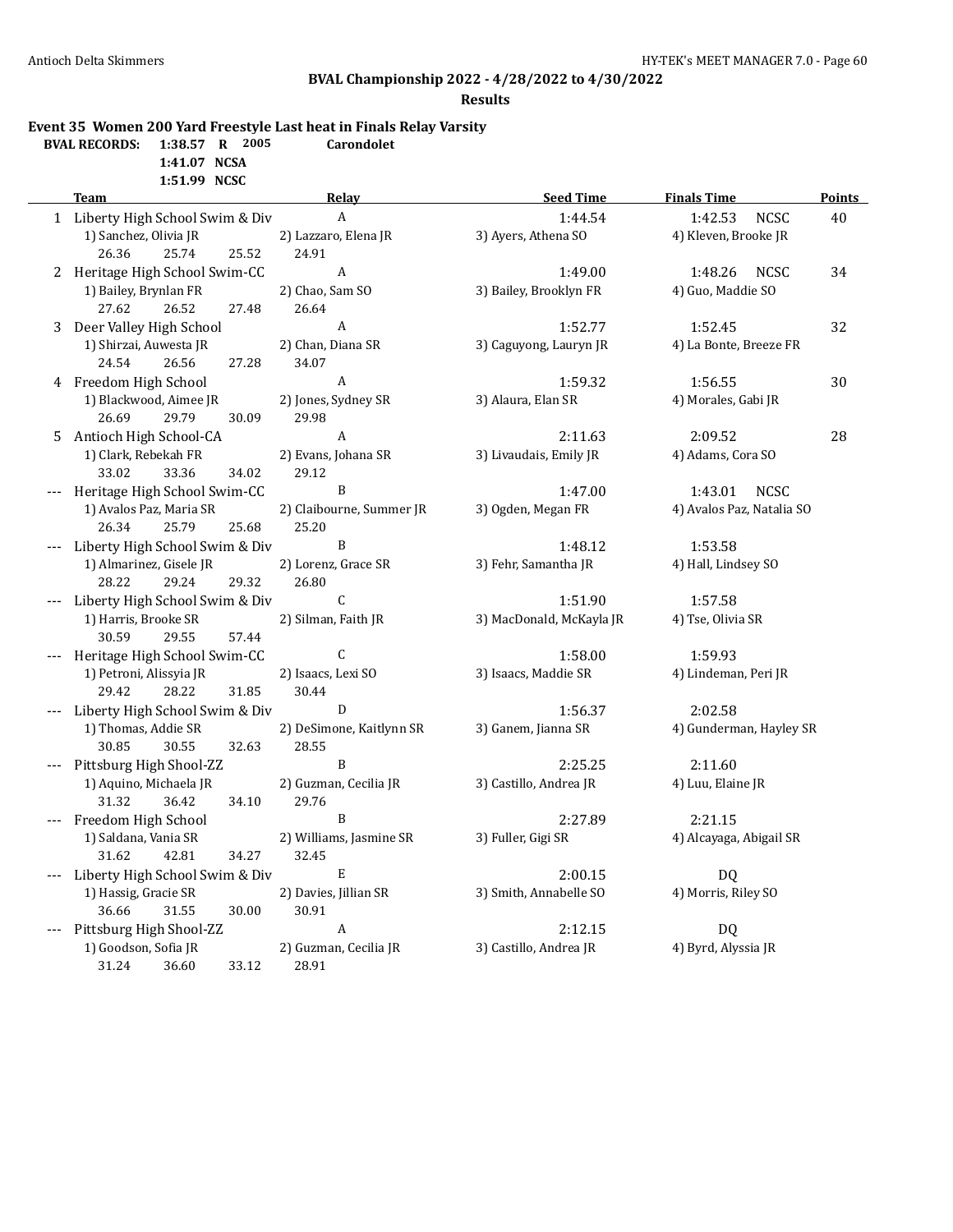#### **Results**

### **Event 35 Women 200 Yard Freestyle Last heat in Finals Relay Varsity**

| <b>BVAL RECORDS:</b> 1:38.57 R 2005 |              |  | Carondolet |
|-------------------------------------|--------------|--|------------|
|                                     | 1:41.07 NCSA |  |            |

**1:51.99 NCSC**

|   | <b>Team</b>                                            | Relay                     | <b>Seed Time</b>         | <b>Finals Time</b>        | <b>Points</b> |
|---|--------------------------------------------------------|---------------------------|--------------------------|---------------------------|---------------|
|   | 1 Liberty High School Swim & Div                       | $\boldsymbol{\mathsf{A}}$ | 1:44.54                  | 1:42.53<br><b>NCSC</b>    | 40            |
|   | 1) Sanchez, Olivia JR                                  | 2) Lazzaro, Elena JR      | 3) Ayers, Athena SO      | 4) Kleven, Brooke JR      |               |
|   | 26.36<br>25.74<br>25.52                                | 24.91                     |                          |                           |               |
|   | 2 Heritage High School Swim-CC                         | A                         | 1:49.00                  | 1:48.26<br>NCSC           | 34            |
|   | 1) Bailey, Brynlan FR                                  | 2) Chao, Sam SO           | 3) Bailey, Brooklyn FR   | 4) Guo, Maddie SO         |               |
|   | 27.62<br>26.52<br>27.48                                | 26.64                     |                          |                           |               |
| 3 | Deer Valley High School                                | A                         | 1:52.77                  | 1:52.45                   | 32            |
|   | 1) Shirzai, Auwesta JR                                 | 2) Chan, Diana SR         | 3) Caguyong, Lauryn JR   | 4) La Bonte, Breeze FR    |               |
|   | 24.54<br>26.56<br>27.28                                | 34.07                     |                          |                           |               |
|   | 4 Freedom High School                                  | A                         | 1:59.32                  | 1:56.55                   | 30            |
|   | 1) Blackwood, Aimee JR                                 | 2) Jones, Sydney SR       | 3) Alaura, Elan SR       | 4) Morales, Gabi JR       |               |
|   | 26.69<br>29.79<br>30.09                                | 29.98                     |                          |                           |               |
|   | 5 Antioch High School-CA                               | A                         | 2:11.63                  | 2:09.52                   | 28            |
|   | 1) Clark, Rebekah FR                                   | 2) Evans, Johana SR       | 3) Livaudais, Emily JR   | 4) Adams, Cora SO         |               |
|   | 33.02<br>33.36<br>34.02                                | 29.12                     |                          |                           |               |
|   | Heritage High School Swim-CC                           | B                         | 1:47.00                  | 1:43.01<br><b>NCSC</b>    |               |
|   | 1) Avalos Paz, Maria SR                                | 2) Claibourne, Summer JR  | 3) Ogden, Megan FR       | 4) Avalos Paz, Natalia SO |               |
|   | 26.34<br>25.79<br>25.68                                | 25.20                     |                          |                           |               |
|   | Liberty High School Swim & Div                         | B                         | 1:48.12                  | 1:53.58                   |               |
|   | 1) Almarinez, Gisele JR                                | 2) Lorenz, Grace SR       | 3) Fehr, Samantha JR     | 4) Hall, Lindsey SO       |               |
|   | 28.22<br>29.24<br>29.32                                | 26.80<br>C                | 1:51.90                  | 1:57.58                   |               |
|   | Liberty High School Swim & Div<br>1) Harris, Brooke SR | 2) Silman, Faith JR       | 3) MacDonald, McKayla JR | 4) Tse, Olivia SR         |               |
|   | 30.59<br>29.55<br>57.44                                |                           |                          |                           |               |
|   | Heritage High School Swim-CC                           | $\mathsf C$               | 1:58.00                  | 1:59.93                   |               |
|   | 1) Petroni, Alissyia JR                                | 2) Isaacs, Lexi SO        | 3) Isaacs, Maddie SR     | 4) Lindeman, Peri JR      |               |
|   | 29.42<br>28.22<br>31.85                                | 30.44                     |                          |                           |               |
|   | Liberty High School Swim & Div                         | $\mathbf D$               | 1:56.37                  | 2:02.58                   |               |
|   | 1) Thomas, Addie SR                                    | 2) DeSimone, Kaitlynn SR  | 3) Ganem, Jianna SR      | 4) Gunderman, Hayley SR   |               |
|   | 30.85<br>30.55<br>32.63                                | 28.55                     |                          |                           |               |
|   | Pittsburg High Shool-ZZ                                | B                         | 2:25.25                  | 2:11.60                   |               |
|   | 1) Aquino, Michaela JR                                 | 2) Guzman, Cecilia JR     | 3) Castillo, Andrea JR   | 4) Luu, Elaine JR         |               |
|   | 31.32<br>36.42<br>34.10                                | 29.76                     |                          |                           |               |
|   | Freedom High School                                    | B                         | 2:27.89                  | 2:21.15                   |               |
|   | 1) Saldana, Vania SR                                   | 2) Williams, Jasmine SR   | 3) Fuller, Gigi SR       | 4) Alcayaga, Abigail SR   |               |
|   | 31.62<br>42.81<br>34.27                                | 32.45                     |                          |                           |               |
|   | Liberty High School Swim & Div                         | ${\bf E}$                 | 2:00.15                  | <b>DQ</b>                 |               |
|   | 1) Hassig, Gracie SR                                   | 2) Davies, Jillian SR     | 3) Smith, Annabelle SO   | 4) Morris, Riley SO       |               |
|   | 36.66<br>31.55<br>30.00                                | 30.91                     |                          |                           |               |
|   | Pittsburg High Shool-ZZ                                | $\boldsymbol{A}$          | 2:12.15                  | DQ                        |               |
|   | 1) Goodson, Sofia JR                                   | 2) Guzman, Cecilia JR     | 3) Castillo, Andrea JR   | 4) Byrd, Alyssia JR       |               |
|   | 33.12<br>31.24<br>36.60                                | 28.91                     |                          |                           |               |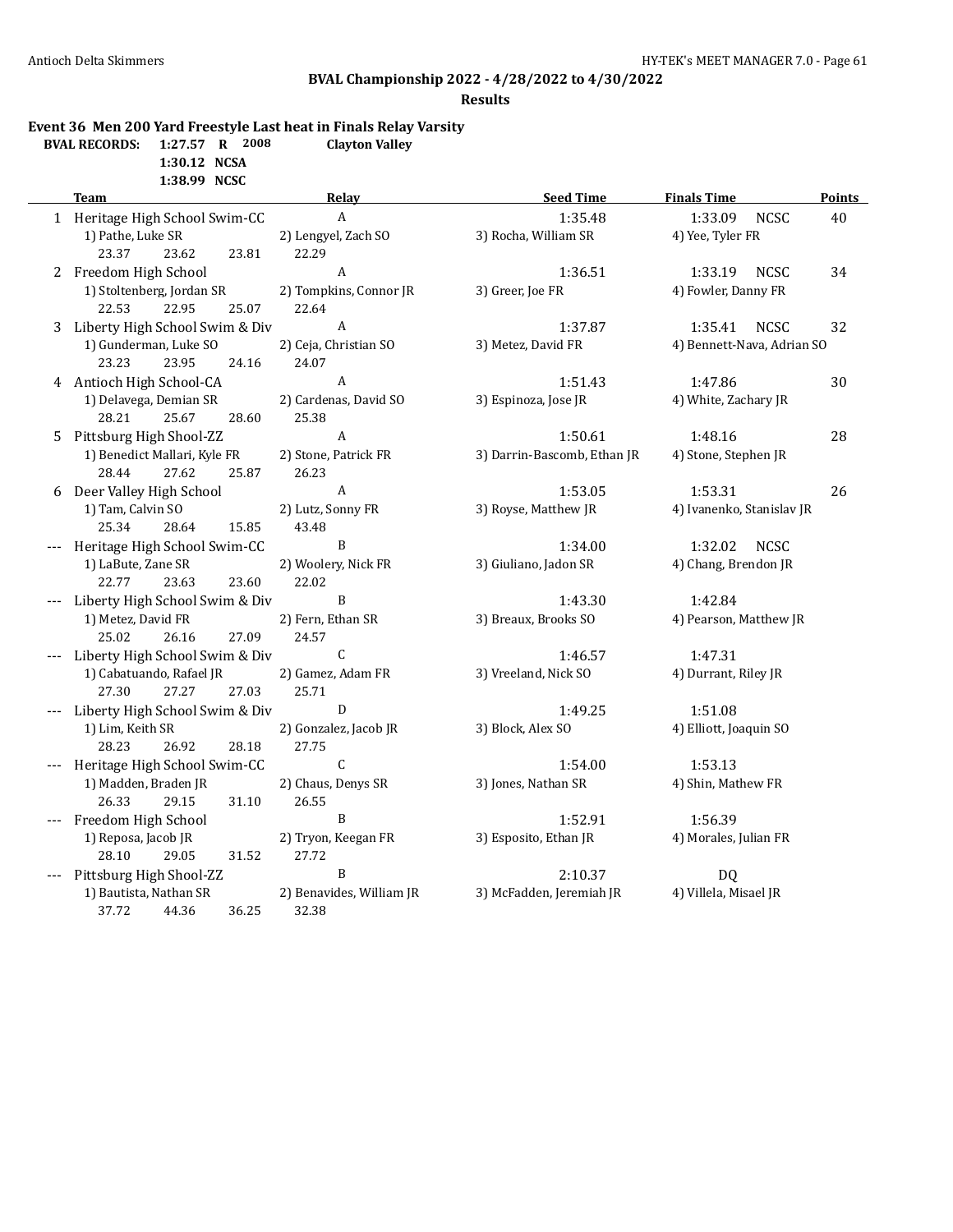### **Results**

### **Event 36 Men 200 Yard Freestyle Last heat in Finals Relay Varsity**

| <b>BVAL RECORDS:</b> | 1:27.57 R 2008 |  | <b>Clayton Valley</b> |
|----------------------|----------------|--|-----------------------|
|                      | 1:30.12 NCSA   |  |                       |

**1:38.99 NCSC**

|    | <b>Team</b>                                     | Relay                       | <b>Seed Time</b>                 | <b>Finals Time</b>               | <b>Points</b> |
|----|-------------------------------------------------|-----------------------------|----------------------------------|----------------------------------|---------------|
|    | 1 Heritage High School Swim-CC                  | $\boldsymbol{A}$            | 1:35.48                          | <b>NCSC</b><br>1:33.09           | 40            |
|    | 1) Pathe, Luke SR                               | 2) Lengyel, Zach SO         | 3) Rocha, William SR             | 4) Yee, Tyler FR                 |               |
|    | 23.37<br>23.81<br>23.62                         | 22.29                       |                                  |                                  |               |
|    | 2 Freedom High School                           | $\boldsymbol{A}$            | 1:36.51                          | <b>NCSC</b><br>1:33.19           | 34            |
|    | 1) Stoltenberg, Jordan SR                       | 2) Tompkins, Connor JR      | 3) Greer, Joe FR                 | 4) Fowler, Danny FR              |               |
|    | 25.07<br>22.53<br>22.95                         | 22.64                       |                                  |                                  |               |
|    | 3 Liberty High School Swim & Div                | $\boldsymbol{A}$            | 1:37.87                          | 1:35.41<br><b>NCSC</b>           | 32            |
|    | 1) Gunderman, Luke SO                           | 2) Ceja, Christian SO       | 3) Metez, David FR               | 4) Bennett-Nava, Adrian SO       |               |
|    | 23.23<br>23.95<br>24.16                         | 24.07                       |                                  |                                  |               |
|    | 4 Antioch High School-CA                        | A                           | 1:51.43                          | 1:47.86                          | 30            |
|    | 1) Delavega, Demian SR                          | 2) Cardenas, David SO       | 3) Espinoza, Jose JR             | 4) White, Zachary JR             |               |
|    | 25.67<br>28.21<br>28.60                         | 25.38                       |                                  |                                  |               |
| 5. | Pittsburg High Shool-ZZ                         | $\boldsymbol{A}$            | 1:50.61                          | 1:48.16                          | 28            |
|    | 1) Benedict Mallari, Kyle FR                    | 2) Stone, Patrick FR        | 3) Darrin-Bascomb, Ethan JR      | 4) Stone, Stephen JR             |               |
|    | 28.44<br>27.62<br>25.87                         | 26.23                       |                                  |                                  |               |
| 6  | Deer Valley High School                         | $\boldsymbol{A}$            | 1:53.05                          | 1:53.31                          | 26            |
|    | 1) Tam, Calvin SO                               | 2) Lutz, Sonny FR           | 3) Royse, Matthew JR             | 4) Ivanenko, Stanislav JR        |               |
|    | 25.34<br>28.64<br>15.85                         | 43.48                       |                                  |                                  |               |
|    | Heritage High School Swim-CC                    | B                           | 1:34.00                          | 1:32.02<br><b>NCSC</b>           |               |
|    | 1) LaBute, Zane SR                              | 2) Woolery, Nick FR         | 3) Giuliano, Jadon SR            | 4) Chang, Brendon JR             |               |
|    | 22.77<br>23.63<br>23.60                         | 22.02                       |                                  |                                  |               |
|    | Liberty High School Swim & Div                  | B                           | 1:43.30                          | 1:42.84                          |               |
|    | 1) Metez, David FR                              | 2) Fern, Ethan SR           | 3) Breaux, Brooks SO             | 4) Pearson, Matthew JR           |               |
|    | 25.02<br>26.16<br>27.09                         | 24.57                       |                                  |                                  |               |
|    | Liberty High School Swim & Div                  | $\mathsf C$                 | 1:46.57                          | 1:47.31                          |               |
|    | 1) Cabatuando, Rafael JR                        | 2) Gamez, Adam FR           | 3) Vreeland, Nick SO             | 4) Durrant, Riley JR             |               |
|    | 27.30<br>27.27<br>27.03                         | 25.71                       |                                  |                                  |               |
|    | Liberty High School Swim & Div                  | D                           | 1:49.25                          | 1:51.08                          |               |
|    | 1) Lim, Keith SR                                | 2) Gonzalez, Jacob JR       | 3) Block, Alex SO                | 4) Elliott, Joaquin SO           |               |
|    | 28.23<br>26.92<br>28.18                         | 27.75                       |                                  |                                  |               |
|    | Heritage High School Swim-CC                    | $\mathsf C$                 | 1:54.00                          | 1:53.13                          |               |
|    | 1) Madden, Braden JR<br>26.33<br>29.15<br>31.10 | 2) Chaus, Denys SR<br>26.55 | 3) Jones, Nathan SR              | 4) Shin, Mathew FR               |               |
|    |                                                 |                             |                                  |                                  |               |
|    | Freedom High School<br>1) Reposa, Jacob JR      | B<br>2) Tryon, Keegan FR    | 1:52.91<br>3) Esposito, Ethan JR | 1:56.39<br>4) Morales, Julian FR |               |
|    | 31.52<br>29.05<br>28.10                         | 27.72                       |                                  |                                  |               |
|    | Pittsburg High Shool-ZZ                         | B                           | 2:10.37                          | <b>DQ</b>                        |               |
|    | 1) Bautista, Nathan SR                          | 2) Benavides, William JR    | 3) McFadden, Jeremiah JR         | 4) Villela, Misael JR            |               |
|    | 37.72<br>44.36<br>36.25                         | 32.38                       |                                  |                                  |               |
|    |                                                 |                             |                                  |                                  |               |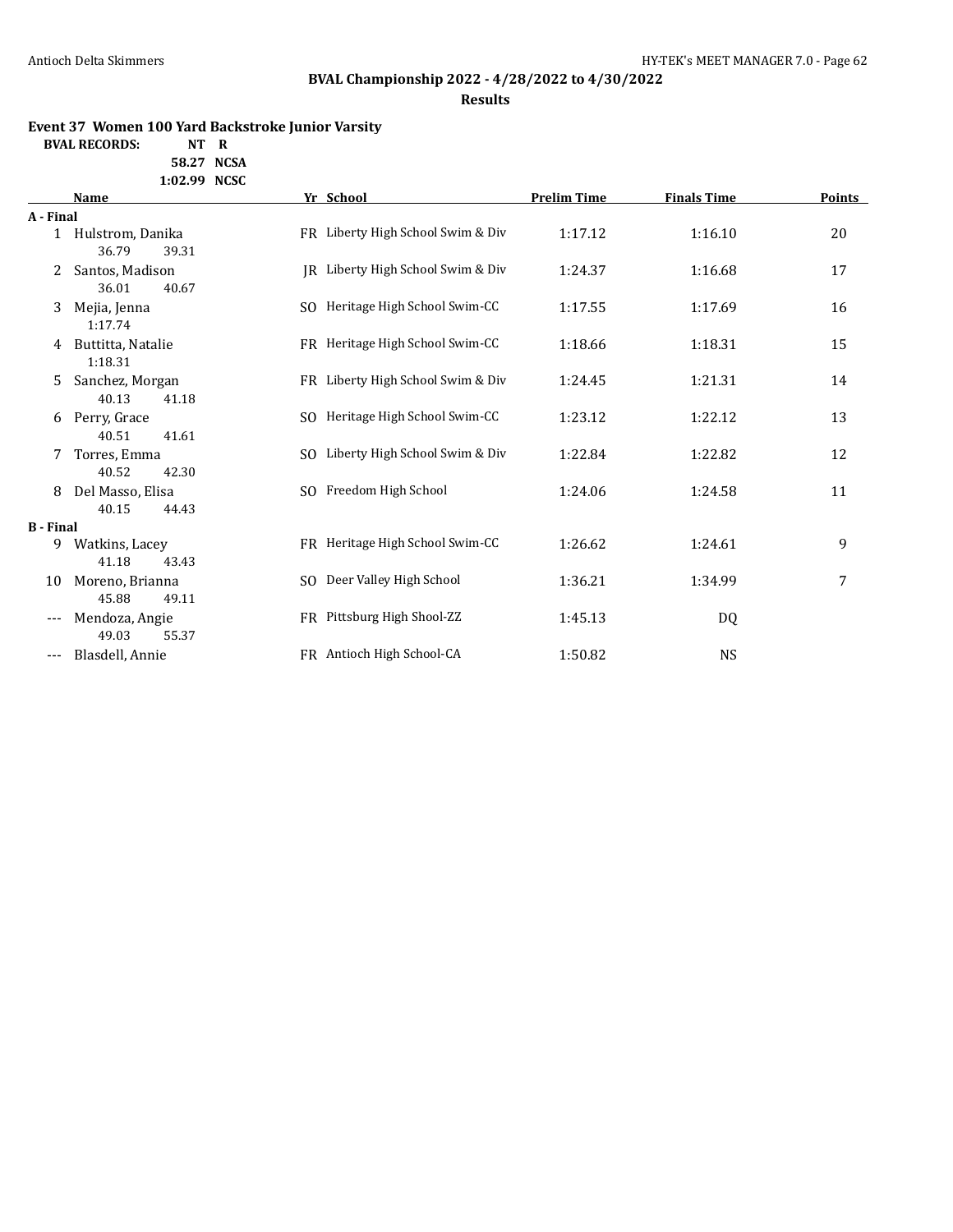# **BVAL Championship 2022 - 4/28/2022 to 4/30/2022**

**Results**

### **Event 37 Women 100 Yard Backstroke Junior Varsity**

**BVAL RECORDS: NT R**

**58.27 NCSA 1:02.99 NCSC**

|                  | <b>Name</b>                          |     | Yr School                         | <b>Prelim Time</b> | <b>Finals Time</b> | Points |  |
|------------------|--------------------------------------|-----|-----------------------------------|--------------------|--------------------|--------|--|
| A - Final        |                                      |     |                                   |                    |                    |        |  |
|                  | 1 Hulstrom, Danika<br>36.79<br>39.31 |     | FR Liberty High School Swim & Div | 1:17.12            | 1:16.10            | 20     |  |
| 2                | Santos, Madison<br>36.01<br>40.67    |     | JR Liberty High School Swim & Div | 1:24.37            | 1:16.68            | 17     |  |
| 3                | Mejia, Jenna<br>1:17.74              |     | SO Heritage High School Swim-CC   | 1:17.55            | 1:17.69            | 16     |  |
| 4                | Buttitta, Natalie<br>1:18.31         |     | FR Heritage High School Swim-CC   | 1:18.66            | 1:18.31            | 15     |  |
| 5.               | Sanchez, Morgan<br>40.13<br>41.18    |     | FR Liberty High School Swim & Div | 1:24.45            | 1:21.31            | 14     |  |
| 6                | Perry, Grace<br>40.51<br>41.61       | SO. | Heritage High School Swim-CC      | 1:23.12            | 1:22.12            | 13     |  |
| 7                | Torres, Emma<br>40.52<br>42.30       | SO. | Liberty High School Swim & Div    | 1:22.84            | 1:22.82            | 12     |  |
| 8                | Del Masso, Elisa<br>40.15<br>44.43   |     | SO Freedom High School            | 1:24.06            | 1:24.58            | 11     |  |
| <b>B</b> - Final |                                      |     |                                   |                    |                    |        |  |
| 9                | Watkins, Lacey<br>41.18<br>43.43     |     | FR Heritage High School Swim-CC   | 1:26.62            | 1:24.61            | 9      |  |
| 10               | Moreno, Brianna<br>45.88<br>49.11    | SO. | Deer Valley High School           | 1:36.21            | 1:34.99            | 7      |  |
| $---$            | Mendoza, Angie<br>49.03<br>55.37     |     | FR Pittsburg High Shool-ZZ        | 1:45.13            | DQ                 |        |  |
|                  | Blasdell, Annie                      |     | FR Antioch High School-CA         | 1:50.82            | <b>NS</b>          |        |  |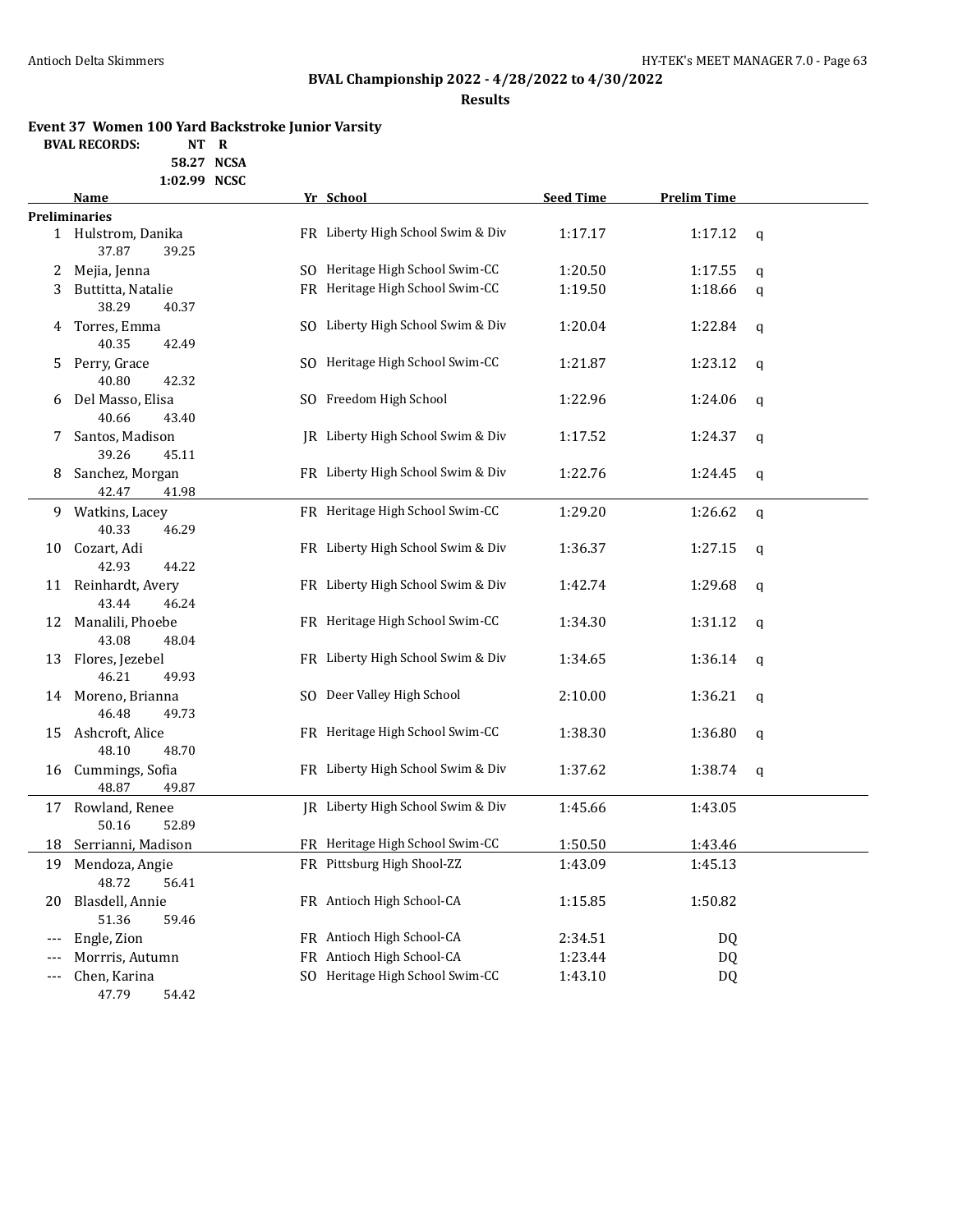# **BVAL Championship 2022 - 4/28/2022 to 4/30/2022**

**Results**

### **Event 37 Women 100 Yard Backstroke Junior Varsity**

**BVAL RECORDS: NT R**

**58.27 NCSA 1:02.99 NCSC**

|       | Name                                 |     | Yr School                         | <b>Seed Time</b> | <b>Prelim Time</b> |              |
|-------|--------------------------------------|-----|-----------------------------------|------------------|--------------------|--------------|
|       | <b>Preliminaries</b>                 |     |                                   |                  |                    |              |
|       | 1 Hulstrom, Danika<br>37.87<br>39.25 |     | FR Liberty High School Swim & Div | 1:17.17          | 1:17.12            | $\mathbf q$  |
| 2     | Mejia, Jenna                         |     | SQ Heritage High School Swim-CC   | 1:20.50          | 1:17.55            | q            |
| 3     | Buttitta, Natalie                    |     | FR Heritage High School Swim-CC   | 1:19.50          | 1:18.66            | q            |
|       | 38.29<br>40.37                       |     |                                   |                  |                    |              |
| 4     | Torres, Emma                         | SO. | Liberty High School Swim & Div    | 1:20.04          | 1:22.84            | q            |
|       | 40.35<br>42.49                       |     |                                   |                  |                    |              |
| 5.    | Perry, Grace                         |     | SO Heritage High School Swim-CC   | 1:21.87          | 1:23.12            | $\mathbf q$  |
|       | 40.80<br>42.32                       |     |                                   |                  |                    |              |
| 6     | Del Masso, Elisa                     |     | SO Freedom High School            | 1:22.96          | 1:24.06            | q            |
|       | 40.66<br>43.40                       |     |                                   |                  |                    |              |
| 7     | Santos, Madison                      |     | JR Liberty High School Swim & Div | 1:17.52          | 1:24.37            | q            |
|       | 39.26<br>45.11                       |     |                                   |                  |                    |              |
| 8     | Sanchez, Morgan                      |     | FR Liberty High School Swim & Div | 1:22.76          | 1:24.45            | $\mathbf{q}$ |
|       | 42.47<br>41.98                       |     |                                   |                  |                    |              |
|       | 9 Watkins, Lacey                     |     | FR Heritage High School Swim-CC   | 1:29.20          | 1:26.62            | $\mathbf{q}$ |
|       | 40.33<br>46.29                       |     |                                   |                  |                    |              |
| 10    | Cozart, Adi                          |     | FR Liberty High School Swim & Div | 1:36.37          | 1:27.15            | $\mathbf{q}$ |
|       | 42.93<br>44.22                       |     |                                   |                  |                    |              |
| 11    | Reinhardt, Avery                     |     | FR Liberty High School Swim & Div | 1:42.74          | 1:29.68            | q            |
|       | 43.44<br>46.24                       |     |                                   |                  |                    |              |
|       | 12 Manalili, Phoebe                  |     | FR Heritage High School Swim-CC   | 1:34.30          | 1:31.12            | q            |
|       | 43.08<br>48.04                       |     |                                   |                  |                    |              |
| 13    | Flores, Jezebel                      |     | FR Liberty High School Swim & Div | 1:34.65          | 1:36.14            | $\mathbf q$  |
|       | 46.21<br>49.93                       |     |                                   |                  |                    |              |
|       | 14 Moreno, Brianna                   |     | SO Deer Valley High School        | 2:10.00          | 1:36.21            | q            |
|       | 46.48<br>49.73                       |     |                                   |                  |                    |              |
| 15    | Ashcroft, Alice                      |     | FR Heritage High School Swim-CC   | 1:38.30          | 1:36.80            | $\mathbf{q}$ |
|       | 48.10<br>48.70                       |     |                                   |                  |                    |              |
| 16    | Cummings, Sofia                      |     | FR Liberty High School Swim & Div | 1:37.62          | 1:38.74            | q            |
|       | 48.87<br>49.87                       |     |                                   |                  |                    |              |
| 17    | Rowland, Renee                       |     | IR Liberty High School Swim & Div | 1:45.66          | 1:43.05            |              |
|       | 50.16<br>52.89                       |     |                                   |                  |                    |              |
| 18    | Serrianni, Madison                   |     | FR Heritage High School Swim-CC   | 1:50.50          | 1:43.46            |              |
| 19    | Mendoza, Angie                       |     | FR Pittsburg High Shool-ZZ        | 1:43.09          | 1:45.13            |              |
|       | 48.72<br>56.41                       |     |                                   |                  |                    |              |
| 20    | Blasdell, Annie                      |     | FR Antioch High School-CA         | 1:15.85          | 1:50.82            |              |
|       | 51.36<br>59.46                       |     |                                   |                  |                    |              |
| ---   | Engle, Zion                          |     | FR Antioch High School-CA         | 2:34.51          | <b>DQ</b>          |              |
| ---   | Morrris, Autumn                      |     | FR Antioch High School-CA         | 1:23.44          | DQ                 |              |
| $---$ | Chen, Karina                         |     | SO Heritage High School Swim-CC   | 1:43.10          | <b>DQ</b>          |              |
|       | 47.79<br>54.42                       |     |                                   |                  |                    |              |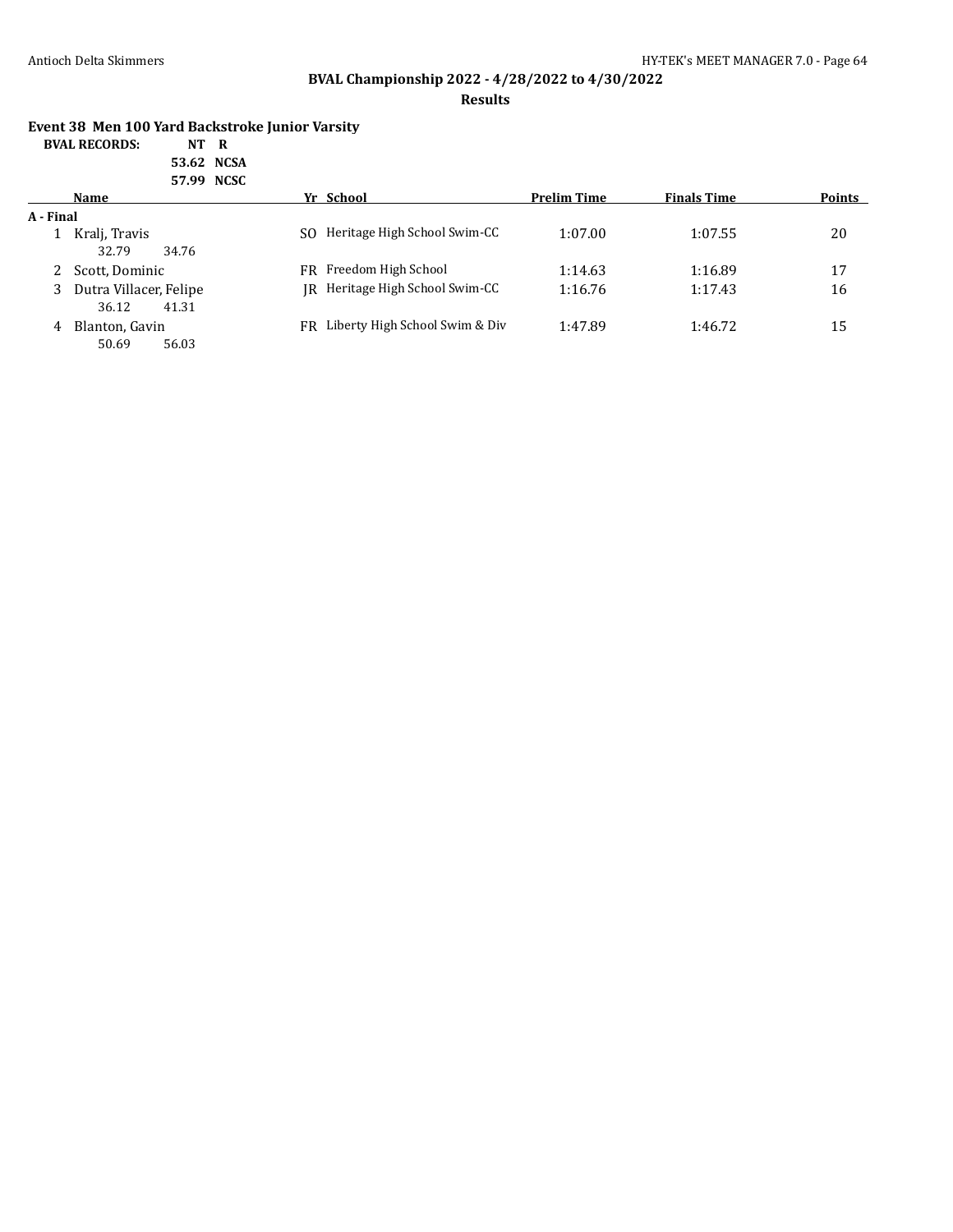# **BVAL Championship 2022 - 4/28/2022 to 4/30/2022**

#### **Results**

### **Event 38 Men 100 Yard Backstroke Junior Varsity**

| <b>BVAL RECORDS:</b> | NT R |  |
|----------------------|------|--|
|----------------------|------|--|

| 53.62 NCSA |
|------------|
| 57.99 NCSC |

|           | JIJJ NUJU                                  |                        |                                            |                    |               |
|-----------|--------------------------------------------|------------------------|--------------------------------------------|--------------------|---------------|
|           | Name                                       | Yr School              | <b>Prelim Time</b>                         | <b>Finals Time</b> | <b>Points</b> |
| A - Final |                                            |                        |                                            |                    |               |
|           | Kralj, Travis<br>32.79<br>34.76            | SO.                    | Heritage High School Swim-CC<br>1:07.00    | 1:07.55            | 20            |
|           | Scott, Dominic                             | FR Freedom High School | 1:14.63                                    | 1:16.89            | 17            |
|           | 3 Dutra Villacer, Felipe<br>36.12<br>41.31 |                        | IR Heritage High School Swim-CC<br>1:16.76 | 1:17.43            | 16            |
| 4         | Blanton, Gavin<br>50.69<br>56.03           | FR.                    | Liberty High School Swim & Div<br>1:47.89  | 1:46.72            | 15            |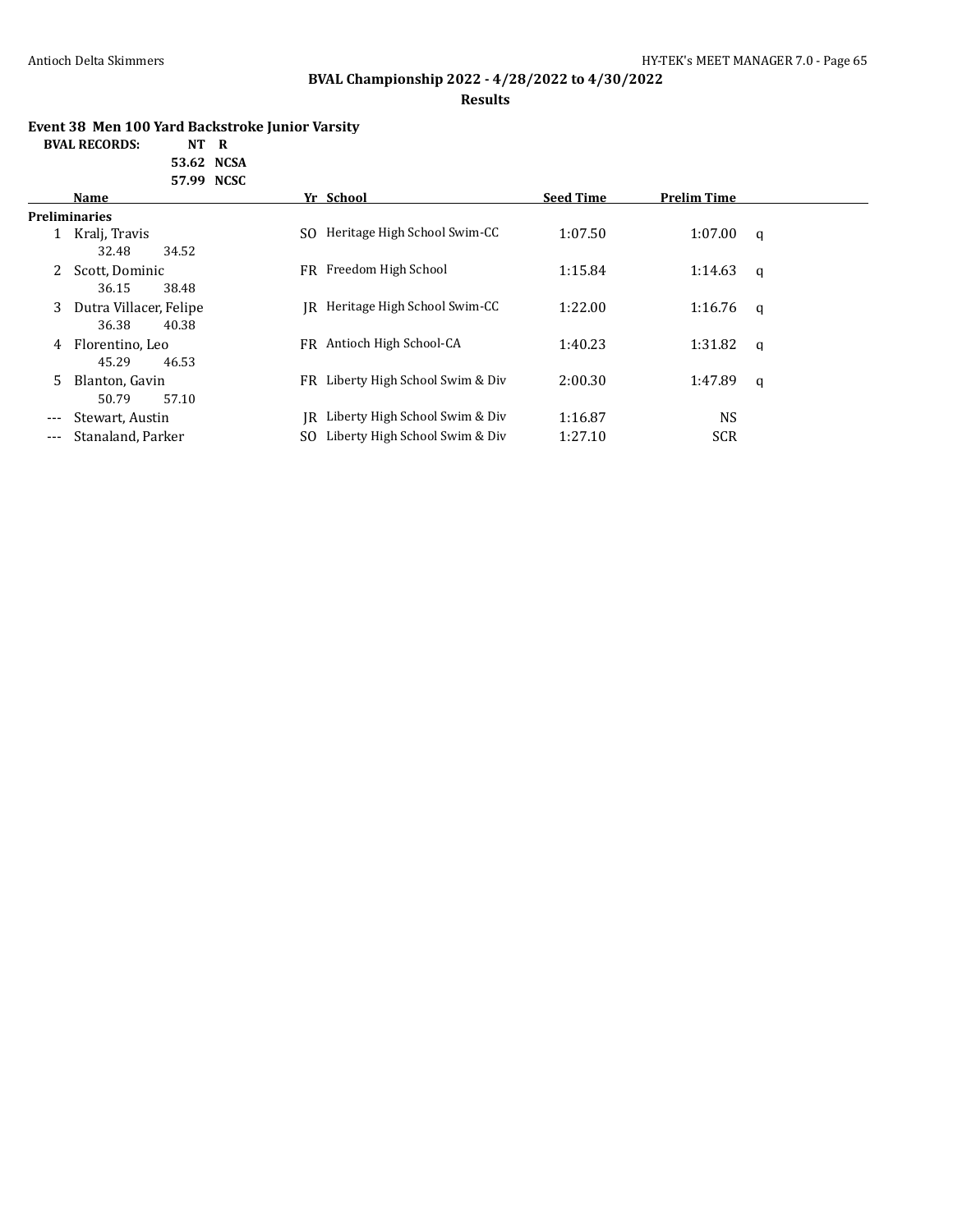# **BVAL Championship 2022 - 4/28/2022 to 4/30/2022**

### **Results**

### **Event 38 Men 100 Yard Backstroke Junior Varsity**

**BVAL RECORDS: NT R**

**53.62 NCSA 57.99 NCSC**

|     | Name                   |     | Yr School                      | <b>Seed Time</b> | <b>Prelim Time</b> |          |
|-----|------------------------|-----|--------------------------------|------------------|--------------------|----------|
|     | <b>Preliminaries</b>   |     |                                |                  |                    |          |
|     | Kralj, Travis          | SO. | Heritage High School Swim-CC   | 1:07.50          | 1:07.00            | a        |
|     | 32.48<br>34.52         |     |                                |                  |                    |          |
| 2   | Scott, Dominic         | FR. | Freedom High School            | 1:15.84          | 1:14.63            | q        |
|     | 38.48<br>36.15         |     |                                |                  |                    |          |
| 3   | Dutra Villacer, Felipe | IR. | Heritage High School Swim-CC   | 1:22.00          | 1:16.76            | <b>q</b> |
|     | 36.38<br>40.38         |     |                                |                  |                    |          |
| 4   | Florentino. Leo        |     | FR Antioch High School-CA      | 1:40.23          | 1:31.82            | q        |
|     | 45.29<br>46.53         |     |                                |                  |                    |          |
| 5.  | Blanton, Gavin         | FR  | Liberty High School Swim & Div | 2:00.30          | 1:47.89            | a        |
|     | 57.10<br>50.79         |     |                                |                  |                    |          |
| --- | Stewart, Austin        | IR  | Liberty High School Swim & Div | 1:16.87          | <b>NS</b>          |          |
| --- | Stanaland, Parker      | SO. | Liberty High School Swim & Div | 1:27.10          | SCR                |          |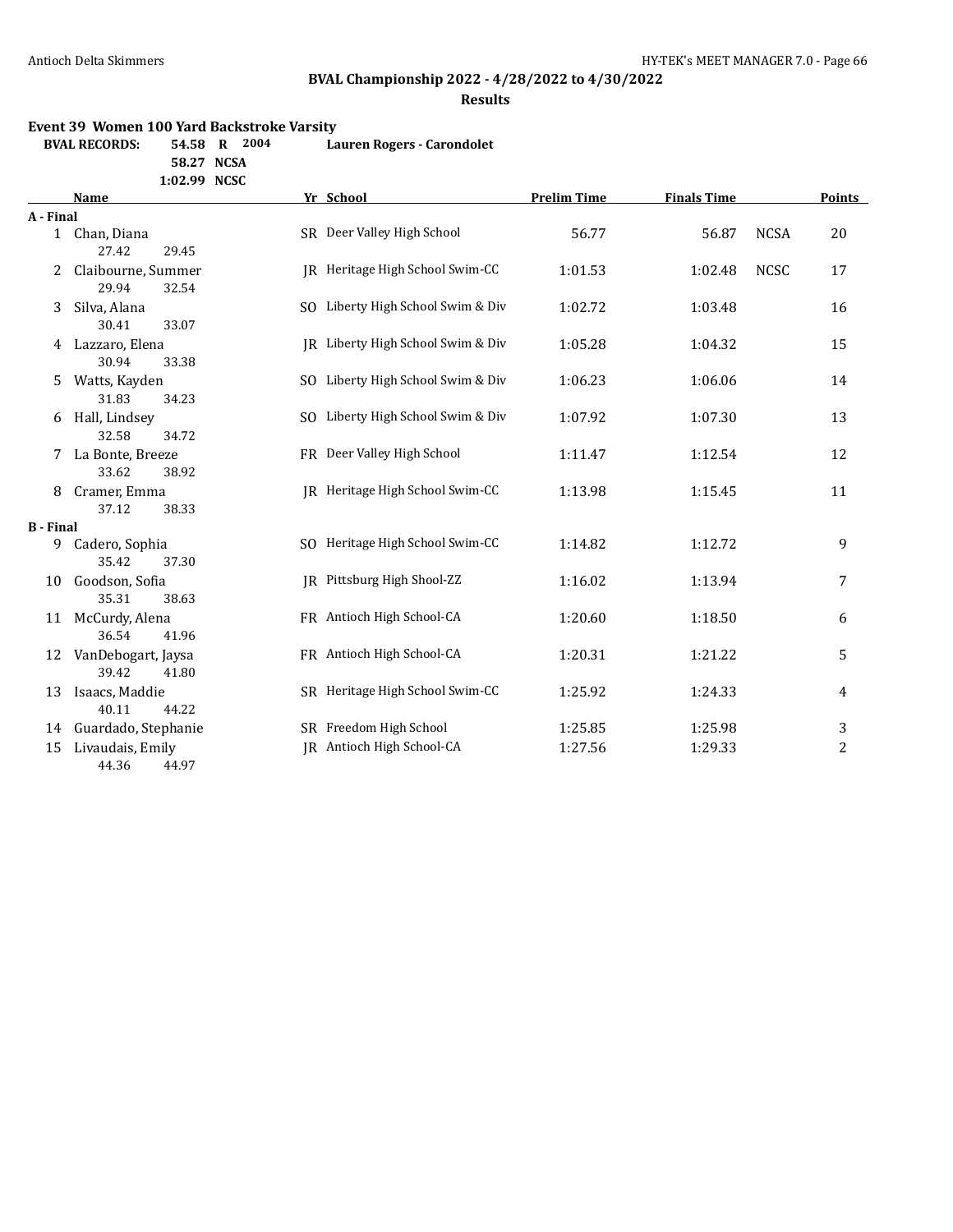# **BVAL Championship 2022 - 4/28/2022 to 4/30/2022**

**Results**

### **Event 39 Women 100 Yard Backstroke Varsity**

| BVAL RECORDS: | 54.58 R | 2004 | Lauren Rogers - Carondolet |
|---------------|---------|------|----------------------------|
|               |         |      |                            |

**58.27 NCSA**

| 1:02.99 | <b>NCSC</b> |
|---------|-------------|
|         |             |
|         |             |

|                  | <b>Name</b>                          | Yr School |                                   | <b>Prelim Time</b> | <b>Finals Time</b> |             |    |
|------------------|--------------------------------------|-----------|-----------------------------------|--------------------|--------------------|-------------|----|
| A - Final        |                                      |           |                                   |                    |                    |             |    |
|                  | 1 Chan, Diana                        |           | SR Deer Valley High School        | 56.77              | 56.87              | <b>NCSA</b> | 20 |
|                  | 27.42<br>29.45                       |           |                                   |                    |                    |             |    |
| 2                | Claibourne, Summer                   |           | IR Heritage High School Swim-CC   | 1:01.53            | 1:02.48            | <b>NCSC</b> | 17 |
|                  | 29.94<br>32.54                       |           |                                   |                    |                    |             |    |
| 3                | Silva, Alana                         |           | SO Liberty High School Swim & Div | 1:02.72            | 1:03.48            |             | 16 |
|                  | 30.41<br>33.07                       |           |                                   |                    |                    |             |    |
|                  | 4 Lazzaro, Elena                     |           | IR Liberty High School Swim & Div | 1:05.28            | 1:04.32            |             | 15 |
|                  | 30.94<br>33.38                       |           |                                   |                    |                    |             |    |
| 5.               | Watts, Kayden                        |           | SO Liberty High School Swim & Div | 1:06.23            | 1:06.06            |             | 14 |
|                  | 31.83<br>34.23                       |           |                                   |                    |                    |             |    |
| 6                | Hall, Lindsey                        |           | SO Liberty High School Swim & Div | 1:07.92            | 1:07.30            |             | 13 |
|                  | 32.58<br>34.72                       |           |                                   |                    |                    |             |    |
|                  | 7 La Bonte, Breeze                   |           | FR Deer Valley High School        | 1:11.47            | 1:12.54            |             | 12 |
|                  | 33.62<br>38.92                       |           |                                   |                    |                    |             |    |
| 8                | Cramer, Emma                         |           | JR Heritage High School Swim-CC   | 1:13.98            | 1:15.45            |             | 11 |
|                  | 37.12<br>38.33                       |           |                                   |                    |                    |             |    |
| <b>B</b> - Final |                                      |           |                                   |                    |                    |             |    |
| 9                | Cadero, Sophia                       |           | SO Heritage High School Swim-CC   | 1:14.82            | 1:12.72            |             | 9  |
|                  | 35.42<br>37.30                       |           |                                   |                    |                    |             |    |
| 10               | Goodson, Sofia                       |           | IR Pittsburg High Shool-ZZ        | 1:16.02            | 1:13.94            |             | 7  |
|                  | 35.31<br>38.63                       |           | FR Antioch High School-CA         |                    |                    |             |    |
| 11               | McCurdy, Alena<br>36.54<br>41.96     |           |                                   | 1:20.60            | 1:18.50            |             | 6  |
|                  |                                      |           | FR Antioch High School-CA         | 1:20.31            | 1:21.22            |             |    |
| 12               | VanDebogart, Jaysa<br>39.42<br>41.80 |           |                                   |                    |                    |             | 5  |
| 13               |                                      |           | SR Heritage High School Swim-CC   | 1:25.92            | 1:24.33            |             |    |
|                  | Isaacs, Maddie<br>40.11<br>44.22     |           |                                   |                    |                    |             | 4  |
| 14               | Guardado, Stephanie                  |           | SR Freedom High School            | 1:25.85            | 1:25.98            |             | 3  |
| 15               | Livaudais, Emily                     |           | JR Antioch High School-CA         | 1:27.56            | 1:29.33            |             | 2  |
|                  | 44.36<br>44.97                       |           |                                   |                    |                    |             |    |
|                  |                                      |           |                                   |                    |                    |             |    |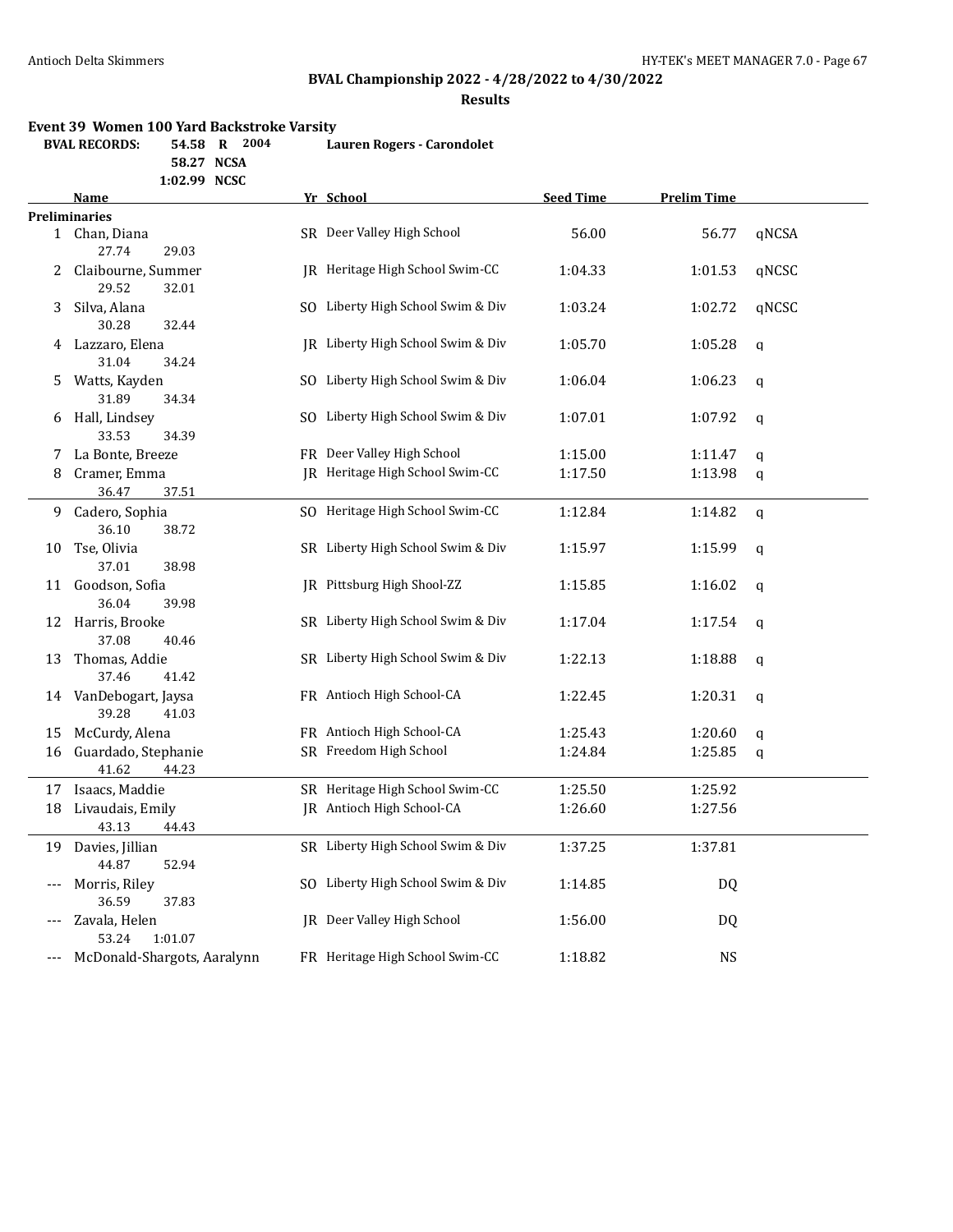# **BVAL Championship 2022 - 4/28/2022 to 4/30/2022**

**Results**

#### **Event 39 Women 100 Yard Backstroke Varsity**

| BVAL RECORDS: | 54.58 R 2004 |  |  | Lauren Rogers - Carondolet |
|---------------|--------------|--|--|----------------------------|
|---------------|--------------|--|--|----------------------------|

**58.27 NCSA**

**1:02.99 NCSC**

|     | Name                                  | <u>Yr School</u>                  | <b>Seed Time</b> | <b>Prelim Time</b> |              |
|-----|---------------------------------------|-----------------------------------|------------------|--------------------|--------------|
|     | <b>Preliminaries</b>                  |                                   |                  |                    |              |
|     | 1 Chan, Diana<br>29.03<br>27.74       | SR Deer Valley High School        | 56.00            | 56.77              | qNCSA        |
| 2   | Claibourne, Summer<br>29.52<br>32.01  | JR Heritage High School Swim-CC   | 1:04.33          | 1:01.53            | qNCSC        |
| 3   | Silva, Alana<br>30.28<br>32.44        | SO Liberty High School Swim & Div | 1:03.24          | 1:02.72            | qNCSC        |
| 4   | Lazzaro, Elena<br>31.04<br>34.24      | JR Liberty High School Swim & Div | 1:05.70          | 1:05.28            | $\mathsf{q}$ |
| 5.  | Watts, Kayden<br>31.89<br>34.34       | SO Liberty High School Swim & Div | 1:06.04          | 1:06.23            | $\mathsf{q}$ |
| 6   | Hall, Lindsey<br>33.53<br>34.39       | SO Liberty High School Swim & Div | 1:07.01          | 1:07.92            | $\mathsf{q}$ |
| 7   | La Bonte, Breeze                      | FR Deer Valley High School        | 1:15.00          | 1:11.47            | q            |
| 8   | Cramer, Emma<br>36.47<br>37.51        | JR Heritage High School Swim-CC   | 1:17.50          | 1:13.98            | $\mathsf{q}$ |
| 9.  | Cadero, Sophia<br>36.10<br>38.72      | SO Heritage High School Swim-CC   | 1:12.84          | 1:14.82            | $\mathbf q$  |
| 10  | Tse, Olivia<br>38.98<br>37.01         | SR Liberty High School Swim & Div | 1:15.97          | 1:15.99            | $\mathsf q$  |
| 11  | Goodson, Sofia<br>36.04<br>39.98      | IR Pittsburg High Shool-ZZ        | 1:15.85          | 1:16.02            | q            |
| 12  | Harris, Brooke<br>37.08<br>40.46      | SR Liberty High School Swim & Div | 1:17.04          | 1:17.54            | q            |
| 13  | Thomas, Addie<br>37.46<br>41.42       | SR Liberty High School Swim & Div | 1:22.13          | 1:18.88            | q            |
| 14  | VanDebogart, Jaysa<br>39.28<br>41.03  | FR Antioch High School-CA         | 1:22.45          | 1:20.31            | $\mathsf{q}$ |
| 15  | McCurdy, Alena                        | FR Antioch High School-CA         | 1:25.43          | 1:20.60            | $\mathsf{q}$ |
| 16  | Guardado, Stephanie<br>41.62<br>44.23 | SR Freedom High School            | 1:24.84          | 1:25.85            | q            |
|     | 17 Isaacs, Maddie                     | SR Heritage High School Swim-CC   | 1:25.50          | 1:25.92            |              |
| 18  | Livaudais, Emily<br>43.13<br>44.43    | JR Antioch High School-CA         | 1:26.60          | 1:27.56            |              |
| 19  | Davies, Jillian<br>44.87<br>52.94     | SR Liberty High School Swim & Div | 1:37.25          | 1:37.81            |              |
| --- | Morris, Riley<br>36.59<br>37.83       | SO Liberty High School Swim & Div | 1:14.85          | DQ                 |              |
|     | Zavala, Helen<br>1:01.07<br>53.24     | JR Deer Valley High School        | 1:56.00          | DQ                 |              |
| --- | McDonald-Shargots, Aaralynn           | FR Heritage High School Swim-CC   | 1:18.82          | NS                 |              |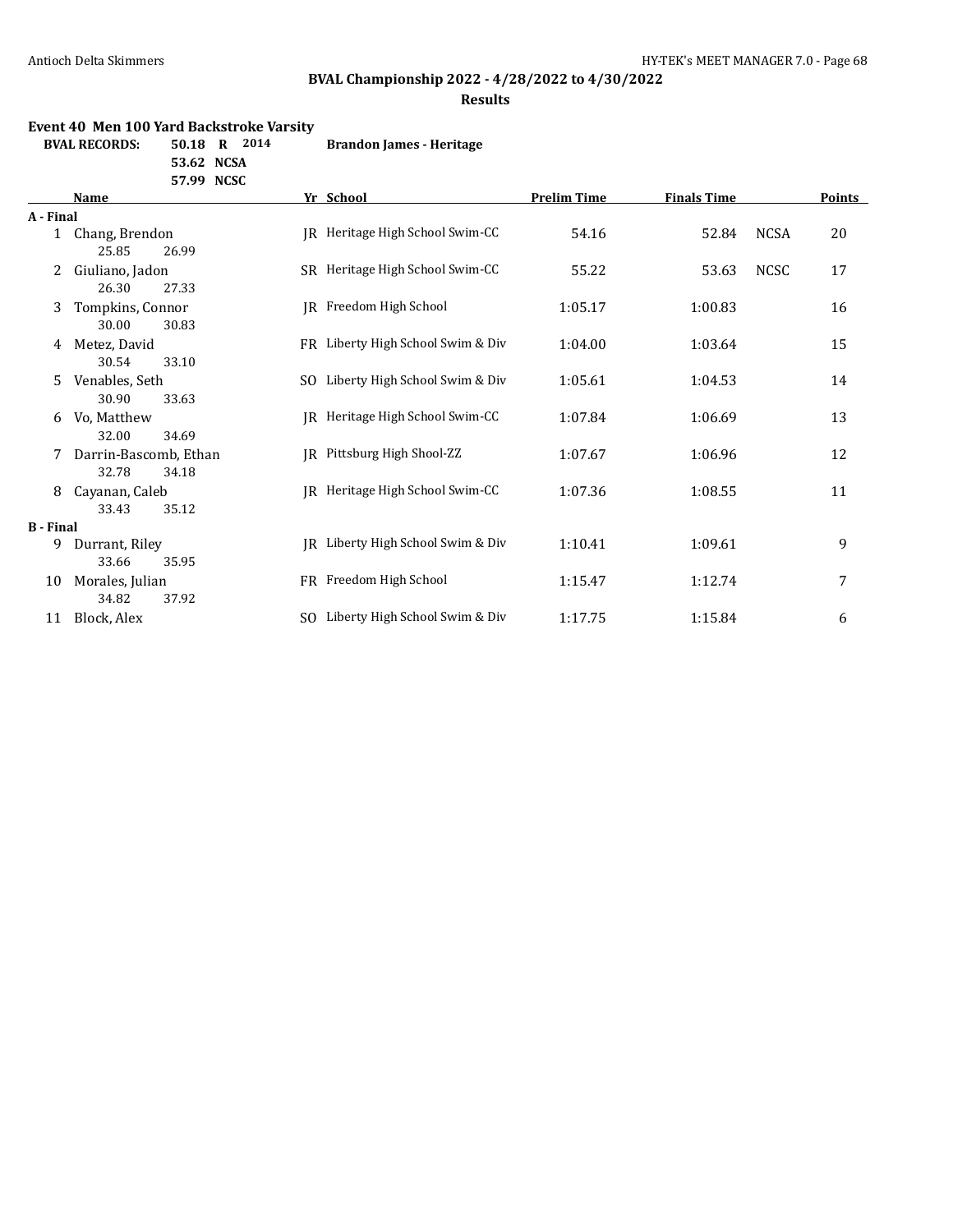# **BVAL Championship 2022 - 4/28/2022 to 4/30/2022**

### **Results**

#### **Event 40 Men 100 Yard Backstroke Varsity**

| BVAL RECORDS: | 50.18 R 2014 |  | <b>Brandon James - Heritage</b> |
|---------------|--------------|--|---------------------------------|
|               |              |  |                                 |

**53.62 NCSA**

| 57.99 | <b>NCSC</b> |
|-------|-------------|
|       |             |

|                  | Name                                    |     | Yr School                         | <b>Prelim Time</b> | <b>Finals Time</b> |             | Points |
|------------------|-----------------------------------------|-----|-----------------------------------|--------------------|--------------------|-------------|--------|
| A - Final        |                                         |     |                                   |                    |                    |             |        |
|                  | 1 Chang, Brendon<br>25.85<br>26.99      | IR  | Heritage High School Swim-CC      | 54.16              | 52.84              | <b>NCSA</b> | 20     |
| 2                | Giuliano, Jadon<br>26.30<br>27.33       |     | SR Heritage High School Swim-CC   | 55.22              | 53.63              | <b>NCSC</b> | 17     |
| 3                | Tompkins, Connor<br>30.00<br>30.83      |     | JR Freedom High School            | 1:05.17            | 1:00.83            |             | 16     |
| 4                | Metez, David<br>30.54<br>33.10          |     | FR Liberty High School Swim & Div | 1:04.00            | 1:03.64            |             | 15     |
| 5                | Venables, Seth<br>30.90<br>33.63        | SO. | Liberty High School Swim & Div    | 1:05.61            | 1:04.53            |             | 14     |
| 6                | Vo, Matthew<br>32.00<br>34.69           | IR  | Heritage High School Swim-CC      | 1:07.84            | 1:06.69            |             | 13     |
| 7                | Darrin-Bascomb, Ethan<br>32.78<br>34.18 | IR  | Pittsburg High Shool-ZZ           | 1:07.67            | 1:06.96            |             | 12     |
| 8                | Cayanan, Caleb<br>35.12<br>33.43        | IR  | Heritage High School Swim-CC      | 1:07.36            | 1:08.55            |             | 11     |
| <b>B</b> - Final |                                         |     |                                   |                    |                    |             |        |
| 9                | Durrant, Riley<br>33.66<br>35.95        | IR  | Liberty High School Swim & Div    | 1:10.41            | 1:09.61            |             | 9      |
| 10               | Morales, Julian<br>34.82<br>37.92       |     | FR Freedom High School            | 1:15.47            | 1:12.74            |             | 7      |
| 11               | Block, Alex                             | SO. | Liberty High School Swim & Div    | 1:17.75            | 1:15.84            |             | 6      |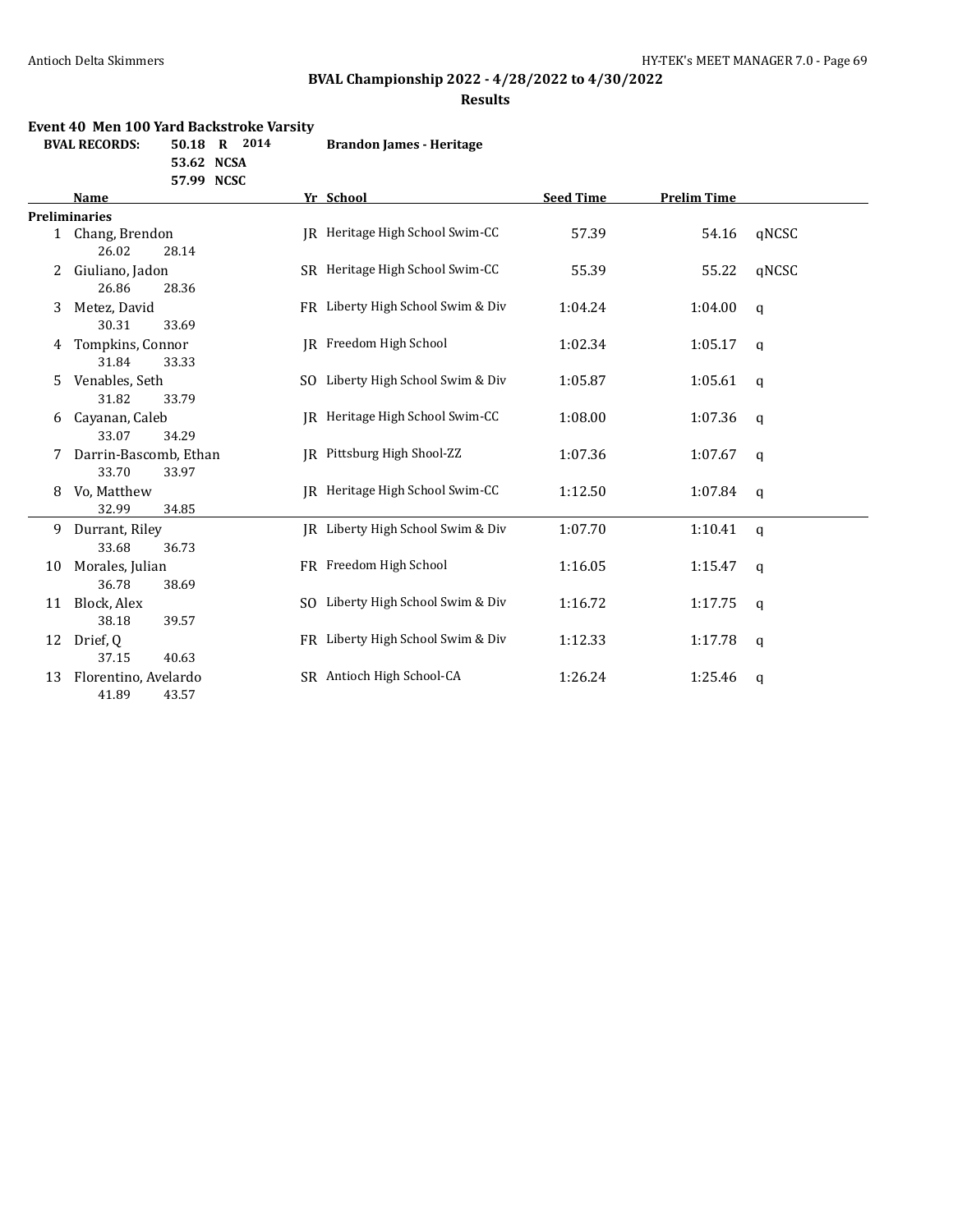# **BVAL Championship 2022 - 4/28/2022 to 4/30/2022**

### **Results**

### **Event 40 Men 100 Yard Backstroke Varsity**

| 50.18 R 2014 | BVAL RECORDS: |  |  | <b>Brandon James - Heritage</b> |
|--------------|---------------|--|--|---------------------------------|
|--------------|---------------|--|--|---------------------------------|

**53.62 NCSA**

|    | <b>Name</b>           | Yr School                         | <b>Seed Time</b> | <b>Prelim Time</b> |              |
|----|-----------------------|-----------------------------------|------------------|--------------------|--------------|
|    | <b>Preliminaries</b>  |                                   |                  |                    |              |
|    | 1 Chang, Brendon      | IR Heritage High School Swim-CC   | 57.39            | 54.16              | qNCSC        |
|    | 26.02<br>28.14        |                                   |                  |                    |              |
|    | Giuliano, Jadon       | SR Heritage High School Swim-CC   | 55.39            | 55.22              | gNCSC        |
|    | 26.86<br>28.36        |                                   |                  |                    |              |
| 3  | Metez, David          | FR Liberty High School Swim & Div | 1:04.24          | 1:04.00            | q            |
|    | 30.31<br>33.69        |                                   |                  |                    |              |
| 4  | Tompkins, Connor      | JR Freedom High School            | 1:02.34          | 1:05.17            | q            |
|    | 31.84<br>33.33        |                                   |                  |                    |              |
| 5. | Venables, Seth        | SO Liberty High School Swim & Div | 1:05.87          | 1:05.61            | $\mathsf{q}$ |
|    | 31.82<br>33.79        |                                   |                  |                    |              |
| 6  | Cayanan, Caleb        | IR Heritage High School Swim-CC   | 1:08.00          | 1:07.36            | q            |
|    | 33.07<br>34.29        |                                   |                  |                    |              |
|    | Darrin-Bascomb, Ethan | IR Pittsburg High Shool-ZZ        | 1:07.36          | 1:07.67            | $\mathsf{q}$ |
|    | 33.70<br>33.97        |                                   |                  |                    |              |
| 8  | Vo, Matthew           | IR Heritage High School Swim-CC   | 1:12.50          | 1:07.84            | $\mathsf{q}$ |
|    | 32.99<br>34.85        |                                   |                  |                    |              |
| 9  | Durrant, Riley        | JR Liberty High School Swim & Div | 1:07.70          | 1:10.41            | $\mathbf q$  |
|    | 33.68<br>36.73        |                                   |                  |                    |              |
| 10 | Morales, Julian       | FR Freedom High School            | 1:16.05          | 1:15.47            | $\mathsf{q}$ |
|    | 36.78<br>38.69        |                                   |                  |                    |              |
| 11 | Block, Alex           | SO Liberty High School Swim & Div | 1:16.72          | 1:17.75            | q            |
|    | 38.18<br>39.57        |                                   |                  |                    |              |
| 12 | Drief, Q              | FR Liberty High School Swim & Div | 1:12.33          | 1:17.78            | q            |
|    | 37.15<br>40.63        |                                   |                  |                    |              |
| 13 | Florentino, Avelardo  | SR Antioch High School-CA         | 1:26.24          | 1:25.46            | q            |
|    | 41.89<br>43.57        |                                   |                  |                    |              |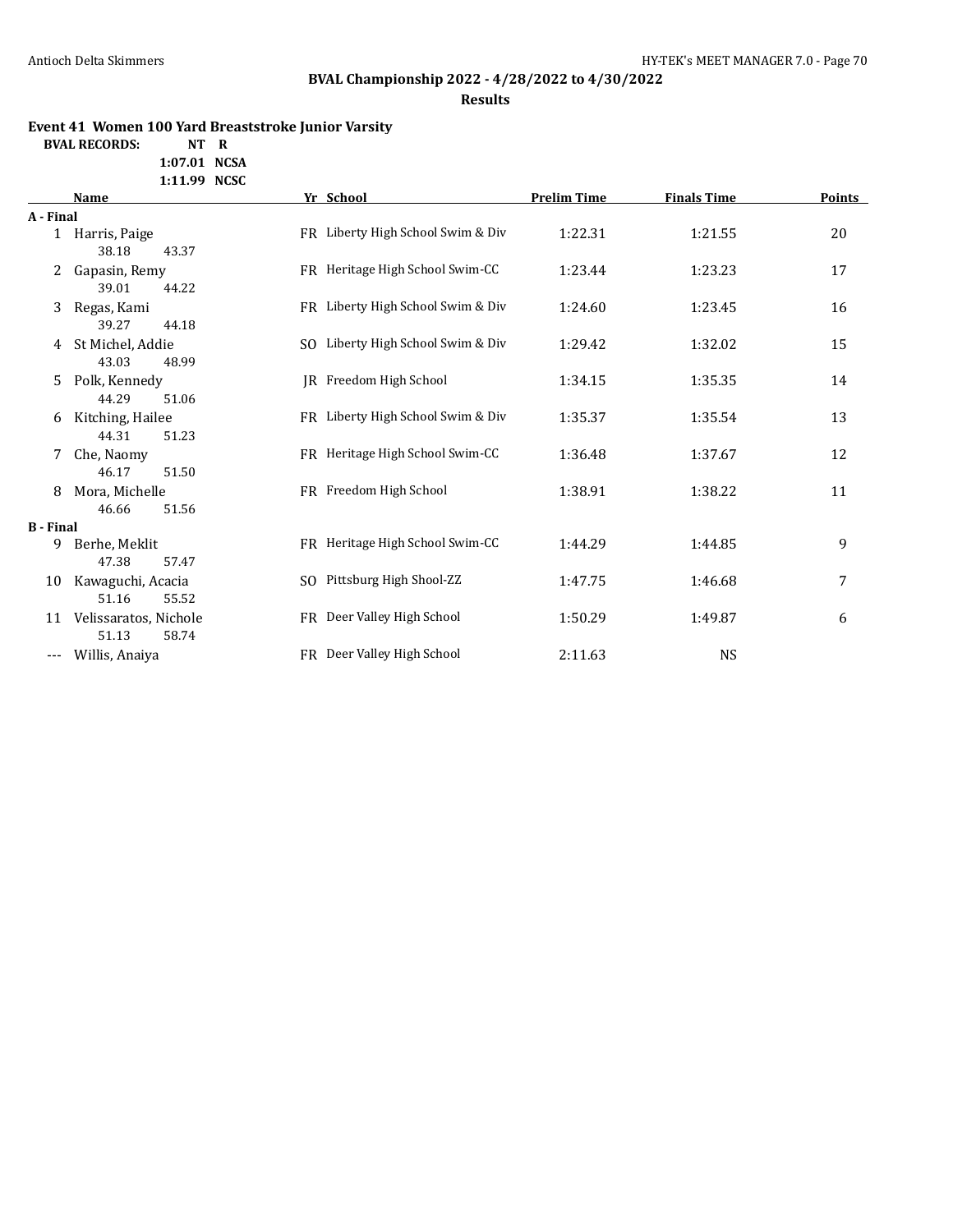# **BVAL Championship 2022 - 4/28/2022 to 4/30/2022**

**Results**

### **Event 41 Women 100 Yard Breaststroke Junior Varsity**

**BVAL RECORDS: NT R**

**1:07.01 NCSA 1:11.99 NCSC**

|                  | Name                  | Yr School                         | <b>Prelim Time</b> | <b>Finals Time</b> | <b>Points</b> |
|------------------|-----------------------|-----------------------------------|--------------------|--------------------|---------------|
| A - Final        |                       |                                   |                    |                    |               |
| $\mathbf{1}$     | Harris, Paige         | FR Liberty High School Swim & Div | 1:22.31            | 1:21.55            | 20            |
|                  | 38.18<br>43.37        |                                   |                    |                    |               |
| 2                | Gapasin, Remy         | FR Heritage High School Swim-CC   | 1:23.44            | 1:23.23            | 17            |
|                  | 44.22<br>39.01        |                                   |                    |                    |               |
| 3                | Regas, Kami           | FR Liberty High School Swim & Div | 1:24.60            | 1:23.45            | 16            |
|                  | 39.27<br>44.18        |                                   |                    |                    |               |
| 4                | St Michel, Addie      | SO Liberty High School Swim & Div | 1:29.42            | 1:32.02            | 15            |
|                  | 43.03<br>48.99        |                                   |                    |                    |               |
| 5                | Polk, Kennedy         | JR Freedom High School            | 1:34.15            | 1:35.35            | 14            |
|                  | 44.29<br>51.06        |                                   |                    |                    |               |
| 6                | Kitching, Hailee      | FR Liberty High School Swim & Div | 1:35.37            | 1:35.54            | 13            |
|                  | 44.31<br>51.23        |                                   |                    |                    |               |
| 7                | Che, Naomy            | FR Heritage High School Swim-CC   | 1:36.48            | 1:37.67            | 12            |
|                  | 46.17<br>51.50        |                                   |                    |                    |               |
| 8                | Mora, Michelle        | FR Freedom High School            | 1:38.91            | 1:38.22            | 11            |
|                  | 51.56<br>46.66        |                                   |                    |                    |               |
| <b>B</b> - Final |                       |                                   |                    |                    |               |
| 9                | Berhe, Meklit         | FR Heritage High School Swim-CC   | 1:44.29            | 1:44.85            | 9             |
|                  | 47.38<br>57.47        |                                   |                    |                    |               |
| 10               | Kawaguchi, Acacia     | SO Pittsburg High Shool-ZZ        | 1:47.75            | 1:46.68            | 7             |
|                  | 51.16<br>55.52        |                                   |                    |                    |               |
| 11               | Velissaratos, Nichole | FR Deer Valley High School        | 1:50.29            | 1:49.87            | 6             |
|                  | 51.13<br>58.74        |                                   |                    |                    |               |
| ---              | Willis, Anaiya        | FR Deer Valley High School        | 2:11.63            | <b>NS</b>          |               |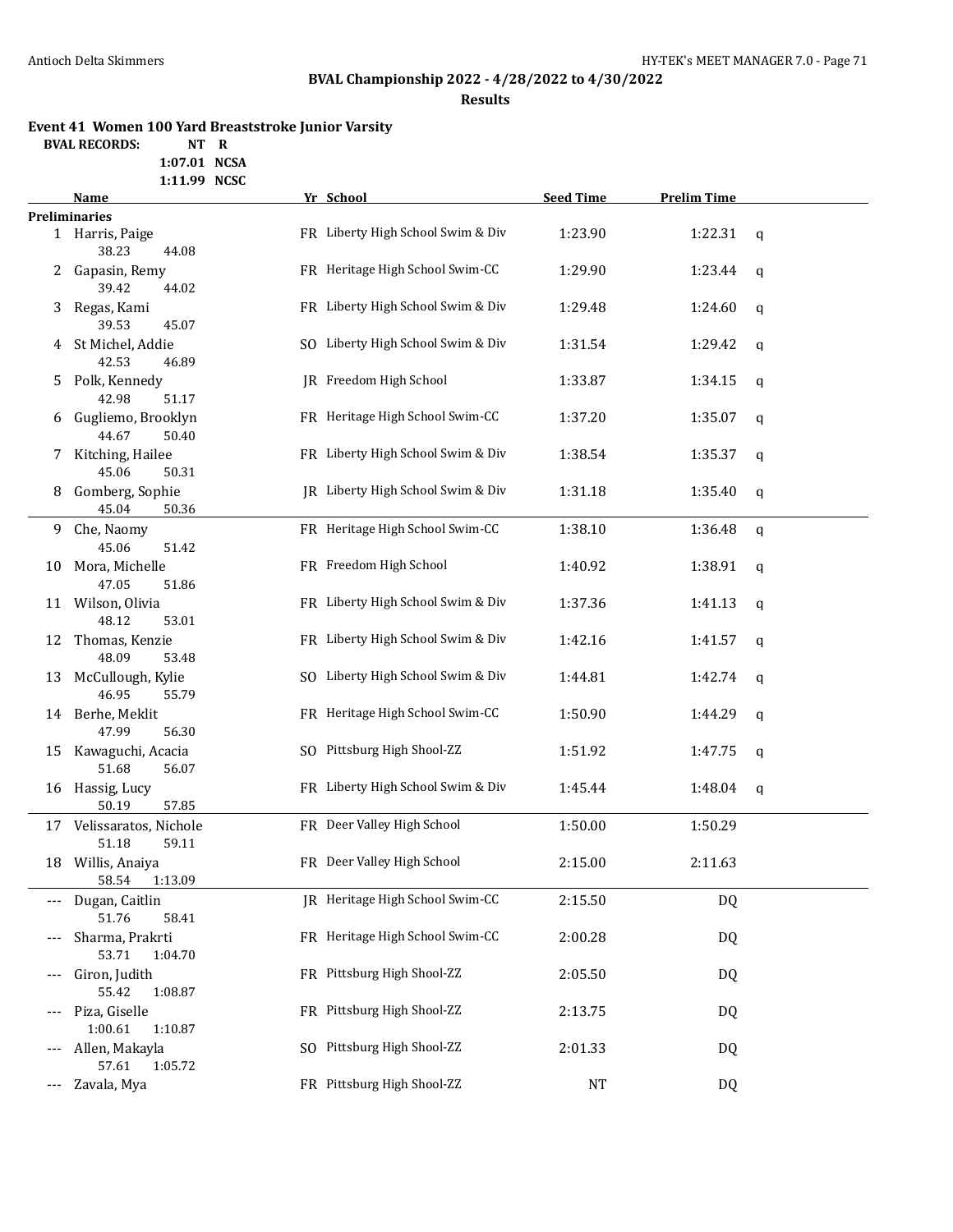# **BVAL Championship 2022 - 4/28/2022 to 4/30/2022**

**Results**

# **Event 41 Women 100 Yard Breaststroke Junior Varsity**

**BVAL RECORDS:** 

**1:07.01 NCSA 1:11.99 NCSC**

|     | Name                                        | Yr School                         | <b>Seed Time</b> | <b>Prelim Time</b> |   |
|-----|---------------------------------------------|-----------------------------------|------------------|--------------------|---|
|     | <b>Preliminaries</b>                        |                                   |                  |                    |   |
|     | 1 Harris, Paige<br>38.23<br>44.08           | FR Liberty High School Swim & Div | 1:23.90          | 1:22.31            | q |
| 2   | Gapasin, Remy<br>39.42<br>44.02             | FR Heritage High School Swim-CC   | 1:29.90          | 1:23.44            | q |
| 3   | Regas, Kami<br>45.07                        | FR Liberty High School Swim & Div | 1:29.48          | 1:24.60            | q |
| 4   | 39.53<br>St Michel, Addie<br>42.53<br>46.89 | SO Liberty High School Swim & Div | 1:31.54          | 1:29.42            | q |
| 5   | Polk, Kennedy<br>42.98<br>51.17             | IR Freedom High School            | 1:33.87          | 1:34.15            | q |
| 6   | Gugliemo, Brooklyn<br>44.67<br>50.40        | FR Heritage High School Swim-CC   | 1:37.20          | 1:35.07            | q |
| 7   | Kitching, Hailee<br>45.06<br>50.31          | FR Liberty High School Swim & Div | 1:38.54          | 1:35.37            | q |
| 8   | Gomberg, Sophie<br>45.04<br>50.36           | JR Liberty High School Swim & Div | 1:31.18          | 1:35.40            | q |
| 9.  | Che, Naomy<br>45.06<br>51.42                | FR Heritage High School Swim-CC   | 1:38.10          | 1:36.48            | q |
| 10  | Mora, Michelle<br>47.05<br>51.86            | FR Freedom High School            | 1:40.92          | 1:38.91            | q |
|     | 11 Wilson, Olivia<br>48.12<br>53.01         | FR Liberty High School Swim & Div | 1:37.36          | 1:41.13            | q |
| 12  | Thomas, Kenzie<br>48.09<br>53.48            | FR Liberty High School Swim & Div | 1:42.16          | 1:41.57            | q |
| 13  | McCullough, Kylie<br>46.95<br>55.79         | SO Liberty High School Swim & Div | 1:44.81          | 1:42.74            | q |
|     | 14 Berhe, Meklit<br>47.99<br>56.30          | FR Heritage High School Swim-CC   | 1:50.90          | 1:44.29            | q |
|     | 15 Kawaguchi, Acacia<br>51.68<br>56.07      | SO Pittsburg High Shool-ZZ        | 1:51.92          | 1:47.75            | q |
|     | 16 Hassig, Lucy<br>50.19<br>57.85           | FR Liberty High School Swim & Div | 1:45.44          | 1:48.04            | q |
|     | 17 Velissaratos, Nichole<br>51.18<br>59.11  | FR Deer Valley High School        | 1:50.00          | 1:50.29            |   |
|     | 18 Willis, Anaiya<br>58.54 1:13.09          | FR Deer Valley High School        | 2:15.00          | 2:11.63            |   |
| --- | Dugan, Caitlin<br>51.76<br>58.41            | JR Heritage High School Swim-CC   | 2:15.50          | DQ                 |   |
| --- | Sharma, Prakrti<br>53.71<br>1:04.70         | FR Heritage High School Swim-CC   | 2:00.28          | DQ                 |   |
| --- | Giron, Judith<br>55.42<br>1:08.87           | FR Pittsburg High Shool-ZZ        | 2:05.50          | DQ                 |   |
|     | Piza, Giselle<br>1:00.61<br>1:10.87         | FR Pittsburg High Shool-ZZ        | 2:13.75          | DQ                 |   |
| --- | Allen, Makayla<br>57.61<br>1:05.72          | SO Pittsburg High Shool-ZZ        | 2:01.33          | DQ                 |   |
| --- | Zavala, Mya                                 | FR Pittsburg High Shool-ZZ        | <b>NT</b>        | DQ                 |   |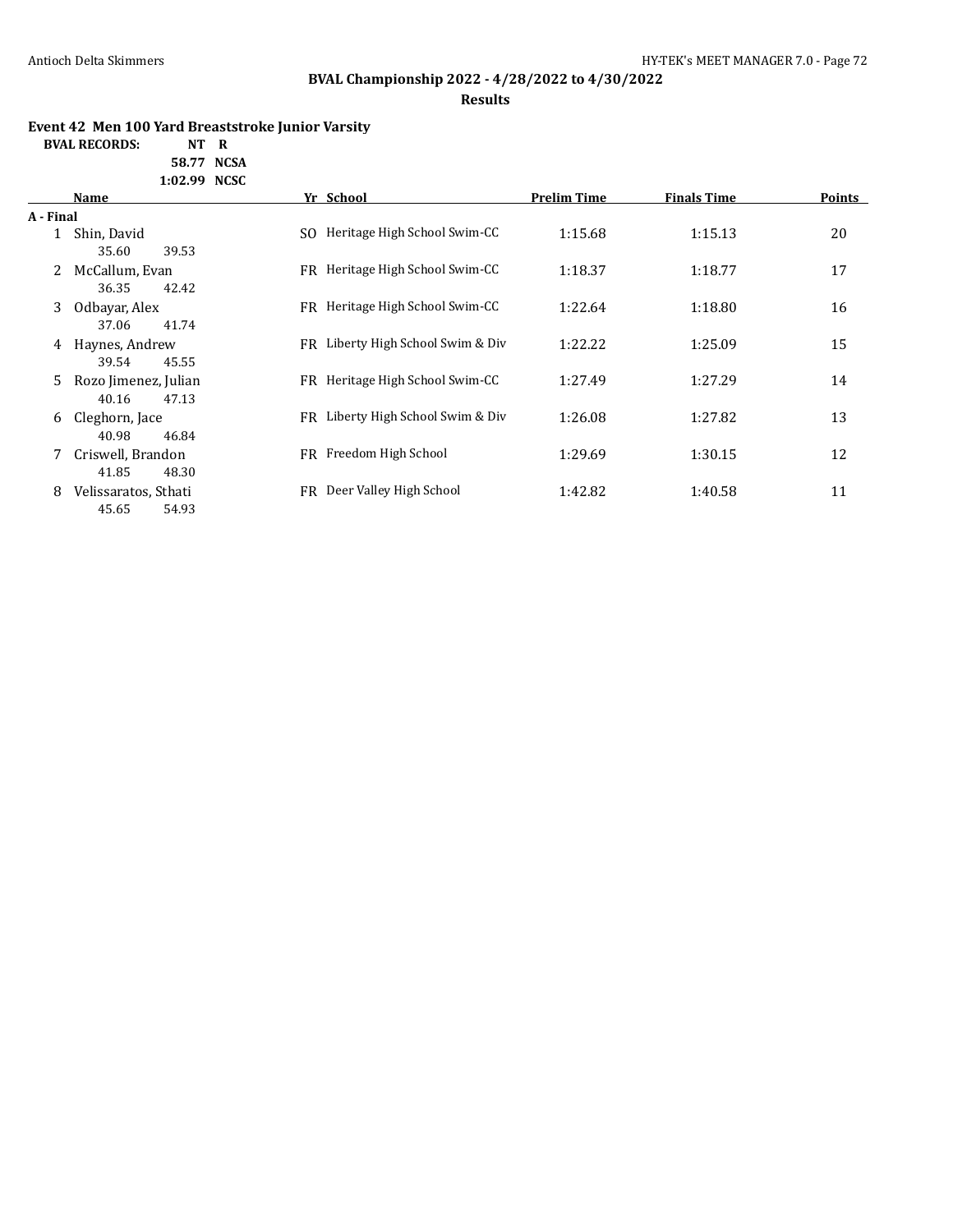# **BVAL Championship 2022 - 4/28/2022 to 4/30/2022**

### **Results**

### **Event 42 Men 100 Yard Breaststroke Junior Varsity**

**BVAL RECORDS: NT R**

**58.77 NCSA 1:02.99 NCSC**

|              | Name                 | Yr School                             | <b>Prelim Time</b> | <b>Finals Time</b> | <b>Points</b> |
|--------------|----------------------|---------------------------------------|--------------------|--------------------|---------------|
| A - Final    |                      |                                       |                    |                    |               |
| $\mathbf{1}$ | Shin, David          | Heritage High School Swim-CC<br>SO.   | 1:15.68            | 1:15.13            | 20            |
|              | 35.60<br>39.53       |                                       |                    |                    |               |
|              | McCallum, Evan       | Heritage High School Swim-CC<br>FR.   | 1:18.37            | 1:18.77            | 17            |
|              | 36.35<br>42.42       |                                       |                    |                    |               |
| 3            | Odbayar, Alex        | Heritage High School Swim-CC<br>FR    | 1:22.64            | 1:18.80            | 16            |
|              | 41.74<br>37.06       |                                       |                    |                    |               |
| 4            | Haynes, Andrew       | Liberty High School Swim & Div<br>FR. | 1:22.22            | 1:25.09            | 15            |
|              | 45.55<br>39.54       |                                       |                    |                    |               |
| 5.           | Rozo Jimenez, Julian | Heritage High School Swim-CC<br>FR.   | 1:27.49            | 1:27.29            | 14            |
|              | 40.16<br>47.13       |                                       |                    |                    |               |
| 6            | Cleghorn, Jace       | Liberty High School Swim & Div<br>FR. | 1:26.08            | 1:27.82            | 13            |
|              | 40.98<br>46.84       |                                       |                    |                    |               |
|              | Criswell, Brandon    | Freedom High School<br>FR.            | 1:29.69            | 1:30.15            | 12            |
|              | 41.85<br>48.30       |                                       |                    |                    |               |
| 8            | Velissaratos, Sthati | Deer Valley High School<br>FR         | 1:42.82            | 1:40.58            | 11            |
|              | 45.65<br>54.93       |                                       |                    |                    |               |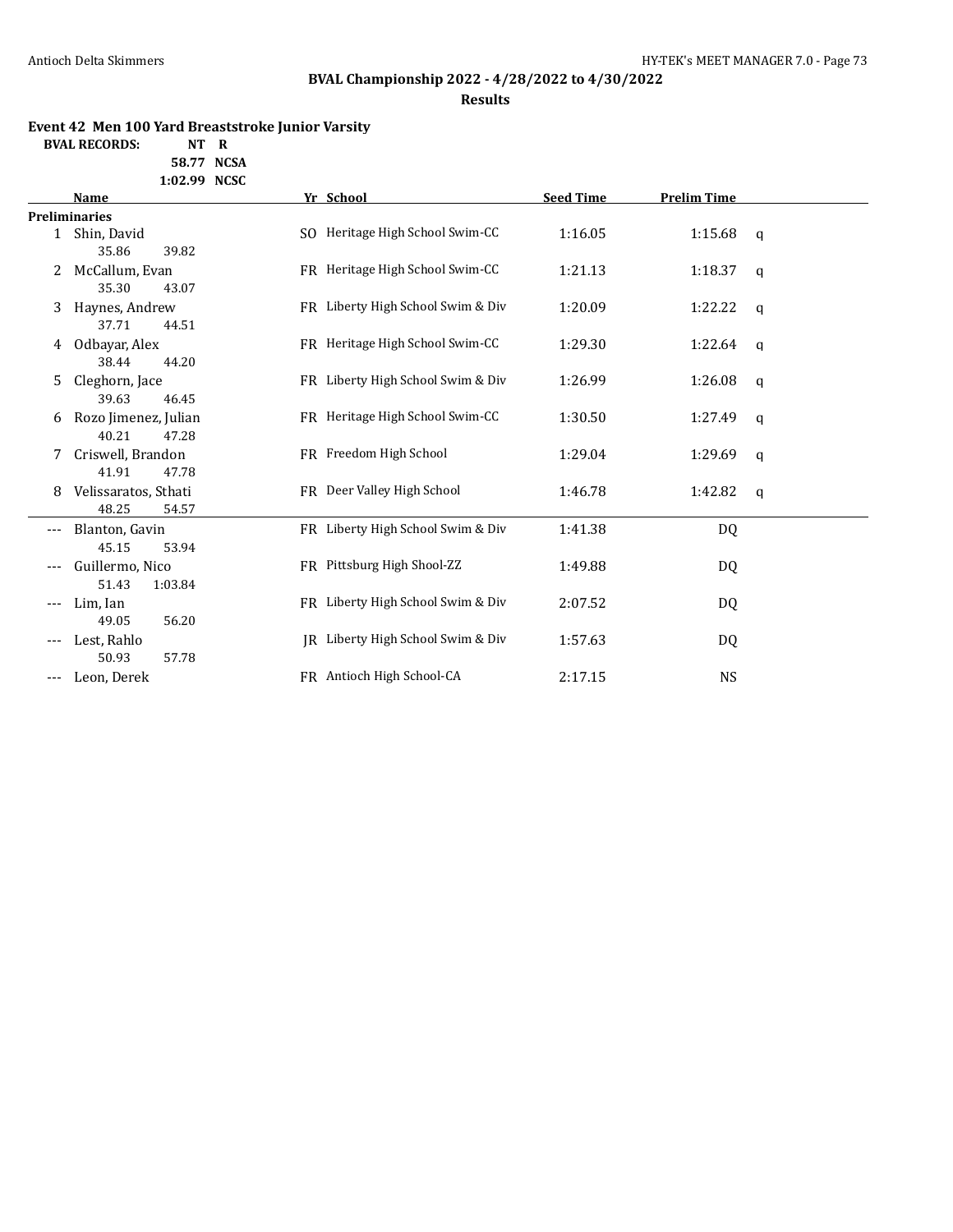# **BVAL Championship 2022 - 4/28/2022 to 4/30/2022**

**Results**

## **Event 42 Men 100 Yard Breaststroke Junior Varsity**

**BVAL RECORDS: NT R**

**58.77 NCSA 1:02.99 NCSC**

|                     | Name                 | Yr School                         | <b>Seed Time</b> | <b>Prelim Time</b> |             |
|---------------------|----------------------|-----------------------------------|------------------|--------------------|-------------|
|                     | <b>Preliminaries</b> |                                   |                  |                    |             |
|                     | 1 Shin, David        | SO Heritage High School Swim-CC   | 1:16.05          | 1:15.68            | q           |
|                     | 35.86<br>39.82       |                                   |                  |                    |             |
| 2                   | McCallum, Evan       | FR Heritage High School Swim-CC   | 1:21.13          | 1:18.37            | q           |
|                     | 35.30<br>43.07       |                                   |                  |                    |             |
| 3                   | Haynes, Andrew       | FR Liberty High School Swim & Div | 1:20.09          | 1:22.22            | q           |
|                     | 37.71<br>44.51       |                                   |                  |                    |             |
| 4                   | Odbayar, Alex        | FR Heritage High School Swim-CC   | 1:29.30          | 1:22.64            | q           |
|                     | 38.44<br>44.20       |                                   |                  |                    |             |
| 5.                  | Cleghorn, Jace       | FR Liberty High School Swim & Div | 1:26.99          | 1:26.08            | q           |
|                     | 39.63<br>46.45       |                                   |                  |                    |             |
| 6                   | Rozo Jimenez, Julian | FR Heritage High School Swim-CC   | 1:30.50          | 1:27.49            | q           |
|                     | 40.21<br>47.28       |                                   |                  |                    |             |
|                     | Criswell, Brandon    | FR Freedom High School            | 1:29.04          | 1:29.69            | $\mathbf q$ |
|                     | 41.91<br>47.78       |                                   |                  |                    |             |
| 8                   | Velissaratos, Sthati | FR Deer Valley High School        | 1:46.78          | 1:42.82            | q           |
|                     | 48.25<br>54.57       |                                   |                  |                    |             |
| $\qquad \qquad - -$ | Blanton, Gavin       | FR Liberty High School Swim & Div | 1:41.38          | DQ                 |             |
|                     | 45.15<br>53.94       |                                   |                  |                    |             |
|                     | Guillermo, Nico      | FR Pittsburg High Shool-ZZ        | 1:49.88          | DQ                 |             |
|                     | 51.43<br>1:03.84     |                                   |                  |                    |             |
|                     | Lim, Ian             | FR Liberty High School Swim & Div | 2:07.52          | DQ                 |             |
|                     | 56.20<br>49.05       |                                   |                  |                    |             |
|                     | Lest, Rahlo          | JR Liberty High School Swim & Div | 1:57.63          | DQ                 |             |
|                     | 50.93<br>57.78       |                                   |                  |                    |             |
| ---                 | Leon, Derek          | FR Antioch High School-CA         | 2:17.15          | <b>NS</b>          |             |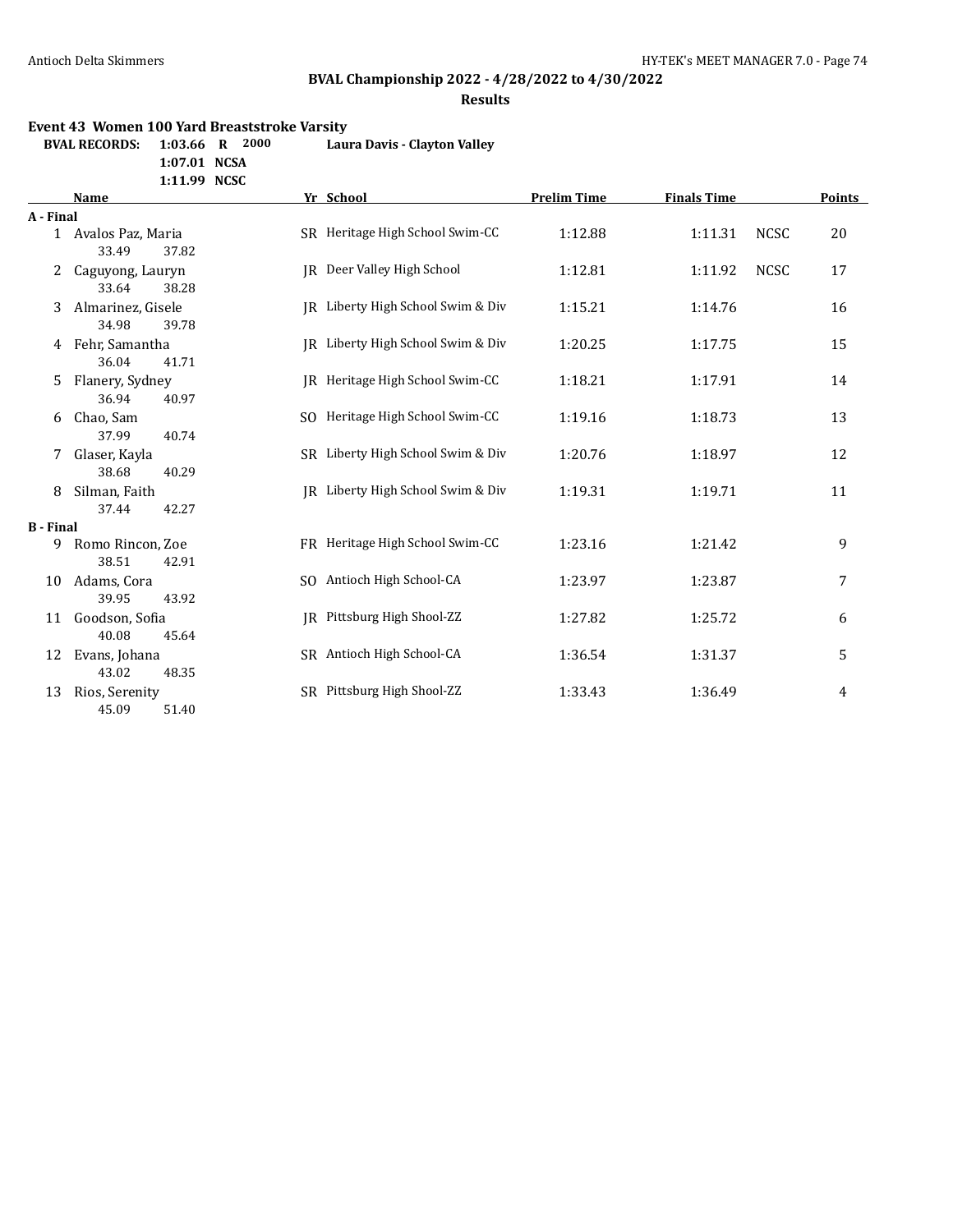# **BVAL Championship 2022 - 4/28/2022 to 4/30/2022**

**Results**

#### **Event 43 Women 100 Yard Breaststroke Varsity**

**BVAL RECORDS: 1:03.66 R 2000 Laura Davis - Clayton Valley**

**1:07.01 NCSA**

**1:11.99 NCSC**

|                  | <b>Name</b>                           |     | Yr School                         | <b>Prelim Time</b> | <b>Finals Time</b> |             | <b>Points</b> |
|------------------|---------------------------------------|-----|-----------------------------------|--------------------|--------------------|-------------|---------------|
| A - Final        |                                       |     |                                   |                    |                    |             |               |
|                  | 1 Avalos Paz, Maria<br>33.49<br>37.82 |     | SR Heritage High School Swim-CC   | 1:12.88            | 1:11.31            | <b>NCSC</b> | 20            |
|                  | Caguyong, Lauryn<br>33.64<br>38.28    |     | IR Deer Valley High School        | 1:12.81            | 1:11.92            | <b>NCSC</b> | 17            |
| 3                | Almarinez, Gisele<br>34.98<br>39.78   |     | IR Liberty High School Swim & Div | 1:15.21            | 1:14.76            |             | 16            |
| 4                | Fehr, Samantha<br>36.04<br>41.71      |     | IR Liberty High School Swim & Div | 1:20.25            | 1:17.75            |             | 15            |
| 5                | Flanery, Sydney<br>36.94<br>40.97     |     | IR Heritage High School Swim-CC   | 1:18.21            | 1:17.91            |             | 14            |
| 6                | Chao, Sam<br>37.99<br>40.74           | SO. | Heritage High School Swim-CC      | 1:19.16            | 1:18.73            |             | 13            |
| 7                | Glaser, Kayla<br>38.68<br>40.29       |     | SR Liberty High School Swim & Div | 1:20.76            | 1:18.97            |             | 12            |
| 8                | Silman, Faith<br>42.27<br>37.44       |     | IR Liberty High School Swim & Div | 1:19.31            | 1:19.71            |             | 11            |
| <b>B</b> - Final |                                       |     |                                   |                    |                    |             |               |
| 9                | Romo Rincon, Zoe<br>38.51<br>42.91    |     | FR Heritage High School Swim-CC   | 1:23.16            | 1:21.42            |             | 9             |
| 10               | Adams, Cora<br>39.95<br>43.92         |     | SO Antioch High School-CA         | 1:23.97            | 1:23.87            |             | 7             |
| 11               | Goodson, Sofia<br>40.08<br>45.64      |     | IR Pittsburg High Shool-ZZ        | 1:27.82            | 1:25.72            |             | 6             |
| 12               | Evans, Johana<br>43.02<br>48.35       |     | SR Antioch High School-CA         | 1:36.54            | 1:31.37            |             | 5             |
| 13               | Rios, Serenity<br>45.09<br>51.40      |     | SR Pittsburg High Shool-ZZ        | 1:33.43            | 1:36.49            |             | 4             |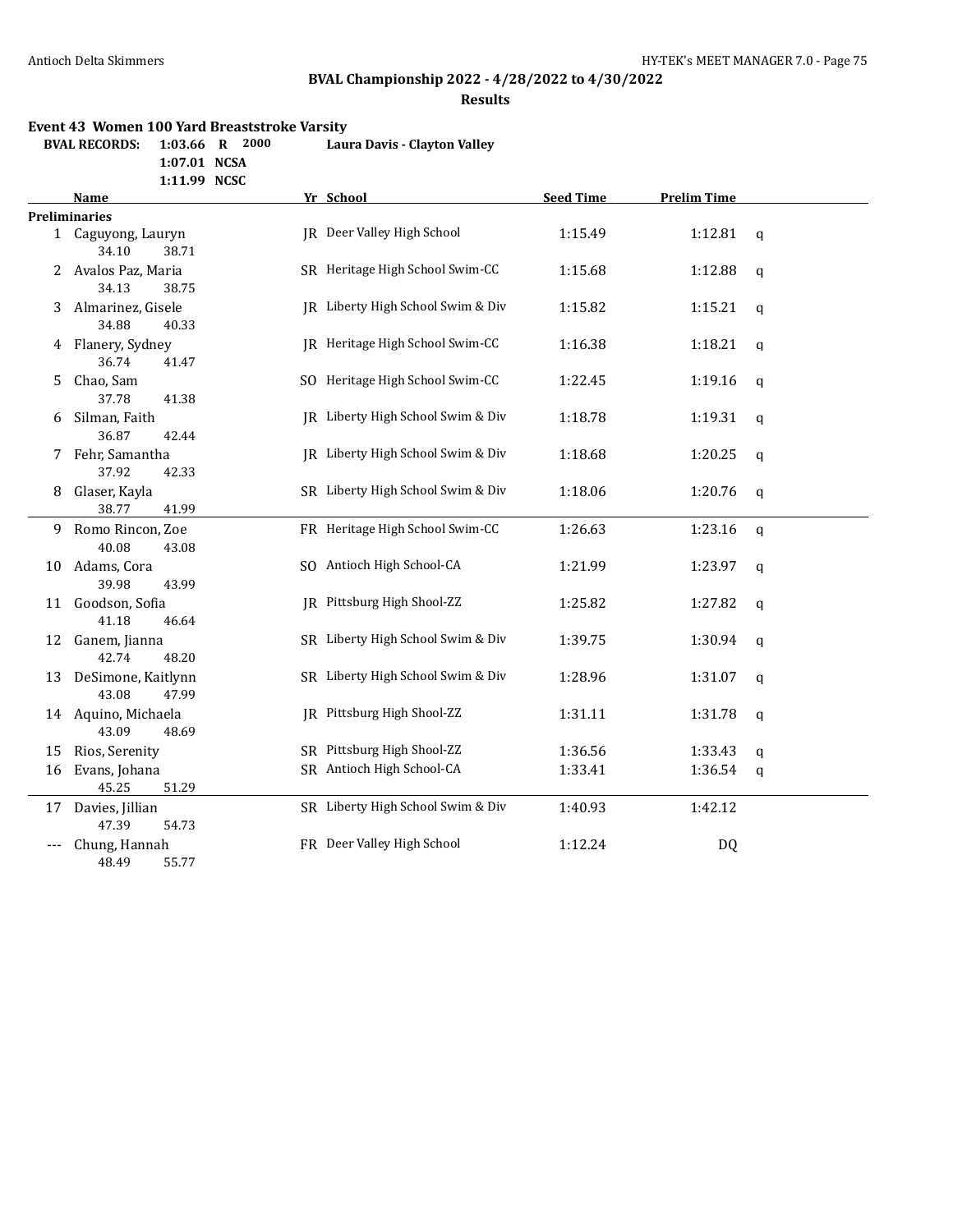## **BVAL Championship 2022 - 4/28/2022 to 4/30/2022**

**Results**

#### **Event 43 Women 100 Yard Breaststroke Varsity**

**BVAL RECORDS: 1:03.66 R 2000 Laura Davis - Clayton Valley**

**1:07.01 NCSA**

**1:11.99 NCSC**

|    | Name                                  | Yr School                         | <b>Seed Time</b> | <b>Prelim Time</b> |              |
|----|---------------------------------------|-----------------------------------|------------------|--------------------|--------------|
|    | <b>Preliminaries</b>                  |                                   |                  |                    |              |
|    | 1 Caguyong, Lauryn<br>34.10<br>38.71  | JR Deer Valley High School        | 1:15.49          | 1:12.81            | q            |
| 2  | Avalos Paz, Maria<br>34.13<br>38.75   | SR Heritage High School Swim-CC   | 1:15.68          | 1:12.88            | $\mathbf{q}$ |
| 3  | Almarinez, Gisele<br>34.88<br>40.33   | JR Liberty High School Swim & Div | 1:15.82          | 1:15.21            | q            |
|    | 4 Flanery, Sydney<br>36.74<br>41.47   | JR Heritage High School Swim-CC   | 1:16.38          | 1:18.21            | $\mathbf{q}$ |
| 5  | Chao, Sam<br>37.78<br>41.38           | SO Heritage High School Swim-CC   | 1:22.45          | 1:19.16            | $\mathbf q$  |
| 6  | Silman, Faith<br>36.87<br>42.44       | IR Liberty High School Swim & Div | 1:18.78          | 1:19.31            | $\mathbf q$  |
| 7  | Fehr, Samantha<br>37.92<br>42.33      | JR Liberty High School Swim & Div | 1:18.68          | 1:20.25            | q            |
| 8  | Glaser, Kayla<br>38.77<br>41.99       | SR Liberty High School Swim & Div | 1:18.06          | 1:20.76            | q            |
| 9  | Romo Rincon, Zoe<br>40.08<br>43.08    | FR Heritage High School Swim-CC   | 1:26.63          | 1:23.16            | $\mathsf{q}$ |
| 10 | Adams, Cora<br>39.98<br>43.99         | SO Antioch High School-CA         | 1:21.99          | 1:23.97            | q            |
| 11 | Goodson, Sofia<br>41.18<br>46.64      | JR Pittsburg High Shool-ZZ        | 1:25.82          | 1:27.82            | $\mathbf q$  |
| 12 | Ganem, Jianna<br>42.74<br>48.20       | SR Liberty High School Swim & Div | 1:39.75          | 1:30.94            | $\mathbf q$  |
| 13 | DeSimone, Kaitlynn<br>43.08<br>47.99  | SR Liberty High School Swim & Div | 1:28.96          | 1:31.07            | q            |
|    | 14 Aquino, Michaela<br>43.09<br>48.69 | JR Pittsburg High Shool-ZZ        | 1:31.11          | 1:31.78            | q            |
| 15 | Rios, Serenity                        | SR Pittsburg High Shool-ZZ        | 1:36.56          | 1:33.43            | q            |
| 16 | Evans, Johana<br>45.25<br>51.29       | SR Antioch High School-CA         | 1:33.41          | 1:36.54            | q            |
|    | 17 Davies, Jillian<br>47.39<br>54.73  | SR Liberty High School Swim & Div | 1:40.93          | 1:42.12            |              |
|    | Chung, Hannah<br>48.49<br>55.77       | FR Deer Valley High School        | 1:12.24          | <b>DQ</b>          |              |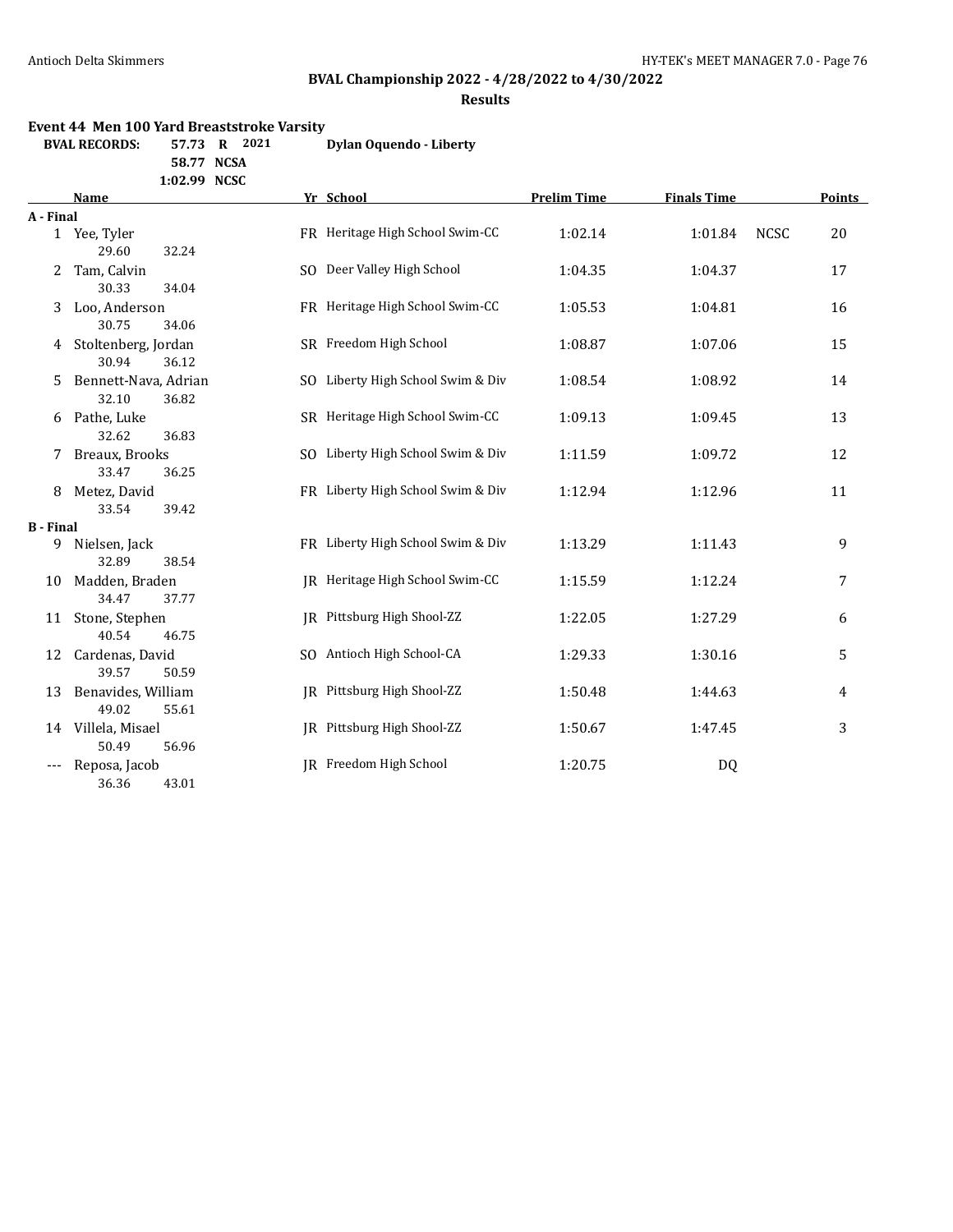## **BVAL Championship 2022 - 4/28/2022 to 4/30/2022**

#### **Results**

#### **Event 44 Men 100 Yard Breaststroke Varsity**

**BVAL RECORDS: 57.73 R 2021 Dylan Oquendo - Liberty 58.77 NCSA**

**1:02.99 NCSC**

|                  | <b>Name</b>                            | Yr School                         | <b>Prelim Time</b> | <b>Finals Time</b> |             | <b>Points</b> |
|------------------|----------------------------------------|-----------------------------------|--------------------|--------------------|-------------|---------------|
| A - Final        |                                        |                                   |                    |                    |             |               |
|                  | 1 Yee, Tyler<br>29.60<br>32.24         | FR Heritage High School Swim-CC   | 1:02.14            | 1:01.84            | <b>NCSC</b> | 20            |
| 2                | Tam, Calvin<br>30.33<br>34.04          | SO Deer Valley High School        | 1:04.35            | 1:04.37            |             | 17            |
| 3                | Loo, Anderson<br>30.75<br>34.06        | FR Heritage High School Swim-CC   | 1:05.53            | 1:04.81            |             | 16            |
| 4                | Stoltenberg, Jordan<br>30.94<br>36.12  | SR Freedom High School            | 1:08.87            | 1:07.06            |             | 15            |
| 5.               | Bennett-Nava, Adrian<br>32.10<br>36.82 | SO Liberty High School Swim & Div | 1:08.54            | 1:08.92            |             | 14            |
| 6                | Pathe, Luke<br>32.62<br>36.83          | SR Heritage High School Swim-CC   | 1:09.13            | 1:09.45            |             | 13            |
| 7                | Breaux, Brooks<br>33.47<br>36.25       | SO Liberty High School Swim & Div | 1:11.59            | 1:09.72            |             | 12            |
| 8                | Metez, David<br>33.54<br>39.42         | FR Liberty High School Swim & Div | 1:12.94            | 1:12.96            |             | 11            |
| <b>B</b> - Final |                                        |                                   |                    |                    |             |               |
| 9                | Nielsen, Jack<br>32.89<br>38.54        | FR Liberty High School Swim & Div | 1:13.29            | 1:11.43            |             | 9             |
| 10               | Madden, Braden<br>34.47<br>37.77       | JR Heritage High School Swim-CC   | 1:15.59            | 1:12.24            |             | 7             |
| 11               | Stone, Stephen<br>40.54<br>46.75       | IR Pittsburg High Shool-ZZ        | 1:22.05            | 1:27.29            |             | 6             |
| 12               | Cardenas, David<br>39.57<br>50.59      | SO Antioch High School-CA         | 1:29.33            | 1:30.16            |             | 5             |
| 13               | Benavides, William<br>49.02<br>55.61   | JR Pittsburg High Shool-ZZ        | 1:50.48            | 1:44.63            |             | 4             |
| 14               | Villela, Misael<br>50.49<br>56.96      | JR Pittsburg High Shool-ZZ        | 1:50.67            | 1:47.45            |             | 3             |
| ---              | Reposa, Jacob<br>36.36<br>43.01        | JR Freedom High School            | 1:20.75            | <b>DQ</b>          |             |               |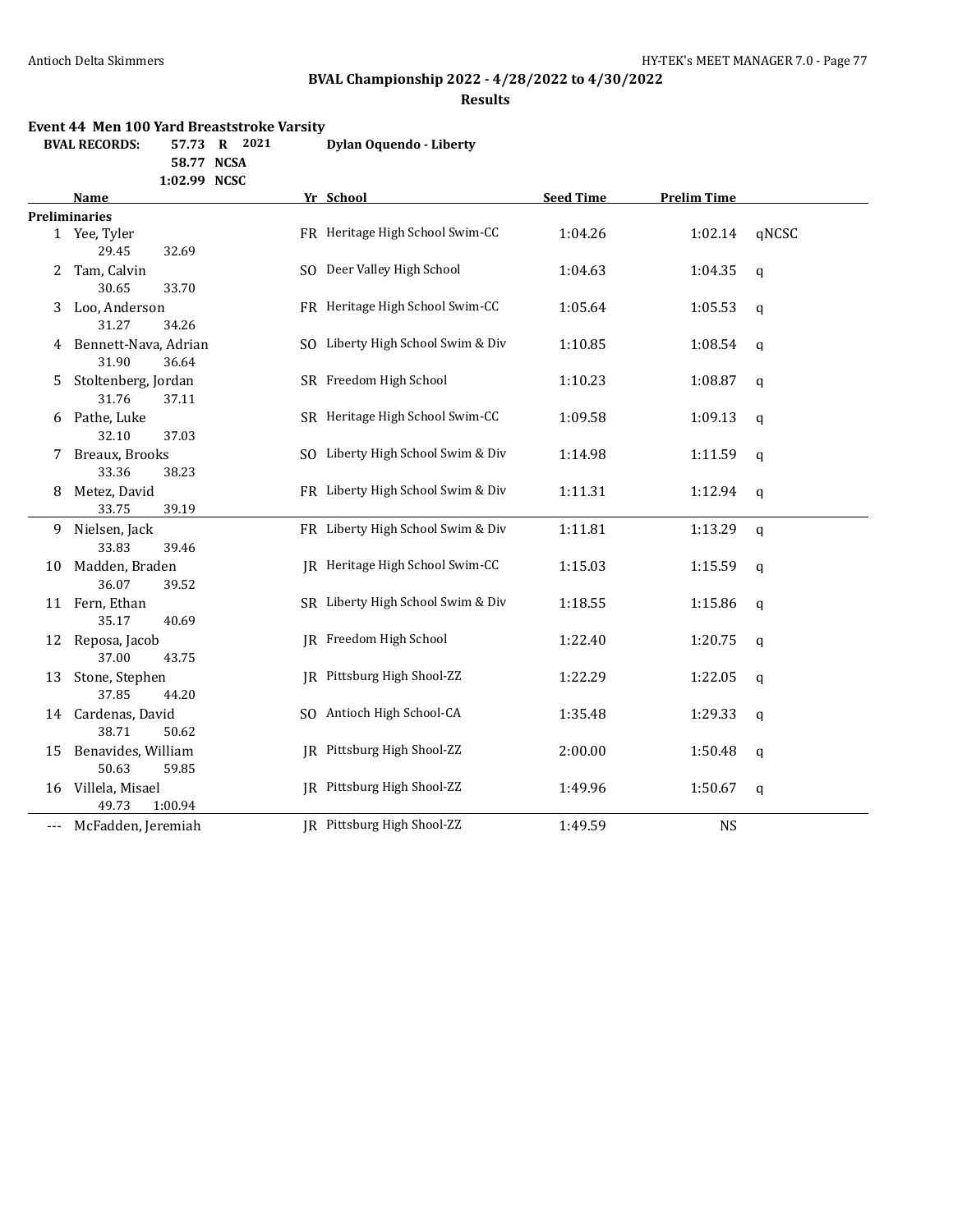# **BVAL Championship 2022 - 4/28/2022 to 4/30/2022**

### **Results**

#### **Event 44 Men 100 Yard Breaststroke Varsity**

| <b>BVAL RECORDS:</b> | 57.73 R 2021 |  | Dylan Oquendo - Liberty |
|----------------------|--------------|--|-------------------------|
|                      |              |  |                         |

**58.77 NCSA 1:02.99 NCSC**

|       | <b>Name</b>                            | Yr School                         | <b>Seed Time</b> | <b>Prelim Time</b> |              |
|-------|----------------------------------------|-----------------------------------|------------------|--------------------|--------------|
|       | <b>Preliminaries</b>                   |                                   |                  |                    |              |
|       | 1 Yee, Tyler<br>29.45<br>32.69         | FR Heritage High School Swim-CC   | 1:04.26          | 1:02.14            | qNCSC        |
| 2     | Tam, Calvin<br>30.65<br>33.70          | SO Deer Valley High School        | 1:04.63          | 1:04.35            | q            |
| 3     | Loo, Anderson<br>31.27<br>34.26        | FR Heritage High School Swim-CC   | 1:05.64          | 1:05.53            | q            |
| 4     | Bennett-Nava, Adrian<br>31.90<br>36.64 | SO Liberty High School Swim & Div | 1:10.85          | 1:08.54            | q            |
| 5.    | Stoltenberg, Jordan<br>31.76<br>37.11  | SR Freedom High School            | 1:10.23          | 1:08.87            | q            |
| 6     | Pathe, Luke<br>32.10<br>37.03          | SR Heritage High School Swim-CC   | 1:09.58          | 1:09.13            | $\mathbf{q}$ |
| 7     | Breaux, Brooks<br>33.36<br>38.23       | SO Liberty High School Swim & Div | 1:14.98          | 1:11.59            | $\mathbf{q}$ |
| 8     | Metez, David<br>33.75<br>39.19         | FR Liberty High School Swim & Div | 1:11.31          | 1:12.94            | $\mathbf{q}$ |
| 9.    | Nielsen, Jack<br>33.83<br>39.46        | FR Liberty High School Swim & Div | 1:11.81          | 1:13.29            | q            |
| 10    | Madden, Braden<br>36.07<br>39.52       | JR Heritage High School Swim-CC   | 1:15.03          | 1:15.59            | q            |
|       | 11 Fern, Ethan<br>35.17<br>40.69       | SR Liberty High School Swim & Div | 1:18.55          | 1:15.86            | $\mathbf q$  |
| 12    | Reposa, Jacob<br>37.00<br>43.75        | IR Freedom High School            | 1:22.40          | 1:20.75            | q            |
| 13    | Stone, Stephen<br>37.85<br>44.20       | JR Pittsburg High Shool-ZZ        | 1:22.29          | 1:22.05            | q            |
|       | 14 Cardenas, David<br>38.71<br>50.62   | SO Antioch High School-CA         | 1:35.48          | 1:29.33            | q            |
| 15    | Benavides, William<br>50.63<br>59.85   | JR Pittsburg High Shool-ZZ        | 2:00.00          | 1:50.48            | $\mathbf q$  |
| 16    | Villela, Misael<br>49.73<br>1:00.94    | JR Pittsburg High Shool-ZZ        | 1:49.96          | 1:50.67            | $\mathbf q$  |
| $---$ | McFadden, Jeremiah                     | IR Pittsburg High Shool-ZZ        | 1:49.59          | <b>NS</b>          |              |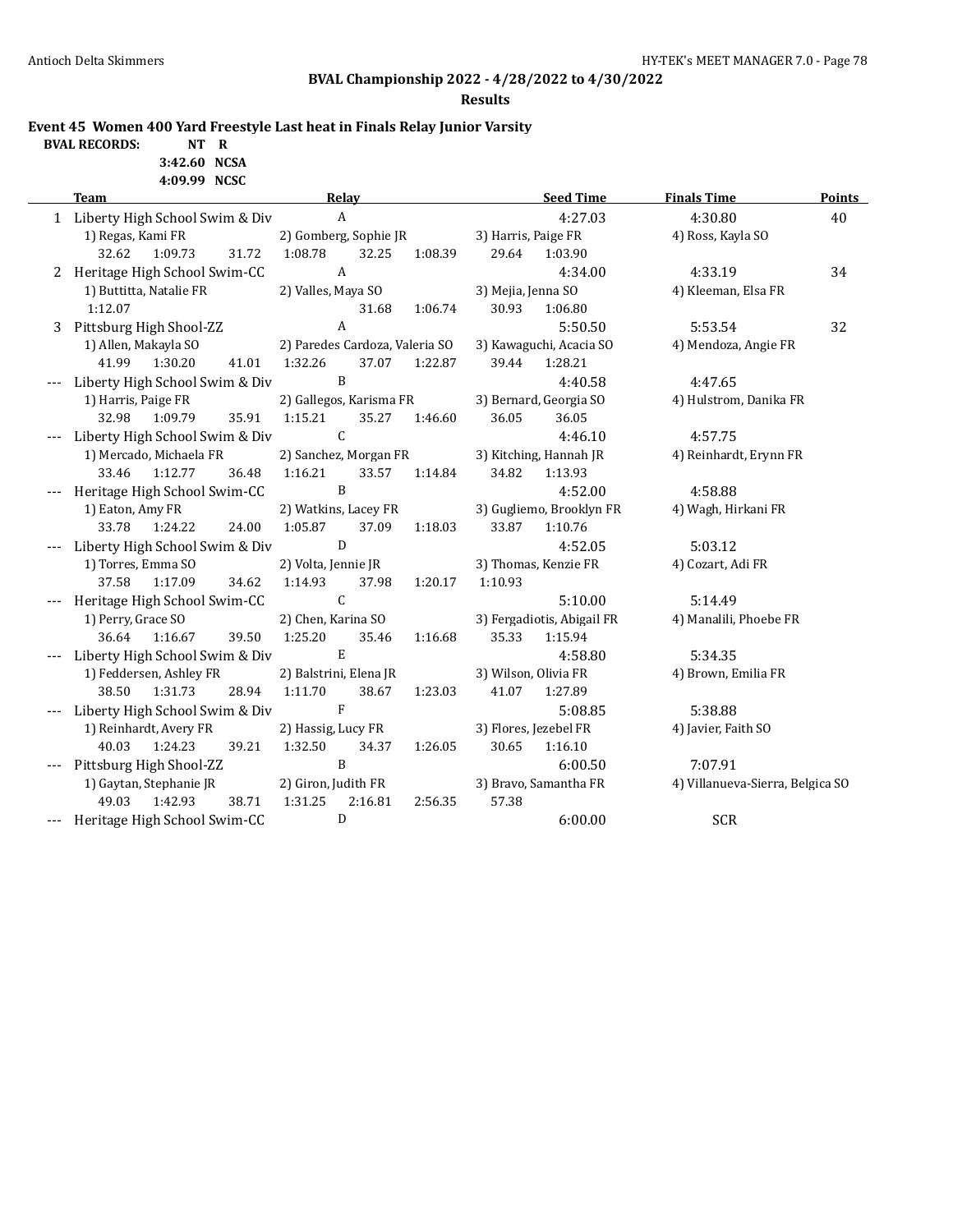**BVAL RECORDS:** 

# **BVAL Championship 2022 - 4/28/2022 to 4/30/2022**

**Results**

**Event 45 Women 400 Yard Freestyle Last heat in Finals Relay Junior Varsity**

|     | NT     | ĸ     |
|-----|--------|-------|
| --- | -<br>- | ----- |

**3:42.60 NCSA 4:09.99 NCSC**

|   | <b>Team</b>                      | <b>Relay</b>                   |         | <b>Seed Time</b>           | <b>Finals Time</b>               | <b>Points</b> |
|---|----------------------------------|--------------------------------|---------|----------------------------|----------------------------------|---------------|
|   | 1 Liberty High School Swim & Div | $\boldsymbol{A}$               |         | 4:27.03                    | 4:30.80                          | 40            |
|   | 1) Regas, Kami FR                | 2) Gomberg, Sophie JR          |         |                            | 4) Ross, Kayla SO                |               |
|   | 32.62<br>1:09.73<br>31.72        | 1:08.78<br>32.25               | 1:08.39 | 29.64<br>1:03.90           |                                  |               |
| 2 | Heritage High School Swim-CC     | $\boldsymbol{A}$               |         | 4:34.00                    | 4:33.19                          | 34            |
|   | 1) Buttitta, Natalie FR          | 2) Valles, Maya SO             |         | 3) Mejia, Jenna SO         | 4) Kleeman, Elsa FR              |               |
|   | 1:12.07                          | 31.68                          | 1:06.74 | 30.93<br>1:06.80           |                                  |               |
|   | 3 Pittsburg High Shool-ZZ        | $\mathbf{A}$                   |         | 5:50.50                    | 5:53.54                          | 32            |
|   | 1) Allen, Makayla SO             | 2) Paredes Cardoza, Valeria SO |         | 3) Kawaguchi, Acacia SO    | 4) Mendoza, Angie FR             |               |
|   | 41.99<br>41.01<br>1:30.20        | 1:32.26<br>37.07               | 1:22.87 | 39.44<br>1:28.21           |                                  |               |
|   | Liberty High School Swim & Div   | $\mathbf{B}$                   |         | 4:40.58                    | 4:47.65                          |               |
|   | 1) Harris, Paige FR              | 2) Gallegos, Karisma FR        |         | 3) Bernard, Georgia SO     | 4) Hulstrom, Danika FR           |               |
|   | 35.91<br>32.98<br>1:09.79        | 1:15.21<br>35.27               | 1:46.60 | 36.05<br>36.05             |                                  |               |
|   | Liberty High School Swim & Div   | $\mathsf{C}$                   |         | 4:46.10                    | 4:57.75                          |               |
|   | 1) Mercado, Michaela FR          | 2) Sanchez, Morgan FR          |         | 3) Kitching, Hannah JR     | 4) Reinhardt, Erynn FR           |               |
|   | 33.46<br>1:12.77<br>36.48        | 1:16.21<br>33.57               | 1:14.84 | 34.82<br>1:13.93           |                                  |               |
|   | Heritage High School Swim-CC     | B                              |         | 4:52.00                    | 4:58.88                          |               |
|   | 1) Eaton, Amy FR                 | 2) Watkins, Lacey FR           |         | 3) Gugliemo, Brooklyn FR   | 4) Wagh, Hirkani FR              |               |
|   | 33.78<br>1:24.22<br>24.00        | 1:05.87<br>37.09               | 1:18.03 | 33.87<br>1:10.76           |                                  |               |
|   | Liberty High School Swim & Div   | ${\bf D}$                      |         | 4:52.05                    | 5:03.12                          |               |
|   | 1) Torres, Emma SO               | 2) Volta, Jennie JR            |         | 3) Thomas, Kenzie FR       | 4) Cozart, Adi FR                |               |
|   | 37.58<br>1:17.09<br>34.62        | 1:14.93<br>37.98               | 1:20.17 | 1:10.93                    |                                  |               |
|   | Heritage High School Swim-CC     | $\mathsf{C}$                   |         | 5:10.00                    | 5:14.49                          |               |
|   | 1) Perry, Grace SO               | 2) Chen, Karina SO             |         | 3) Fergadiotis, Abigail FR | 4) Manalili, Phoebe FR           |               |
|   | 39.50<br>36.64<br>1:16.67        | 1:25.20<br>35.46               | 1:16.68 | 35.33<br>1:15.94           |                                  |               |
|   | Liberty High School Swim & Div   | $\mathbf E$                    |         | 4:58.80                    | 5:34.35                          |               |
|   | 1) Feddersen, Ashley FR          | 2) Balstrini, Elena JR         |         | 3) Wilson, Olivia FR       | 4) Brown, Emilia FR              |               |
|   | 38.50<br>28.94<br>1:31.73        | 1:11.70<br>38.67               | 1:23.03 | 41.07<br>1:27.89           |                                  |               |
|   | Liberty High School Swim & Div   | $\rm F$                        |         | 5:08.85                    | 5:38.88                          |               |
|   | 1) Reinhardt, Avery FR           | 2) Hassig, Lucy FR             |         | 3) Flores, Jezebel FR      | 4) Javier, Faith SO              |               |
|   | 40.03<br>1:24.23<br>39.21        | 1:32.50<br>34.37               | 1:26.05 | 30.65<br>1:16.10           |                                  |               |
|   | Pittsburg High Shool-ZZ          | $\mathbf{B}$                   |         | 6:00.50                    | 7:07.91                          |               |
|   | 1) Gaytan, Stephanie JR          | 2) Giron, Judith FR            |         | 3) Bravo, Samantha FR      | 4) Villanueva-Sierra, Belgica SO |               |
|   | 38.71<br>49.03<br>1:42.93        | 1:31.25<br>2:16.81             | 2:56.35 | 57.38                      |                                  |               |
|   | --- Heritage High School Swim-CC | $\mathbf D$                    |         | 6:00.00                    | <b>SCR</b>                       |               |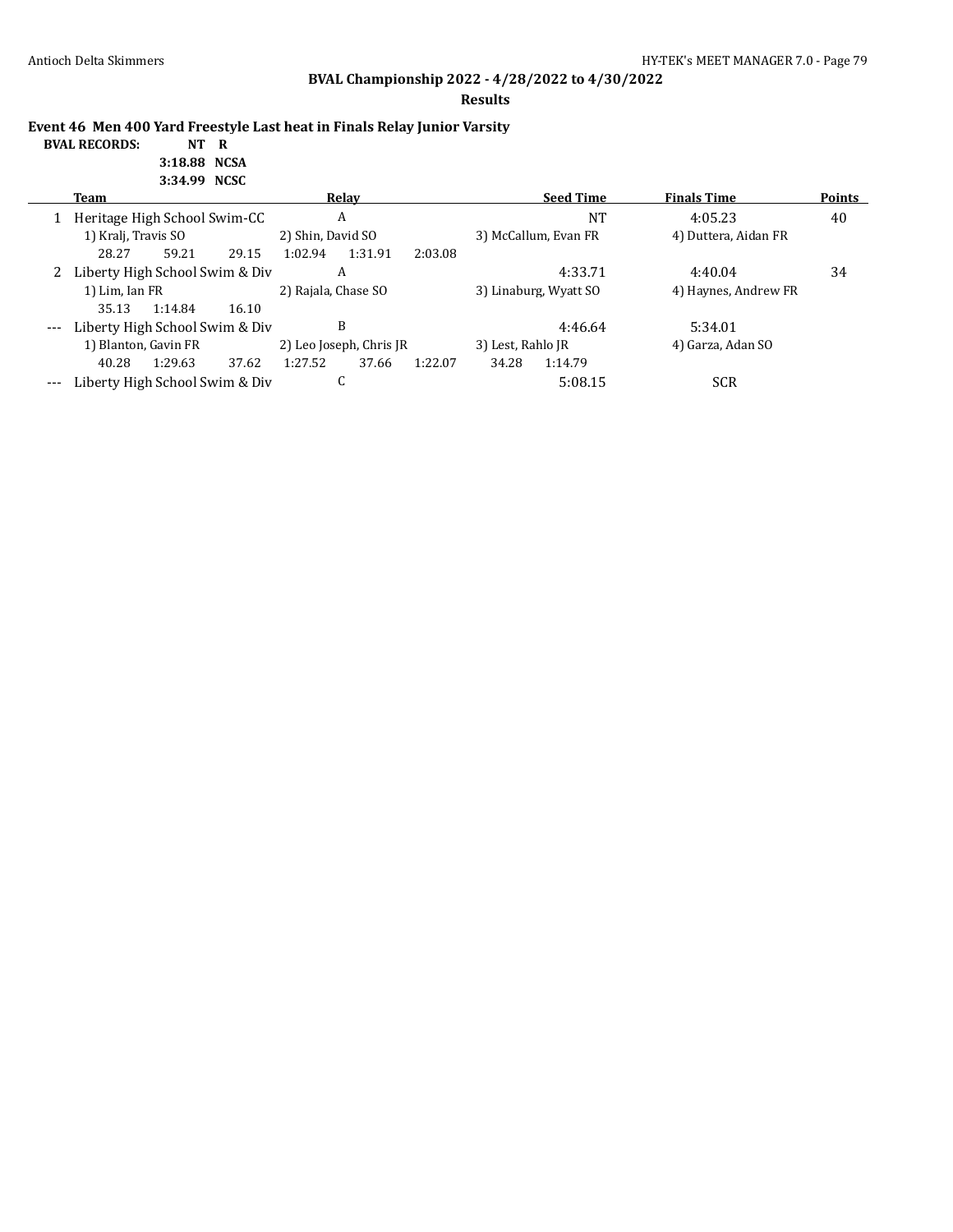**Results**

**Event 46 Men 400 Yard Freestyle Last heat in Finals Relay Junior Varsity**

#### **BVAL RECORDS: NT R 3:18.88 NCSA 3:34.99 NCSC**

|       | Team                                                  |                                   |       |                         | Relay   |                   |                       | <b>Seed Time</b>     | <b>Finals Time</b> | <b>Points</b> |
|-------|-------------------------------------------------------|-----------------------------------|-------|-------------------------|---------|-------------------|-----------------------|----------------------|--------------------|---------------|
|       |                                                       | A<br>Heritage High School Swim-CC |       |                         |         | NT                | 4:05.23               | 40                   |                    |               |
|       | 1) Kralj, Travis SO                                   |                                   |       | 2) Shin, David SO       |         |                   | 3) McCallum, Evan FR  | 4) Duttera, Aidan FR |                    |               |
|       | 28.27                                                 | 59.21                             | 29.15 | 1:02.94                 | 1:31.91 | 2:03.08           |                       |                      |                    |               |
|       | Liberty High School Swim & Div<br>2<br>1) Lim, Ian FR |                                   |       |                         | A       |                   |                       | 4:33.71              | 4:40.04            | 34            |
|       |                                                       |                                   |       | 2) Rajala, Chase SO     |         |                   | 3) Linaburg, Wyatt SO | 4) Haynes, Andrew FR |                    |               |
|       | 35.13                                                 | 1:14.84                           | 16.10 |                         |         |                   |                       |                      |                    |               |
| $---$ | Liberty High School Swim & Div                        |                                   |       |                         | B       |                   |                       | 4:46.64              | 5:34.01            |               |
|       | 1) Blanton, Gavin FR                                  |                                   |       | 2) Leo Joseph, Chris JR |         | 3) Lest, Rahlo JR |                       | 4) Garza, Adan SO    |                    |               |
|       | 40.28                                                 | 1:29.63                           | 37.62 | 1:27.52                 | 37.66   | 1:22.07           | 34.28                 | 1:14.79              |                    |               |
| $---$ |                                                       | Liberty High School Swim & Div    |       |                         |         |                   |                       | 5:08.15              | SCR                |               |
|       |                                                       |                                   |       |                         |         |                   |                       |                      |                    |               |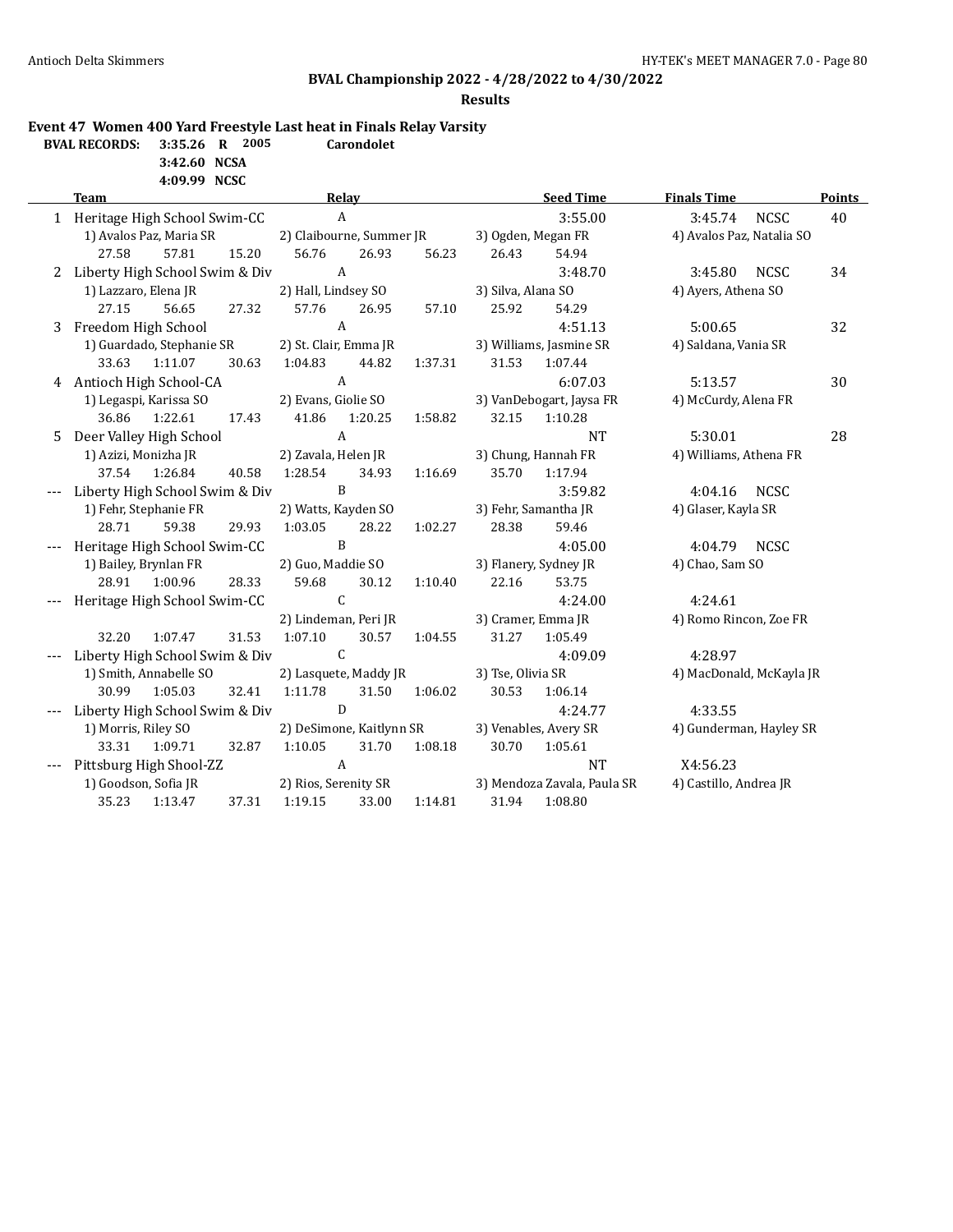### **Results**

## **Event 47 Women 400 Yard Freestyle Last heat in Finals Relay Varsity**

| <b>BVAL RECORDS:</b> $3:35.26$ <b>R</b> |              | 2005 | <b>Carondolet</b> |
|-----------------------------------------|--------------|------|-------------------|
|                                         | 3:42.60 NCSA |      |                   |

#### **4:09.99 NCSC**

|   | <b>Team</b><br>Relay                     |       |                                 |                           | <b>Seed Time</b><br><b>Finals Time</b> |                    |                                        | <b>Points</b>             |    |
|---|------------------------------------------|-------|---------------------------------|---------------------------|----------------------------------------|--------------------|----------------------------------------|---------------------------|----|
|   | 1 Heritage High School Swim-CC           |       |                                 | $\mathbf{A}$              |                                        |                    | 3:55.00                                | 3:45.74 NCSC              | 40 |
|   | 1) Avalos Paz, Maria SR                  |       | 2) Claibourne, Summer JR        |                           |                                        |                    | 3) Ogden, Megan FR                     | 4) Avalos Paz, Natalia SO |    |
|   | 57.81<br>27.58                           | 15.20 | 56.76                           | 26.93                     | 56.23                                  | 26.43              | 54.94                                  |                           |    |
|   | 2 Liberty High School Swim & Div         |       |                                 | $\mathbf{A}$              |                                        |                    | 3:48.70                                | 3:45.80 NCSC              | 34 |
|   | 1) Lazzaro, Elena JR                     |       | 2) Hall, Lindsey SO             |                           |                                        | 3) Silva, Alana SO |                                        | 4) Ayers, Athena SO       |    |
|   | 27.15<br>56.65                           | 27.32 | 57.76                           | 26.95                     | 57.10                                  | 25.92              | 54.29                                  |                           |    |
| 3 | Freedom High School                      |       |                                 | $\mathbf{A}$              |                                        |                    | 4:51.13                                | 5:00.65                   | 32 |
|   | 1) Guardado, Stephanie SR                |       |                                 | 2) St. Clair, Emma JR     |                                        |                    | 3) Williams, Jasmine SR                | 4) Saldana, Vania SR      |    |
|   | 33.63 1:11.07                            | 30.63 | 1:04.83                         | 44.82                     | 1:37.31                                | 31.53              | 1:07.44                                |                           |    |
|   | 4 Antioch High School-CA                 |       |                                 | $\mathbf{A}$              |                                        |                    | 6:07.03                                | 5:13.57                   | 30 |
|   | 1) Legaspi, Karissa SO                   |       | 2) Evans, Giolie SO             |                           |                                        |                    | 3) VanDebogart, Jaysa FR               | 4) McCurdy, Alena FR      |    |
|   | 36.86<br>1:22.61                         | 17.43 | 41.86                           | 1:20.25                   | 1:58.82                                | 32.15              | 1:10.28                                |                           |    |
|   | 5 Deer Valley High School                |       |                                 | $\mathbf{A}$              |                                        |                    | <b>NT</b>                              | 5:30.01                   | 28 |
|   | 1) Azizi, Monizha JR                     |       | 2) Zavala, Helen JR             |                           |                                        |                    | 3) Chung, Hannah FR                    | 4) Williams, Athena FR    |    |
|   | 37.54 1:26.84                            | 40.58 | 1:28.54                         | 34.93                     | 1:16.69                                | 35.70              | 1:17.94                                |                           |    |
|   | Liberty High School Swim & Div           |       |                                 | B                         |                                        |                    | 3:59.82                                | 4:04.16<br>NCSC           |    |
|   | 1) Fehr, Stephanie FR                    |       | 2) Watts, Kayden SO             |                           |                                        |                    | 3) Fehr, Samantha JR                   | 4) Glaser, Kayla SR       |    |
|   | 28.71<br>59.38                           | 29.93 | 1:03.05                         | 28.22                     | 1:02.27                                | 28.38              | 59.46                                  |                           |    |
|   | Heritage High School Swim-CC             |       |                                 | $\mathbf{B}$              |                                        |                    | 4:05.00                                | 4:04.79 NCSC              |    |
|   | 1) Bailey, Brynlan FR                    |       | 2) Guo, Maddie SO               |                           |                                        |                    | 3) Flanery, Sydney JR                  | 4) Chao, Sam SO           |    |
|   | 28.91<br>1:00.96                         | 28.33 | 59.68                           | 30.12                     | 1:10.40                                | 22.16              | 53.75                                  |                           |    |
|   | Heritage High School Swim-CC             |       |                                 | $\mathcal{C}$             |                                        |                    | 4:24.00                                | 4:24.61                   |    |
|   |                                          |       | 2) Lindeman, Peri JR            |                           |                                        |                    | 3) Cramer, Emma JR                     | 4) Romo Rincon, Zoe FR    |    |
|   | 32.20<br>1:07.47                         | 31.53 | 1:07.10                         | 30.57                     | 1:04.55                                | 31.27              | 1:05.49                                |                           |    |
|   | Liberty High School Swim & Div           |       |                                 | $\mathsf{C}$              |                                        |                    | 4:09.09                                | 4:28.97                   |    |
|   | 1) Smith, Annabelle SO                   |       | 2) Lasquete, Maddy JR           |                           |                                        | 3) Tse, Olivia SR  |                                        | 4) MacDonald, McKayla JR  |    |
|   | 1:05.03<br>30.99                         | 32.41 | 1:11.78                         | 31.50                     | 1:06.02                                | 30.53              | 1:06.14                                |                           |    |
|   | Liberty High School Swim & Div           |       |                                 | D                         |                                        |                    | 4:24.77                                | 4:33.55                   |    |
|   | 1) Morris, Riley SO                      |       | 2) DeSimone, Kaitlynn SR        |                           |                                        |                    | 3) Venables, Avery SR                  | 4) Gunderman, Hayley SR   |    |
|   | 33.31 1:09.71                            | 32.87 | 1:10.05                         | 31.70<br>$\boldsymbol{A}$ | 1:08.18                                | 30.70              | 1:05.61                                |                           |    |
|   | Pittsburg High Shool-ZZ                  |       |                                 |                           |                                        |                    | <b>NT</b>                              | X4:56.23                  |    |
|   | 1) Goodson, Sofia JR<br>35.23<br>1:13.47 | 37.31 | 2) Rios, Serenity SR<br>1:19.15 | 33.00                     | 1:14.81                                | 31.94              | 3) Mendoza Zavala, Paula SR<br>1:08.80 | 4) Castillo, Andrea JR    |    |
|   |                                          |       |                                 |                           |                                        |                    |                                        |                           |    |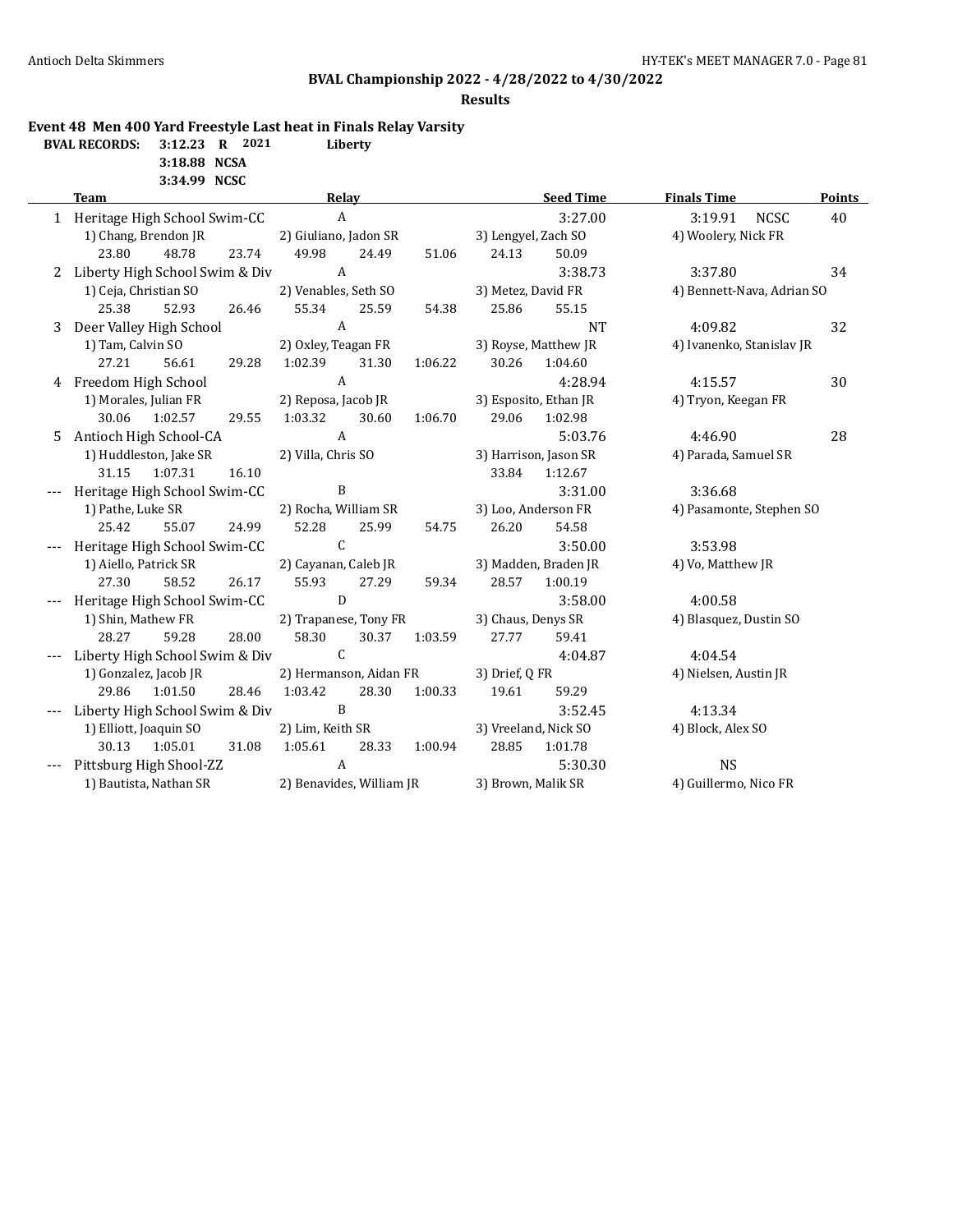#### **Results**

**Event 48 Men 400 Yard Freestyle Last heat in Finals Relay Varsity**

**BVAL RECORDS: 3:12.23 R 2021 Liberty**

**3:18.88 NCSA 3:34.99 NCSC**

|                        | <b>Team</b>                        |                          | Relay                  |       |         |                     | <b>Seed Time</b>      | <b>Finals Time</b>         | Points |
|------------------------|------------------------------------|--------------------------|------------------------|-------|---------|---------------------|-----------------------|----------------------------|--------|
|                        | 1 Heritage High School Swim-CC     |                          | $\mathbf{A}$           |       |         |                     | 3:27.00               | 3:19.91 NCSC               | 40     |
|                        | 1) Chang, Brendon JR               |                          | 2) Giuliano, Jadon SR  |       |         | 3) Lengyel, Zach SO |                       | 4) Woolery, Nick FR        |        |
|                        | 23.80<br>48.78                     | 23.74                    | 49.98                  | 24.49 | 51.06   | 24.13               | 50.09                 |                            |        |
|                        | 2 Liberty High School Swim & Div   |                          | $\mathbf{A}$           |       |         |                     | 3:38.73               | 3:37.80                    | 34     |
|                        | 1) Ceja, Christian SO              |                          | 2) Venables, Seth SO   |       |         | 3) Metez, David FR  |                       | 4) Bennett-Nava, Adrian SO |        |
|                        | 25.38<br>52.93                     | 26.46                    | 55.34                  | 25.59 | 54.38   | 25.86               | 55.15                 |                            |        |
|                        | 3 Deer Valley High School          |                          | $\mathbf{A}$           |       |         |                     | <b>NT</b>             | 4:09.82                    | 32     |
|                        | 1) Tam, Calvin SO                  |                          | 2) Oxley, Teagan FR    |       |         |                     | 3) Royse, Matthew JR  | 4) Ivanenko, Stanislav JR  |        |
|                        | 27.21<br>56.61                     | 29.28                    | 1:02.39                | 31.30 | 1:06.22 | 30.26               | 1:04.60               |                            |        |
|                        | 4 Freedom High School              |                          | $\mathbf{A}$           |       |         |                     | 4:28.94               | 4:15.57                    | 30     |
|                        | 1) Morales, Julian FR              |                          | 2) Reposa, Jacob JR    |       |         |                     | 3) Esposito, Ethan JR | 4) Tryon, Keegan FR        |        |
|                        | 30.06<br>1:02.57                   | 29.55                    | 1:03.32                | 30.60 | 1:06.70 | 29.06               | 1:02.98               |                            |        |
| 5                      | Antioch High School-CA             |                          | A                      |       |         |                     | 5:03.76               | 4:46.90                    | 28     |
|                        | 1) Huddleston, Jake SR             |                          | 2) Villa, Chris SO     |       |         |                     | 3) Harrison, Jason SR | 4) Parada, Samuel SR       |        |
|                        | 31.15<br>1:07.31                   | 16.10                    |                        |       |         | 33.84               | 1:12.67               |                            |        |
|                        | Heritage High School Swim-CC       |                          | B                      |       |         |                     | 3:31.00               | 3:36.68                    |        |
|                        | 1) Pathe, Luke SR                  |                          | 2) Rocha, William SR   |       |         |                     | 3) Loo, Anderson FR   | 4) Pasamonte, Stephen SO   |        |
|                        | 25.42<br>55.07                     | 24.99                    | 52.28                  | 25.99 | 54.75   | 26.20               | 54.58                 |                            |        |
|                        | Heritage High School Swim-CC       |                          | $\mathsf{C}$           |       |         |                     | 3:50.00               | 3:53.98                    |        |
|                        | 1) Aiello, Patrick SR              |                          | 2) Cayanan, Caleb JR   |       |         |                     | 3) Madden, Braden JR  | 4) Vo, Matthew JR          |        |
|                        | 27.30<br>58.52                     | 26.17                    | 55.93                  | 27.29 | 59.34   | 28.57               | 1:00.19               |                            |        |
|                        | --- Heritage High School Swim-CC   |                          | D                      |       |         |                     | 3:58.00               | 4:00.58                    |        |
|                        | 1) Shin, Mathew FR                 |                          | 2) Trapanese, Tony FR  |       |         | 3) Chaus, Denys SR  |                       | 4) Blasquez, Dustin SO     |        |
|                        | 28.27<br>59.28                     | 28.00                    | 58.30                  | 30.37 | 1:03.59 | 27.77               | 59.41                 |                            |        |
|                        | Liberty High School Swim & Div     |                          | $\mathsf{C}$           |       |         |                     | 4:04.87               | 4:04.54                    |        |
|                        | 1) Gonzalez, Jacob JR              |                          | 2) Hermanson, Aidan FR |       |         | 3) Drief, Q FR      |                       | 4) Nielsen, Austin JR      |        |
|                        | 29.86<br>1:01.50                   | 28.46                    | 1:03.42                | 28.30 | 1:00.33 | 19.61               | 59.29                 |                            |        |
|                        | --- Liberty High School Swim & Div |                          | B                      |       |         |                     | 3:52.45               | 4:13.34                    |        |
|                        | 1) Elliott, Joaquin SO             |                          | 2) Lim, Keith SR       |       |         |                     | 3) Vreeland, Nick SO  | 4) Block, Alex SO          |        |
|                        | 30.13 1:05.01                      | 31.08                    | 1:05.61                | 28.33 |         | 1:00.94 28.85       | 1:01.78               |                            |        |
|                        | Pittsburg High Shool-ZZ            |                          | $\mathbf{A}$           |       |         |                     | 5:30.30               | <b>NS</b>                  |        |
| 1) Bautista, Nathan SR |                                    | 2) Benavides, William JR |                        |       |         | 3) Brown, Malik SR  |                       | 4) Guillermo, Nico FR      |        |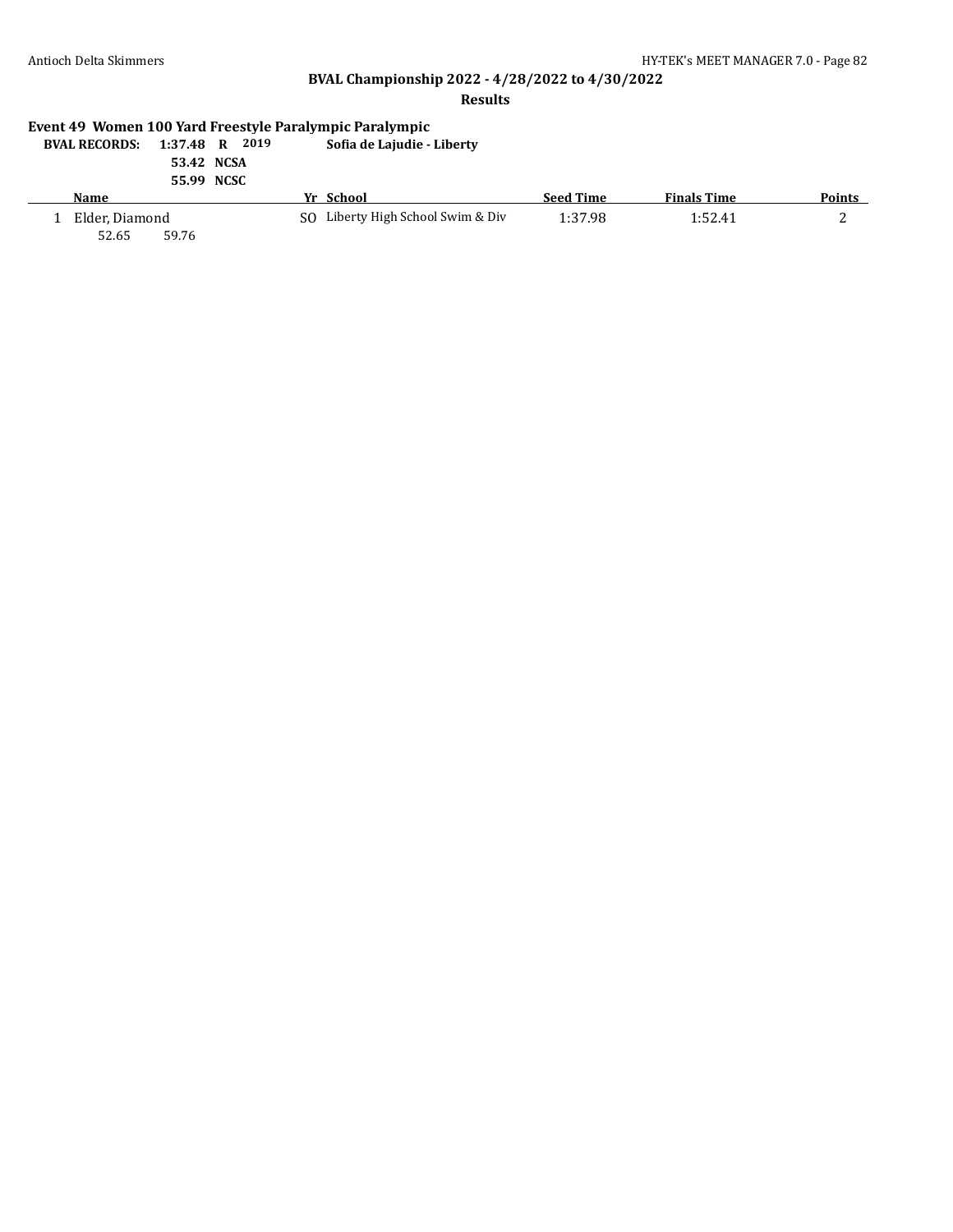### **Results**

# **Event 49 Women 100 Yard Freestyle Paralympic Paralympic**

| <b>BVAL RECORDS:</b> | 1:37.48 R 2019 | Sofia de Lajudie - Liberty |
|----------------------|----------------|----------------------------|
|                      | 53.42 NCSA     |                            |

| 55.99 NCSC |  |
|------------|--|

| Name           | Yr School                         | <b>Seed Time</b> | <b>Finals Time</b> | <b>Points</b> |
|----------------|-----------------------------------|------------------|--------------------|---------------|
| Elder, Diamond | SO Liberty High School Swim & Div | 1:37.98          | 1:52.41            |               |
| 52.65<br>59.76 |                                   |                  |                    |               |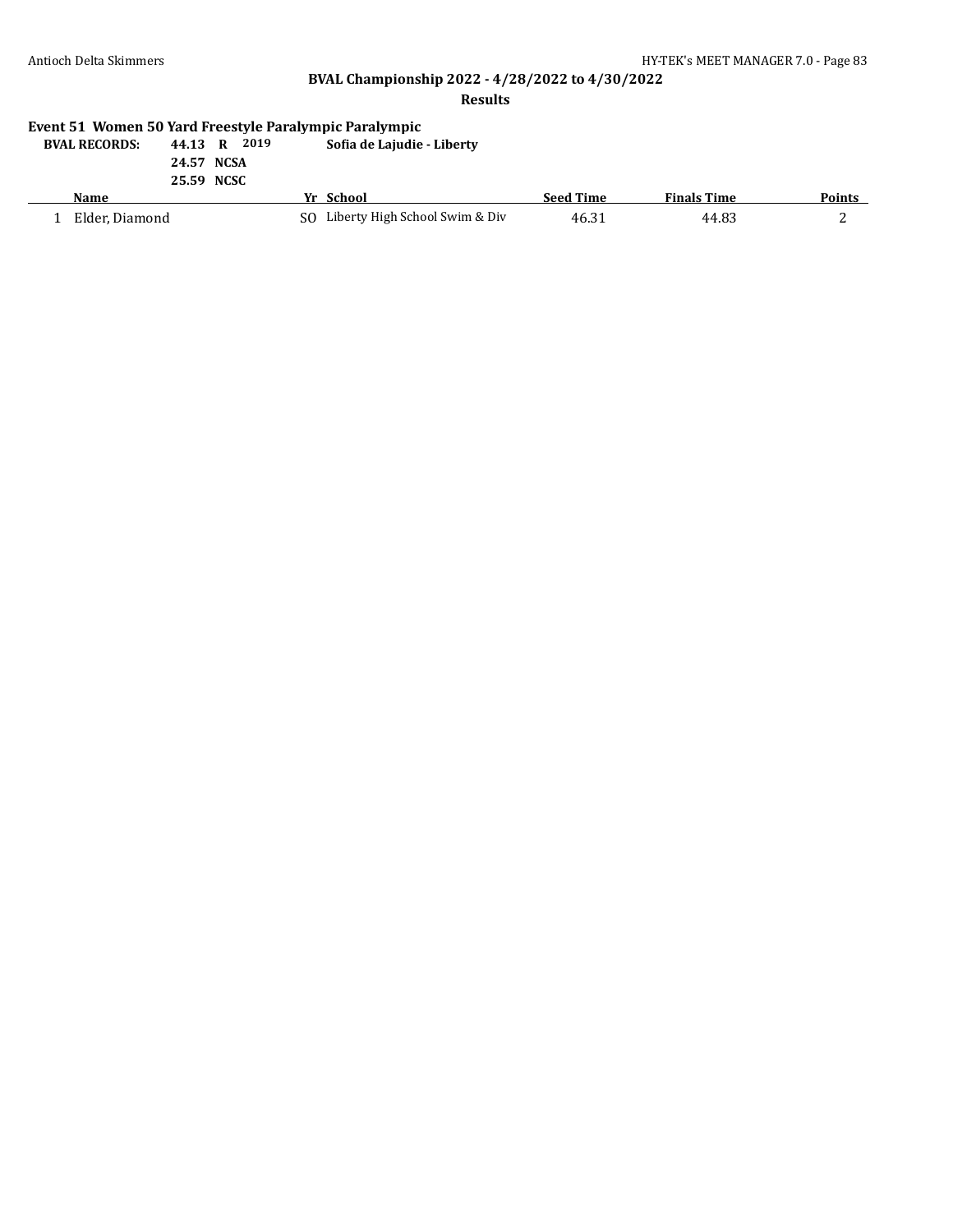#### **Results**

# **Event 51 Women 50 Yard Freestyle Paralympic Paralympic**

| <b>BVAL RECORDS:</b> | 2019<br>44.13 R | Sofia de Lajudie - Liberty        |                  |                    |        |
|----------------------|-----------------|-----------------------------------|------------------|--------------------|--------|
|                      | 24.57 NCSA      |                                   |                  |                    |        |
|                      | 25.59 NCSC      |                                   |                  |                    |        |
| <b>Name</b>          |                 | Yr School                         | <b>Seed Time</b> | <b>Finals Time</b> | Points |
| Elder, Diamond       |                 | SO Liberty High School Swim & Div | 46.31            | 44.83              |        |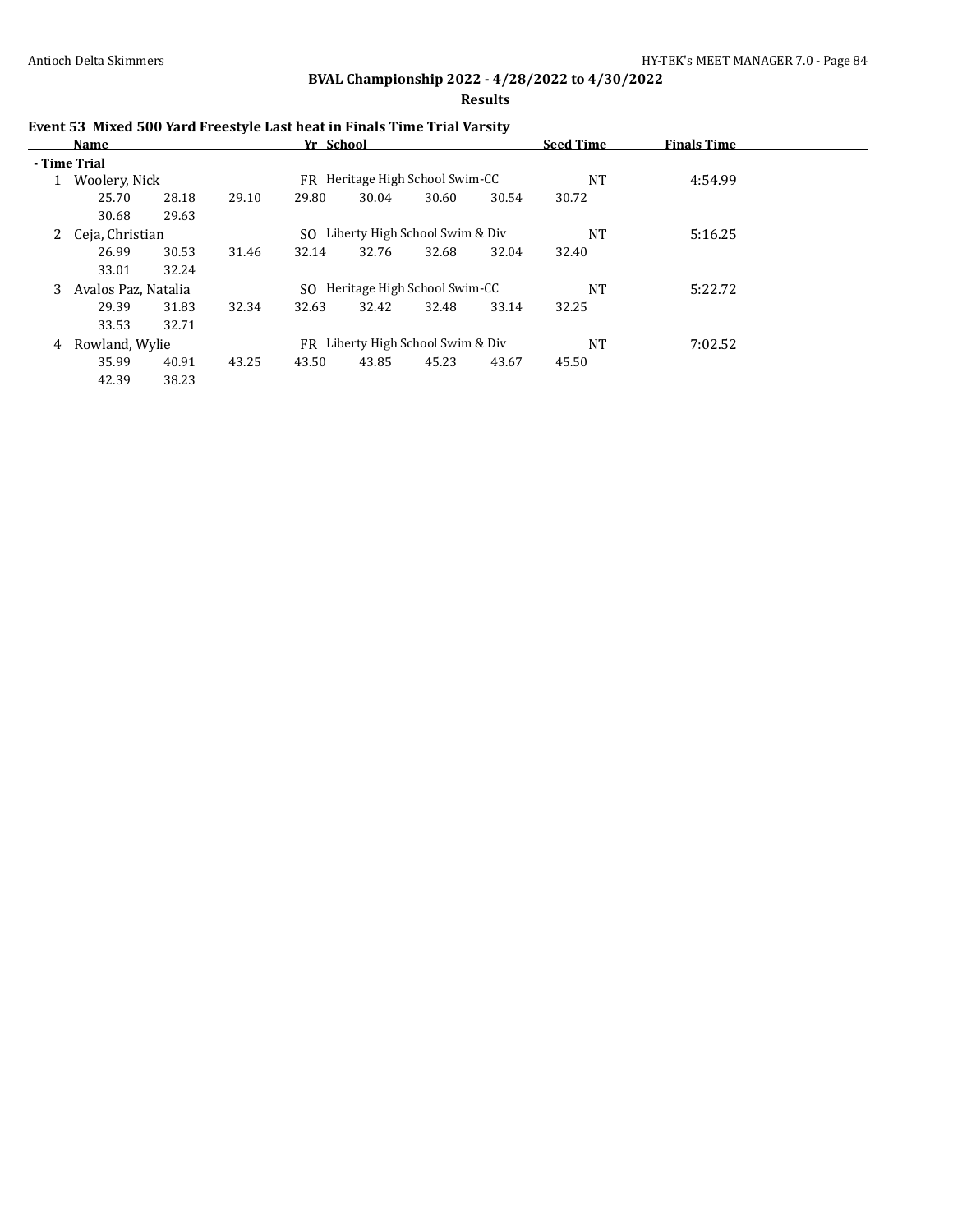**Results**

| Event 53 Mixed 500 Yard Freestyle Last heat in Finals Time Trial Varsity |  |
|--------------------------------------------------------------------------|--|
|--------------------------------------------------------------------------|--|

|              | Name                |       |       | Yr School |                                   |       |       | <b>Seed Time</b> | <b>Finals Time</b> |  |
|--------------|---------------------|-------|-------|-----------|-----------------------------------|-------|-------|------------------|--------------------|--|
|              | - Time Trial        |       |       |           |                                   |       |       |                  |                    |  |
| $\mathbf{1}$ | Woolery, Nick       |       |       | FR        | Heritage High School Swim-CC      |       |       | NT               | 4:54.99            |  |
|              | 25.70               | 28.18 | 29.10 | 29.80     | 30.04                             | 30.60 | 30.54 | 30.72            |                    |  |
|              | 30.68               | 29.63 |       |           |                                   |       |       |                  |                    |  |
|              | 2 Ceja, Christian   |       |       | SO.       | Liberty High School Swim & Div    |       |       | NT               | 5:16.25            |  |
|              | 26.99               | 30.53 | 31.46 | 32.14     | 32.76                             | 32.68 | 32.04 | 32.40            |                    |  |
|              | 33.01               | 32.24 |       |           |                                   |       |       |                  |                    |  |
| 3            | Avalos Paz, Natalia |       |       | SO.       | Heritage High School Swim-CC      |       |       | <b>NT</b>        | 5:22.72            |  |
|              | 29.39               | 31.83 | 32.34 | 32.63     | 32.42                             | 32.48 | 33.14 | 32.25            |                    |  |
|              | 33.53               | 32.71 |       |           |                                   |       |       |                  |                    |  |
| 4            | Rowland, Wylie      |       |       |           | FR Liberty High School Swim & Div |       |       | <b>NT</b>        | 7:02.52            |  |
|              | 35.99               | 40.91 | 43.25 | 43.50     | 43.85                             | 45.23 | 43.67 | 45.50            |                    |  |
|              | 42.39               | 38.23 |       |           |                                   |       |       |                  |                    |  |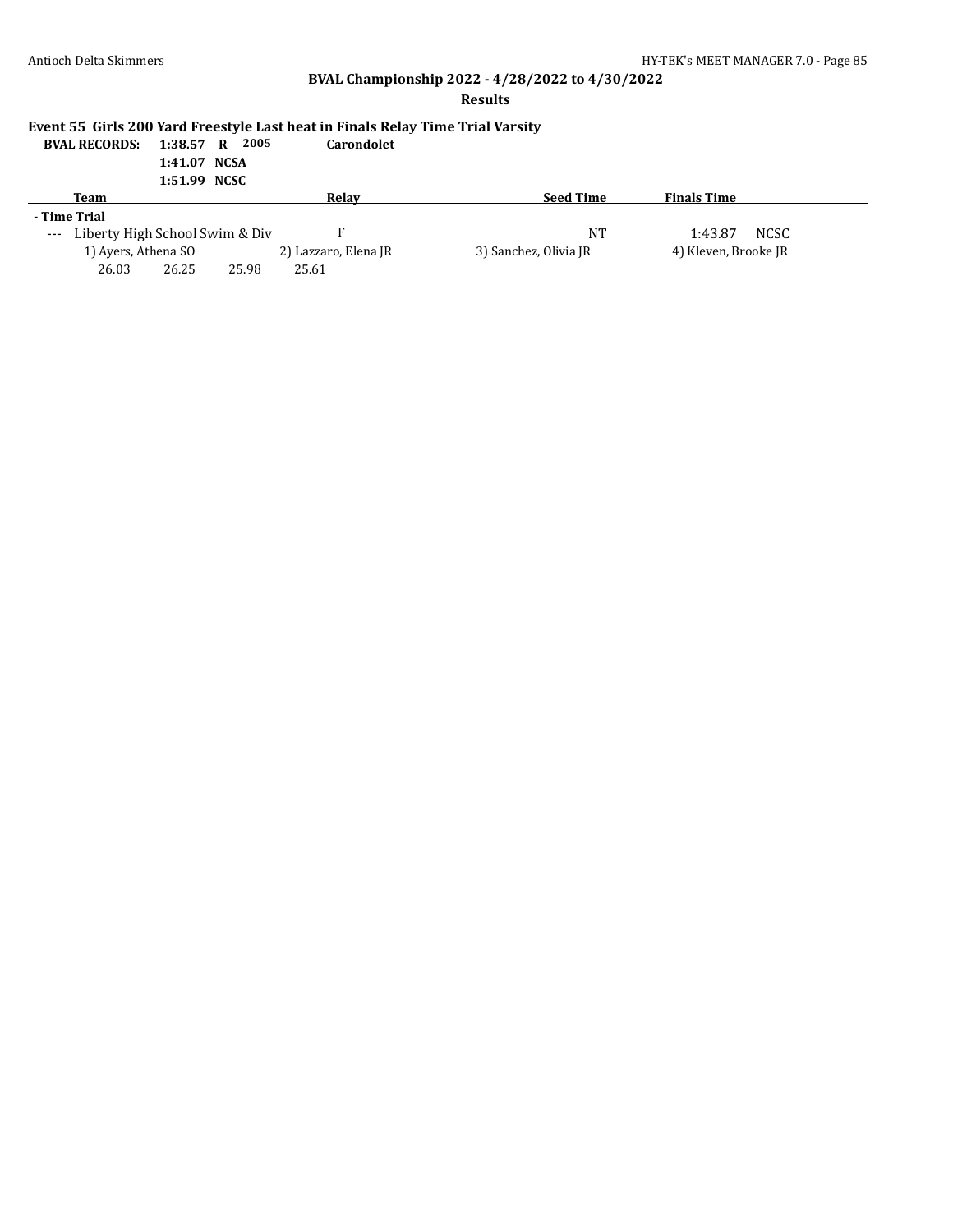## **Results**

## **Event 55 Girls 200 Yard Freestyle Last heat in Finals Relay Time Trial Varsity**

| <b>BVAL RECORDS:</b> 1:38.57 R 2005 |              |  | <b>Carondolet</b> |
|-------------------------------------|--------------|--|-------------------|
|                                     | 1:41.07 NCSA |  |                   |

| -------      | -------- |
|--------------|----------|
| 1:51.99 NCSC |          |

| Team                               |       |       | Relay                |                       | <b>Seed Time</b> | <b>Finals Time</b>   |             |
|------------------------------------|-------|-------|----------------------|-----------------------|------------------|----------------------|-------------|
| - Time Trial                       |       |       |                      |                       |                  |                      |             |
| --- Liberty High School Swim & Div |       |       |                      |                       | NΤ               | 1:43.87              | <b>NCSC</b> |
| 1) Ayers, Athena SO                |       |       | 2) Lazzaro, Elena JR | 3) Sanchez, Olivia JR |                  | 4) Kleven, Brooke JR |             |
| 26.03                              | 26.25 | 25.98 | 25.61                |                       |                  |                      |             |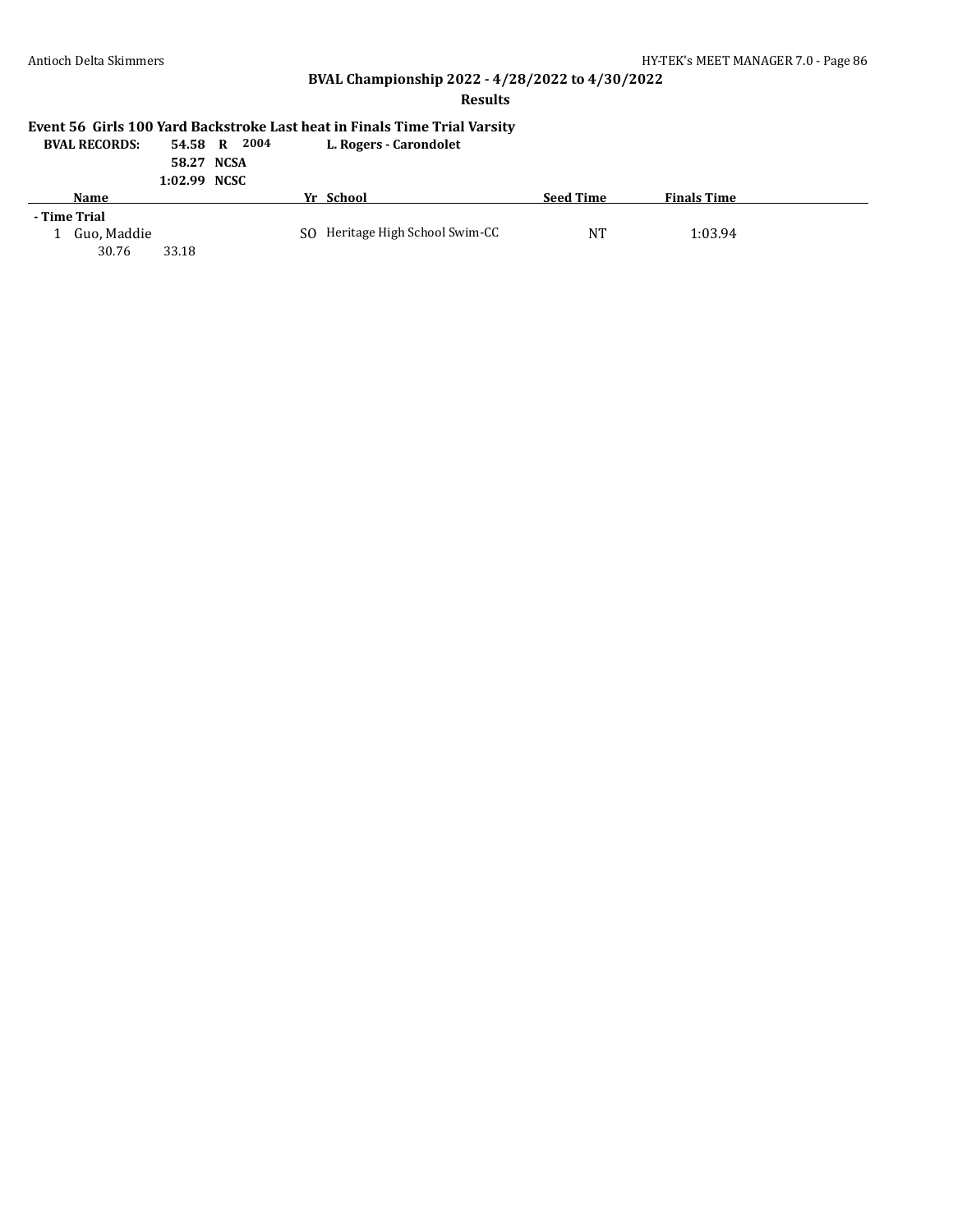#### **Results**

# **Event 56 Girls 100 Yard Backstroke Last heat in Finals Time Trial Varsity**

**BVAL RECORDS: 54.58 R 2004 L. Rogers - Carondolet**

#### **58.27 NCSA 1:02.99 NCSC**

| Name         |       | Yr School                       | <b>Seed Time</b> | <b>Finals Time</b> |  |
|--------------|-------|---------------------------------|------------------|--------------------|--|
| - Time Trial |       |                                 |                  |                    |  |
| Guo, Maddie  |       | SO Heritage High School Swim-CC | NT               | 1:03.94            |  |
| 30.76        | 33.18 |                                 |                  |                    |  |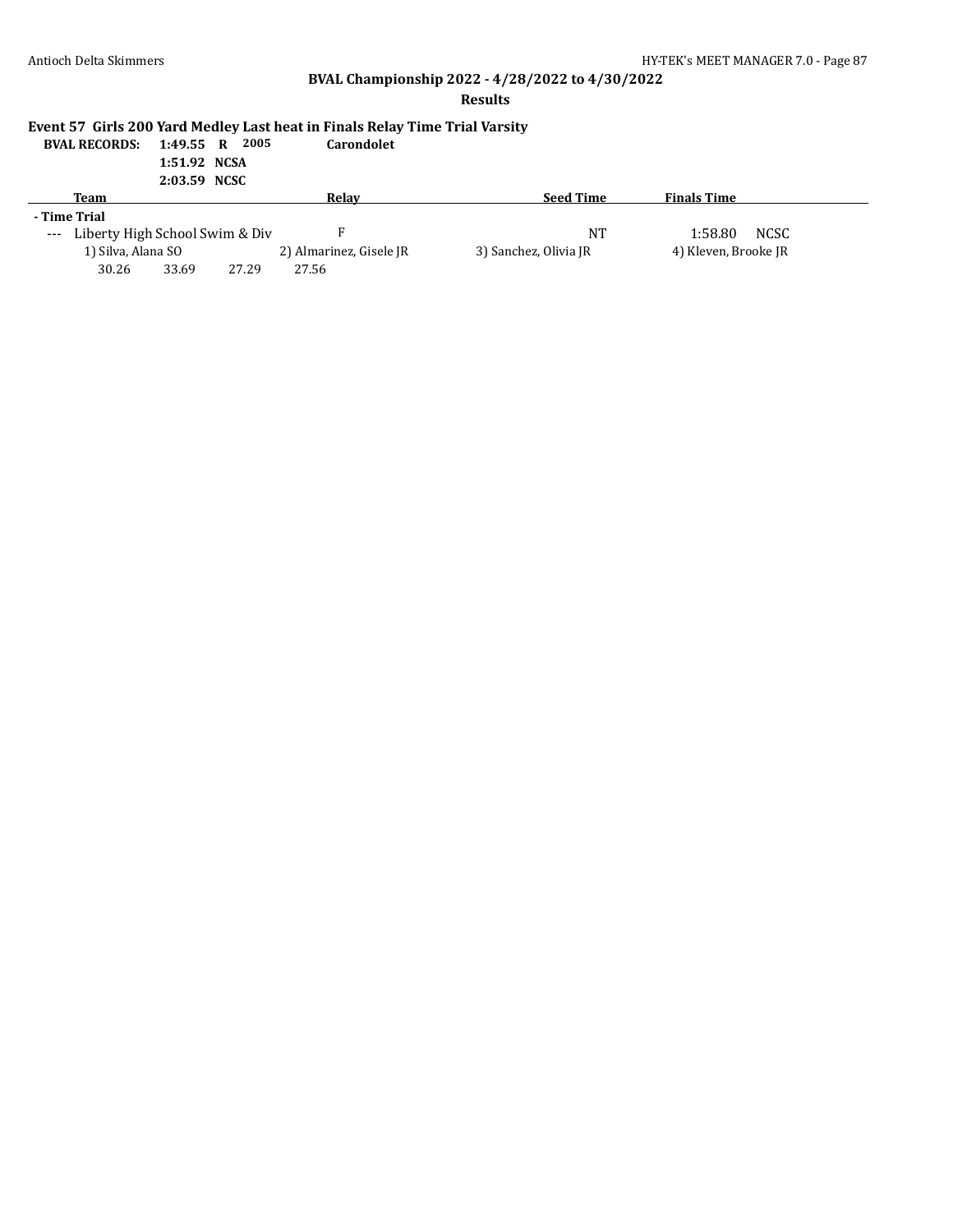### **Results**

## **Event 57 Girls 200 Yard Medley Last heat in Finals Relay Time Trial Varsity**

| <b>BVAL RECORDS:</b> 1:49.55 R 2005 |              |  | <b>Carondolet</b> |
|-------------------------------------|--------------|--|-------------------|
|                                     | 1:51.92 NCSA |  |                   |

| .            | . |
|--------------|---|
| 2:03.59 NCSC |   |

| Team                               |       |       | Relav                   |                       | <b>Seed Time</b> | <b>Finals Time</b>   |      |
|------------------------------------|-------|-------|-------------------------|-----------------------|------------------|----------------------|------|
| - Time Trial                       |       |       |                         |                       |                  |                      |      |
| --- Liberty High School Swim & Div |       |       |                         |                       | NT               | 1:58.80              | NCSC |
| 1) Silva, Alana SO                 |       |       | 2) Almarinez, Gisele JR | 3) Sanchez, Olivia JR |                  | 4) Kleven, Brooke JR |      |
| 30.26                              | 33.69 | 27.29 | 27.56                   |                       |                  |                      |      |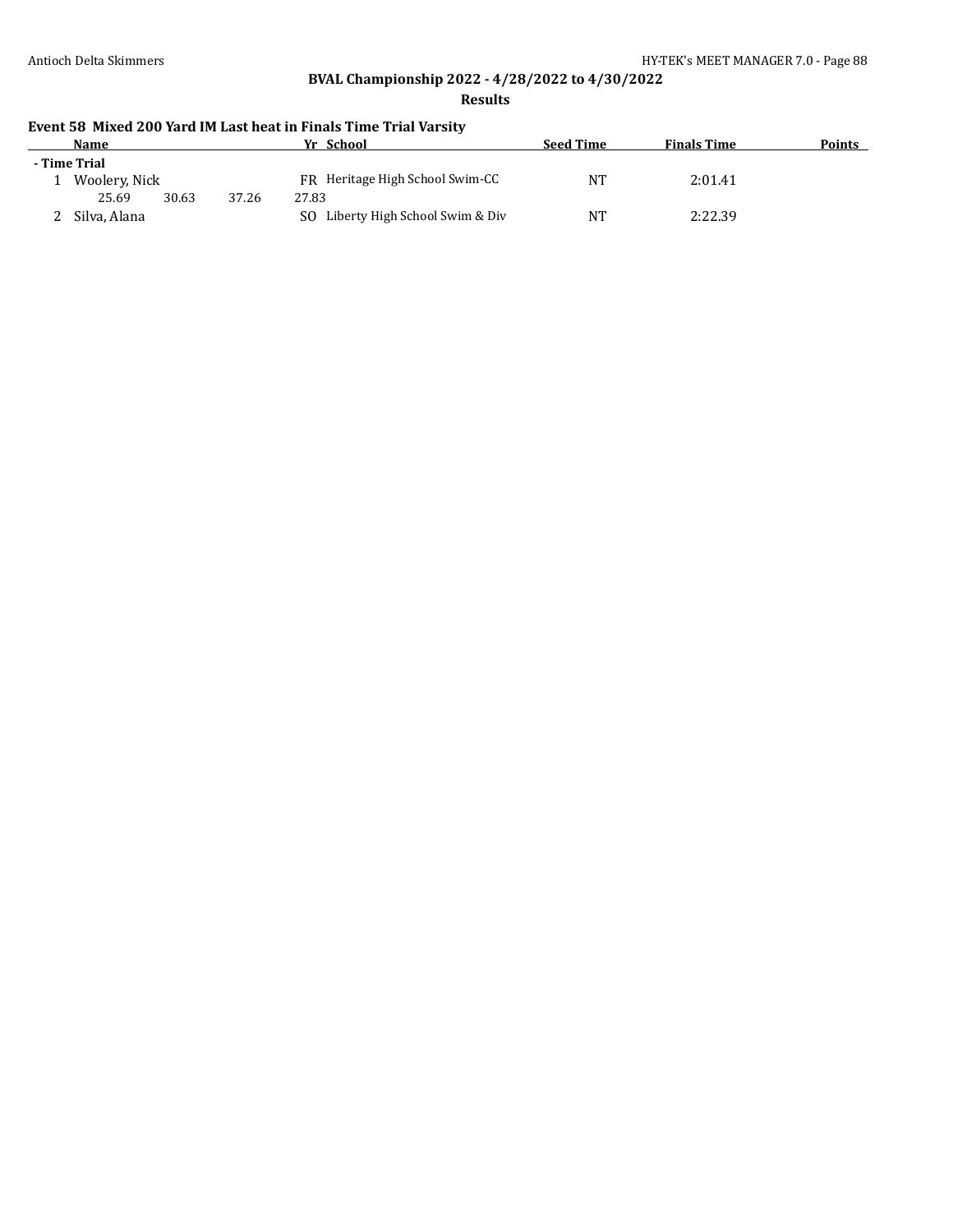#### **Results**

## **Event 58 Mixed 200 Yard IM Last heat in Finals Time Trial Varsity**

| Name          |       |       | Yr School                             | <b>Seed Time</b> | <b>Finals Time</b> | Points |
|---------------|-------|-------|---------------------------------------|------------------|--------------------|--------|
| - Time Trial  |       |       |                                       |                  |                    |        |
| Woolery, Nick |       |       | FR Heritage High School Swim-CC       | NT               | 2:01.41            |        |
| 25.69         | 30.63 | 37.26 | 27.83                                 |                  |                    |        |
| Silva, Alana  |       |       | Liberty High School Swim & Div<br>SO. | NT               | 2:22.39            |        |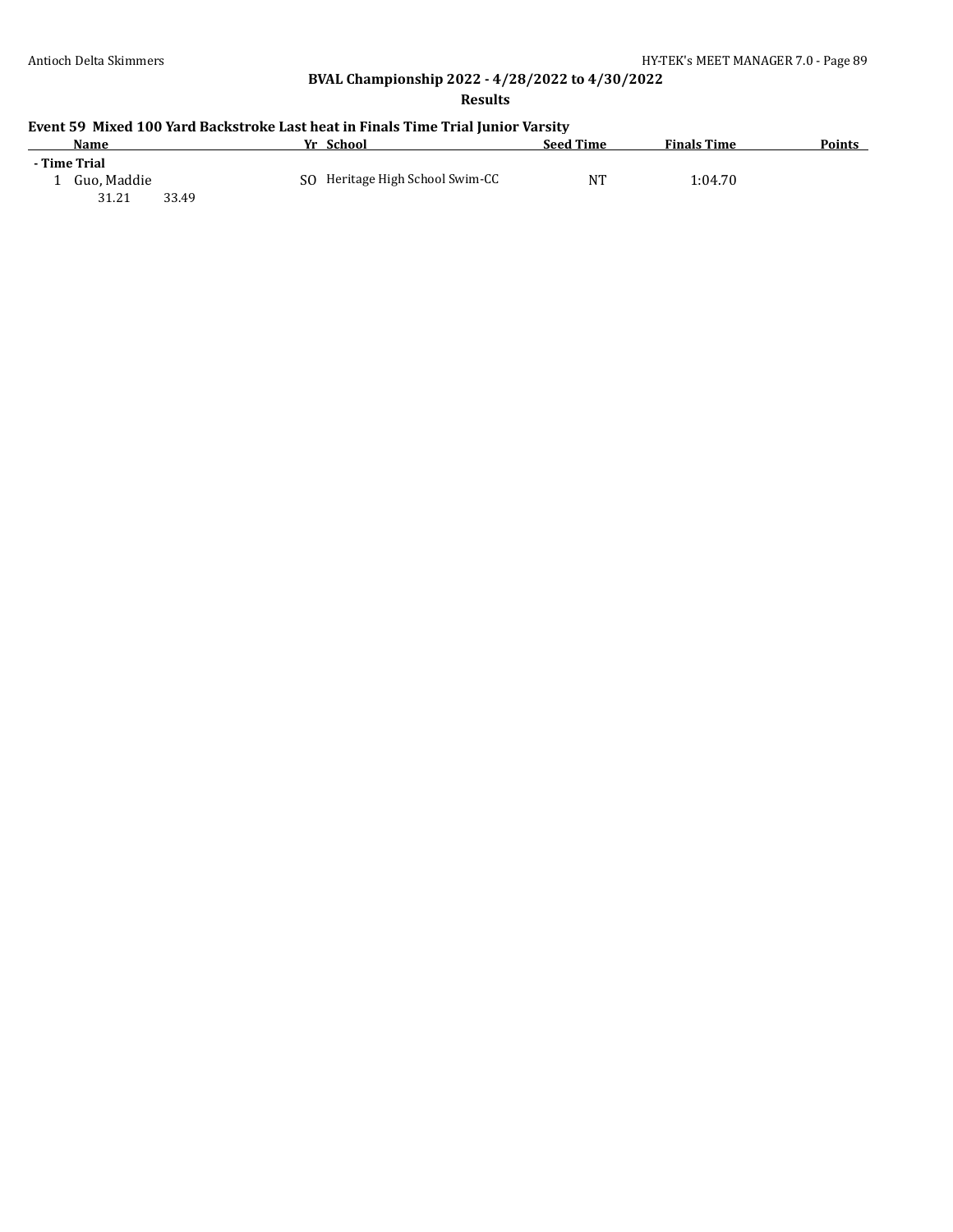**Results**

| Name         |       | Yr School                       | <b>Seed Time</b> | <b>Finals Time</b> | <b>Points</b> |
|--------------|-------|---------------------------------|------------------|--------------------|---------------|
| - Time Trial |       |                                 |                  |                    |               |
| Guo, Maddie  |       | SO Heritage High School Swim-CC | NT               | 1:04.70            |               |
| 31.21        | 33.49 |                                 |                  |                    |               |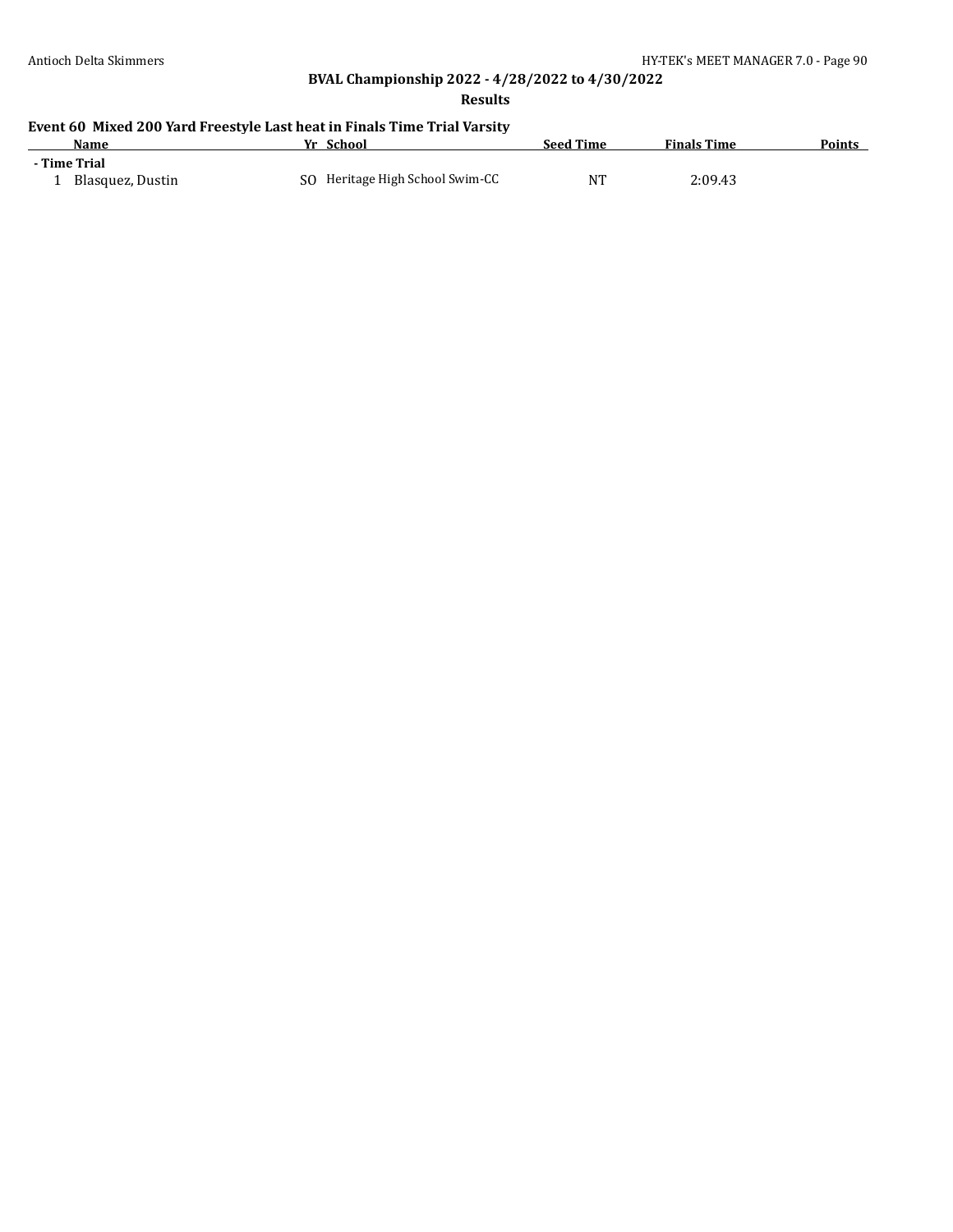**Results**

# **Event 60 Mixed 200 Yard Freestyle Last heat in Finals Time Trial Varsity**

| Name             | School<br>Уr                    | <b>Seed Time</b> | <b>Finals Time</b> | <b>Points</b> |
|------------------|---------------------------------|------------------|--------------------|---------------|
| - Time Trial     |                                 |                  |                    |               |
| Blasquez, Dustin | SO Heritage High School Swim-CC | NT               | 2:09.43            |               |